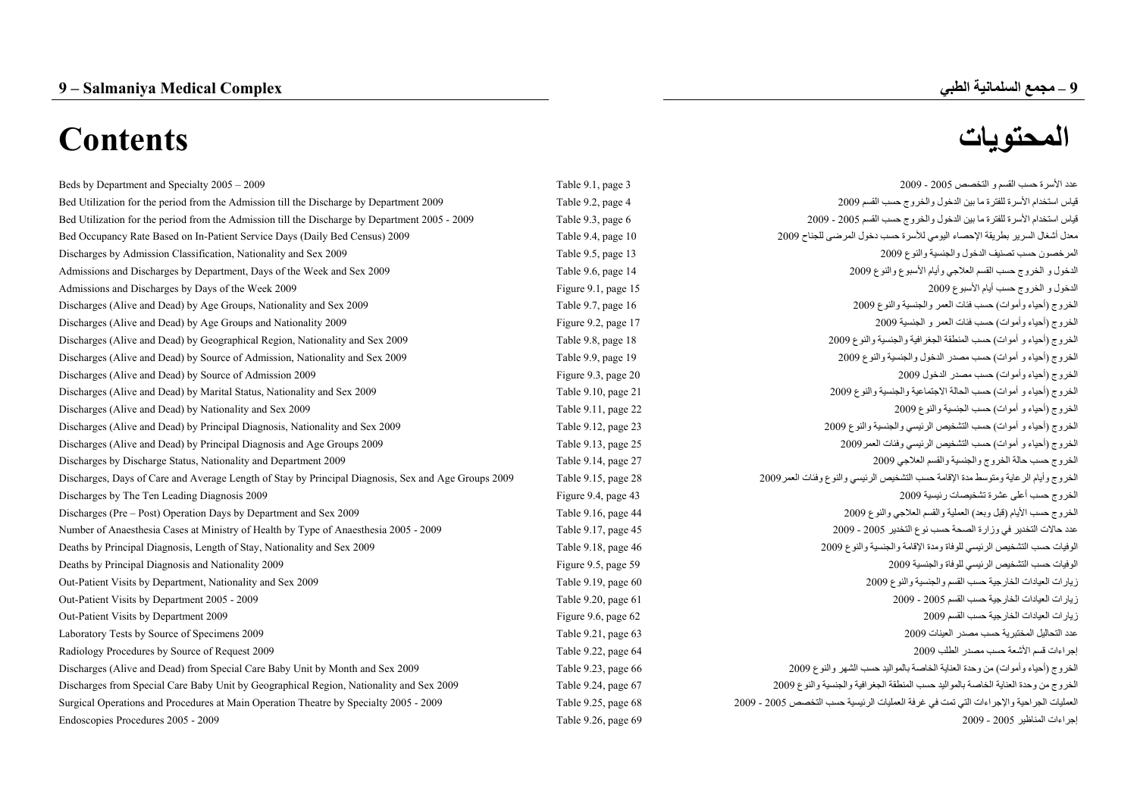### **9**

## **– مجمع السلمانية الطبي Complex Medical Salmaniya – 9**

# **المحتويات Contents**

| Beds by Department and Specialty 2005 – 2009                                                        | Table 9.1, page 3   | عدد الأسرة حسب القسم و التخصص 2005 - 2009                                              |
|-----------------------------------------------------------------------------------------------------|---------------------|----------------------------------------------------------------------------------------|
| Bed Utilization for the period from the Admission till the Discharge by Department 2009             | Table 9.2, page 4   | قياس استخدام الأسرة للفترة ما بين الدخول والخروج حسب القسم 2009                        |
| Bed Utilization for the period from the Admission till the Discharge by Department 2005 - 2009      | Table 9.3, page 6   | قياس استخدام الأسرة للفترة ما بين الدخول والخروج حسب القسم 2005 - 2009                 |
| Bed Occupancy Rate Based on In-Patient Service Days (Daily Bed Census) 2009                         | Table 9.4, page 10  | معدل أشغال السرير بطريقة الإحصاء اليومي للأسرة حسب دخول المرضى للجناح 2009             |
| Discharges by Admission Classification, Nationality and Sex 2009                                    | Table 9.5, page 13  | المرخصون حسب تصنيف الدخول والجنسية والنوع 2009                                         |
| Admissions and Discharges by Department, Days of the Week and Sex 2009                              | Table 9.6, page 14  | الدخول و الخروج حسب القسم العلاجي وأيام الأسبوع والذوع 2009                            |
| Admissions and Discharges by Days of the Week 2009                                                  | Figure 9.1, page 15 | الدخول و الخروج حسب أيام الأسبوع 2009                                                  |
| Discharges (Alive and Dead) by Age Groups, Nationality and Sex 2009                                 | Table 9.7, page 16  | الخروج (أحياء وأموات) حسب فنات العمر والجنسية والنوع 2009                              |
| Discharges (Alive and Dead) by Age Groups and Nationality 2009                                      | Figure 9.2, page 17 | الخروج (أحياء وأموات) حسب فئات العمر و الجنسية 2009                                    |
| Discharges (Alive and Dead) by Geographical Region, Nationality and Sex 2009                        | Table 9.8, page 18  | الخروج (أحياء و أموات) حسب المنطقة الجغرافية والجنسية والنوع 2009                      |
| Discharges (Alive and Dead) by Source of Admission, Nationality and Sex 2009                        | Table 9.9, page 19  | الخروج (أحياء و أموات) حسب مصدر الدخول والجنسية والنوع 2009                            |
| Discharges (Alive and Dead) by Source of Admission 2009                                             | Figure 9.3, page 20 | الخروج (أحياء وأموات) حسب مصدر الدخول 2009                                             |
| Discharges (Alive and Dead) by Marital Status, Nationality and Sex 2009                             | Table 9.10, page 21 | الخروج (أحياء و أموات) حسب الحالة الاجتماعية والجنسية والنوع 2009                      |
| Discharges (Alive and Dead) by Nationality and Sex 2009                                             | Table 9.11, page 22 | الخروج (أحياء و أموات) حسب الجنسية والنوع 2009                                         |
| Discharges (Alive and Dead) by Principal Diagnosis, Nationality and Sex 2009                        | Table 9.12, page 23 | الخروج (أحياء و أموات) حسب التشخيص الرئيسي والجنسية والنوع 2009                        |
| Discharges (Alive and Dead) by Principal Diagnosis and Age Groups 2009                              | Table 9.13, page 25 | الخروج (أحياء و أموات) حسب التشخيص الرئيسي وفئات العمر 2009                            |
| Discharges by Discharge Status, Nationality and Department 2009                                     | Table 9.14, page 27 | الخروج حسب حالة الخروج والجنسية والقسم العلاجي 2009                                    |
| Discharges, Days of Care and Average Length of Stay by Principal Diagnosis, Sex and Age Groups 2009 | Table 9.15, page 28 | الخروج وأيام الرعاية ومتوسط مدة الإقامة حسب التشخيص الرئيسي والنوع وفئات العمر 2009    |
| Discharges by The Ten Leading Diagnosis 2009                                                        | Figure 9.4, page 43 | الخروج حسب أعلى عشرة تشخيصات رئيسية 2009                                               |
| Discharges (Pre – Post) Operation Days by Department and Sex 2009                                   | Table 9.16, page 44 | الخروج حسب الأيام (قبل وبعد) العملية والقسم العلاجي والنوع 2009                        |
| Number of Anaesthesia Cases at Ministry of Health by Type of Anaesthesia 2005 - 2009                | Table 9.17, page 45 | عدد حالات التخدير في وزارة الصحة حسب نوع التخدير 2005 - 2009                           |
| Deaths by Principal Diagnosis, Length of Stay, Nationality and Sex 2009                             | Table 9.18, page 46 | الوفيات حسب التشخيص الرئيسي للوفاة ومدة الإقامة والجنسية والنوع 2009                   |
| Deaths by Principal Diagnosis and Nationality 2009                                                  | Figure 9.5, page 59 | الوفيات حسب التشخيص الرئيسي للوفاة والجنسية 2009                                       |
| Out-Patient Visits by Department, Nationality and Sex 2009                                          | Table 9.19, page 60 | زيارات العيادات الخارجية حسب القسم والجنسية والنوع 2009                                |
| Out-Patient Visits by Department 2005 - 2009                                                        | Table 9.20, page 61 | زيارات العيادات الخارجية حسب القسم 2005 - 2009                                         |
| Out-Patient Visits by Department 2009                                                               | Figure 9.6, page 62 | زيارات العيادات الخارجية حسب القسم 2009                                                |
| Laboratory Tests by Source of Specimens 2009                                                        | Table 9.21, page 63 | عدد التحاليل المختبرية حسب مصدر العينات 2009                                           |
| Radiology Procedures by Source of Request 2009                                                      | Table 9.22, page 64 | إجراءات قسم الأشعة حسب مصدر الطلب 2009                                                 |
| Discharges (Alive and Dead) from Special Care Baby Unit by Month and Sex 2009                       | Table 9.23, page 66 | الخروج (أحياء وأموات) من وحدة العناية الخاصة بالمواليد حسب الشهر والنوع 2009           |
| Discharges from Special Care Baby Unit by Geographical Region, Nationality and Sex 2009             | Table 9.24, page 67 | الخروج من وحدة العناية الخاصة بالمواليد حسب المنطقة الجغرافية والجنسية والنوع 2009     |
| Surgical Operations and Procedures at Main Operation Theatre by Specialty 2005 - 2009               | Table 9.25, page 68 | العمليات الجراحية والإجراءات التي تمت في غرفة العمليات الرئيسية حسب التخصص 2005 - 2009 |
| Endoscopies Procedures 2005 - 2009                                                                  | Table 9.26, page 69 | إجراءات المناظير 2005 - 2009                                                           |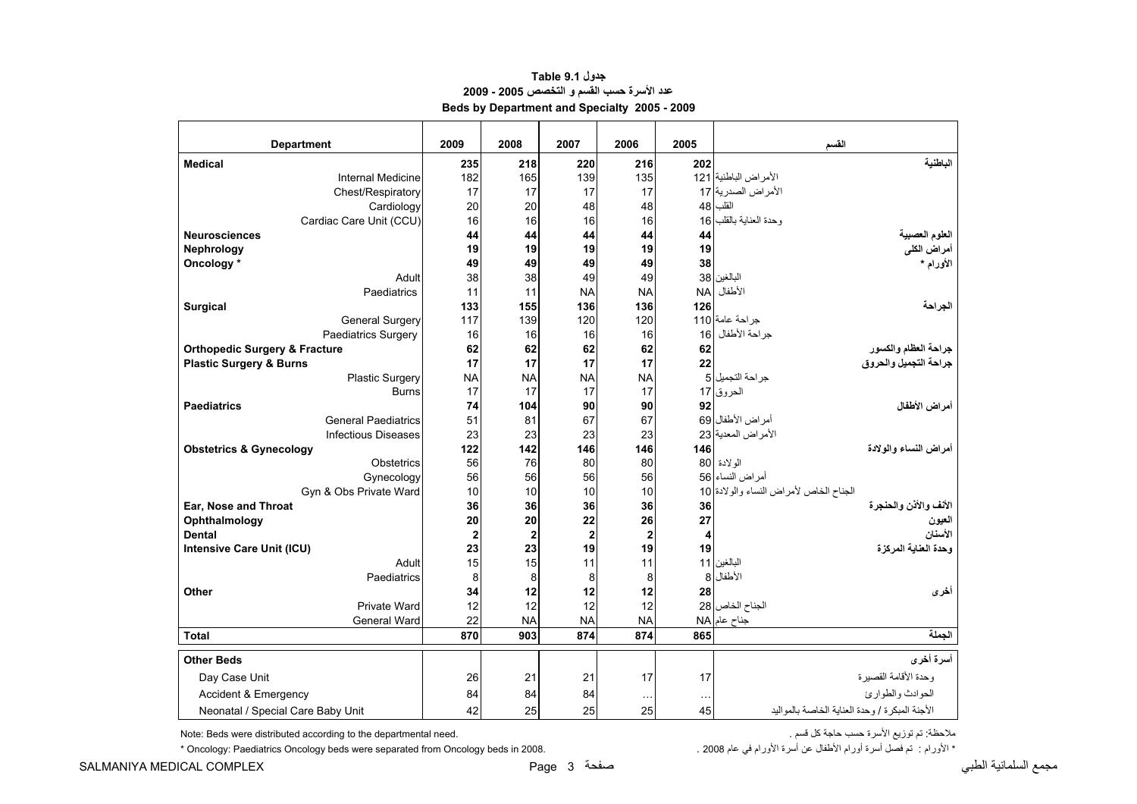<span id="page-1-0"></span>

| <b>Department</b>                        | 2009      | 2008           | 2007           | 2006                    | 2005                | القسم                                          |
|------------------------------------------|-----------|----------------|----------------|-------------------------|---------------------|------------------------------------------------|
| <b>Medical</b>                           | 235       | 218            | 220            | 216                     | 202                 | الناطنية                                       |
| <b>Internal Medicine</b>                 | 182       | 165            | 139            | 135                     |                     | الأمراض الباطنية 121                           |
| Chest/Respiratory                        | 17        | 17             | 17             | 17                      |                     | الأمراض الصدرية 17                             |
| Cardiology                               | 20        | 20             | 48             | 48                      | 48                  | القلب                                          |
| Cardiac Care Unit (CCU)                  | 16        | 16             | 16             | 16                      | 16                  | وحدة العناية بالقلب                            |
| <b>Neurosciences</b>                     | 44        | 44             | 44             | 44                      | 44                  | العلوم العصبية                                 |
| <b>Nephrology</b>                        | 19        | 19             | 19             | 19                      | 19                  | أمراض الكلى                                    |
| Oncology *                               | 49        | 49             | 49             | 49                      | 38                  | الأورام *                                      |
| Adult                                    | 38        | 38             | 49             | 49                      | 38                  | البالغين                                       |
| Paediatrics                              | 11        | 11             | <b>NA</b>      | <b>NA</b>               | <b>NA</b>           | الأطفال                                        |
| <b>Surgical</b>                          | 133       | 155            | 136            | 136                     | 126                 | الجراحة                                        |
| <b>General Surgery</b>                   | 117       | 139            | 120            | 120                     |                     | جراحة عامة 110                                 |
| Paediatrics Surgery                      | 16        | 16             | 16             | 16                      | 16                  | جر احة الأطفال                                 |
| <b>Orthopedic Surgery &amp; Fracture</b> | 62        | 62             | 62             | 62                      | 62                  | جراحة العظام والكسور                           |
| <b>Plastic Surgery &amp; Burns</b>       | 17        | 17             | 17             | 17                      | 22                  | جراحة التجميل والحروق                          |
| <b>Plastic Surgery</b>                   | <b>NA</b> | <b>NA</b>      | <b>NA</b>      | <b>NA</b>               |                     | جراحة التجميل 5                                |
| <b>Burns</b>                             | 17        | 17             | 17             | 17                      |                     | الحروق 17                                      |
| <b>Paediatrics</b>                       | 74        | 104            | 90             | 90                      | 92                  | أمراض الأطفال                                  |
| <b>General Paediatrics</b>               | 51        | 81             | 67             | 67                      |                     | أمراض الأطفال 69                               |
| <b>Infectious Diseases</b>               | 23        | 23             | 23             | 23                      |                     | الأمراض المعدية 23                             |
| <b>Obstetrics &amp; Gynecology</b>       | 122       | 142            | 146            | 146                     | 146                 | أمر اض النساع و الو لادة                       |
| Obstetrics                               | 56        | 76             | 80             | 80                      |                     | الولادة 80                                     |
| Gynecology                               | 56        | 56             | 56             | 56                      |                     | أمراض النساء 56                                |
| Gyn & Obs Private Ward                   | 10        | 10             | 10             | 10                      |                     | الجناح الخاص لأمراض النساء والولادة 10         |
| Ear, Nose and Throat                     | 36        | 36             | 36             | 36                      | 36                  | الأنف والأذن والحنجرة                          |
| Ophthalmology                            | 20        | 20             | 22             | 26                      | 27                  | العيون                                         |
| <b>Dental</b>                            | $\bf{2}$  | $\overline{2}$ | $\overline{2}$ | $\overline{\mathbf{2}}$ | 4                   | الأسنان                                        |
| Intensive Care Unit (ICU)                | 23        | 23             | 19             | 19                      | 19                  | وحدة العنابة المركز ة                          |
| Adult                                    | 15        | 15             | 11             | 11                      |                     | البالغين 11                                    |
| Paediatrics                              | 8         | 8              | 8              | 8                       | 8                   | الأطفال                                        |
| Other                                    | 34        | 12             | 12             | 12                      | 28                  | أخرى                                           |
| Private Ward                             | 12        | 12             | 12             | 12                      |                     | الجناح الخاص 28                                |
| General Ward                             | 22        | <b>NA</b>      | <b>NA</b>      | <b>NA</b>               |                     | AA مناح عام                                    |
| <b>Total</b>                             | 870       | 903            | 874            | 874                     | 865                 | الحملة                                         |
| <b>Other Beds</b>                        |           |                |                |                         |                     | أسرة أخرى                                      |
| Day Case Unit                            | 26        | 21             | 21             | 17                      | 17                  | وحدة الأقامة القصبر ة                          |
| <b>Accident &amp; Emergency</b>          | 84        | 84             | 84             |                         |                     | الحوادث والطوارئ                               |
| Neonatal / Special Care Baby Unit        | 42        | 25             | 25             | $\cdots$<br>25          | $\sim$ $\sim$<br>45 | الأجنة المبكرة / وحدة العناية الخاصة بالمواليد |
|                                          |           |                |                |                         |                     |                                                |

#### **جدول 9.1 Table عدد الأسرة حسب القسم <sup>و</sup> التخصص 2005 - 2009 Beds by Department and Specialty 2005 - 2009**

ملاحظة: تم توزيع الأسرة حسب حاجة كل قسم . .<br>. قسم المحمد المسروة توسم الأسرة توزيع الأسرة توسب المسلم المسلم المسلم المسلم المسلم المسلم المسلم المسلم الم

 $*$  Oncology: Paediatrics Oncology beds were separated from Oncology beds in 2008.

\* الأورام : ۖ تم فصل أسرة أورام الأطفال عن أسرة الأورام في عام 2008 .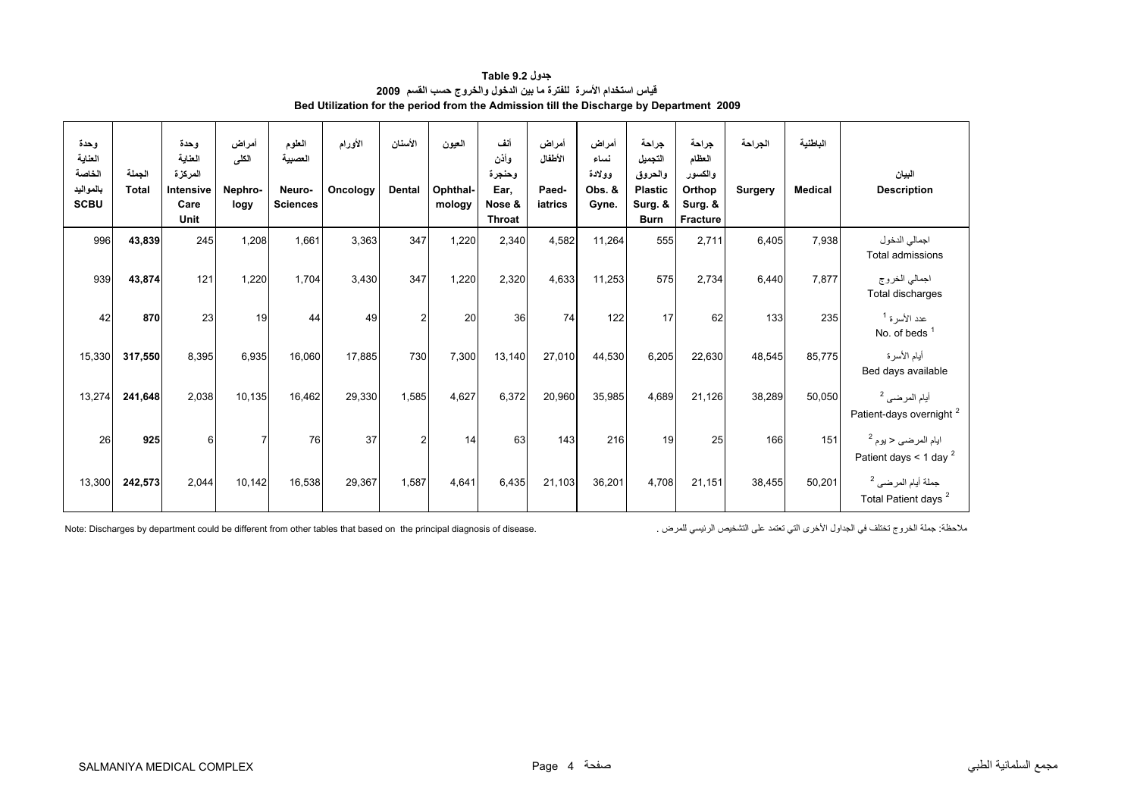<span id="page-2-0"></span>

| وحدة<br>العناية<br>الخاصة<br>بالمواليد<br><b>SCBU</b> | الجملة<br><b>Total</b> | وحدة<br>العناية<br>المركزة<br>Intensive<br>Care<br>Unit | أمراض<br>الكلى<br>Nephro-<br>logy | المطوم<br>العصبية<br>Neuro-<br><b>Sciences</b> | الأورام<br>Oncology | الأسنان<br>Dental | العيون<br>Ophthal-<br>mology | أنف<br>وأذن<br>وحنجرة<br>Ear,<br>Nose &<br><b>Throat</b> | أمراض<br>الأطفال<br>Paed-<br>iatrics | أمراض<br>نساء<br>وولادة<br>Obs. &<br>Gyne. | جراحة<br>التجميل<br>والحروق<br><b>Plastic</b><br>Surg. &<br><b>Burn</b> | جراحة<br>العظام<br>والكسور<br>Orthop<br>Surg. &<br>Fracture | الجراحة<br><b>Surgery</b> | الباطنية<br><b>Medical</b> | البيان<br><b>Description</b>                                     |
|-------------------------------------------------------|------------------------|---------------------------------------------------------|-----------------------------------|------------------------------------------------|---------------------|-------------------|------------------------------|----------------------------------------------------------|--------------------------------------|--------------------------------------------|-------------------------------------------------------------------------|-------------------------------------------------------------|---------------------------|----------------------------|------------------------------------------------------------------|
| 996                                                   | 43,839                 | 245                                                     | 1,208                             | 1,661                                          | 3,363               | 347               | 1,220                        | 2,340                                                    | 4,582                                | 11,264                                     | 555                                                                     | 2,711                                                       | 6,405                     | 7,938                      | اجمالي الدخول<br>Total admissions                                |
| 939                                                   | 43,874                 | 121                                                     | 1,220                             | 1,704                                          | 3,430               | 347               | 1,220                        | 2,320                                                    | 4,633                                | 11,253                                     | 575                                                                     | 2,734                                                       | 6,440                     | 7.877                      | اجمالي الخروج<br>Total discharges                                |
| 42                                                    | 870                    | 23                                                      | 19                                | 44                                             | 49                  | $\overline{2}$    | 20                           | 36                                                       | 74                                   | 122                                        | 17                                                                      | 62                                                          | 133                       | 235                        | عدد الأسر ة <sup>1</sup><br>No. of beds $1$                      |
| 15,330                                                | 317,550                | 8,395                                                   | 6,935                             | 16,060                                         | 17,885              | 730               | 7,300                        | 13,140                                                   | 27,010                               | 44,530                                     | 6,205                                                                   | 22,630                                                      | 48,545                    | 85,775                     | أيام الأسرة<br>Bed days available                                |
| 13,274                                                | 241,648                | 2,038                                                   | 10,135                            | 16,462                                         | 29,330              | 1,585             | 4,627                        | 6,372                                                    | 20,960                               | 35,985                                     | 4,689                                                                   | 21,126                                                      | 38,289                    | 50,050                     | أيام المرضى <sup>2</sup><br>Patient-days overnight <sup>2</sup>  |
| 26                                                    | 925                    | 6                                                       | $\overline{7}$                    | 76                                             | 37                  | $\overline{2}$    | 14                           | 63                                                       | 143                                  | 216                                        | 19                                                                      | 25                                                          | 166                       | 151                        | ايام المرضى < يوم <sup>2</sup><br>Patient days < 1 day $^2$      |
| 13,300                                                | 242,573                | 2,044                                                   | 10,142                            | 16,538                                         | 29,367              | 1,587             | 4,641                        | 6,435                                                    | 21,103                               | 36,201                                     | 4,708                                                                   | 21,151                                                      | 38,455                    | 50,201                     | جملة أيام المرضى <sup>2</sup><br>Total Patient days <sup>2</sup> |

**جدول 9.2 Table قياس استخدام األسرة للفترة ما بين الدخول والخروج حسب القسم <sup>2009</sup> Bed Utilization for the period from the Admission till the Discharge by Department 2009**

ملاحظة: جملة الخروج تختلف في الجداول الأخرى التي تعتمد على التشخيص الرئيسي للمرض . . . . Note: Discharges by department could be different from other tables that based on the principal diagnosis of disease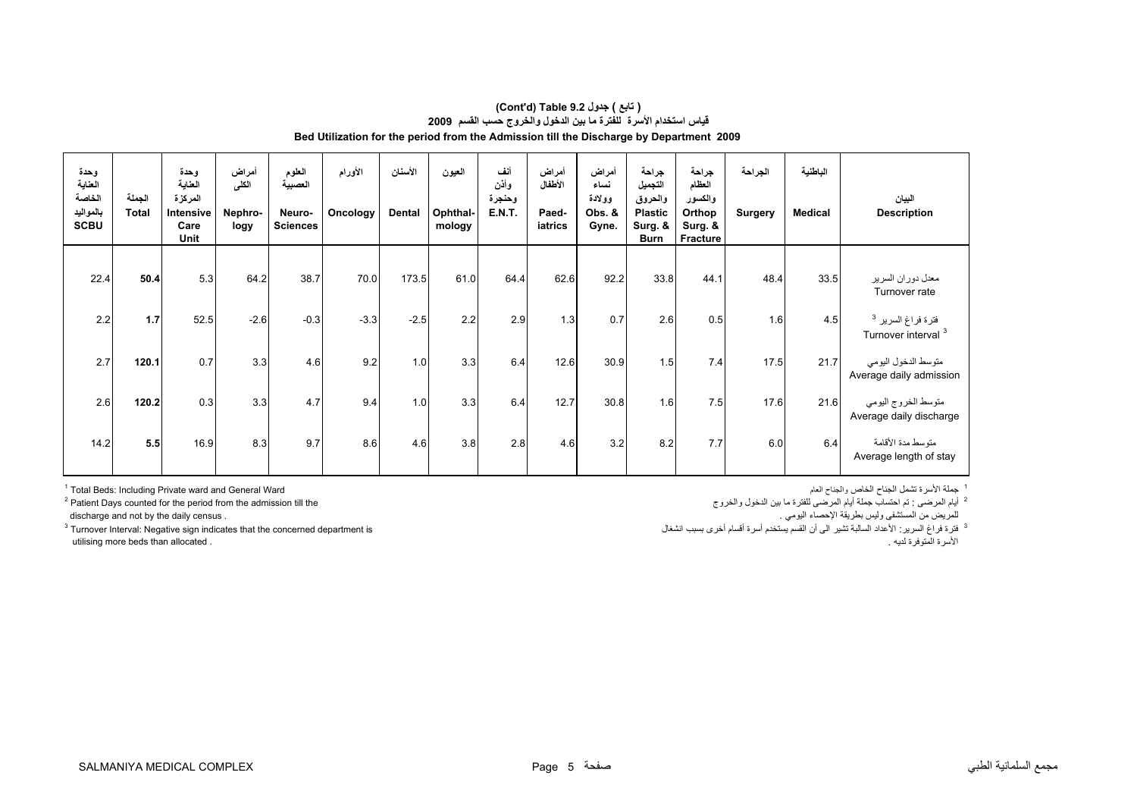| وحدة<br>العناية<br>الخاصة<br>بالمواليد<br><b>SCBU</b> | الجملة<br><b>Total</b> | وحدة<br>العناية<br>المركزة<br>Intensive<br>Care<br>Unit | أمراض<br>الكلى<br>Nephro-<br>logy | الطوم<br>العصبية<br>Neuro-<br><b>Sciences</b> | الأورام<br>Oncology | الأسنان<br>Dental | العيون<br>Ophthal-<br>mology | أنف<br>وأذن<br>وحنجرة<br><b>E.N.T.</b> | أمراض<br>الأطفال<br>Paed-<br>iatrics | أمراض<br>نساء<br>وولادة<br>Obs. &<br>Gyne. | جراحة<br>التجميل<br>والحروق<br><b>Plastic</b><br>Surg. &<br><b>Burn</b> | جراحة<br>العظام<br>والكسور<br>Orthop<br>Surg. &<br>Fracture | الجراحة<br><b>Surgery</b> | الباطنية<br><b>Medical</b> | البيان<br><b>Description</b>                         |
|-------------------------------------------------------|------------------------|---------------------------------------------------------|-----------------------------------|-----------------------------------------------|---------------------|-------------------|------------------------------|----------------------------------------|--------------------------------------|--------------------------------------------|-------------------------------------------------------------------------|-------------------------------------------------------------|---------------------------|----------------------------|------------------------------------------------------|
|                                                       |                        |                                                         |                                   |                                               |                     |                   |                              |                                        |                                      |                                            |                                                                         |                                                             |                           |                            |                                                      |
| 22.4                                                  | 50.4                   | 5.3                                                     | 64.2                              | 38.7                                          | 70.0                | 173.5             | 61.0                         | 64.4                                   | 62.6                                 | 92.2                                       | 33.8                                                                    | 44.1                                                        | 48.4                      | 33.5                       | معدل دوران السرير<br>Turnover rate                   |
| 2.2                                                   | 1.7                    | 52.5                                                    | $-2.6$                            | $-0.3$                                        | $-3.3$              | $-2.5$            | 2.2                          | 2.9                                    | 1.3                                  | 0.7                                        | 2.6                                                                     | 0.5                                                         | 1.6                       | 4.5                        | فترة فراغ السرير <sup>3</sup><br>Turnover interval 3 |
| 2.7                                                   | 120.1                  | 0.7                                                     | 3.3                               | 4.6                                           | 9.2                 | 1.0               | 3.3                          | 6.4                                    | 12.6                                 | 30.9                                       | 1.5                                                                     | 7.4                                                         | 17.5                      | 21.7                       | متوسط الدخول اليومي<br>Average daily admission       |
| 2.6                                                   | 120.2                  | 0.3                                                     | 3.3                               | 4.7                                           | 9.4                 | 1.0               | 3.3                          | 6.4                                    | 12.7                                 | 30.8                                       | 1.6                                                                     | 7.5                                                         | 17.6                      | 21.6                       | متوسط الخروج اليومي<br>Average daily discharge       |
| 14.2                                                  | 5.5                    | 16.9                                                    | 8.3                               | 9.7                                           | 8.6                 | 4.6               | 3.8                          | 2.8                                    | 4.6                                  | 3.2                                        | 8.2                                                                     | 7.7                                                         | 6.0                       | 6.4                        | متوسط مدة الأقامة<br>Average length of stay          |

#### **Bed Utilization for the period from the Admission till the Discharge by Department 2009 (Cont'd) Table 9.2 جدول ) تابع( قياس استخدام الأسرة للفترة ما بين الدخول والخروج حسب القسم <sup>2009</sup>**

1 جملة الأسرة تشمل الجناح الخاص والجناح الحام<br>2 إيم المرضي : تم احتمالت جملة أيام المرضي للفترة ما بين النحول والخروج Patient Days counted for the period from the admission till the 2 أيام المرضى : تم احتساب جملة أيام المرضى للفترة ما بين الدخول والخروج the till admission the from period the for counted Days Patient 2

utilising more beds than allocated . . لديه المتوفرة الأسرة

للمريض من المستشفى وليس بطريقة الإحصاء اليومي .<br><sup>3</sup> قرة قراغ السرير : الأعداد السالبة تشير الى أن القسم يستخدم أسرة أقسام أخرى بسبب انشغال مستخدم أسرة أقسام أخرى بسبب انشغال مستخدم أسرة أقسام أخرى بسبب انشغال مستخدم أسر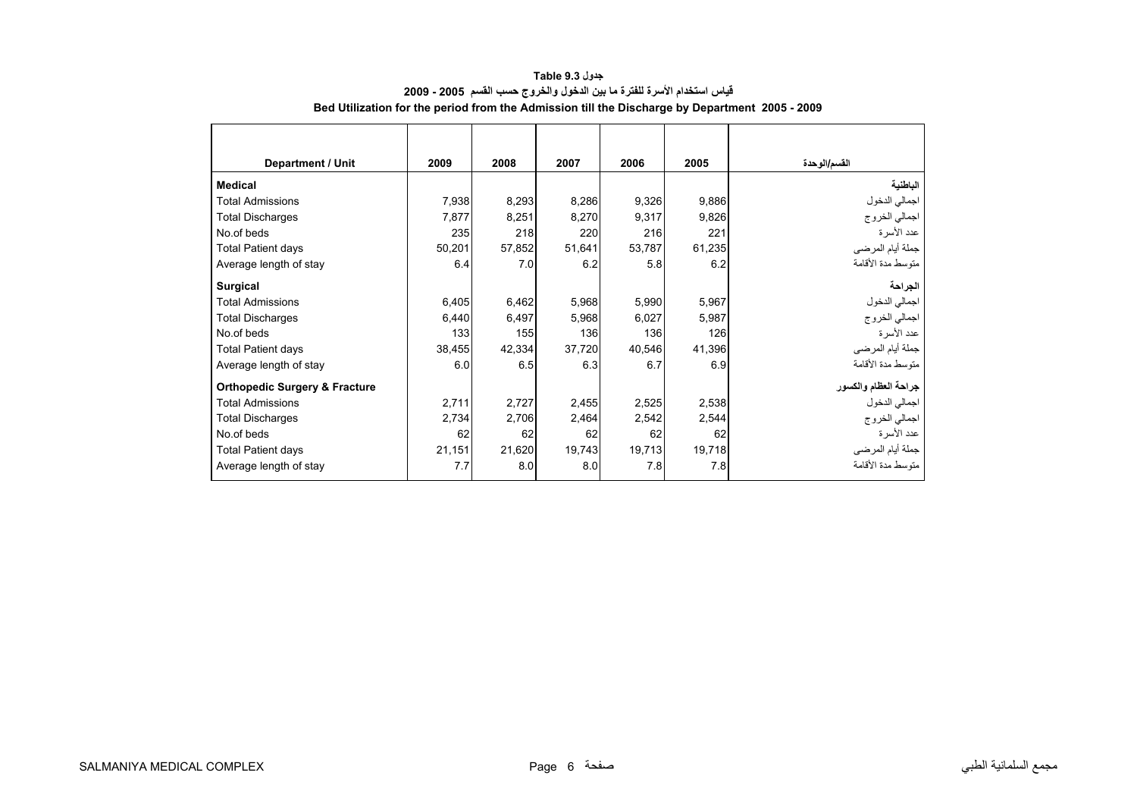| <b>Department / Unit</b>                 | 2009   | 2008   | 2007   | 2006   | 2005   | القسم/الوحدة         |
|------------------------------------------|--------|--------|--------|--------|--------|----------------------|
| <b>Medical</b>                           |        |        |        |        |        | الباطنية             |
| <b>Total Admissions</b>                  | 7,938  | 8,293  | 8,286  | 9,326  | 9,886  | اجمالي الدخول        |
| <b>Total Discharges</b>                  | 7,877  | 8,251  | 8,270  | 9,317  | 9,826  | اجمالي الخروج        |
| No.of beds                               | 235    | 218    | 220    | 216    | 221    | عدد الأسرة           |
| <b>Total Patient days</b>                | 50,201 | 57,852 | 51,641 | 53,787 | 61,235 | جملة أيام المرضى     |
| Average length of stay                   | 6.4    | 7.0    | 6.2    | 5.8    | 6.2    | منّوسط مدة الأقامة   |
| <b>Surgical</b>                          |        |        |        |        |        | الجراحة              |
| <b>Total Admissions</b>                  | 6,405  | 6,462  | 5,968  | 5,990  | 5,967  | اجمالي الدخول        |
| <b>Total Discharges</b>                  | 6,440  | 6,497  | 5,968  | 6,027  | 5,987  | اجمالي الخروج        |
| No.of beds                               | 133    | 155    | 136    | 136    | 126    | عدد الأسرة           |
| <b>Total Patient days</b>                | 38,455 | 42,334 | 37,720 | 40,546 | 41,396 | جملة أيام المرضي     |
| Average length of stay                   | 6.0    | 6.5    | 6.3    | 6.7    | 6.9    | متوسط مدة الأقامة    |
| <b>Orthopedic Surgery &amp; Fracture</b> |        |        |        |        |        | جراحة العظام والكسور |
| <b>Total Admissions</b>                  | 2,711  | 2,727  | 2,455  | 2,525  | 2,538  | اجمالي الدخول        |
| <b>Total Discharges</b>                  | 2,734  | 2,706  | 2,464  | 2,542  | 2,544  | اجمالي الخروج        |
| No.of beds                               | 62     | 62     | 62     | 62     | 62     | عدد الأسرة           |
| <b>Total Patient days</b>                | 21,151 | 21,620 | 19,743 | 19,713 | 19,718 | جملة أيام المرضي     |
| Average length of stay                   | 7.7    | 8.0    | 8.0    | 7.8    | 7.8    | متوسط مدة الأقامة    |

#### **جدول 9.3 Table قياس استخدام الأسرة للفترة ما بين الدخول والخروج حسب القسم 2005 - 2009 Bed Utilization for the period from the Admission till the Discharge by Department 2005 - 2009**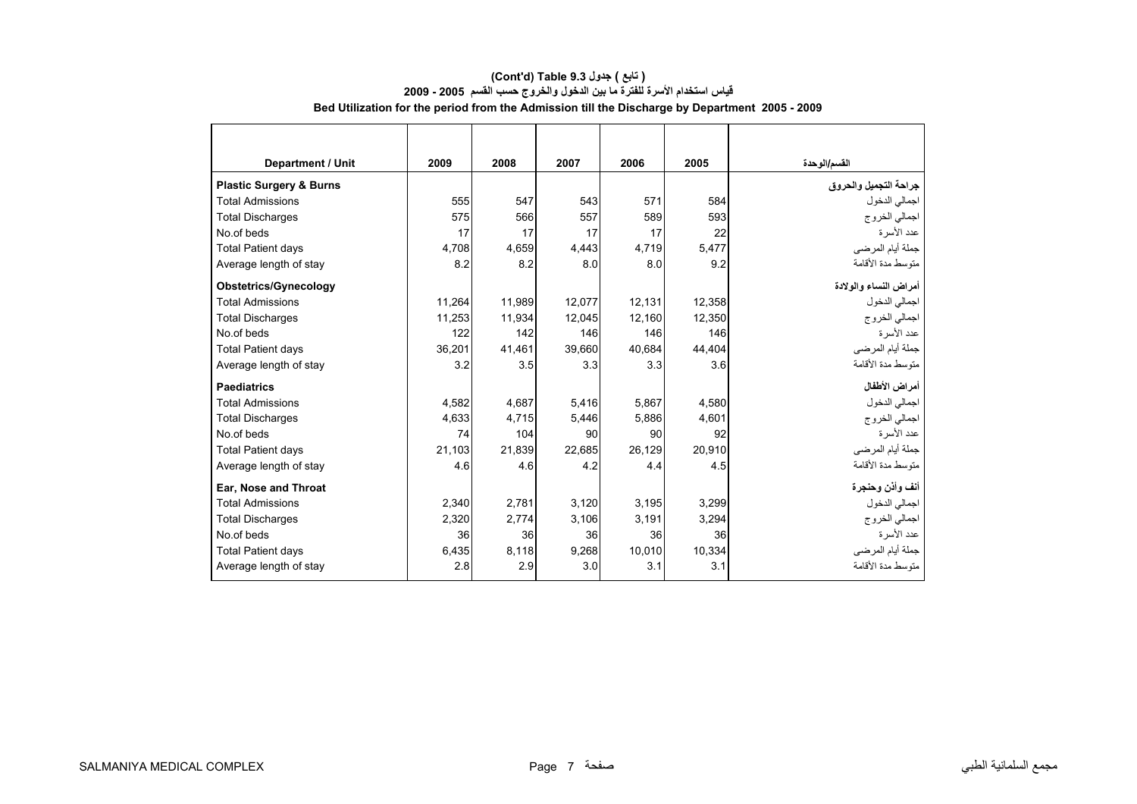#### **قياس استخدام الأسرة للفترة ما بين الدخول والخروج حسب القسم 2005 - 2009 Bed Utilization for the period from the Admission till the Discharge by Department 2005 - 2009 (Cont'd) Table 9.3 جدول ) تابع(**

<span id="page-5-0"></span>

| <b>Department / Unit</b>           | 2009   | 2008   | 2007   | 2006   | 2005   | القسم/الوحدة          |
|------------------------------------|--------|--------|--------|--------|--------|-----------------------|
| <b>Plastic Surgery &amp; Burns</b> |        |        |        |        |        | جراحة التجميل والحروق |
| <b>Total Admissions</b>            | 555    | 547    | 543    | 571    | 584    | اجمالي الدخول         |
| <b>Total Discharges</b>            | 575    | 566    | 557    | 589    | 593    | اجمالي الخروج         |
| No.of beds                         | 17     | 17     | 17     | 17     | 22     | عدد الأسر ة           |
| <b>Total Patient days</b>          | 4,708  | 4.659  | 4,443  | 4,719  | 5,477  | جملة أيام المرضي      |
| Average length of stay             | 8.2    | 8.2    | 8.0    | 8.0    | 9.2    | متوسط مدة الأقامة     |
| <b>Obstetrics/Gynecology</b>       |        |        |        |        |        | أمراض النساء والولادة |
| <b>Total Admissions</b>            | 11,264 | 11,989 | 12,077 | 12,131 | 12,358 | اجمالي الدخول         |
| <b>Total Discharges</b>            | 11.253 | 11.934 | 12.045 | 12.160 | 12.350 | اجمالي الخروج         |
| No.of beds                         | 122    | 142    | 146    | 146    | 146    | عدد الأسرة            |
| <b>Total Patient days</b>          | 36,201 | 41,461 | 39,660 | 40,684 | 44,404 | جملة أيام المرضى      |
| Average length of stay             | 3.2    | 3.5    | 3.3    | 3.3    | 3.6    | متوسط مدة الأقامة     |
| <b>Paediatrics</b>                 |        |        |        |        |        | أمراض الأطفال         |
| <b>Total Admissions</b>            | 4.582  | 4.687  | 5,416  | 5.867  | 4.580  | اجمالي الدخول         |
| <b>Total Discharges</b>            | 4,633  | 4,715  | 5,446  | 5.886  | 4.601  | اجمالي الخروج         |
| No.of beds                         | 74     | 104    | 90     | 90     | 92     | عدد الأسرة            |
| <b>Total Patient days</b>          | 21.103 | 21.839 | 22.685 | 26.129 | 20.910 | جملة أيام المرضي      |
| Average length of stay             | 4.6    | 4.6    | 4.2    | 4.4    | 4.5    | متوسط مدة الأقامة     |
| Ear, Nose and Throat               |        |        |        |        |        | أنف وأذن وحنجرة       |
| <b>Total Admissions</b>            | 2,340  | 2,781  | 3,120  | 3,195  | 3,299  | اجمالي الدخول         |
| <b>Total Discharges</b>            | 2,320  | 2.774  | 3,106  | 3.191  | 3,294  | اجمالي الخروج         |
| No.of beds                         | 36     | 36     | 36     | 36     | 36     | عدد الأسرة            |
| <b>Total Patient days</b>          | 6,435  | 8,118  | 9,268  | 10,010 | 10,334 | جملة أيام المرضي      |
| Average length of stay             | 2.8    | 2.9    | 3.0    | 3.1    | 3.1    | منّوسط مدة الأقامة    |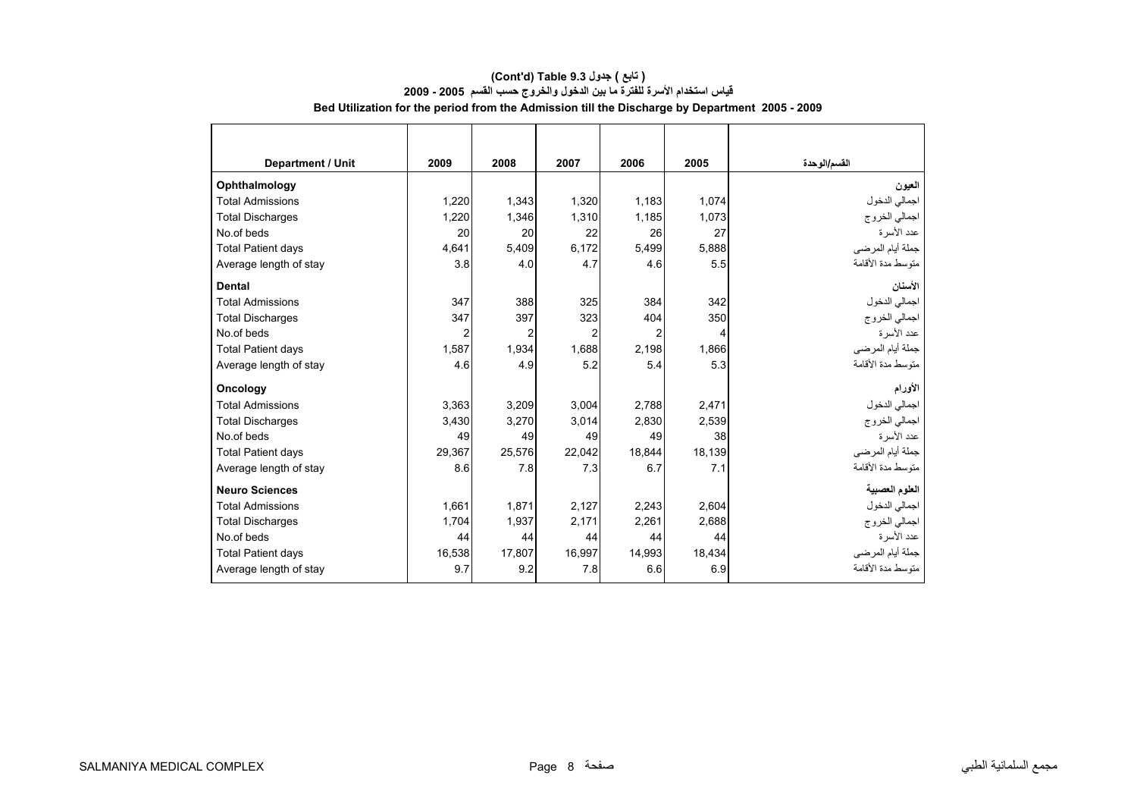| <b>Department / Unit</b>  | 2009           | 2008   | 2007           | 2006   | 2005   | القسم/الوحدة      |
|---------------------------|----------------|--------|----------------|--------|--------|-------------------|
| Ophthalmology             |                |        |                |        |        | العيون            |
| <b>Total Admissions</b>   | 1,220          | 1,343  | 1,320          | 1,183  | 1,074  | اجمالي الدخول     |
| <b>Total Discharges</b>   | 1.220          | 1,346  | 1,310          | 1,185  | 1,073  | اجمالي الخروج     |
| No.of beds                | 20             | 20     | 22             | 26     | 27     | عدد الأسرة        |
| <b>Total Patient days</b> | 4,641          | 5,409  | 6,172          | 5,499  | 5,888  | جملة أيام المرضي  |
| Average length of stay    | 3.8            | 4.0    | 4.7            | 4.6    | 5.5    | متوسط مدة الأقامة |
| <b>Dental</b>             |                |        |                |        |        | الأسنان           |
| <b>Total Admissions</b>   | 347            | 388    | 325            | 384    | 342    | اجمالي الدخول     |
| <b>Total Discharges</b>   | 347            | 397    | 323            | 404    | 350    | اجمالي الخروج     |
| No.of beds                | $\overline{2}$ | 2      | $\overline{2}$ | 2      | 4      | عدد الأسرة        |
| <b>Total Patient days</b> | 1,587          | 1,934  | 1,688          | 2,198  | 1,866  | جملة أيام المرضي  |
| Average length of stay    | 4.6            | 4.9    | 5.2            | 5.4    | 5.3    | متوسط مدة الأقامة |
| Oncology                  |                |        |                |        |        | الأورام           |
| <b>Total Admissions</b>   | 3,363          | 3,209  | 3,004          | 2,788  | 2,471  | اجمالي الدخول     |
| <b>Total Discharges</b>   | 3,430          | 3,270  | 3,014          | 2,830  | 2,539  | اجمالي الخروج     |
| No.of beds                | 49             | 49     | 49             | 49     | 38     | عدد الأسرة        |
| <b>Total Patient days</b> | 29,367         | 25,576 | 22,042         | 18,844 | 18,139 | جملة أيام المرضي  |
| Average length of stay    | 8.6            | 7.8    | 7.3            | 6.7    | 7.1    | متوسط مدة الأقامة |
| <b>Neuro Sciences</b>     |                |        |                |        |        | العلوم العصبية    |
| <b>Total Admissions</b>   | 1,661          | 1,871  | 2,127          | 2,243  | 2,604  | اجمالي الدخول     |
| <b>Total Discharges</b>   | 1,704          | 1,937  | 2,171          | 2,261  | 2,688  | اجمالي الخروج     |
| No.of beds                | 44             | 44     | 44             | 44     | 44     | عدد الأسرة        |
| <b>Total Patient days</b> | 16,538         | 17,807 | 16,997         | 14,993 | 18,434 | جملة أيام المرضي  |
| Average length of stay    | 9.7            | 9.2    | 7.8            | 6.6    | 6.9    | متوسط مدة الأقامة |

#### **Bed Utilization for the period from the Admission till the Discharge by Department 2005 - 2009 (Cont'd) Table 9.3 جدول ) تابع( قياس استخدام الأسرة للفترة ما بين الدخول والخروج حسب القسم 2005 - 2009**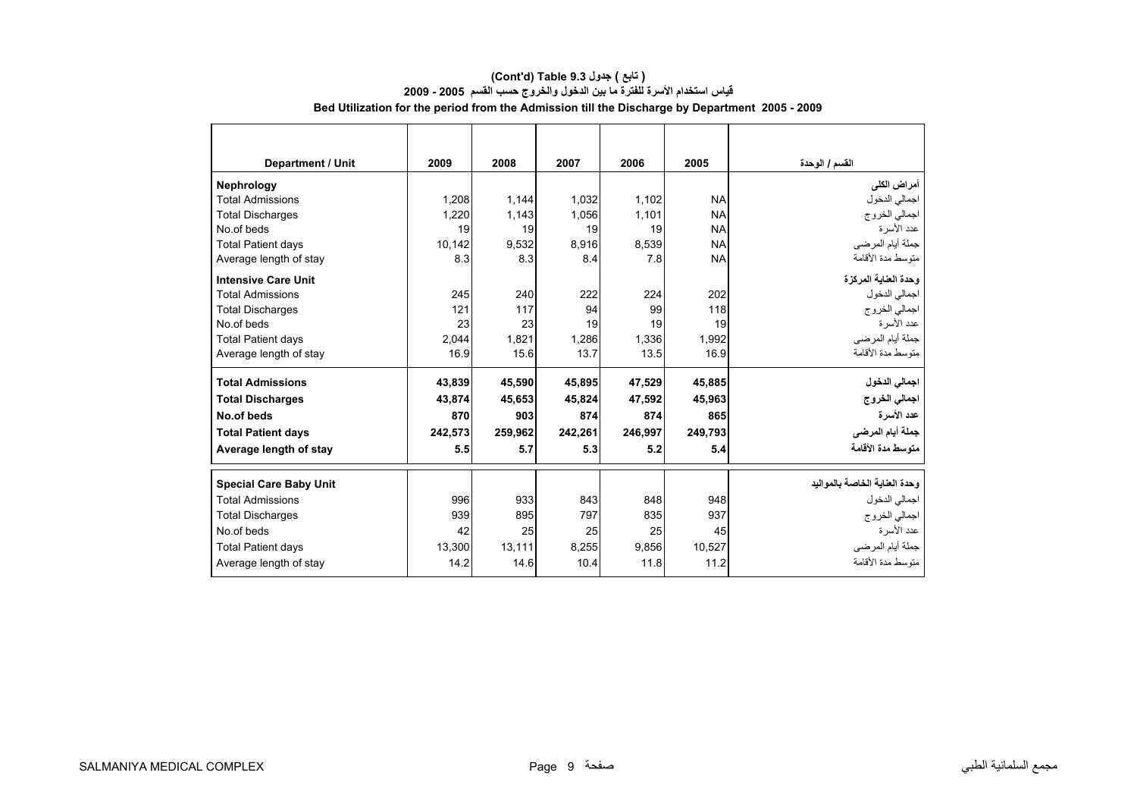| <b>Department / Unit</b>      | 2009    | 2008    | 2007    | 2006    | 2005      | القسم / الوحدة                |
|-------------------------------|---------|---------|---------|---------|-----------|-------------------------------|
| Nephrology                    |         |         |         |         |           | أمراض الكلى                   |
| <b>Total Admissions</b>       | 1,208   | 1,144   | 1,032   | 1,102   | <b>NA</b> | اجمالي الدخول                 |
| <b>Total Discharges</b>       | 1.220   | 1.143   | 1.056   | 1.101   | <b>NA</b> | اجمالي الخروج                 |
| No of beds                    | 19      | 19      | 19      | 19      | <b>NA</b> | عدد الأسر ة                   |
| <b>Total Patient days</b>     | 10,142  | 9,532   | 8,916   | 8,539   | <b>NA</b> | جملة أيام المرضى              |
| Average length of stay        | 8.3     | 8.3     | 8.4     | 7.8     | <b>NA</b> | متوسط مدة الأقامة             |
| <b>Intensive Care Unit</b>    |         |         |         |         |           | وحدة العناية المركزة          |
| <b>Total Admissions</b>       | 245     | 240     | 222     | 224     | 202       | اجمالي الدخول                 |
| <b>Total Discharges</b>       | 121     | 117     | 94      | 99      | 118       | اجمالي الخروج                 |
| No.of beds                    | 23      | 23      | 19      | 19      | 19        | عدد الأسر ة                   |
| <b>Total Patient days</b>     | 2,044   | 1,821   | 1,286   | 1,336   | 1,992     | جملة أيام المرضى              |
| Average length of stay        | 16.9    | 15.6    | 13.7    | 13.5    | 16.9      | متوسط مدة الأقامة             |
| <b>Total Admissions</b>       | 43,839  | 45,590  | 45,895  | 47.529  | 45.885    | اجمالي الدخول                 |
| <b>Total Discharges</b>       | 43,874  | 45,653  | 45,824  | 47,592  | 45,963    | اجمالي الخروج                 |
| No.of beds                    | 870     | 903     | 874     | 874     | 865       | عدد الأسرة                    |
| <b>Total Patient days</b>     | 242,573 | 259,962 | 242,261 | 246,997 | 249,793   | جملة أيام المرضى              |
| Average length of stay        | 5.5     | 5.7     | 5.3     | 5.2     | 5.4       | متوسط مدة الأقامة             |
| <b>Special Care Baby Unit</b> |         |         |         |         |           | وحدة العناية الخاصة بالمواليد |
| <b>Total Admissions</b>       | 996     | 933     | 843     | 848     | 948       | اجمالي الدخول                 |
| <b>Total Discharges</b>       | 939     | 895     | 797     | 835     | 937       | اجمالي الخروج                 |
| No.of beds                    | 42      | 25      | 25      | 25      | 45        | عدد الأسر ة                   |
| <b>Total Patient days</b>     | 13.300  | 13.111  | 8,255   | 9,856   | 10.527    | جملة أيام المرضى              |
| Average length of stay        | 14.2    | 14.6    | 10.4    | 11.8    | 11.2      | متوسط مدة الأقامة             |

#### **(Cont'd) Table 9.3 جدول ) تابع( قياس استخدام الأسرة للفترة ما بين الدخول والخروج حسب القسم 2005 - 2009 Bed Utilization for the period from the Admission till the Discharge by Department 2005 - 2009**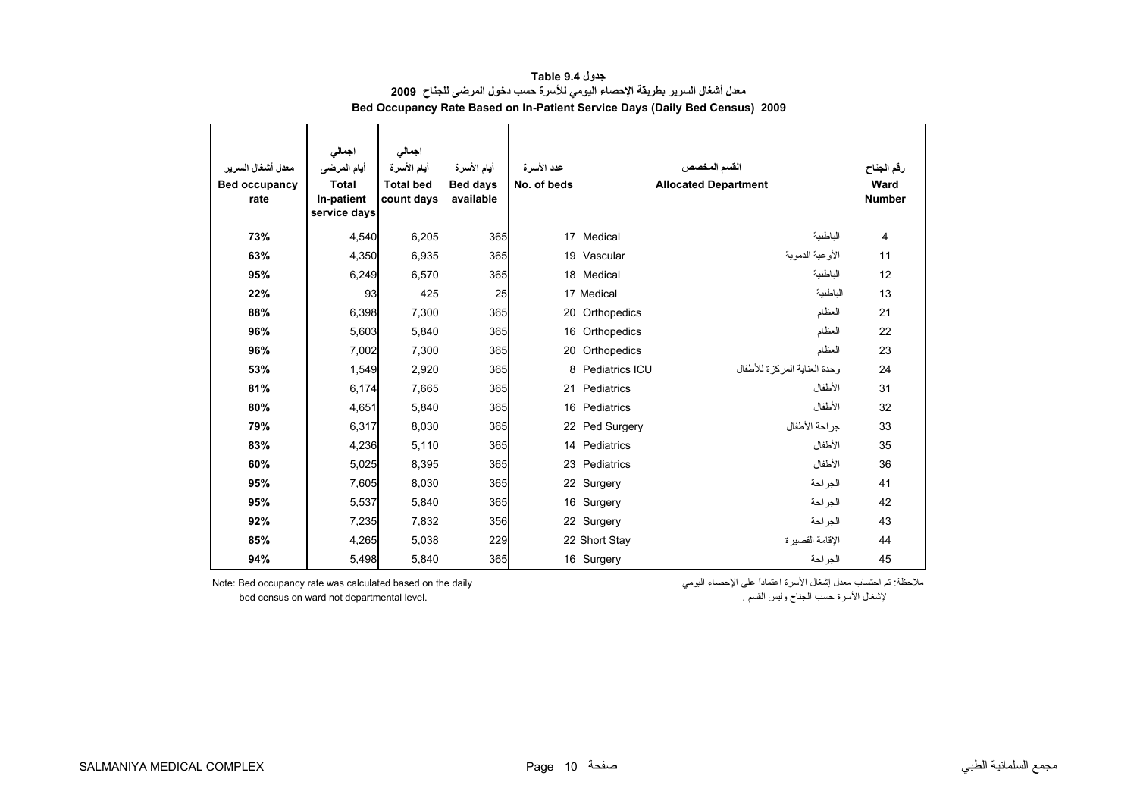<span id="page-8-0"></span>

| معدل أشغال السرير<br><b>Bed occupancy</b><br>rate | اجمالى<br>أيام المرضى<br><b>Total</b><br>In-patient<br>service days | اجمالي<br>أيام الأسرة<br><b>Total bed</b><br>count days | أيام الأسرة<br><b>Bed days</b><br>available | عدد الأسرة<br>No. of beds |                | القسم المخصص<br><b>Allocated Department</b> | رقم الجناح<br>Ward<br><b>Number</b> |
|---------------------------------------------------|---------------------------------------------------------------------|---------------------------------------------------------|---------------------------------------------|---------------------------|----------------|---------------------------------------------|-------------------------------------|
| 73%                                               | 4.540                                                               | 6,205                                                   | 365                                         | 17                        | Medical        | الباطنية                                    | 4                                   |
| 63%                                               | 4,350                                                               | 6,935                                                   | 365                                         |                           | 19 Vascular    | الأو عية الدموية                            | 11                                  |
| 95%                                               | 6,249                                                               | 6,570                                                   | 365                                         |                           | 18 Medical     | الباطنية                                    | 12                                  |
| 22%                                               | 93                                                                  | 425                                                     | 25                                          |                           | 17 Medical     | الباطنية                                    | 13                                  |
| 88%                                               | 6,398                                                               | 7,300                                                   | 365                                         | 20                        | Orthopedics    | العظام                                      | 21                                  |
| 96%                                               | 5,603                                                               | 5,840                                                   | 365                                         | 16                        | Orthopedics    | العظام                                      | 22                                  |
| 96%                                               | 7,002                                                               | 7,300                                                   | 365                                         | 20                        | Orthopedics    | العظام                                      | 23                                  |
| 53%                                               | 1,549                                                               | 2,920                                                   | 365                                         | 8                         | Pediatrics ICU | وحدة العنابة المركز ة للأطفال               | 24                                  |
| 81%                                               | 6,174                                                               | 7,665                                                   | 365                                         | 21                        | Pediatrics     | الأطفال                                     | 31                                  |
| 80%                                               | 4.651                                                               | 5,840                                                   | 365                                         | 16                        | Pediatrics     | الأطفال                                     | 32                                  |
| 79%                                               | 6,317                                                               | 8,030                                                   | 365                                         | 22                        | Ped Surgery    | جراحة الأطفال                               | 33                                  |
| 83%                                               | 4,236                                                               | 5,110                                                   | 365                                         |                           | 14 Pediatrics  | الأطفال                                     | 35                                  |
| 60%                                               | 5,025                                                               | 8,395                                                   | 365                                         | 23                        | Pediatrics     | الأطفال                                     | 36                                  |
| 95%                                               | 7,605                                                               | 8,030                                                   | 365                                         | 22                        | Surgery        | الجر احة                                    | 41                                  |
| 95%                                               | 5,537                                                               | 5,840                                                   | 365                                         |                           | 16 Surgery     | الجراحة                                     | 42                                  |
| 92%                                               | 7,235                                                               | 7,832                                                   | 356                                         | 22                        | Surgery        | الجراحة                                     | 43                                  |
| 85%                                               | 4,265                                                               | 5,038                                                   | 229                                         |                           | 22 Short Stay  | الإقامة القصبر ة                            | 44                                  |
| 94%                                               | 5,498                                                               | 5,840                                                   | 365                                         |                           | 16 Surgery     | الجر احة                                    | 45                                  |

**جدول 9.4 Table معدل أشغال السرير بطريقة الإحصاء اليومي للأسرة حسب دخول المرضى للجناح <sup>2009</sup> Bed Occupancy Rate Based on In-Patient Service Days (Daily Bed Census) 2009**

ملاحظة: تم احتساب معدل إشغال الأسرة اعتماداً على الإحصاء اليومي daily the on based calculated was rate occupancy Bed :Note

bed census on ward not departmental level. . القسم وليس الجناح حسب الأسرة لإشغال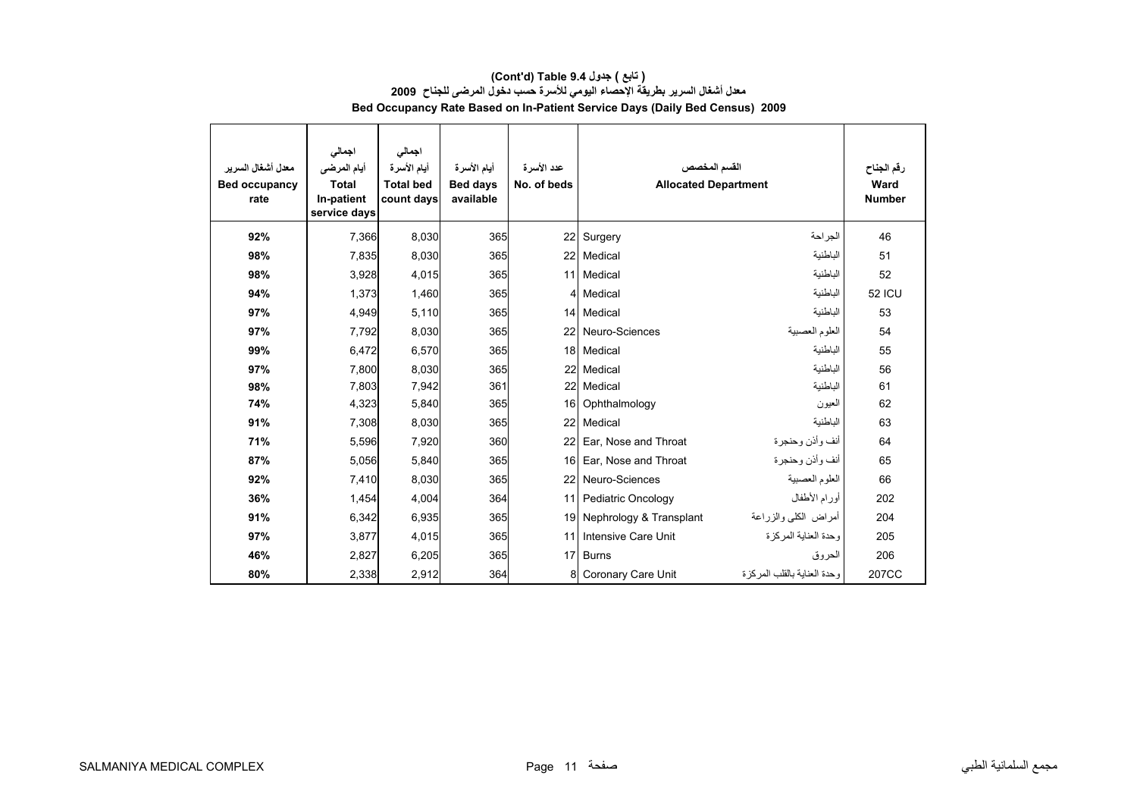| معدل أشغال السرير<br><b>Bed occupancy</b><br>rate | اجمالى<br>أيام المرضى<br><b>Total</b><br>In-patient<br>service days | اجمالى<br>أيام الأسرة<br><b>Total bed</b><br>count days | أيام الأسرة<br><b>Bed days</b><br>available | عدد الأسرة<br>No. of beds | القسم المخصص<br><b>Allocated Department</b> |                             | رقم الجناح<br>Ward<br><b>Number</b> |
|---------------------------------------------------|---------------------------------------------------------------------|---------------------------------------------------------|---------------------------------------------|---------------------------|---------------------------------------------|-----------------------------|-------------------------------------|
| 92%                                               | 7.366                                                               | 8,030                                                   | 365                                         |                           | 22 Surgery                                  | الجر احة                    | 46                                  |
| 98%                                               | 7,835                                                               | 8,030                                                   | 365                                         |                           | 22 Medical                                  | الباطنية                    | 51                                  |
| 98%                                               | 3,928                                                               | 4,015                                                   | 365                                         |                           | 11 Medical                                  | الباطنية                    | 52                                  |
| 94%                                               | 1,373                                                               | 1,460                                                   | 365                                         |                           | 4 Medical                                   | الباطنية                    | <b>52 ICU</b>                       |
| 97%                                               | 4,949                                                               | 5,110                                                   | 365                                         |                           | 14 Medical                                  | الباطنية                    | 53                                  |
| 97%                                               | 7,792                                                               | 8,030                                                   | 365                                         |                           | 22 Neuro-Sciences                           | العلوم العصبية              | 54                                  |
| 99%                                               | 6.472                                                               | 6,570                                                   | 365                                         |                           | 18 Medical                                  | الباطنية                    | 55                                  |
| 97%                                               | 7.800                                                               | 8,030                                                   | 365                                         |                           | 22 Medical                                  | الباطنية                    | 56                                  |
| 98%                                               | 7,803                                                               | 7,942                                                   | 361                                         |                           | 22 Medical                                  | الباطنية                    | 61                                  |
| 74%                                               | 4,323                                                               | 5,840                                                   | 365                                         |                           | 16 Ophthalmology                            | العيون                      | 62                                  |
| 91%                                               | 7,308                                                               | 8,030                                                   | 365                                         | 22                        | Medical                                     | الباطنية                    | 63                                  |
| 71%                                               | 5,596                                                               | 7,920                                                   | 360                                         | 22                        | Ear, Nose and Throat                        | أنف وأذن وحنجرة             | 64                                  |
| 87%                                               | 5,056                                                               | 5,840                                                   | 365                                         | 16 <sup>1</sup>           | Ear, Nose and Throat                        | أنف وأذن وحنجرة             | 65                                  |
| 92%                                               | 7,410                                                               | 8,030                                                   | 365                                         |                           | 22 Neuro-Sciences                           | العلوم العصبية              | 66                                  |
| 36%                                               | 1,454                                                               | 4,004                                                   | 364                                         | 11                        | Pediatric Oncology                          | أورام الأطفال               | 202                                 |
| 91%                                               | 6,342                                                               | 6,935                                                   | 365                                         |                           | 19 Nephrology & Transplant                  | أمراض الكلبي والزراعة       | 204                                 |
| 97%                                               | 3.877                                                               | 4,015                                                   | 365                                         | 11                        | Intensive Care Unit                         | وحدة العناية المركز ة       | 205                                 |
| 46%                                               | 2,827                                                               | 6,205                                                   | 365                                         | 17 <sup>1</sup>           | <b>Burns</b>                                | الحروق                      | 206                                 |
| 80%                                               | 2,338                                                               | 2,912                                                   | 364                                         | 8                         | Coronary Care Unit                          | وحدة العنابة بالقلب المركزة | 207CC                               |

#### **(Cont'd) Table 9.4 جدول ) تابع( معدل أشغال السرير بطريقة الإحصاء اليومي للأسرة حسب دخول المرضى للجناح <sup>2009</sup> Bed Occupancy Rate Based on In-Patient Service Days (Daily Bed Census) 2009**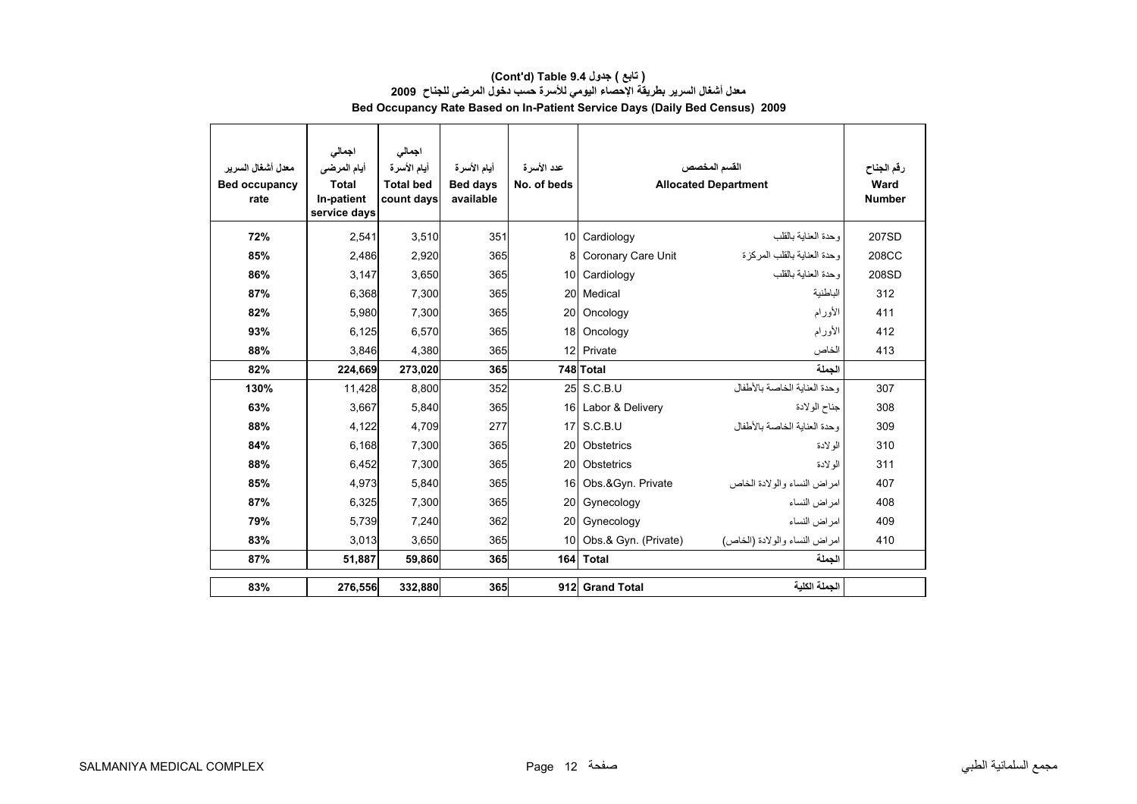| ( تابع ) جدول Table 9.4 (Cont'd)                                                   |  |
|------------------------------------------------------------------------------------|--|
| معدل أشغال السرير بطريقة الإحصاء اليومي للأسرة حسب دخول المرضى للجناح  2009        |  |
| <b>Bed Occupancy Rate Based on In-Patient Service Days (Daily Bed Census) 2009</b> |  |

| معدل أشغال السر ير<br><b>Bed occupancy</b><br>rate | اجمالى<br>أيام المرضى<br><b>Total</b><br>In-patient<br>service days | اجمالى<br>أيام الأسرة<br><b>Total bed</b><br>count days | أيام الأسرة<br><b>Bed days</b><br>available | عدد الأسرة<br>No. of beds |                      | القسم المخصص<br><b>Allocated Department</b> | رقم الجناح<br>Ward<br><b>Number</b> |
|----------------------------------------------------|---------------------------------------------------------------------|---------------------------------------------------------|---------------------------------------------|---------------------------|----------------------|---------------------------------------------|-------------------------------------|
| 72%                                                | 2,541                                                               | 3.510                                                   | 351                                         |                           | 10 Cardiology        | وحدة العناية بالقلب                         | 207SD                               |
| 85%                                                | 2,486                                                               | 2,920                                                   | 365                                         | 8                         | Coronary Care Unit   | وحدة العناية بالقلب المركز ة                | 208CC                               |
| 86%                                                | 3,147                                                               | 3,650                                                   | 365                                         |                           | 10 Cardiology        | وحدة العنابة بالقلب                         | 208SD                               |
| 87%                                                | 6,368                                                               | 7,300                                                   | 365                                         |                           | 20 Medical           | الباطنية                                    | 312                                 |
| 82%                                                | 5,980                                                               | 7,300                                                   | 365                                         | 20                        | Oncology             | الأورام                                     | 411                                 |
| 93%                                                | 6,125                                                               | 6,570                                                   | 365                                         |                           | 18 Oncology          | الأورام                                     | 412                                 |
| 88%                                                | 3,846                                                               | 4,380                                                   | 365                                         |                           | 12 Private           | الخاص                                       | 413                                 |
| 82%                                                | 224,669                                                             | 273,020                                                 | 365                                         |                           | 748 Total            | الحملة                                      |                                     |
| 130%                                               | 11,428                                                              | 8,800                                                   | 352                                         |                           | 25 S.C.B.U           | وحدة العنابة الخاصة بالأطفال                | 307                                 |
| 63%                                                | 3,667                                                               | 5,840                                                   | 365                                         |                           | 16 Labor & Delivery  | جناح الولادة                                | 308                                 |
| 88%                                                | 4,122                                                               | 4,709                                                   | 277                                         |                           | 17 S.C.B.U           | وحدة العناية الخاصة بالأطفال                | 309                                 |
| 84%                                                | 6,168                                                               | 7,300                                                   | 365                                         | 20                        | Obstetrics           | الو لادة                                    | 310                                 |
| 88%                                                | 6,452                                                               | 7,300                                                   | 365                                         | 20                        | Obstetrics           | الو لادة                                    | 311                                 |
| 85%                                                | 4,973                                                               | 5,840                                                   | 365                                         | 16                        | Obs & Gyn. Private   | امراض النساء والولادة الخاص                 | 407                                 |
| 87%                                                | 6,325                                                               | 7,300                                                   | 365                                         | 20                        | Gynecology           | امر اض النساء                               | 408                                 |
| 79%                                                | 5,739                                                               | 7,240                                                   | 362                                         | 20                        | Gynecology           | امر اض النساء                               | 409                                 |
| 83%                                                | 3,013                                                               | 3,650                                                   | 365                                         | 10 <sup>1</sup>           | Obs.& Gyn. (Private) | امراض النساء والولادة (الخاص)               | 410                                 |
| 87%                                                | 51,887                                                              | 59,860                                                  | 365                                         |                           | 164 Total            | الجملة                                      |                                     |
| 83%                                                | 276,556                                                             | 332,880                                                 | 365                                         |                           | 912 Grand Total      | الحملة الكلبة                               |                                     |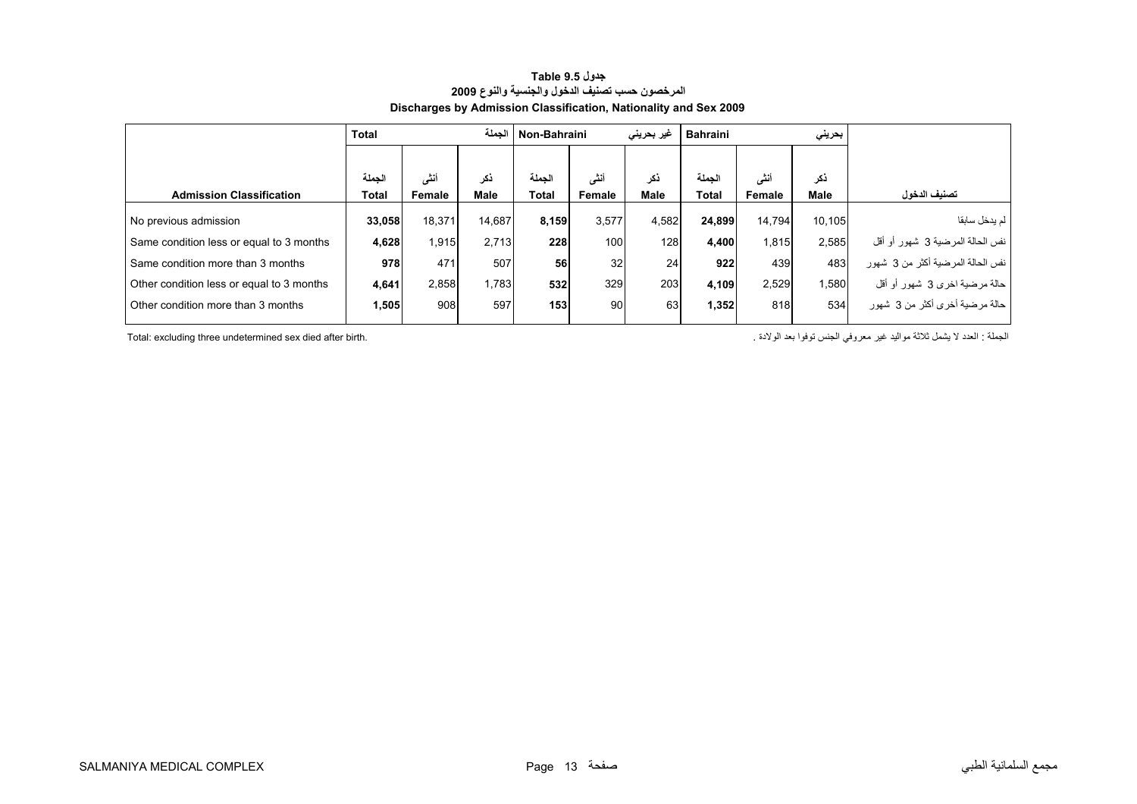<span id="page-11-0"></span>

|                                           | <b>Total</b> |        | الحملة | Non-Bahraini |        | غیر بحرینی | <b>Bahraini</b> |        | بحريني      |                                   |
|-------------------------------------------|--------------|--------|--------|--------------|--------|------------|-----------------|--------|-------------|-----------------------------------|
|                                           |              |        |        |              |        |            |                 |        |             |                                   |
|                                           | الحملة       | أنشى   | ذكر    | الحملة       | أنشى   | ذكر        | الحملة          | أنشى   | نکر         |                                   |
| <b>Admission Classification</b>           | Total        | Female | Male   | Total        | Female | Male       | Total           | Female | <b>Male</b> | تصنيف الدخول                      |
| No previous admission                     | 33,058       | 18,371 | 14,687 | 8,159        | 3,577  | 4,582      | 24.899          | 14.794 | 10.105      | لم يدخل سابقا                     |
| Same condition less or equal to 3 months  | 4,628        | 1,915  | 2.713  | 228          | 100    | 128        | 4,400           | 1,815  | 2,585       | نفس الحالة المرضية 3 شهور أو أقل  |
| Same condition more than 3 months         | 978          | 471    | 507    | 56           | 32     | 24         | 922             | 439    | 483         | نفس الحالة المرضية أكثر من 3 شهور |
| Other condition less or equal to 3 months | 4,641        | 2,858  | 1.783  | 532          | 329    | 203        | 4.109           | 2.529  | 1.580       | حالة مرضية اخرى 3 شهور أو أقل     |
| Other condition more than 3 months        | 1.505        | 908    | 597    | 153          | 90     | 63         | 1.352           | 818    | 534         | حالة مرضية أخرى أكثر من 3 شهور    |
|                                           |              |        |        |              |        |            |                 |        |             |                                   |

#### **جدول 9.5 Table المرخصون حسب تصنيف الدخول والجنسية والنوع <sup>2009</sup> Discharges by Admission Classification, Nationality and Sex 2009**

Total: excluding three undetermined sex died after birth.

الجملة : العدد لا يشمل ثلاثة مواليد غير معروفي الجنس توفوا بعد الولادة .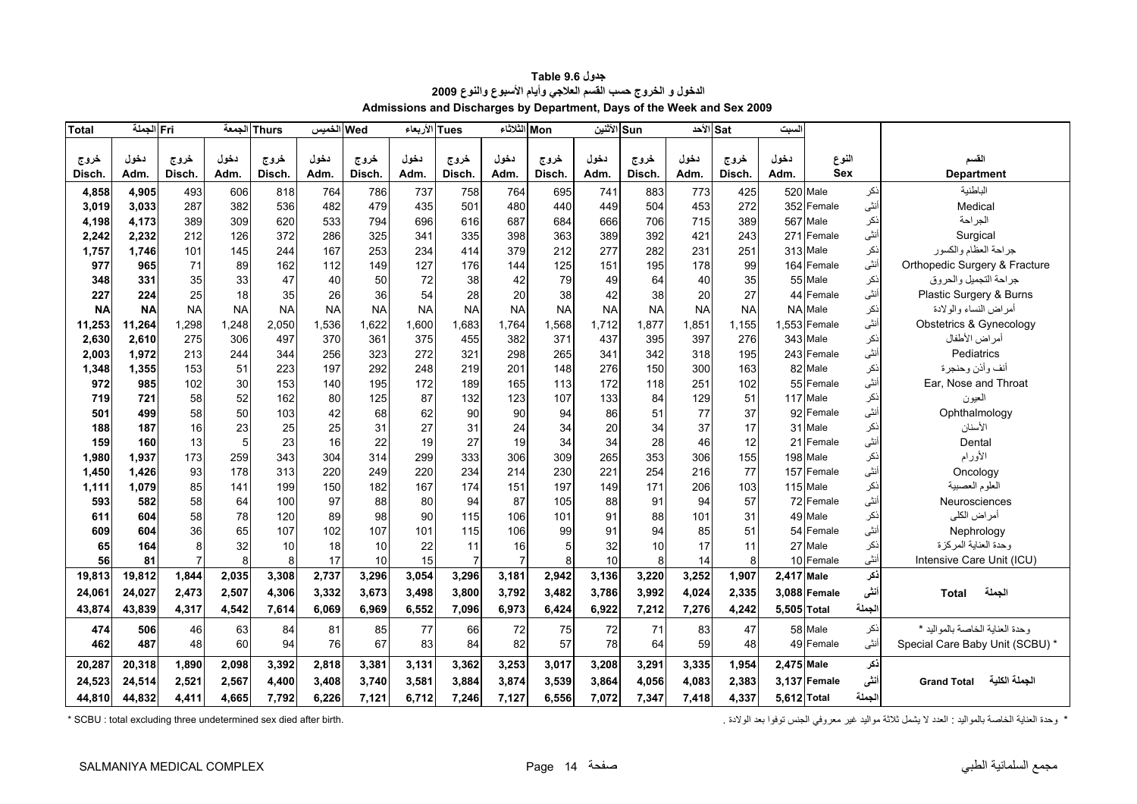<span id="page-12-0"></span>

| <b>Total</b> | Fri الجملة |                | الجمعة    | <b>Thurs</b> | الخميس    | Wed       | Tues الأربعاء |                | Mon الثلاثاء   |           | Sun الأثنين |           |           | الأحد <sup>ا</sup> | لسبت        |              |       |                                     |
|--------------|------------|----------------|-----------|--------------|-----------|-----------|---------------|----------------|----------------|-----------|-------------|-----------|-----------|--------------------|-------------|--------------|-------|-------------------------------------|
|              |            |                |           |              |           |           |               |                |                |           |             |           |           |                    |             |              |       |                                     |
| خروج         | دخول       | خروج           | دخول      | خروج         | دخول      | خروج      | دخول          | خروج           | دخول           | خروج      | دخول        | خروج      | دخول      | خروج               | دخول        | النوع        |       | القسم                               |
| Disch.       | Adm.       | Disch.         | Adm.      | Disch.       | Adm.      | Disch.    | Adm.          | Disch.         | Adm.           | Disch.    | Adm.        | Disch.    | Adm.      | Disch.             | Adm.        | <b>Sex</b>   |       | <b>Department</b>                   |
| 4,858        | 4,905      | 493            | 606       | 818          | 764       | 786       | 737           | 758            | 764            | 695       | 741         | 883       | 773       | 425                |             | 520 Male     | نكر   | الباطنية                            |
| 3,019        | 3,033      | 287            | 382       | 536          | 482       | 479       | 435           | 501            | 480            | 440       | 449         | 504       | 453       | 272                | 352         | Female       | أنثى  | Medical                             |
| 4,198        | 4,173      | 389            | 309       | 620          | 533       | 794       | 696           | 616            | 687            | 684       | 666         | 706       | 715       | 389                | 567         | Male         | نكر   | الجراحة                             |
| 2,242        | 2,232      | 212            | 126       | 372          | 286       | 325       | 341           | 335            | 398            | 363       | 389         | 392       | 421       | 243                | 271         | Female       | أنثى  | Surgical                            |
| 1,757        | 1.746      | 101            | 145       | 244          | 167       | 253       | 234           | 414            | 379            | 212       | 277         | 282       | 231       | 251                |             | 313 Male     | ذكر   | جراحة العظام والكسور                |
| 977          | 965        | 71             | 89        | 162          | 112       | 149       | 127           | 176            | 144            | 125       | 151         | 195       | 178       | 99                 | 164         | Female       | أنثى  | Orthopedic Surgery & Fracture       |
| 348          | 331        | 35             | 33        | 47           | 40        | 50        | 72            | 38             | 42             | 79        | 49          | 64        | 40        | 35                 |             | 55 Male      | نكر   | جراحة التجميل والحروق               |
| 227          | 224        | 25             | 18        | 35           | 26        | 36        | 54            | 28             | 20             | 38        | 42          | 38        | 20        | 27                 |             | 44 Female    | أنثى  | Plastic Surgery & Burns             |
| <b>NA</b>    | <b>NA</b>  | <b>NA</b>      | <b>NA</b> | <b>NA</b>    | <b>NA</b> | <b>NA</b> | <b>NA</b>     | <b>NA</b>      | <b>NA</b>      | <b>NA</b> | <b>NA</b>   | <b>NA</b> | <b>NA</b> | <b>NA</b>          | <b>NA</b>   | Male         | نكر   | أمراض النساء والولادة               |
| 11,253       | 11,264     | 1,298          | 1,248     | 2,050        | 1,536     | 1,622     | 1,600         | 1,683          | 1,764          | 1,568     | 1,712       | 1,877     | 1,851     | 1,155              |             | 1,553 Female | أنثى  | Obstetrics & Gynecology             |
| 2,630        | 2.610      | 275            | 306       | 497          | 370       | 361       | 375           | 455            | 382            | 371       | 437         | 395       | 397       | 276                | 343         | Male         | نكر   | أمراض الأطفال                       |
| 2,003        | 1,972      | 213            | 244       | 344          | 256       | 323       | 272           | 321            | 298            | 265       | 341         | 342       | 318       | 195                |             | 243 Female   | أنشى  | Pediatrics                          |
| 1,348        | 1,355      | 153            | 51        | 223          | 197       | 292       | 248           | 219            | 201            | 148       | 276         | 150       | 300       | 163                |             | 82 Male      | ذكر   | أنف وأذن وحنجرة                     |
| 972          | 985        | 102            | 30        | 153          | 140       | 195       | 172           | 189            | 165            | 113       | 172         | 118       | 251       | 102                |             | 55 Female    | أنثى  | Ear, Nose and Throat                |
| 719          | 721        | 58             | 52        | 162          | 80        | 125       | 87            | 132            | 123            | 107       | 133         | 84        | 129       | 51                 |             | 117 Male     | ذكر   | العيون                              |
| 501          | 499        | 58             | 50        | 103          | 42        | 68        | 62            | 90             | 90             | 94        | 86          | 51        | 77        | 37                 |             | 92 Female    | أنثى  | Ophthalmology                       |
| 188          | 187        | 16             | 23        | 25           | 25        | 31        | 27            | 31             | 24             | 34        | 20          | 34        | 37        | 17                 |             | 31 Male      | نكر   | الأسنان                             |
| 159          | 160        | 13             | 5         | 23           | 16        | 22        | 19            | 27             | 19             | 34        | 34          | 28        | 46        | 12                 |             | 21 Female    | أنثى  | Dental                              |
| 1,980        | 1,937      | 173            | 259       | 343          | 304       | 314       | 299           | 333            | 306            | 309       | 265         | 353       | 306       | 155                | 198         | Male         | نكر   | الأورام                             |
| 1,450        | 1,426      | 93             | 178       | 313          | 220       | 249       | 220           | 234            | 214            | 230       | 221         | 254       | 216       | 77                 | 157         | Female       | أنثى  | Oncology                            |
| 1,111        | 1,079      | 85             | 141       | 199          | 150       | 182       | 167           | 174            | 151            | 197       | 149         | 171       | 206       | 103                |             | 115 Male     | نكر   | العلوم العصبية                      |
| 593          | 582        | 58             | 64        | 100          | 97        | 88        | 80            | 94             | 87             | 105       | 88          | 91        | 94        | 57                 |             | 72 Female    | أنثى  | Neurosciences                       |
| 611          | 604        | 58             | 78        | 120          | 89        | 98        | 90            | 115            | 106            | 101       | 91          | 88        | 101       | 31                 |             | 49 Male      | نكر   | أمراض الكلي                         |
| 609          | 604        | 36             | 65        | 107          | 102       | 107       | 101           | 115            | 106            | 99        | 91          | 94        | 85        | 51                 | 54          | Female       | أنثى  | Nephrology                          |
| 65           | 164        | 8              | 32        | 10           | 18        | 10        | 22            | 11             | 16             | 5         | 32          | 10        | 17        | 11                 | 27          | Male         | نكر   | وحدة العناية المركزة                |
| 56           | 81         | $\overline{7}$ | 8         | 8            | 17        | 10        | 15            | $\overline{7}$ | $\overline{7}$ | 8         | 10          | 8         | 14        | 8                  |             | 10 Female    | أنثى  | Intensive Care Unit (ICU)           |
| 19,813       | 19,812     | 1,844          | 2,035     | 3,308        | 2,737     | 3,296     | 3,054         | 3,296          | 3,181          | 2,942     | 3,136       | 3,220     | 3,252     | 1,907              | 2.417 Male  |              | ذكر   |                                     |
| 24,061       | 24,027     | 2,473          | 2,507     | 4,306        | 3,332     | 3.673     | 3,498         | 3,800          | 3,792          | 3,482     | 3,786       | 3,992     | 4.024     | 2,335              |             | 3.088 Female | أنشى  | الجملة<br><b>Total</b>              |
| 43,874       | 43,839     | 4,317          | 4,542     | 7,614        | 6,069     | 6,969     | 6,552         | 7,096          | 6,973          | 6,424     | 6,922       | 7,212     | 7,276     | 4,242              | 5,505 Total |              | لجملة |                                     |
| 474          | 506        | 46             | 63        | 84           | 81        | 85        | 77            | 66             | 72             | 75        | 72          | 71        | 83        | 47                 |             | 58 Male      | نكر   | وحدة العناية الخاصة بالمواليد *     |
| 462          | 487        | 48             | 60        | 94           | 76        | 67        | 83            | 84             | 82             | 57        | 78          | 64        | 59        | 48                 |             | 49 Female    | أنثى  | Special Care Baby Unit (SCBU) *     |
|              |            |                |           |              | 2,818     | 3.381     | 3,131         | 3,362          |                |           |             | 3,291     |           |                    | 2,475 Male  |              | ذكر   |                                     |
| 20,287       | 20,318     | 1,890          | 2,098     | 3,392        |           |           |               |                | 3,253          | 3,017     | 3,208       |           | 3,335     | 1,954              |             |              |       |                                     |
| 24,523       | 24,514     | 2,521          | 2,567     | 4,400        | 3,408     | 3.740     | 3,581         | 3,884          | 3,874          | 3,539     | 3,864       | 4,056     | 4.083     | 2,383              |             | 3.137 Female | أنشى  | الجملة الكلية<br><b>Grand Total</b> |
| 44,810       | 44,832     | 4,411          | 4,665     | 7,792        | 6,226     | 7,121     | 6,712         | 7,246          | 7,127          | 6,556     | 7,072       | 7,347     | 7,418     | 4,337              | 5,612 Total |              | لجملة |                                     |

| جدول Table 9.6                                                         |
|------------------------------------------------------------------------|
| الدخول و الخروج حسب القسم العلاجي وأيام الأسبوع والنوع 2009            |
| Admissions and Discharges by Department, Days of the Week and Sex 2009 |

\* وحدة العناية الخاصة بالعواليد : العدد لا يشمل ثلاثة مواليد غير معروفي الجنس توفوا بعد الولادة . . . . " SCBU : total excluding three undetermined sex died after birth وحدة العناية الخاصة بالعواليد : العدد لا يشمل ثلاثة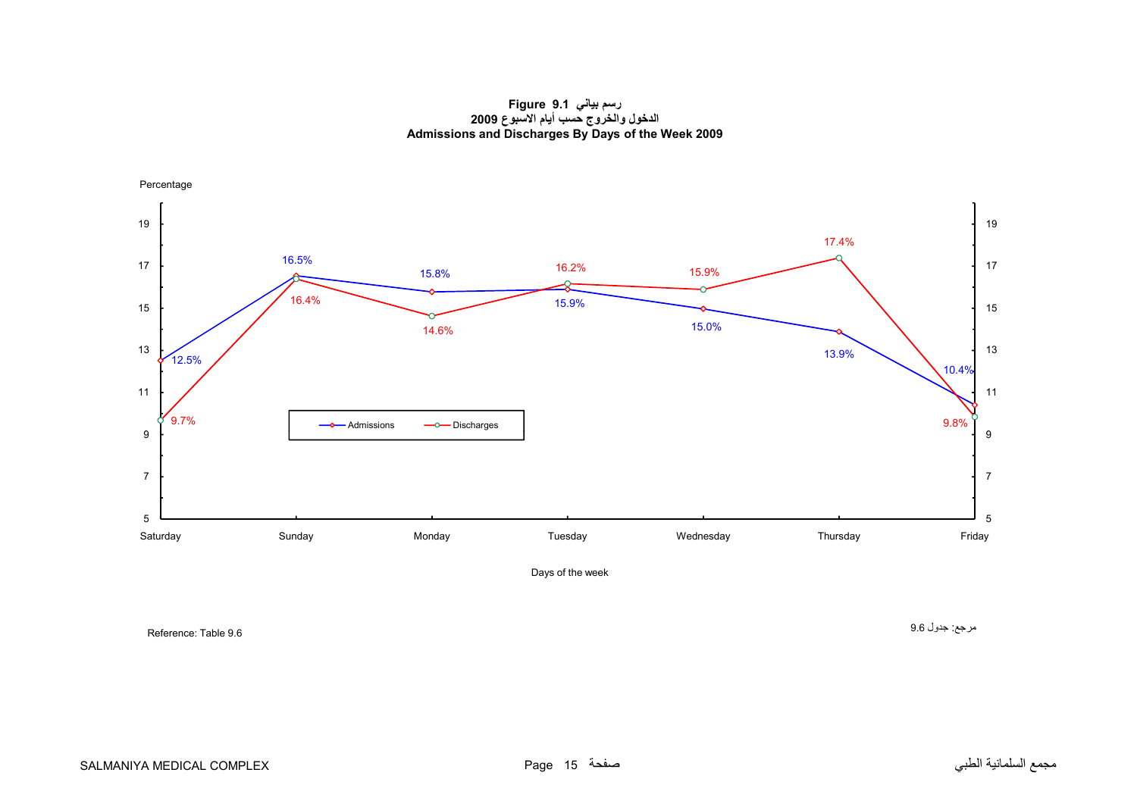**رسم بياني 9.1 Figure الدخول والخروج حسب أيام االسبوع <sup>2009</sup> Admissions and Discharges By Days of the Week 2009**

<span id="page-13-0"></span>

Reference: Table 9.6

مرجع: جدول 9.6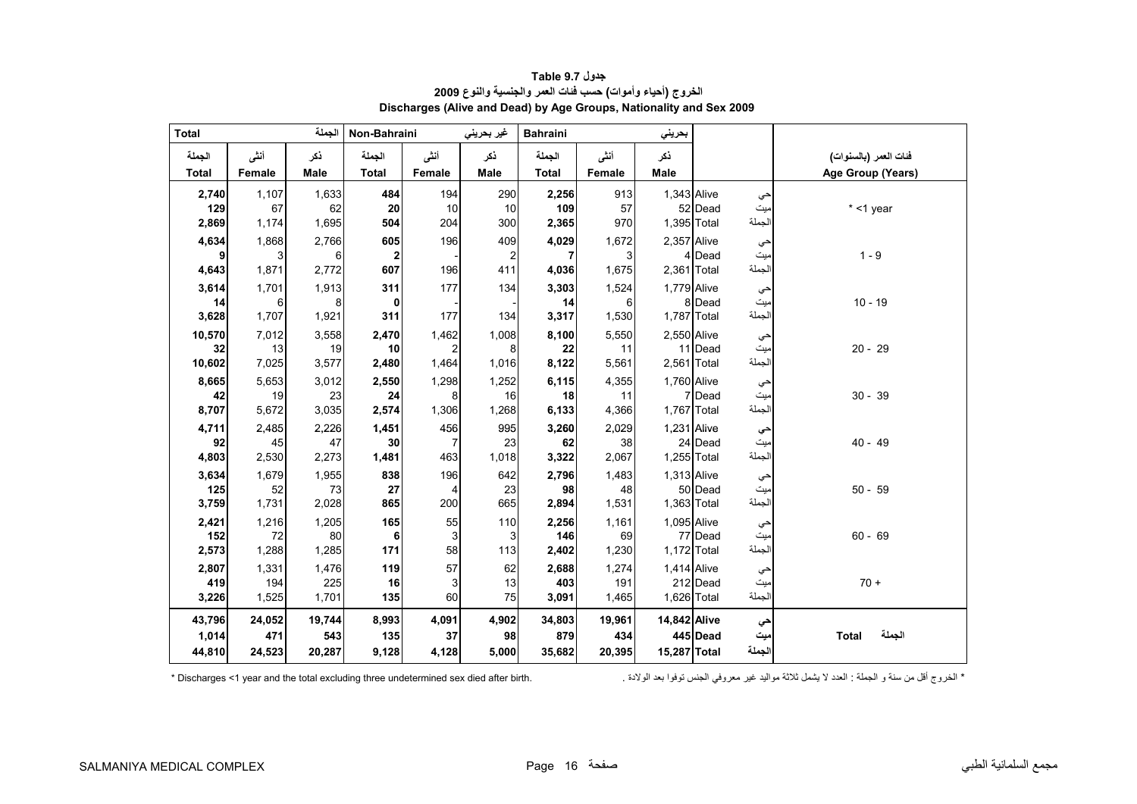<span id="page-14-0"></span>

| <b>Total</b> |             | الجملة      | Non-Bahraini |          | غير بحريني | <b>Bahraini</b> |             | بحريني        |          |               |                        |
|--------------|-------------|-------------|--------------|----------|------------|-----------------|-------------|---------------|----------|---------------|------------------------|
| الجملة       | أنشى        | ذكر         | الجملة       | أننى     | ذكر        | الجملة          | أنشى        | ذكر           |          |               | فنات العمر (بالسنوات)  |
| <b>Total</b> | Female      | Male        | <b>Total</b> | Female   | Male       | <b>Total</b>    | Female      | Male          |          |               | Age Group (Years)      |
| 2,740        | 1,107       | 1,633       | 484          | 194      | 290        | 2,256           | 913         | 1,343 Alive   |          | حي            |                        |
| 129          | 67          | 62          | ${\bf 20}$   | 10       | 10         | 109             | 57          |               | 52 Dead  | ميت           | $*$ <1 year            |
| 2,869        | 1,174       | 1,695       | 504          | 204      | 300        | 2,365           | 970         | 1,395 Total   |          | الجملة        |                        |
| 4,634        | 1,868       | 2,766       | 605          | 196      | 409        | 4,029           | 1,672       | $2,357$ Alive |          | حي            |                        |
| 9            | 3           | 6           | $\mathbf{2}$ |          | 2          | 7               | 3           |               | 4 Dead   | میت           | $1 - 9$                |
| 4,643        | 1,871       | 2,772       | 607          | 196      | 411        | 4,036           | 1,675       | 2,361 Total   |          | الجملة        |                        |
| 3,614        | 1,701       | 1,913       | 311          | 177      | 134        | 3,303           | 1,524       | 1,779 Alive   |          | حي            |                        |
| 14           | 6           | 8           | 0            |          |            | 14              | 6           |               | 8 Dead   | ميت           | $10 - 19$              |
| 3,628        | 1,707       | 1,921       | 311          | 177      | 134        | 3,317           | 1,530       | 1,787 Total   |          | الجملة        |                        |
| 10,570       | 7,012       | 3,558       | 2,470        | 1,462    | 1,008      | 8,100           | 5,550       | 2,550 Alive   |          | حي            |                        |
| 32           | 13          | 19          | 10           |          | 8          | 22              | 11          |               | 11 Dead  | ميت           | $20 - 29$              |
| 10,602       | 7,025       | 3,577       | 2,480        | 1,464    | 1,016      | 8,122           | 5,561       | $2,561$ Total |          | الجملة        |                        |
| 8,665        | 5,653       | 3,012       | 2,550        | 1,298    | 1,252      | 6,115           | 4,355       | 1,760 Alive   |          | حي            |                        |
| 42           | 19          | 23          | 24           | 8        | 16         | 18              | 11          |               | 7 Dead   | ميت           | $30 - 39$              |
| 8,707        | 5,672       | 3,035       | 2,574        | 1,306    | 1,268      | 6,133           | 4,366       | 1,767 Total   |          | الجملة        |                        |
| 4,711        | 2,485       | 2,226       | 1,451        | 456      | 995        | 3,260           | 2,029       | 1,231 Alive   |          | حي            |                        |
| 92           | 45          | 47<br>2,273 | 30           | 7<br>463 | 23         | 62              | 38          |               | 24 Dead  | ميت<br>الجملة | $40 - 49$              |
| 4,803        | 2,530       |             | 1,481        |          | 1,018      | 3,322           | 2,067       | 1,255 Total   |          |               |                        |
| 3,634<br>125 | 1,679<br>52 | 1,955<br>73 | 838<br>27    | 196      | 642<br>23  | 2,796<br>98     | 1,483<br>48 | 1,313 Alive   | 50 Dead  | حي            | $50 - 59$              |
| 3,759        | 1,731       | 2,028       | 865          | 4<br>200 | 665        | 2,894           | 1,531       | 1,363 Total   |          | ميت<br>الجملة |                        |
|              |             |             | 165          | 55       | 110        |                 |             | 1,095 Alive   |          |               |                        |
| 2,421<br>152 | 1,216<br>72 | 1,205<br>80 | 6            | 3        | 3          | 2,256<br>146    | 1,161<br>69 |               | 77 Dead  | حي<br>میت     | $60 - 69$              |
| 2,573        | 1,288       | 1,285       | 171          | 58       | 113        | 2,402           | 1,230       | 1,172 Total   |          | الجملة        |                        |
| 2,807        | 1,331       | 1,476       | 119          | 57       | 62         | 2,688           | 1,274       | 1,414 Alive   |          |               |                        |
| 419          | 194         | 225         | 16           | 3        | 13         | 403             | 191         |               | 212 Dead | حي<br>ميت     | $70 +$                 |
| 3,226        | 1,525       | 1,701       | 135          | 60       | 75         | 3,091           | 1,465       | 1,626 Total   |          | الجملة        |                        |
| 43,796       | 24,052      | 19,744      | 8,993        | 4,091    | 4,902      | 34,803          | 19,961      | 14,842 Alive  |          | حي            |                        |
| 1,014        | 471         | 543         | 135          | 37       | 98         | 879             | 434         |               | 445 Dead | ميت           | الجملة<br><b>Total</b> |
| 44,810       | 24,523      | 20,287      | 9,128        | 4,128    | 5,000      | 35,682          | 20,395      | 15,287 Total  |          | الجملة        |                        |

**جدول 9.7 Table الخروج (أحياء وأموات) حسب فئات العمر والجنسية والنوع <sup>2009</sup> Discharges (Alive and Dead) by Age Groups, Nationality and Sex 2009** 

\* الخروج أقل من سنة و الجملة : العدد لا يشمل ثلاثة مواليد غير معروفي الجنس توفوا بعد الولادة . . " Discharges <1 year and the total excluding three undetermined sex died after birth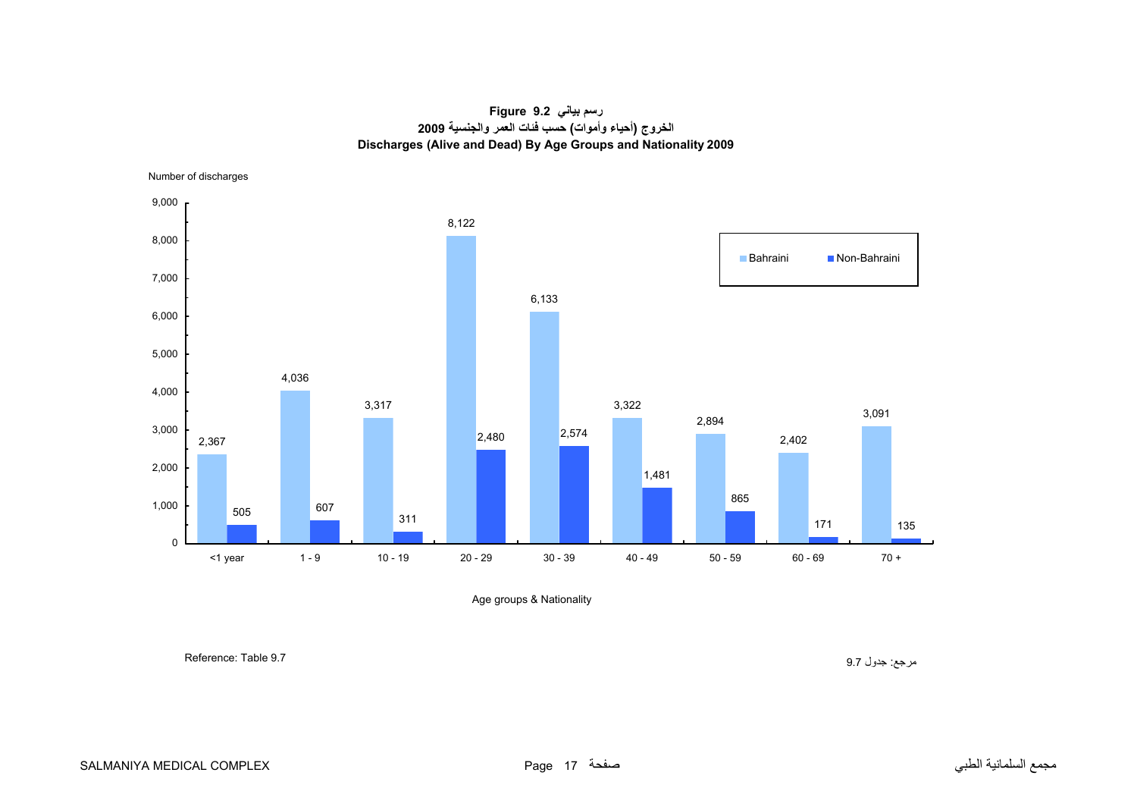#### **رسم بياني 9.2 Figure الخروج (أحياء وأموات) حسب فئات العمر والجنسية <sup>2009</sup> Discharges (Alive and Dead) By Age Groups and Nationality 2009**

Number of discharges

<span id="page-15-0"></span>

Age groups & Nationality

مرجع: جدول 9.7 9.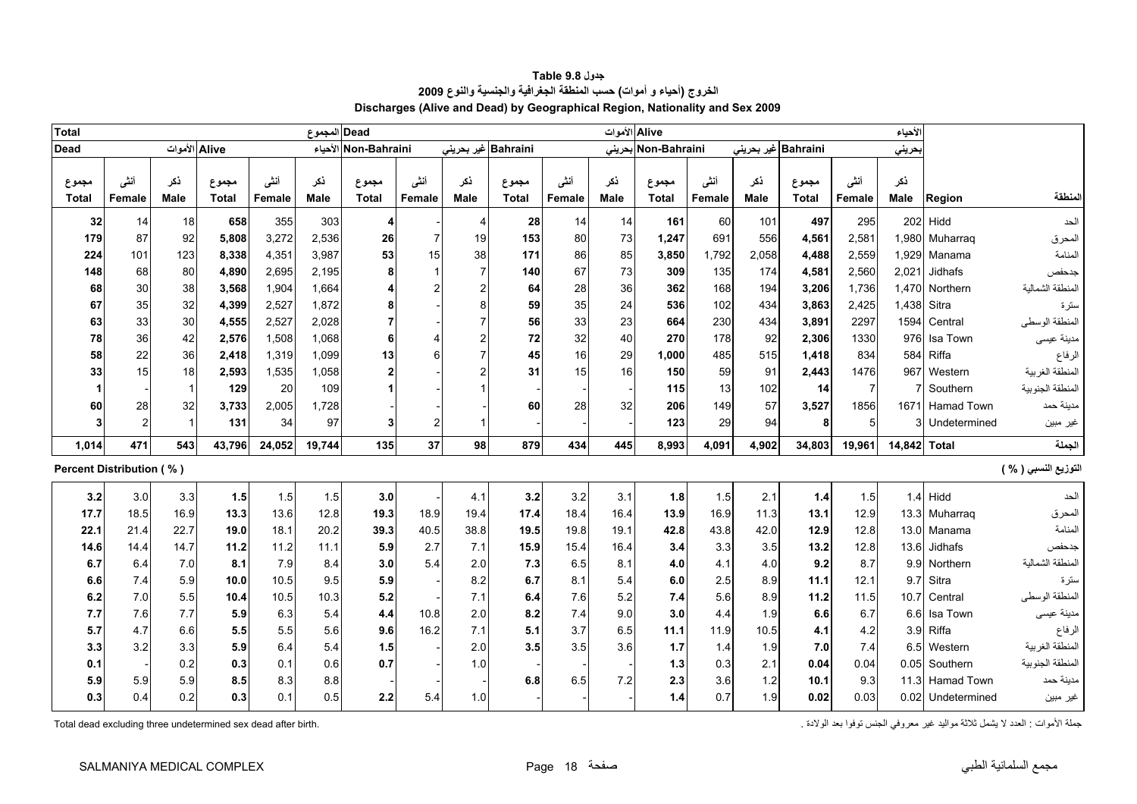<span id="page-16-0"></span>

| <b>Total</b>             |                       |                |                       |                | Dead المجموع |                      |                       |             |                       |                | Alive الأموات      |                       |                |                     |                       |                | الأحياء            |                   |                      |
|--------------------------|-----------------------|----------------|-----------------------|----------------|--------------|----------------------|-----------------------|-------------|-----------------------|----------------|--------------------|-----------------------|----------------|---------------------|-----------------------|----------------|--------------------|-------------------|----------------------|
| <b>Dead</b>              |                       | Alive الأموات  |                       |                |              | Non-Bahraini الأحياء |                       |             | Bahraini غير بحريني   |                |                    | Non-Bahraini بحرينى   |                | Bahraini غیر بحرینی |                       |                | بحريني             |                   |                      |
| مجموع<br>Total           | أننى<br><b>Female</b> | نكر<br>Male    | مجموع<br><b>Total</b> | أنشى<br>Female | ڏکر<br>Male  | مجموع<br>Total       | أنشى<br><b>Female</b> | نكر<br>Male | مجموع<br><b>Total</b> | أننس<br>Female | نكر<br><b>Male</b> | مجموع<br><b>Total</b> | أنشى<br>Female | ذكر<br>Male         | مجموع<br><b>Total</b> | أنشى<br>Female | نكر<br><b>Male</b> | Region            | لمنطقة               |
| 32                       | 14                    | 18             | 658                   | 355            | 303          | $\overline{4}$       |                       | 4           | 28                    | 14             | 14                 | 161                   | 60             | 101                 | 497                   | 295            |                    | 202 Hidd          | الحد                 |
| 179                      | 87                    | 92             | 5,808                 | 3,272          | 2,536        | 26                   | $\overline{7}$        | 19          | 153                   | 80             | 73                 | 1,247                 | 691            | 556                 | 4,561                 | 2,581          |                    | 1,980 Muharraq    | المحرق               |
| 224                      | 101                   | 123            | 8,338                 | 4,351          | 3,987        | 53                   | 15                    | 38          | 171                   | 86             | 85                 | 3.850                 | 1,792          | 2,058               | 4,488                 | 2.559          | 1,929              | Manama            | المنامة              |
| 148                      | 68                    | 80             | 4,890                 | 2,695          | 2,195        | 8                    | $\mathbf 1$           |             | 140                   | 67             | 73                 | 309                   | 135            | 174                 | 4,581                 | 2,560          | 2,021              | Jidhafs           | جدحفص                |
| 68                       | 30                    | 38             | 3,568                 | 1.904          | 1,664        | 4                    |                       |             | 64                    | 28             | 36                 | 362                   | 168            | 194                 | 3,206                 | 1.736          |                    | 1,470 Northern    | المنطقة الشمالية     |
| 67                       | 35                    | 32             | 4,399                 | 2,527          | 1,872        | 8                    |                       |             | 59                    | 35             | 24                 | 536                   | 102            | 434                 | 3,863                 | 2,425          | 1,438              | Sitra             | سترة                 |
| 63                       | 33                    | 30             | 4,555                 | 2,527          | 2,028        | $\overline{7}$       |                       |             | 56                    | 33             | 23                 | 664                   | 230            | 434                 | 3,891                 | 2297           | 1594               | Central           | المنطقة الوسطى       |
| 78                       | 36                    | 42             | 2,576                 | 1,508          | 1,068        | 6                    |                       |             | 72                    | 32             | 40                 | 270                   | 178            | 92                  | 2,306                 | 1330           | 976                | Isa Town          | مدينة عيسى           |
| 58                       | 22                    | 36             | 2,418                 | 1,319          | 1,099        | 13                   |                       |             | 45                    | 16             | 29                 | 1.000                 | 485            | 515                 | 1,418                 | 834            | 584                | Riffa             | الرفاع               |
| 33                       | 15                    | 18             | 2,593                 | 1,535          | 1,058        | $\mathbf{2}$         |                       |             | 31                    | 15             | 16                 | 150                   | 59             | 91                  | 2,443                 | 1476           |                    | 967 Western       | المنطقة الغربية      |
| 1                        |                       | $\overline{1}$ | 129                   | 20             | 109          |                      |                       |             |                       |                |                    | 115                   | 13             | 102                 | 14                    | $\overline{7}$ |                    | Southern          | المنطقة الجنوبية     |
| 60                       | 28                    | 32             | 3,733                 | 2,005          | 1,728        |                      |                       |             | 60                    | 28             | 32                 | 206                   | 149            | 57                  | 3,527                 | 1856           |                    | 1671 Hamad Town   | مدينة حمد            |
| 3                        | $\overline{2}$        | $\overline{1}$ | 131                   | 34             | 97           | 3                    | 2                     |             |                       |                |                    | 123                   | 29             | 94                  | 8                     | 5 <sup>1</sup> |                    | Undetermined      | غير مبين             |
| 1,014                    | 471                   | 543            | 43.796                | 24,052         | 19,744       | 135                  | 37                    | 98          | 879                   | 434            | 445                | 8.993                 | 4,091          | 4,902               | 34,803                | 19,961         | 14,842 Total       |                   | الجملة               |
| Percent Distribution (%) |                       |                |                       |                |              |                      |                       |             |                       |                |                    |                       |                |                     |                       |                |                    |                   | التوزيع النسبي ( % ) |
| 3.2                      | 3.0                   | 3.3            | $1.5$                 | 1.5            | 1.5          | 3.0                  |                       | 4.1         | 3.2                   | 3.2            | 3.1                | 1.8                   | 1.5            | 2.1                 | $1.4$                 | 1.5            |                    | $1.4$ Hidd        | الحد                 |
| 17.7                     | 18.5                  | 16.9           | 13.3                  | 13.6           | 12.8         | 19.3                 | 18.9                  | 19.4        | 17.4                  | 18.4           | 16.4               | 13.9                  | 16.9           | 11.3                | 13.1                  | 12.9           |                    | 13.3 Muharraq     | المحرق               |
| 22.1                     | 21.4                  | 22.7           | 19.0                  | 18.1           | 20.2         | 39.3                 | 40.5                  | 38.8        | 19.5                  | 19.8           | 19.1               | 42.8                  | 43.8           | 42.0                | 12.9                  | 12.8           |                    | 13.0 Manama       | المنامة              |
| 14.6                     | 14.4                  | 14.7           | 11.2                  | 11.2           | 11.1         | 5.9                  | 2.7                   | 7.1         | 15.9                  | 15.4           | 16.4               | 3.4                   | 3.3            | 3.5                 | 13.2                  | 12.8           | 13.6               | Jidhafs           | جدحفص                |
| 6.7                      | 6.4                   | 7.0            | 8.1                   | 7.9            | 8.4          | 3.0                  | 5.4                   | 2.0         | 7.3                   | 6.5            | 8.1                | 4.0                   | 4.1            | 4.0                 | 9.2                   | 8.7            | 9.9                | Northern          | المنطقة الشمالية     |
| 6.6                      | 7.4                   | 5.9            | 10.0                  | 10.5           | 9.5          | 5.9                  |                       | 8.2         | 6.7                   | 8.1            | 5.4                | 6.0                   | 2.5            | 8.9                 | 11.1                  | 12.1           | 9.7                | Sitra             | ستر ۃ                |
| 6.2                      | 7.0                   | 5.5            | 10.4                  | 10.5           | 10.3         | 5.2                  |                       | 7.1         | 6.4                   | 7.6            | 5.2                | 7.4                   | 5.6            | 8.9                 | 11.2                  | 11.5           | 10.7               | Central           | المنطقة الوسطى       |
| 7.7                      | 7.6                   | 7.7            | 5.9                   | 6.3            | 5.4          | 4.4                  | 10.8                  | 2.0         | 8.2                   | 7.4            | 9.0                | 3.0                   | 4.4            | 1.9                 | 6.6                   | 6.7            | 6.6                | Isa Town          | مدينة عيسى           |
| 5.7                      | 4.7                   | 6.6            | 5.5                   | 5.5            | 5.6          | 9.6                  | 16.2                  | 7.1         | 5.1                   | 3.7            | 6.5                | 11.1                  | 11.9           | 10.5                | 4.1                   | 4.2            |                    | 3.9 Riffa         | الرفاع               |
| 3.3                      | 3.2                   | 3.3            | 5.9                   | 6.4            | 5.4          | 1.5                  |                       | 2.0         | 3.5                   | 3.5            | 3.6                | 1.7                   | 1.4            | 1.9                 | 7.0                   | 7.4            |                    | 6.5 Western       | المنطقة الغربية      |
| 0.1                      |                       | 0.2            | 0.3                   | 0.1            | 0.6          | 0.7                  |                       | 1.0         |                       |                |                    | 1.3                   | 0.3            | 2.1                 | 0.04                  | 0.04           |                    | 0.05 Southern     | المنطقة الجنوبية     |
| 5.9                      | 5.9                   | 5.9            | 8.5                   | 8.3            | 8.8          |                      |                       |             | 6.8                   | 6.5            | 7.2                | 2.3                   | 3.6            | 1.2                 | 10.1                  | 9.3            |                    | 11.3 Hamad Town   | مدينة حمد            |
| 0.3                      | 0.4                   | 0.2            | 0.3                   | 0.1            | 0.5          | 2.2                  | 5.4                   | 1.0         |                       |                |                    | 1.4                   | 0.7            | 1.9                 | 0.02                  | 0.03           |                    | 0.02 Undetermined | غير مبين             |

**جدول 9.8 Table الخروج (أحياء <sup>و</sup> أموات) حسب المنطقة الجغرافية والجنسية والنوع <sup>2009</sup> Discharges (Alive and Dead) by Geographical Region, Nationality and Sex 2009** 

جملة الأموات : العدد لا يثمل ثلاثة مواليد غير معروفي الجنس توفوا بعد الولادة . . . . . . . . . . . . . . . . .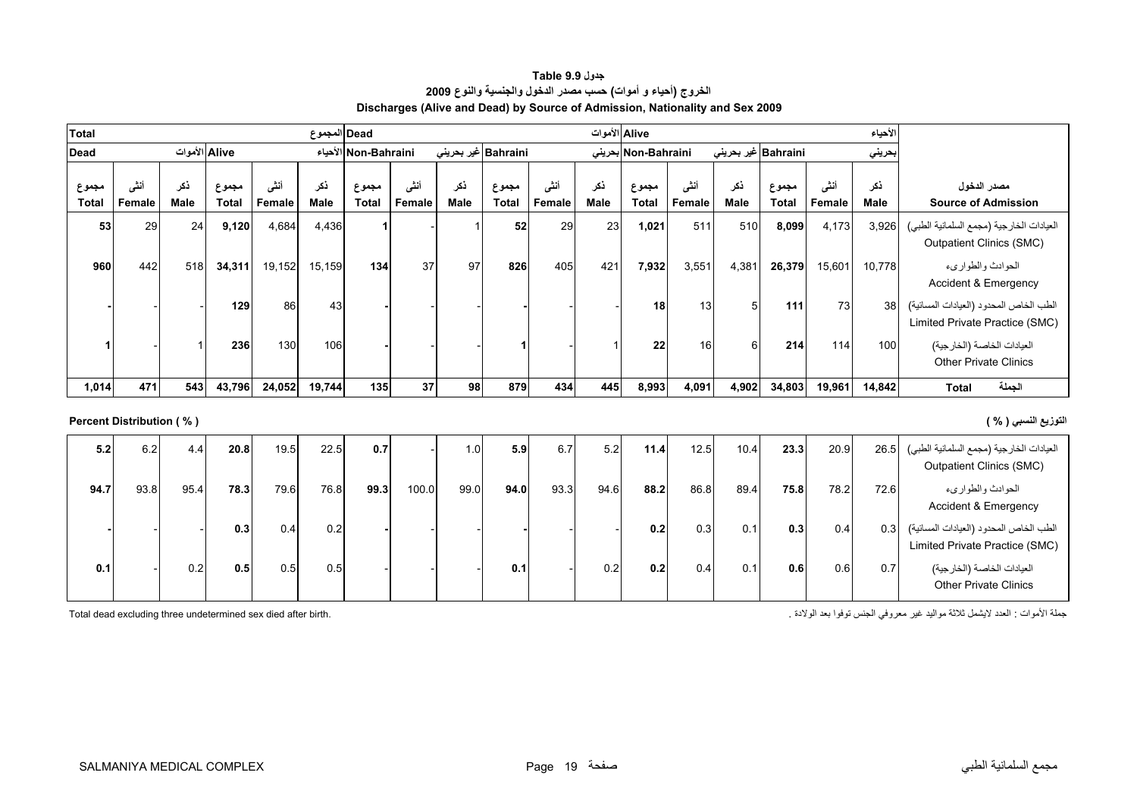| جدول Table 9.9                                                               |
|------------------------------------------------------------------------------|
| الخروج (أحياء و أموات) حسب مصدر الدخول والجنسية والنوع 2009                  |
| Discharges (Alive and Dead) by Source of Admission, Nationality and Sex 2009 |

<span id="page-17-0"></span>

| <b>Total</b>   |                          |               |                       |                | Dead  المجموع      |                      |                |             |                       |                |             | Alive الأموات         |                |                     |                       |                | الأحياء            |                                                                             |
|----------------|--------------------------|---------------|-----------------------|----------------|--------------------|----------------------|----------------|-------------|-----------------------|----------------|-------------|-----------------------|----------------|---------------------|-----------------------|----------------|--------------------|-----------------------------------------------------------------------------|
| <b>Dead</b>    |                          | Alive الأموات |                       |                |                    | الأحياء Non-Bahraini |                |             | Bahraini غیر بحرینی   |                |             | Non-Bahraini بحرينى   |                | Bahraini غير بحريني |                       |                | بحريني             |                                                                             |
| مجموع<br>Total | أننسى<br>Female          | ذكر<br>Male   | مجموع<br><b>Total</b> | أنشى<br>Female | ذكر<br><b>Male</b> | مجموع<br>Total       | أنثى<br>Female | نكر<br>Male | مجموع<br><b>Total</b> | أننى<br>Female | نكر<br>Male | مجموع<br><b>Total</b> | أننى<br>Female | نكر<br>Male         | مجموع<br><b>Total</b> | أنشى<br>Female | ذكر<br><b>Male</b> | مصدر الدخول<br><b>Source of Admission</b>                                   |
| 53             | 29                       | 24            | 9,120                 | 4,684          | 4,436              |                      |                |             | 52                    | 29             | 23          | 1,021                 | 511            | 510                 | 8,099                 | 4,173          | 3,926              | العيادات الخارجية (مجمع السلمانية الطبي)<br><b>Outpatient Clinics (SMC)</b> |
| 960            | 442                      | 518           | 34,311                | 19,152         | 15,159             | 134                  | 37             | 97          | 826                   | 405            | 421         | 7,932                 | 3,551          | 4,381               | 26,379                | 15,601         | 10,778             | الحوادث والطواريء<br>Accident & Emergency                                   |
|                |                          |               | 129                   | 86             | 43                 |                      |                |             |                       |                |             | 18                    | 13             |                     | 111                   | 73             | 38                 | الطب الخاص المحدود (العيادات المسائية)<br>Limited Private Practice (SMC)    |
|                |                          |               | 236                   | 130            | 106                |                      |                |             |                       |                |             | 22                    | 16             |                     | 214                   | 114            | 100                | العيادات الخاصة (الخارجية)<br><b>Other Private Clinics</b>                  |
| 1,014          | 471                      | 543           | 43,796                | 24,052         | 19,744             | 135                  | 37             | 98          | 879                   | 434            | 445         | 8,993                 | 4,091          | 4,902               | 34,803                | 19,961         | 14,842             | الجملة<br><b>Total</b>                                                      |
|                | Percent Distribution (%) |               |                       |                |                    |                      |                |             |                       |                |             |                       |                |                     |                       |                |                    | التوزيع النسبي ( % )                                                        |

| 5.2  | 6.2  | 4.4  | 20.8 | 19.5 | 22.5 | 0.7  |       | 1.01 | 5.9  | 6.7  | 5.2  | 11.4 | 12.5 | 10.4 | 23.3 | 20.9 | 26.5             | العيادات الخارجية (مجمع السلمانية الطبي)<br><b>Outpatient Clinics (SMC)</b> |
|------|------|------|------|------|------|------|-------|------|------|------|------|------|------|------|------|------|------------------|-----------------------------------------------------------------------------|
| 94.7 | 93.8 | 95.4 | 78.3 | 79.6 | 76.8 | 99.3 | 100.0 | 99.0 | 94.0 | 93.3 | 94.6 | 88.2 | 86.8 | 89.4 | 75.8 | 78.2 | 72.6             | الحوادث والطواريء<br>Accident & Emergency                                   |
|      |      |      | 0.3  | 0.4  | 0.2  |      |       |      |      |      |      | 0.2  | 0.3  | 0.1  | 0.3  | 0.4  | 0.3 <sub>1</sub> | الطب الخاص المحدود (العيادات المسائية)<br>Limited Private Practice (SMC)    |
| 0.1  |      | 0.2  | 0.5  | 0.5  | 0.5  |      |       |      | 0.1  |      | 0.2  | 0.2  | 0.4  | 0.1  | 0.6  | 0.6  | 0.7              | العيادات الخاصة (الخارجية)<br><b>Other Private Clinics</b>                  |

جملة الأموات : العدد لايشمل ثلاثة مواليد غير معروفي الجنس توفوا بعد الولادة . .birth after died sex undetermined three excluding dead Total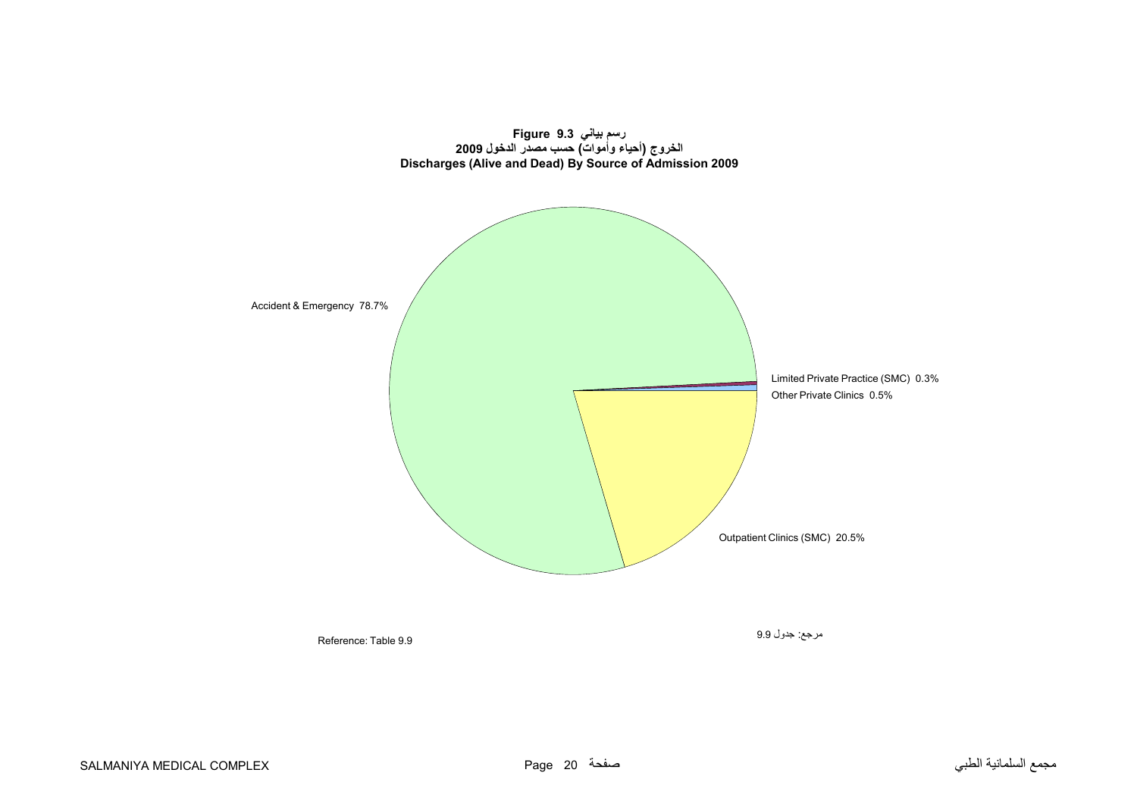<span id="page-18-0"></span>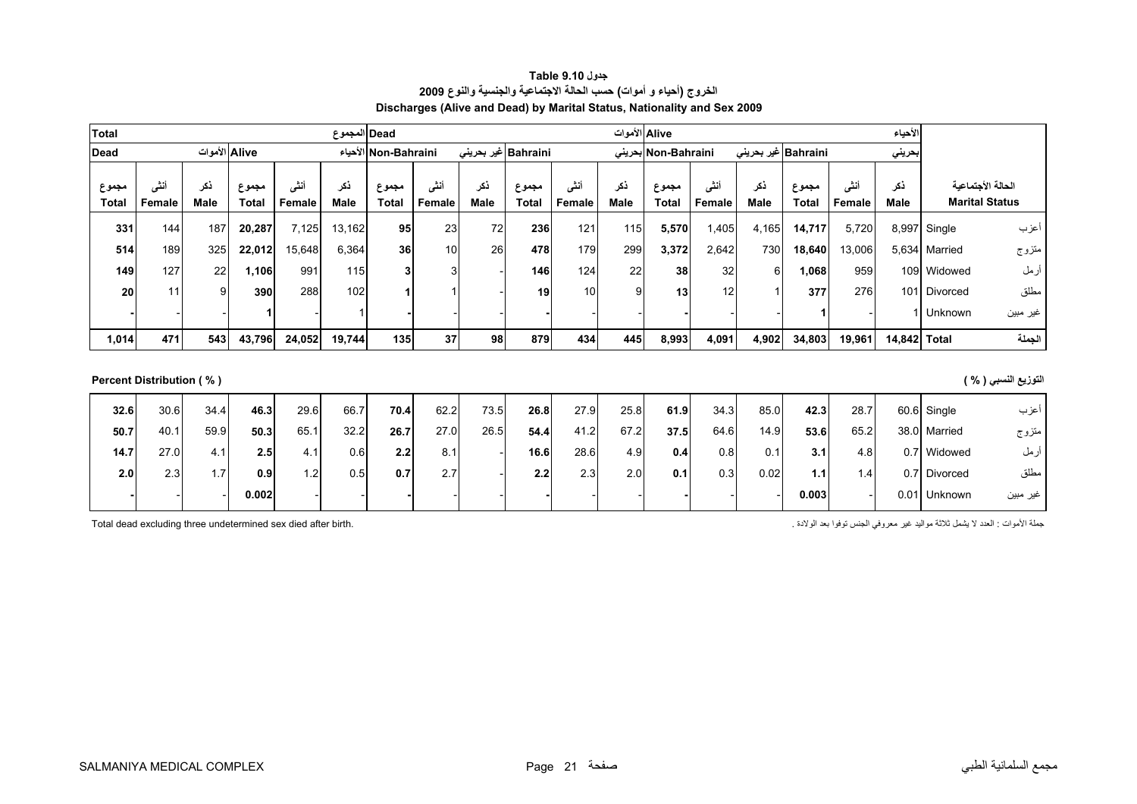<span id="page-19-0"></span>

|                                            | الأحياء            |                |                             |             |                | Alive الأموات         |             |                |                       |             |                |                       | Dead المجموع |                |                       |             |                          | <b>Total</b>          |
|--------------------------------------------|--------------------|----------------|-----------------------------|-------------|----------------|-----------------------|-------------|----------------|-----------------------|-------------|----------------|-----------------------|--------------|----------------|-----------------------|-------------|--------------------------|-----------------------|
|                                            | بحريني             |                | Bahraini غير بحرين <i>ي</i> |             |                | Non-Bahraini بحرينى   |             |                | Bahraini  غیر بحرینی  |             |                | الأحياء Non-Bahraini  |              |                | Alive الأموات         |             |                          | <b>Dead</b>           |
| الحالة الأجتماعية<br><b>Marital Status</b> | ذكر<br><b>Male</b> | أنشى<br>Female | مجموع<br>Total              | ذكر<br>Male | أننى<br>Female | مجموع<br><b>Total</b> | ذكر<br>Male | أنشى<br>Female | مجموع<br><b>Total</b> | نكر<br>Male | أننى<br>Female | مجموع<br><b>Total</b> | ذكر<br>Male  | أنثى<br>Female | مجموع<br><b>Total</b> | ذكر<br>Male | أنشى<br>Female           | مجموع<br><b>Total</b> |
| أعزب                                       | 8,997 Single       | 5,720          | 14,717                      | 4,165       | 1,405          | 5,570                 | 115         | 121            | 236                   | 72          | 23             | 95                    | 13,162       | 7,125          | 20,287                | 187         | 144                      | 331                   |
| متزوج<br>5,634 Married                     |                    | 13,006         | 18,640                      | 730         | 2,642          | 3,372                 | 299         | 179            | 478                   | 26          | 10             | 36                    | 6,364        | 15,648         | 22,012                | 325         | 189                      | 514                   |
| أرمل<br>109 Widowed                        |                    | 959            | 1,068                       | 6           | 32             | 38                    | 22          | 124            | 146                   |             | 3              | 3                     | 115          | 991            | 1,106                 | 22          | 127                      | 149                   |
| مطلق<br>101 Divorced                       |                    | 276            | 377                         |             | 12             | 13                    | 9           | 10             | 19                    |             |                |                       | 102          | 288            | 390                   | 9           | 11                       | 20                    |
| 1 Unknown<br>غير مبين                      |                    |                |                             |             |                |                       |             |                |                       |             |                |                       |              |                |                       |             |                          |                       |
| الجملة                                     | 14,842 Total       | 19,961         | 34,803                      | 4,902       | 4,091          | 8,993                 | 445         | 434            | 879                   | 98          | 37             | 135                   | 19,744       | 24,052         | 43,796                | 543         | 471                      | 1,014                 |
|                                            |                    |                |                             |             |                |                       |             |                |                       |             |                |                       |              |                |                       |             |                          |                       |
| التوزيع النسبي ( % )                       |                    |                |                             |             |                |                       |             |                |                       |             |                |                       |              |                |                       |             | Percent Distribution (%) |                       |
| أعزب<br>60.6 Single                        |                    | 28.7           | 42.3                        | 85.0        | 34.3           | 61.9                  | 25.8        | 27.9           | 26.8                  | 73.5        | 62.2           | 70.4                  | 66.7         | 29.6           | 46.3                  | 34.4        | 30.6                     | 32.6                  |
| 38.0 Married<br>متزوج                      |                    | 65.2           | 53.6                        | 14.9        | 64.6           | 37.5                  | 67.2        | 41.2           | 54.4                  | 26.5        | 27.0           | 26.7                  | 32.2         | 65.1           | 50.3                  | 59.9        | 40.1                     | 50.7                  |
| ارمل<br>0.7 Widowed                        |                    | 4.8            | 3.1                         | 0.1         | 0.8            | 0.4                   | 4.9         | 28.6           | 16.6                  |             | 8.1            | 2.2                   | 0.6          | 4.1            | 2.5                   | 4.1         | 27.0                     | 14.7                  |

مطلق Divorced 0.7 1.4 **1.1** 0.02 0.3 **0.1** 2.0 2.3 **2.2** - 2.7 **0.7** 0.5 1.2 **0.9** 1.7 2.3 **2.0** غير مبين Unknown 0.01 - **0.003** - - **-** - - **-** - - **-** - - **0.002** - - **-**

**جدول 9.10 Table الخروج (أحياء <sup>و</sup> أموات) حسب الحالة الاجتماعية والجنسية والنوع <sup>2009</sup> Discharges (Alive and Dead) by Marital Status, Nationality and Sex 2009**

جملة الأموات : العدد لا يشمل ثلاثة مواليد غير معروفي الجنس توفوا بعد الولادة . . . . . . . . . . . . . . . . .<br>Total dead excluding three undetermined sex died after birth.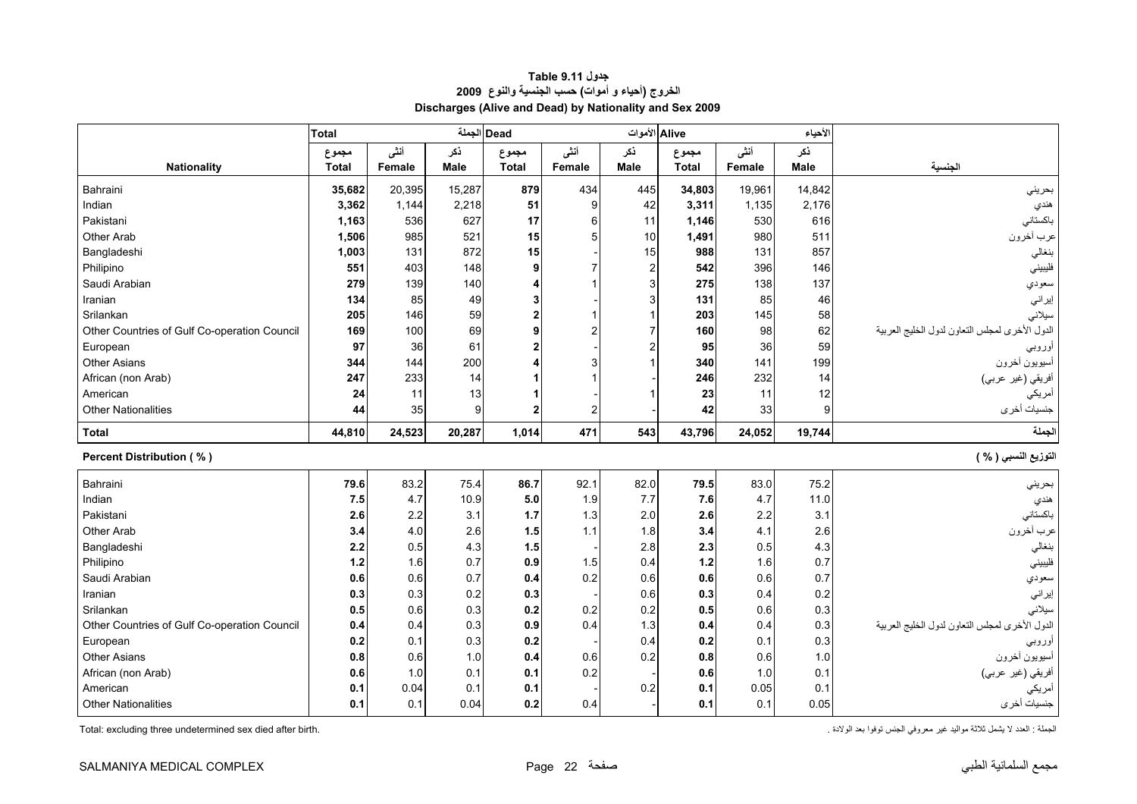<span id="page-20-0"></span>

|                                              | <b>Total</b> |             |             | Dead الجملة  |        | Alive الأموات  |              |             | الأحياء     |                                                |
|----------------------------------------------|--------------|-------------|-------------|--------------|--------|----------------|--------------|-------------|-------------|------------------------------------------------|
|                                              | مجموع        | أنشى        | ذكر         | مجموع        | أننى   | نكر            | مجموع        | أنشى        | نكر         |                                                |
| <b>Nationality</b>                           | <b>Total</b> | Female      | Male        | <b>Total</b> | Female | <b>Male</b>    | <b>Total</b> | Female      | <b>Male</b> | الجنسية                                        |
| Bahraini                                     | 35,682       | 20,395      | 15,287      | 879          | 434    | 445            | 34,803       | 19,961      | 14,842      | بحرينى                                         |
| Indian                                       | 3,362        | 1,144       | 2,218       | 51           | 9      | 42             | 3,311        | 1,135       | 2,176       | هندي                                           |
| Pakistani                                    | 1,163        | 536         | 627         | 17           | 6      | 11             | 1,146        | 530         | 616         | باكستانى                                       |
| Other Arab                                   | 1,506        | 985         | 521         | 15           |        | 10             | 1,491        | 980         | 511         | عرب أخرون                                      |
| Bangladeshi                                  | 1,003        | 131         | 872         | 15           |        | 15             | 988          | 131         | 857         | بنغالي                                         |
| Philipino                                    | 551          | 403         | 148         | 9            |        | $\overline{2}$ | 542          | 396         | 146         | فليبيني                                        |
| Saudi Arabian                                | 279          | 139         | 140         |              |        | 3              | 275          | 138         | 137         | سعودي                                          |
| Iranian                                      | 134          | 85          | 49          | 3            |        | 3              | 131          | 85          | 46          | إيراني                                         |
| Srilankan                                    | 205          | 146         | 59          | $\mathbf{2}$ |        |                | 203          | 145         | 58          | سيلانى                                         |
| Other Countries of Gulf Co-operation Council | 169          | 100         | 69          | 9            |        | 7              | 160          | 98          | 62          | الدول الأخرى لمجلس النعاون لدول الخليج العربية |
| European                                     | 97           | 36          | 61          |              |        | 2              | 95           | 36          | 59          | أوروبي                                         |
| <b>Other Asians</b>                          | 344          | 144         | 200         |              |        |                | 340          | 141         | 199         | أسيويون أخرون                                  |
| African (non Arab)                           | 247          | 233         | 14          |              |        |                | 246          | 232         | 14          | أفريقي (غير عربي)                              |
| American                                     | 24           | 11          | 13          |              |        |                | 23           | 11          | 12          | أمريكي                                         |
| <b>Other Nationalities</b>                   | 44           | 35          | 9           |              |        |                | 42           | 33          | 9           | جنسيات أخرى                                    |
|                                              |              |             |             |              |        |                |              |             |             |                                                |
| <b>Total</b>                                 | 44,810       | 24,523      | 20,287      | 1,014        | 471    | 543            | 43,796       | 24,052      | 19,744      | الجملة                                         |
| <b>Percent Distribution (%)</b>              |              |             |             |              |        |                |              |             |             | التوزيع النسبي ( % )                           |
| Bahraini                                     | 79.6         | 83.2        | 75.4        | 86.7         | 92.1   | 82.0           | 79.5         | 83.0        | 75.2        | بحريني                                         |
| Indian                                       | 7.5          | 4.7         | 10.9        | 5.0          | 1.9    | 7.7            | 7.6          | 4.7         | 11.0        | هندي                                           |
| Pakistani                                    | 2.6          | 2.2         | 3.1         | 1.7          | 1.3    | 2.0            | 2.6          | 2.2         | 3.1         | باكستاني                                       |
| <b>Other Arab</b>                            | 3.4          | 4.0         | 2.6         | 1.5          | 1.1    | 1.8            | 3.4          | 4.1         | 2.6         | عرب أخرون                                      |
| Bangladeshi                                  | 2.2          | 0.5         | 4.3         | 1.5          |        | 2.8            | 2.3          | 0.5         | 4.3         | بنغالى                                         |
| Philipino                                    | 1.2          | 1.6         | 0.7         | 0.9          | 1.5    | 0.4            | 1.2          | 1.6         | 0.7         | فليبيني                                        |
| Saudi Arabian                                | 0.6          | 0.6         | 0.7         | 0.4          | 0.2    | 0.6            | 0.6          | 0.6         | 0.7         | سعودي                                          |
| Iranian                                      | 0.3          | 0.3         | 0.2         | 0.3          |        | 0.6            | 0.3          | 0.4         | 0.2         | إير اني                                        |
| Srilankan                                    | 0.5          | 0.6         | 0.3         | 0.2          | 0.2    | 0.2            | 0.5          | 0.6         | 0.3         | سيلانى                                         |
| Other Countries of Gulf Co-operation Council | 0.4          | 0.4         | 0.3         | 0.9          | 0.4    | 1.3            | 0.4          | 0.4         | 0.3         | الدول الأخرى لمجلس النعاون لدول الخليج العربية |
| European                                     | 0.2          | 0.1         | 0.3         | 0.2          |        | 0.4            | 0.2          | 0.1         | 0.3         | أوروب <i>ي</i>                                 |
| <b>Other Asians</b>                          | 0.8          | 0.6         | 1.0         | 0.4          | 0.6    | 0.2            | 0.8          | 0.6         | 1.0         | أسيويون أخرون                                  |
| African (non Arab)                           | 0.6          | 1.0         | 0.1         | 0.1          | 0.2    |                | 0.6          | 1.0         | 0.1         | أفريقي (غير عربي)                              |
| American<br><b>Other Nationalities</b>       | 0.1          | 0.04<br>0.1 | 0.1<br>0.04 | 0.1<br>0.2   | 0.4    | 0.2            | 0.1          | 0.05<br>0.1 | 0.1<br>0.05 | أمريكي<br>جنسيات أخرى                          |

#### **جدول 9.11 Table الخروج (أحياء <sup>و</sup> أموات) حسب الجنسية والنوع <sup>2009</sup> Discharges (Alive and Dead) by Nationality and Sex 2009**

Total: excluding three undetermined sex died after birth.

الجملة : العدد لا يشمل ثلاثة مواليد غير معروفي الجنس توفوا بعد الولادة .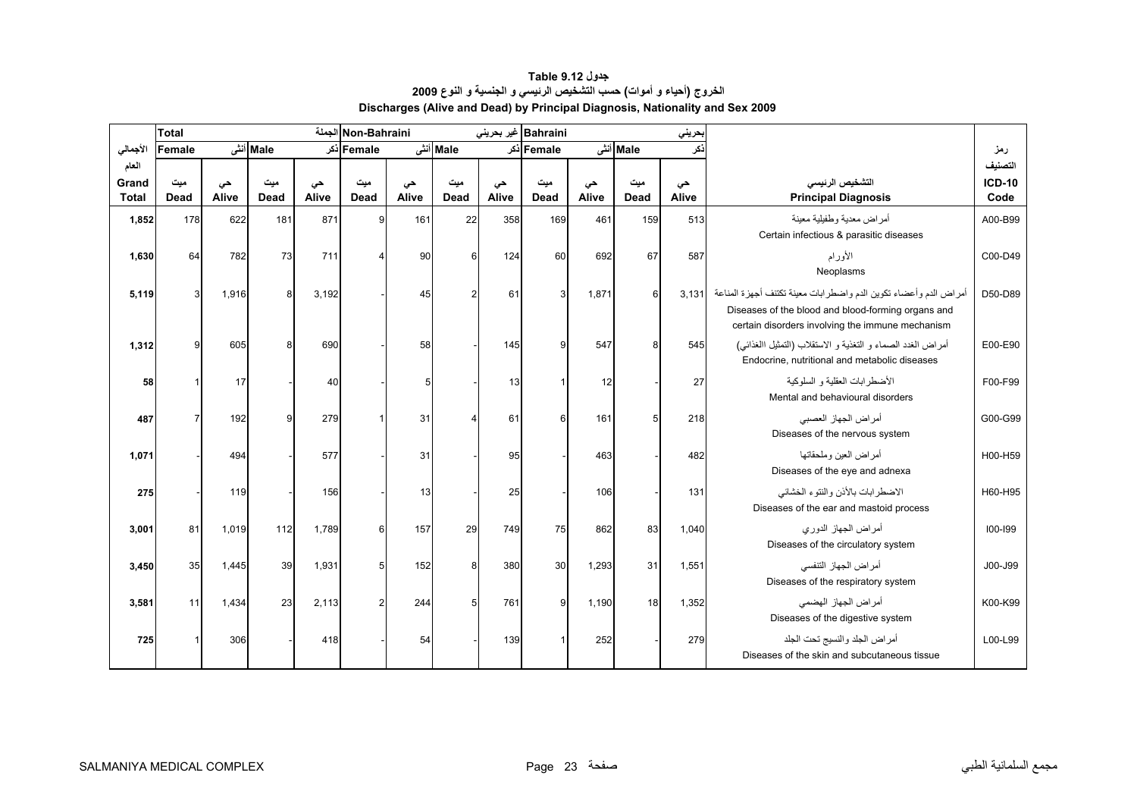<span id="page-21-0"></span>

|                                | <b>Total</b> |             |                    |             | Non-Bahraini الجملة |             |                       |             | Bahraini غیر بحرینی |             |             | بحريني      |                                                                                                                                                                            |                                  |
|--------------------------------|--------------|-------------|--------------------|-------------|---------------------|-------------|-----------------------|-------------|---------------------|-------------|-------------|-------------|----------------------------------------------------------------------------------------------------------------------------------------------------------------------------|----------------------------------|
| الأجمالي                       | Female       |             | Male أنشى          |             | Female أذكر         |             | Male أنشى             |             | Female أذكر         |             | Male أنشى   | نكر         |                                                                                                                                                                            | رمز                              |
| العام<br>Grand<br><b>Total</b> | میت<br>Dead  | حى<br>Alive | مىت<br><b>Dead</b> | حى<br>Alive | میت<br><b>Dead</b>  | حى<br>Alive | میت<br><b>Dead</b>    | حى<br>Alive | ميت<br>Dead         | حى<br>Alive | مىت<br>Dead | حى<br>Alive | التشخيص الرنيسى<br><b>Principal Diagnosis</b>                                                                                                                              | التصنيف<br><b>ICD-10</b><br>Code |
| 1,852                          | 178          | 622         | 181                | 871         | 9                   | 161         | 22                    | 358         | 169                 | 461         | 159         | 513         | أمراض معدية وطفيلية معينة<br>Certain infectious & parasitic diseases                                                                                                       | A00-B99                          |
| 1,630                          | 64           | 782         | 73                 | 711         | 4                   | 90          | 6                     | 124         | 60                  | 692         | 67          | 587         | الأورام<br>Neoplasms                                                                                                                                                       | C00-D49                          |
| 5,119                          | 3            | 1,916       | 8                  | 3,192       |                     | 45          | $\overline{2}$        | 61          | 3                   | 1,871       | 6           | 3.131       | أمراض الدم وأعضاء تكوين الدم واضطرابات معينة تكتنف أجهزة المناعة<br>Diseases of the blood and blood-forming organs and<br>certain disorders involving the immune mechanism | D50-D89                          |
| 1,312                          | 9            | 605         | 8                  | 690         |                     | 58          |                       | 145         | 9                   | 547         | 8           | 545         | أمراض الغدد الصماء و التغذية و الاستقلاب (التمثيل االغذائبي)<br>Endocrine, nutritional and metabolic diseases                                                              | E00-E90                          |
| 58                             |              | 17          |                    | 40          |                     | 5           |                       | 13          |                     | 12          |             | 27          | الأضطر ابات العقلية و السلوكية<br>Mental and behavioural disorders                                                                                                         | F00-F99                          |
| 487                            | 7            | 192         | 9                  | 279         |                     | 31          | $\boldsymbol{\Delta}$ | 61          | 6                   | 161         | 5           | 218         | أمر اض الجهاز العصبي<br>Diseases of the nervous system                                                                                                                     | G00-G99                          |
| 1,071                          |              | 494         |                    | 577         |                     | 31          |                       | 95          |                     | 463         |             | 482         | أمر اض العبن وملحقاتها<br>Diseases of the eye and adnexa                                                                                                                   | H00-H59                          |
| 275                            |              | 119         |                    | 156         |                     | 13          |                       | 25          |                     | 106         |             | 131         | الاضطرابات بالأنن والنتوء الخشائي<br>Diseases of the ear and mastoid process                                                                                               | H60-H95                          |
| 3,001                          | 81           | 1,019       | 112                | 1,789       | 6                   | 157         | 29                    | 749         | 75                  | 862         | 83          | 1,040       | أمراض الجهاز الدوري<br>Diseases of the circulatory system                                                                                                                  | 100-199                          |
| 3,450                          | 35           | 1.445       | 39                 | 1,931       | 5                   | 152         | 8                     | 380         | 30                  | 1.293       | 31          | 1,551       | أمر اض الجهاز التنفسي<br>Diseases of the respiratory system                                                                                                                | J00-J99                          |
| 3,581                          | 11           | 1,434       | 23                 | 2,113       | $\overline{a}$      | 244         | 5                     | 761         | 9                   | 1,190       | 18          | 1,352       | أمراض الجهاز الهضمى<br>Diseases of the digestive system                                                                                                                    | K00-K99                          |
| 725                            |              | 306         |                    | 418         |                     | 54          |                       | 139         |                     | 252         |             | 279         | أمراض الجلد والنسيج تحت الجلد<br>Diseases of the skin and subcutaneous tissue                                                                                              | L00-L99                          |

#### **جدول 9.12 Table الخروج (أحياء <sup>و</sup> أموات) حسب التشخيص الرئيسي <sup>و</sup> الجنسية <sup>و</sup> النوع <sup>2009</sup> Discharges (Alive and Dead) by Principal Diagnosis, Nationality and Sex 2009**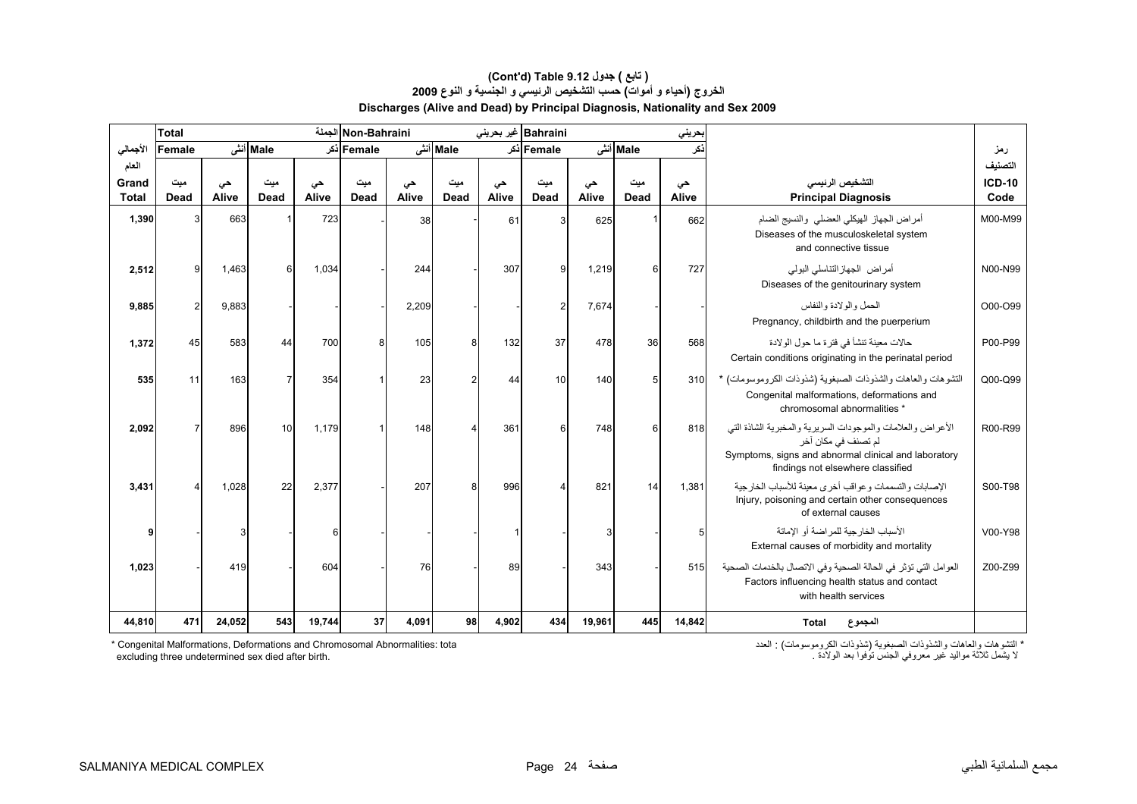#### **الخروج (أحياء <sup>و</sup> أموات) حسب التشخيص الرئيسي <sup>و</sup> الجنسية <sup>و</sup> النوع <sup>2009</sup> Discharges (Alive and Dead) by Principal Diagnosis, Nationality and Sex 2009 (Cont'd) Table 9.12 جدول ) تابع(**

|              | <b>Total</b> |        |                |        | Non-Bahraini الجملة |       |                |       | Bahraini غیر بحرینی |        |          | بحريني |                                                                                                                                                                                 |               |
|--------------|--------------|--------|----------------|--------|---------------------|-------|----------------|-------|---------------------|--------|----------|--------|---------------------------------------------------------------------------------------------------------------------------------------------------------------------------------|---------------|
| الأجمالي     | Female       |        | Male أنش       |        | Female اذکر         |       | Male أنش       |       | Female اذکر         |        | Male أنش | نكر    |                                                                                                                                                                                 | رمز           |
| العام        |              |        |                |        |                     |       |                |       |                     |        |          |        |                                                                                                                                                                                 | التصنيف       |
| Grand        | میت          | حى     | میت            | حى     | میت                 | حى    | میت            | حى    | ميت                 | حى     | ميت      | حى     | التشخيص الرئيسى                                                                                                                                                                 | <b>ICD-10</b> |
| <b>Total</b> | Dead         | Alive  | Dead           | Alive  | <b>Dead</b>         | Alive | <b>Dead</b>    | Alive | Dead                | Alive  | Dead     | Alive  | <b>Principal Diagnosis</b>                                                                                                                                                      | Code          |
| 1,390        | 3            | 663    |                | 723    |                     | 38    |                | 61    | 3                   | 625    |          | 662    | أمراض الجهاز الهيكلي العضلى والنسيج الضام<br>Diseases of the musculoskeletal system<br>and connective tissue                                                                    | M00-M99       |
| 2,512        | 9            | 1,463  | 6              | 1,034  |                     | 244   |                | 307   | 9                   | 1,219  | 6        | 727    | أمراض الجهاز التناسلي البولى<br>Diseases of the genitourinary system                                                                                                            | N00-N99       |
| 9,885        | 2            | 9,883  |                |        |                     | 2,209 |                |       | $\overline{2}$      | 7,674  |          |        | الحمل والو لادة والنفاس<br>Pregnancy, childbirth and the puerperium                                                                                                             | O00-O99       |
| 1,372        | 45           | 583    | 44             | 700    | 8                   | 105   | 8              | 132   | 37                  | 478    | 36       | 568    | حالات معينة تنشأ في فتر ة ما حول الو لادة<br>Certain conditions originating in the perinatal period                                                                             | P00-P99       |
| 535          | 11           | 163    | $\overline{7}$ | 354    |                     | 23    | $\overline{2}$ | 44    | 10                  | 140    | 5        | 310    | التشوهات والعاهات والشذوذات الصبغوية (شذوذات الكروموسومات) *<br>Congenital malformations, deformations and<br>chromosomal abnormalities *                                       | Q00-Q99       |
| 2,092        |              | 896    | 10             | 1,179  |                     | 148   |                | 361   | 6                   | 748    | $6 \,$   | 818    | الأعراض والعلامات والموجودات السريرية والمخبرية الشاذة التي<br>لم تصنف في مكان أخر<br>Symptoms, signs and abnormal clinical and laboratory<br>findings not elsewhere classified | R00-R99       |
| 3,431        |              | 1,028  | 22             | 2,377  |                     | 207   | 8              | 996   |                     | 821    | 14       | 1,381  | الإصبابات والتسممات وعواقب أخرى معبنة للأسباب الخارجية<br>Injury, poisoning and certain other consequences<br>of external causes                                                | S00-T98       |
|              |              | 3      |                | 6      |                     |       |                |       |                     | 3      |          | 5      | الأسباب الخار جبة للمر اضبة أو الاماتة<br>External causes of morbidity and mortality                                                                                            | V00-Y98       |
| 1,023        |              | 419    |                | 604    |                     | 76    |                | 89    |                     | 343    |          | 515    | العوامل التي تؤثر في الحالة الصحية وفي الاتصال بالخدمات الصحية<br>Factors influencing health status and contact<br>with health services                                         | Z00-Z99       |
| 44,810       | 471          | 24,052 | 543            | 19,744 | 37                  | 4,091 | 98             | 4,902 | 434                 | 19,961 | 445      | 14,842 | المجموع<br><b>Total</b>                                                                                                                                                         |               |

\* Congenital Malformations, Deformations and Chromosomal Abnormalities: tota excluding three undetermined sex died after birth. لا يشمل ثلاثة مواليد غير معروفي الجنس توفوا بعد الولادة . .birth after died sex undetermined three excluding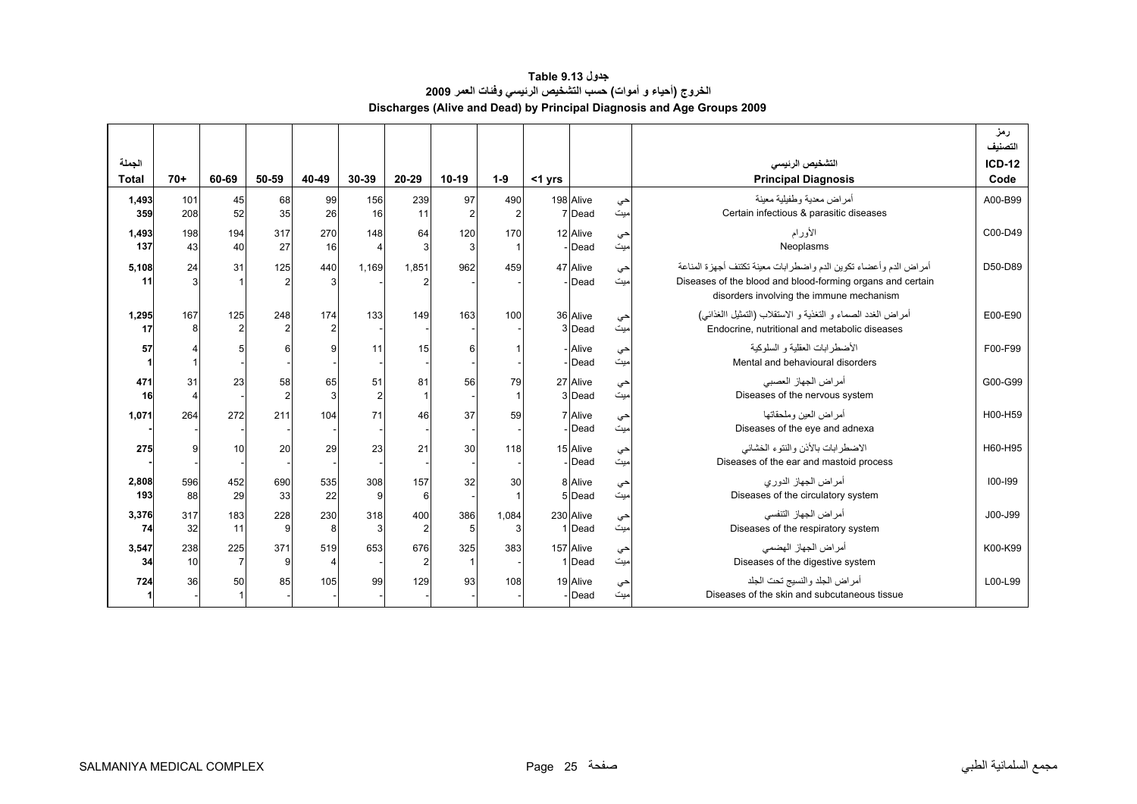#### **جدول 9.13 Table الخروج (أحياء <sup>و</sup> أموات) حسب التشخيص الرئيسي وفئات العمر <sup>2009</sup> Discharges (Alive and Dead) by Principal Diagnosis and Age Groups 2009**

<span id="page-23-0"></span>

|                        |            |                       |           |                       |                      |                       |          |                       |           |                     |           |                                                                                                                                                                            | رمز<br>التصنيف        |
|------------------------|------------|-----------------------|-----------|-----------------------|----------------------|-----------------------|----------|-----------------------|-----------|---------------------|-----------|----------------------------------------------------------------------------------------------------------------------------------------------------------------------------|-----------------------|
| الجملة<br><b>Total</b> | $70+$      | 60-69                 | 50-59     | 40-49                 | 30-39                | 20-29                 | 10-19    | $1-9$                 | $<$ 1 yrs |                     |           | التشخيص الرئيسى<br><b>Principal Diagnosis</b>                                                                                                                              | <b>ICD-12</b><br>Code |
| 1,493<br>359           | 101<br>208 | 45<br>52              | 68<br>35  | 99<br>26              | 156<br>16            | 239<br>11             | 97<br>2  | 490<br>$\overline{2}$ |           | 198 Alive<br>7 Dead | حي<br>میت | أمر اض معدية وطفيلية معينة<br>Certain infectious & parasitic diseases                                                                                                      | A00-B99               |
| 1,493<br>137           | 198<br>43  | 194<br>40             | 317<br>27 | 270<br>16             | 148<br>4             | 64<br>3               | 120<br>3 | 170                   |           | 12 Alive<br>Dead    | حي<br>ميت | الأورام<br>Neoplasms                                                                                                                                                       | C00-D49               |
| 5,108<br>11            | 24         | 31                    | 125       | 440<br>3              | 1,169                | 1.851                 | 962      | 459                   |           | 47 Alive<br>Dead    | حي<br>میت | أمراض الدم وأعضاء تكوين الدم واضطرابات معينة تكتنف أجهزة المناعة<br>Diseases of the blood and blood-forming organs and certain<br>disorders involving the immune mechanism | D50-D89               |
| 1,295<br>17            | 167        | 125<br>$\overline{2}$ | 248       | 174<br>$\overline{2}$ | 133                  | 149                   | 163      | 100                   |           | 36 Alive<br>3 Dead  | حي<br>میت | أمراض الغدد الصماء و التغذية و الاستقلاب (التمثيل االغذائبي)<br>Endocrine, nutritional and metabolic diseases                                                              | E00-E90               |
| 57                     |            |                       |           | 9                     | 11                   | 15                    | 6        |                       |           | - Alive<br>Dead     | حي<br>ميت | الأضطر ابات العقلبة و السلوكبة<br>Mental and behavioural disorders                                                                                                         | F00-F99               |
| 471<br>16              | 31         | 23                    | 58        | 65<br>3               | 51<br>$\overline{2}$ | 81                    | 56       | 79                    |           | 27 Alive<br>3 Dead  | حي<br>ميت | أمراض الجهاز العصبي<br>Diseases of the nervous system                                                                                                                      | G00-G99               |
| 1,071                  | 264        | 272                   | 211       | 104                   | 71                   | 46                    | 37       | 59                    |           | 7 Alive<br>Dead     | حي<br>میت | أمر اض العبن وملحقاتها<br>Diseases of the eye and adnexa                                                                                                                   | H00-H59               |
| 275                    |            | 10                    | 20        | 29                    | 23                   | 21                    | 30       | 118                   |           | 15 Alive<br>Dead    | حي<br>ميت | الاضطرابات بالأذن والنتوء الخشائي<br>Diseases of the ear and mastoid process                                                                                               | H60-H95               |
| 2,808<br>193           | 596<br>88  | 452<br>29             | 690<br>33 | 535<br>22             | 308<br>9             | 157<br>6              | 32       | 30                    |           | 8 Alive<br>5 Dead   | حي<br>ميت | أمر اض الجهاز الدور ي<br>Diseases of the circulatory system                                                                                                                | 100-199               |
| 3,376<br>74            | 317<br>32  | 183<br>11             | 228<br>9  | 230<br>8              | 318<br>3             | 400<br>$\overline{2}$ | 386<br>5 | 1,084<br>3            |           | 230 Alive<br>1 Dead | حي<br>میت | أمر اض الجهاز التنفسي<br>Diseases of the respiratory system                                                                                                                | J00-J99               |
| 3,547<br>34            | 238<br>10  | 225<br>$\overline{7}$ | 371<br>9  | 519<br>4              | 653                  | 676                   | 325      | 383                   |           | 157 Alive<br>1 Dead | حي<br>میت | أمراض الجهاز الهضمى<br>Diseases of the digestive system                                                                                                                    | K00-K99               |
| 724                    | 36         | 50                    | 85        | 105                   | 99                   | 129                   | 93       | 108                   |           | 19 Alive<br>Dead    | حي<br>میت | أمراض الجلد والنسيج تحت الجلد<br>Diseases of the skin and subcutaneous tissue                                                                                              | L00-L99               |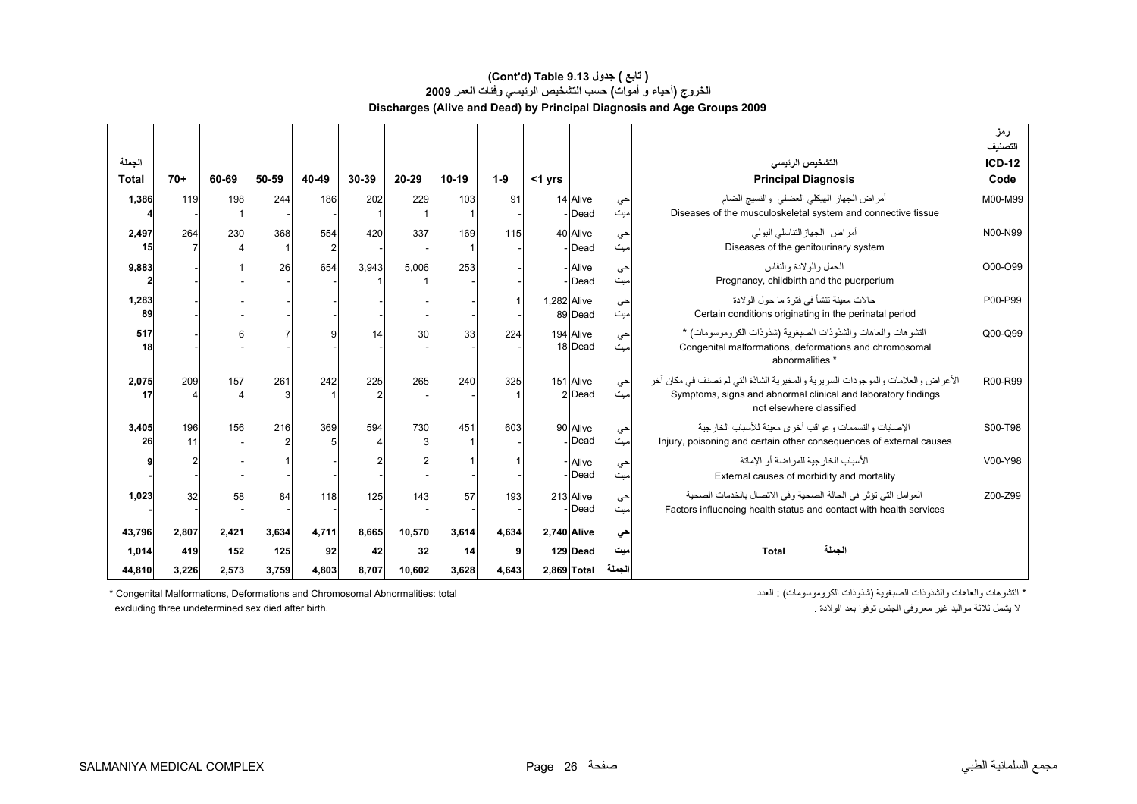#### **الخروج (أحياء <sup>و</sup> أموات) حسب التشخيص الرئيسي وفئات العمر <sup>2009</sup> Discharges (Alive and Dead) by Principal Diagnosis and Age Groups 2009 (Cont'd) Table 9.13 جدول ) تابع(**

| الجملة<br><b>Total</b> | $70+$        | 60-69        | 50-59        | 40-49       | 30-39       | 20-29        | $10-19$     | $1 - 9$    | $<$ 1 yrs   |                         |               | التشخيص الرنيسى<br><b>Principal Diagnosis</b>                                                                                                                                | رمز<br>التصنيف<br>$ICD-12$<br>Code |
|------------------------|--------------|--------------|--------------|-------------|-------------|--------------|-------------|------------|-------------|-------------------------|---------------|------------------------------------------------------------------------------------------------------------------------------------------------------------------------------|------------------------------------|
| 1,386                  | 119          | 198          | 244          | 186         | 202         | 229          | 103         | 91         |             | 14 Alive<br>- Dead      | حي<br>ميت     | أمراض الجهاز الهيكلي العضلى والنسيج الضام<br>Diseases of the musculoskeletal system and connective tissue                                                                    | M00-M99                            |
| 2,497<br>15            | 264          | 230          | 368          | 554         | 420         | 337          | 169         | 115        |             | 40 Alive<br>- Dead      | حي<br>اميت    | أمر اض الجهاز التناسلي البولي<br>Diseases of the genitourinary system                                                                                                        | N00-N99                            |
| 9,883                  |              |              | 26           | 654         | 3,943       | 5,006        | 253         |            |             | - Alive<br>- Dead       | حي<br>میت     | الحمل والولادة والنفاس<br>Pregnancy, childbirth and the puerperium                                                                                                           | O00-O99                            |
| 1,283<br>89            |              |              |              |             |             |              |             |            | 1,282 Alive | 89 Dead                 | حي<br>ميت     | حالات معينة تنشأ في فتر ة ما حول الو لادة<br>Certain conditions originating in the perinatal period                                                                          | P00-P99                            |
| 517<br>18              |              |              |              |             | 14          | 30           | 33          | 224        |             | 194 Alive<br>18 Dead    | حي<br>میت     | التشوهات والعاهات والشذوذات الصبغوية (شذوذات الكروموسومات) *<br>Congenital malformations, deformations and chromosomal<br>abnormalities *                                    | Q00-Q99                            |
| 2,075<br>17            | 209          | 157          | 261          | 242         | 225         | 265          | 240         | 325        |             | 151 Alive<br>2 Dead     | حي<br>میت     | الأعراض والعلامات والموجودات السريرية والمخبرية الشاذة التي لم تصنف في مكان أخر<br>Symptoms, signs and abnormal clinical and laboratory findings<br>not elsewhere classified | R00-R99                            |
| 3,405<br>26            | 196<br>11    | 156          | 216          | 369         | 594         | 730          | 451         | 603        |             | 90 Alive<br>- Dead      | حي<br>میت     | الإصبابات والتسممات وعواقب أخرى معبنة للأسباب الخارجية<br>Injury, poisoning and certain other consequences of external causes                                                | S00-T98                            |
|                        |              |              |              |             |             |              |             |            |             | - Alive<br>- Dead       | حي<br>اميت    | الأسباب الخار جبة للمر اضبة أو الإماتة<br>External causes of morbidity and mortality                                                                                         | V00-Y98                            |
| 1,023                  | 32           | 58           | 84           | 118         | 125         | 143          | 57          | 193        |             | 213 Alive<br>Dead       | حي<br>ميت     | العوامل التي تؤثر في الحالة الصحية وفي الاتصال بالخدمات الصحية<br>Factors influencing health status and contact with health services                                         | Z00-Z99                            |
| 43,796                 | 2.807        | 2.421        | 3.634        | 4.711       | 8.665       | 10,570       | 3.614       | 4.634      | 2.740 Alive |                         | حى            |                                                                                                                                                                              |                                    |
| 1,014<br>44,810        | 419<br>3,226 | 152<br>2,573 | 125<br>3,759 | 92<br>4,803 | 42<br>8,707 | 32<br>10,602 | 14<br>3,628 | 9<br>4,643 |             | 129 Dead<br>2,869 Total | میت<br>الجملة | الجملة<br>Total                                                                                                                                                              |                                    |

\* التشوهات والعاهات والشذوذات الصبغوية (شذوذات الكروموسومات) : العدد الكروموسومات) : التحدد الكروموسومات) \* Congenital Malformations, Deformations and Chromosomal Abnormalities: total excluding three undetermined sex died after birth.

لا يشمل ثلاثة مواليد غير معروفي الجنس توفوا بعد الولادة .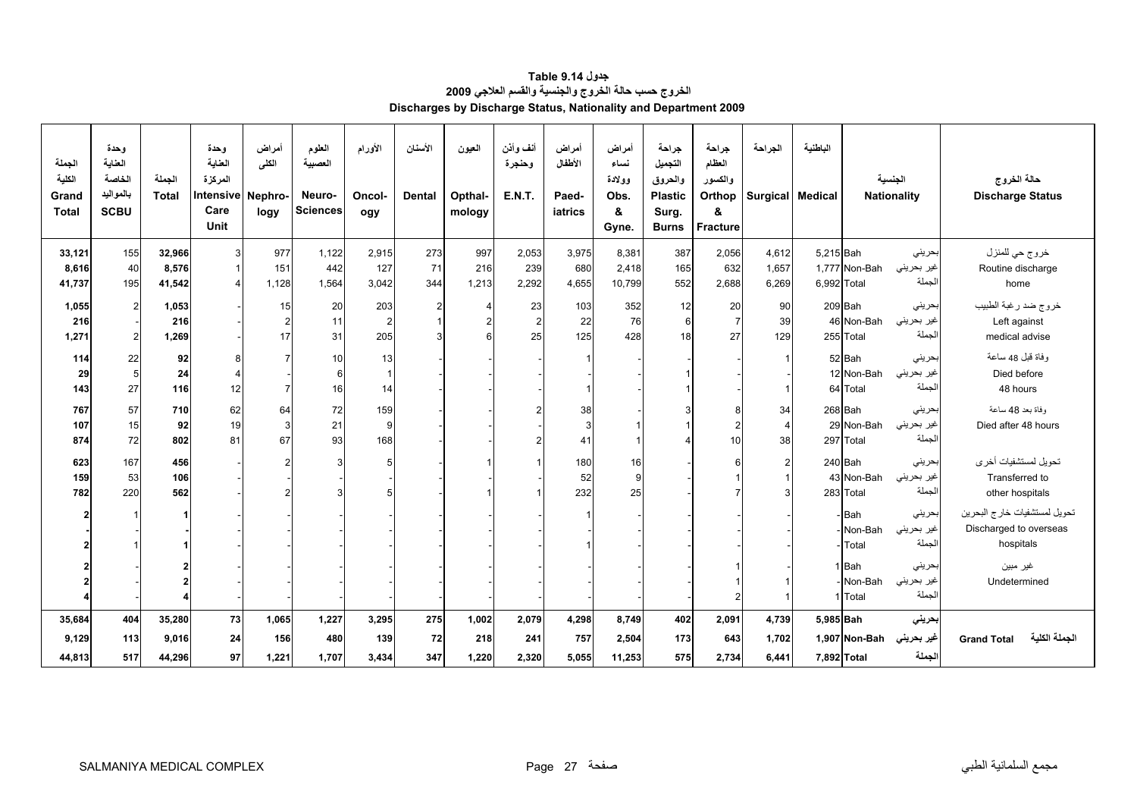<span id="page-25-0"></span>

| الجملة<br>الكلية<br>Grand<br><b>Total</b> | وحدة<br>العناية<br>الخاصة<br>بالمواليد<br><b>SCBU</b> | الجملة<br><b>Total</b> | وحدة<br>العناية<br>المركزة<br>Intensive<br>Care<br>Unit | أمراض<br>الكلى<br>Nephro-<br>logy | العلوم<br>العصبية<br>Neuro-<br><b>Sciences</b> | الأورام<br>Oncol-<br>ogy | الأسنان<br><b>Dental</b>         | العيون<br>Opthal-<br>mology | أنف وأذن<br>وحنجرة<br><b>E.N.T.</b> | أمراض<br>الأطفال<br>Paed-<br>iatrics | أمراض<br>نساء<br>وولادة<br>Obs.<br>&<br>Gyne. | جراحة<br>التجميل<br>والحروق<br><b>Plastic</b><br>Surg.<br><b>Burns</b> | جراحة<br>العظام<br>والكسور<br>Orthop<br>&<br><b>Fracture</b> | الجراحة<br>Surgical Medical | الباطنية    |               | الجنسية<br><b>Nationality</b> | حالة الخروج<br><b>Discharge Status</b> |
|-------------------------------------------|-------------------------------------------------------|------------------------|---------------------------------------------------------|-----------------------------------|------------------------------------------------|--------------------------|----------------------------------|-----------------------------|-------------------------------------|--------------------------------------|-----------------------------------------------|------------------------------------------------------------------------|--------------------------------------------------------------|-----------------------------|-------------|---------------|-------------------------------|----------------------------------------|
| 33,121                                    | 155                                                   | 32,966                 | 3                                                       | 977                               | 1,122                                          | 2,915                    | 273                              | 997                         | 2,053                               | 3,975                                | 8,381                                         | 387                                                                    | 2,056                                                        | 4,612                       | 5,215 Bah   |               | بحريني                        | خروج حي للمنزل                         |
| 8,616                                     | 40                                                    | 8,576                  | $\overline{1}$                                          | 151                               | 442                                            | 127                      | 71                               | 216                         | 239                                 | 680                                  | 2,418                                         | 165                                                                    | 632                                                          | 1,657                       |             | 1,777 Non-Bah | غير بحريني                    | Routine discharge                      |
| 41,737                                    | 195                                                   | 41,542                 |                                                         | 1,128                             | 1,564                                          | 3,042                    | 344                              | 1,213                       | 2,292                               | 4,655                                | 10,799                                        | 552                                                                    | 2,688                                                        | 6,269                       | 6,992 Total |               | لجملة                         | home                                   |
|                                           |                                                       |                        |                                                         |                                   |                                                |                          |                                  | $\overline{4}$              |                                     |                                      |                                               |                                                                        |                                                              | 90                          |             | 209 Bah       | بحرينى                        |                                        |
| 1,055                                     | $2 \,$                                                | 1,053<br>216           |                                                         | 15<br>$\overline{2}$              | 20                                             | 203                      | $\overline{2}$<br>$\overline{1}$ | $\overline{2}$              | 23<br>$\overline{2}$                | 103                                  | 352<br>76                                     | 12                                                                     | 20<br>$\overline{7}$                                         |                             |             | 46 Non-Bah    | غير بحريني                    | خروج ضد رغبة الطبيب                    |
| 216<br>1,271                              | $2 \,$                                                | 1,269                  |                                                         | 17                                | 11<br>31                                       | $\overline{2}$<br>205    | 3                                | 6                           | 25                                  | 22<br>125                            | 428                                           | 6<br>18                                                                | 27                                                           | 39<br>129                   |             | 255 Total     | لجملة                         | Left against<br>medical advise         |
|                                           |                                                       |                        |                                                         |                                   |                                                |                          |                                  |                             |                                     |                                      |                                               |                                                                        |                                                              |                             |             |               |                               |                                        |
| 114                                       | 22                                                    | 92                     | 8                                                       |                                   | 10                                             | 13                       |                                  |                             |                                     |                                      |                                               |                                                                        |                                                              |                             |             | 52 Bah        | بحريني                        | وفاة قبل 48 ساعة                       |
| 29                                        | $\overline{5}$                                        | 24                     |                                                         |                                   | 6                                              | $\vert$ 1                |                                  |                             |                                     |                                      |                                               |                                                                        |                                                              |                             |             | 12 Non-Bah    | غير بحريني                    | Died before                            |
| 143                                       | 27                                                    | 116                    | 12                                                      |                                   | 16                                             | 14                       |                                  |                             |                                     |                                      |                                               |                                                                        |                                                              |                             |             | 64 Total      | لجملة                         | 48 hours                               |
| 767                                       | 57                                                    | 710                    | 62                                                      | 64                                | 72                                             | 159                      |                                  |                             |                                     | 38                                   |                                               |                                                                        | 8                                                            | 34                          |             | 268 Bah       | بحريني                        | وفاة بعد 48 ساعة                       |
| 107                                       | 15                                                    | 92                     | 19                                                      | 3                                 | 21                                             | 9                        |                                  |                             |                                     | 3                                    |                                               |                                                                        |                                                              | $\overline{4}$              |             | 29 Non-Bah    | غير بحريني                    | Died after 48 hours                    |
| 874                                       | 72                                                    | 802                    | 81                                                      | 67                                | 93                                             | 168                      |                                  |                             |                                     | 41                                   |                                               |                                                                        | 10                                                           | 38                          |             | 297 Total     | لجملة                         |                                        |
| 623                                       | 167                                                   | 456                    |                                                         |                                   |                                                | 5 <sub>l</sub>           |                                  |                             |                                     | 180                                  | 16                                            |                                                                        |                                                              | $\overline{2}$              |             | 240 Bah       | بحريني                        | تحويل لمستشفيات أخرى                   |
| 159                                       | 53                                                    | 106                    |                                                         |                                   |                                                |                          |                                  |                             |                                     | 52                                   | 9                                             |                                                                        |                                                              |                             |             | 43 Non-Bah    | غير بحريني                    | Transferred to                         |
| 782                                       | 220                                                   | 562                    |                                                         |                                   |                                                | 5                        |                                  |                             |                                     | 232                                  | 25                                            |                                                                        |                                                              |                             |             | 283 Total     | لجملة                         | other hospitals                        |
|                                           |                                                       |                        |                                                         |                                   |                                                |                          |                                  |                             |                                     |                                      |                                               |                                                                        |                                                              |                             |             |               |                               |                                        |
| $\overline{2}$                            |                                                       |                        |                                                         |                                   |                                                |                          |                                  |                             |                                     |                                      |                                               |                                                                        |                                                              |                             |             | Bah           | بحرينى                        | تحويل لمستشفيات خارج البحرين           |
|                                           |                                                       |                        |                                                         |                                   |                                                |                          |                                  |                             |                                     |                                      |                                               |                                                                        |                                                              |                             |             | Non-Bah       | غير بحريني                    | Discharged to overseas                 |
|                                           |                                                       |                        |                                                         |                                   |                                                |                          |                                  |                             |                                     |                                      |                                               |                                                                        |                                                              |                             |             | Total         | لجملة                         | hospitals                              |
|                                           |                                                       |                        |                                                         |                                   |                                                |                          |                                  |                             |                                     |                                      |                                               |                                                                        |                                                              |                             |             | 1 Bah         | بحريني                        | غير مبين                               |
|                                           |                                                       |                        |                                                         |                                   |                                                |                          |                                  |                             |                                     |                                      |                                               |                                                                        |                                                              |                             |             | Non-Bah       | غير بحريني                    | Undetermined                           |
|                                           |                                                       |                        |                                                         |                                   |                                                |                          |                                  |                             |                                     |                                      |                                               |                                                                        | $\overline{2}$                                               |                             |             | 1 Total       | لجملة                         |                                        |
| 35,684                                    | 404                                                   | 35,280                 | 73                                                      | 1,065                             | 1,227                                          | 3,295                    | 275                              | 1,002                       | 2,079                               | 4,298                                | 8,749                                         | 402                                                                    | 2,091                                                        | 4,739                       | 5,985 Bah   |               | بحريني                        |                                        |
| 9,129                                     | 113                                                   | 9,016                  | 24                                                      | 156                               | 480                                            | 139                      | 72                               | 218                         | 241                                 | 757                                  | 2,504                                         | 173                                                                    | 643                                                          | 1,702                       |             | 1,907 Non-Bah | غير بحريني                    | الجملة الكلية<br><b>Grand Total</b>    |
|                                           |                                                       |                        |                                                         |                                   |                                                |                          |                                  |                             |                                     |                                      |                                               |                                                                        |                                                              |                             |             |               | لجملة                         |                                        |
| 44,813                                    | 517                                                   | 44,296                 | 97                                                      | 1,221                             | 1,707                                          | 3,434                    | 347                              | 1,220                       | 2,320                               | 5,055                                | 11,253                                        | 575                                                                    | 2,734                                                        | 6,441                       | 7,892 Total |               |                               |                                        |

**جدول 9.14 Table الخروج حسب حالة الخروج والجنسية والقسم العلاجي <sup>2009</sup> Discharges by Discharge Status, Nationality and Department 2009**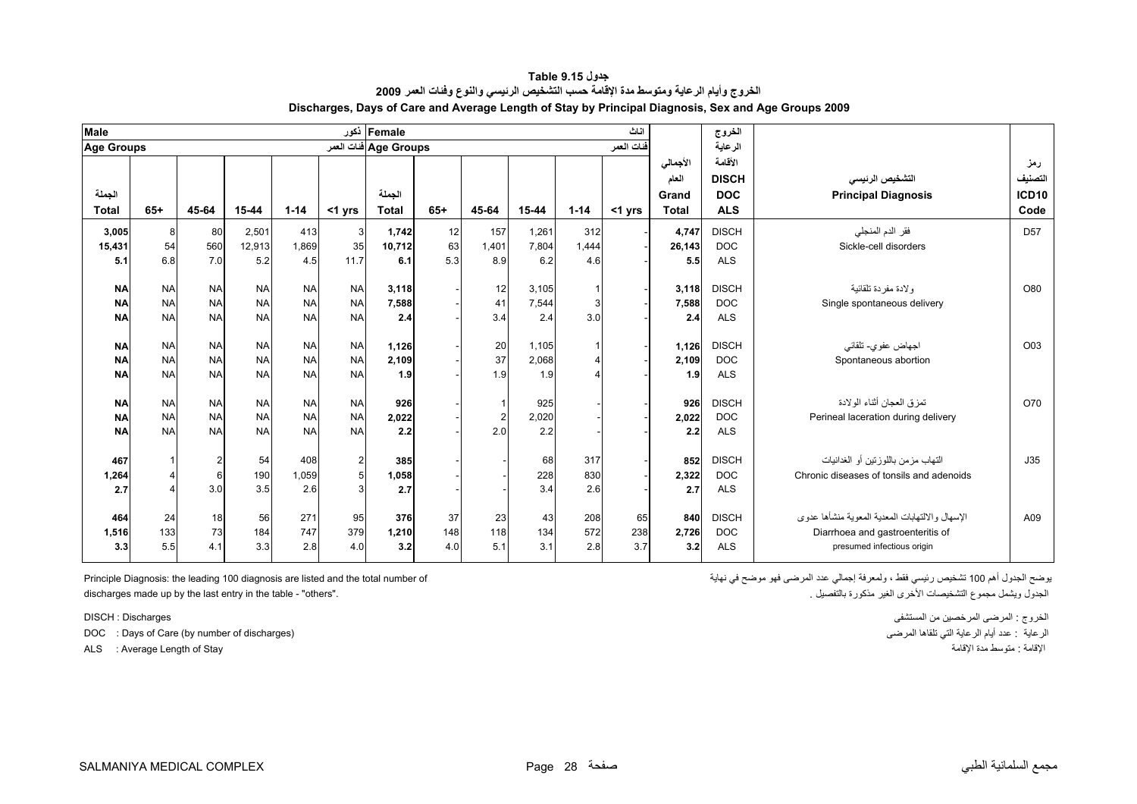<span id="page-26-0"></span>

| Male                   |           |                |           |           |                | Female أكور            |       |                |           |          | اثاث       |                                            | الخروج                                              |                                                 |                                        |
|------------------------|-----------|----------------|-----------|-----------|----------------|------------------------|-------|----------------|-----------|----------|------------|--------------------------------------------|-----------------------------------------------------|-------------------------------------------------|----------------------------------------|
| <b>Age Groups</b>      |           |                |           |           |                | Age Groups فنات العمر  |       |                |           |          | فنات العمر |                                            | الرعاية                                             |                                                 |                                        |
| الجملة<br><b>Total</b> | $65+$     | 45-64          | 15-44     | $1 - 14$  | $<$ 1 yrs      | الجملة<br><b>Total</b> | $65+$ | 45-64          | $15 - 44$ | $1 - 14$ | $<$ 1 yrs  | الأجمالي<br>العام<br>Grand<br><b>Total</b> | الأقامة<br><b>DISCH</b><br><b>DOC</b><br><b>ALS</b> | التشخيص الرنيسى<br><b>Principal Diagnosis</b>   | رمز<br>التصنيف<br><b>ICD10</b><br>Code |
|                        |           |                |           |           |                |                        |       |                |           |          |            |                                            |                                                     |                                                 |                                        |
| 3,005                  | 8         | 80             | 2,501     | 413       | 3 <sup>l</sup> | 1,742                  | 12    | 157            | 1,261     | 312      |            | 4,747                                      | <b>DISCH</b>                                        | فقر الدم المنجلي                                | D <sub>57</sub>                        |
| 15,431                 | 54        | 560            | 12,913    | 1,869     | 35             | 10,712                 | 63    | 1,401          | 7,804     | 1,444    |            | 26,143                                     | <b>DOC</b>                                          | Sickle-cell disorders                           |                                        |
| 5.1                    | 6.8       | 7.0            | 5.2       | 4.5       | 11.7           | 6.1                    | 5.3   | 8.9            | 6.2       | 4.6      |            | 5.5                                        | <b>ALS</b>                                          |                                                 |                                        |
|                        |           |                |           |           |                |                        |       |                |           |          |            |                                            |                                                     |                                                 |                                        |
| <b>NA</b>              | <b>NA</b> | <b>NA</b>      | <b>NA</b> | <b>NA</b> | <b>NA</b>      | 3,118                  |       | 12             | 3,105     |          |            | 3.118                                      | <b>DISCH</b>                                        | و لادة مفر دة تلقائية                           | O80                                    |
| <b>NA</b>              | <b>NA</b> | <b>NA</b>      | <b>NA</b> | <b>NA</b> | <b>NA</b>      | 7,588                  |       | 41             | 7,544     |          |            | 7,588                                      | <b>DOC</b>                                          | Single spontaneous delivery                     |                                        |
| <b>NA</b>              | <b>NA</b> | <b>NA</b>      | <b>NA</b> | <b>NA</b> | <b>NA</b>      | 2.4                    |       | 3.4            | 2.4       | 3.0      |            | 2.4                                        | <b>ALS</b>                                          |                                                 |                                        |
|                        |           |                |           |           |                |                        |       |                |           |          |            |                                            |                                                     |                                                 |                                        |
| <b>NA</b>              | <b>NA</b> | <b>NA</b>      | <b>NA</b> | <b>NA</b> | <b>NA</b>      | 1,126                  |       | 20             | 1,105     |          |            | 1,126                                      | <b>DISCH</b>                                        | اجهاض عفوي- تلقائبي                             | O03                                    |
| <b>NA</b>              | <b>NA</b> | <b>NA</b>      | <b>NA</b> | <b>NA</b> | <b>NA</b>      | 2,109                  |       | 37             | 2,068     |          |            | 2,109                                      | <b>DOC</b>                                          | Spontaneous abortion                            |                                        |
| <b>NA</b>              | <b>NA</b> | <b>NA</b>      | <b>NA</b> | <b>NA</b> | <b>NA</b>      | 1.9                    |       | 1.9            | 1.9       |          |            | 1.9                                        | <b>ALS</b>                                          |                                                 |                                        |
|                        |           |                |           |           |                |                        |       |                |           |          |            |                                            |                                                     |                                                 |                                        |
| <b>NA</b>              | <b>NA</b> | <b>NA</b>      | <b>NA</b> | <b>NA</b> | <b>NA</b>      | 926                    |       | 1              | 925       |          |            | 926                                        | <b>DISCH</b>                                        | تمز ق العجان أثناء الو لادة                     | O70                                    |
| <b>NA</b>              | <b>NA</b> | <b>NA</b>      | <b>NA</b> | <b>NA</b> | <b>NA</b>      | 2,022                  |       | $\overline{2}$ | 2,020     |          |            | 2,022                                      | <b>DOC</b>                                          | Perineal laceration during delivery             |                                        |
| <b>NA</b>              | <b>NA</b> | <b>NA</b>      | <b>NA</b> | <b>NA</b> | <b>NA</b>      | 2.2                    |       | 2.0            | 2.2       |          |            | 2.2                                        | <b>ALS</b>                                          |                                                 |                                        |
|                        |           |                |           |           |                |                        |       |                |           |          |            |                                            |                                                     |                                                 |                                        |
| 467                    |           | $\overline{2}$ | 54        | 408       | $\overline{2}$ | 385                    |       |                | 68        | 317      |            | 852                                        | <b>DISCH</b>                                        | التهاب مزمن باللوزنين أو الغدانيات              | J35                                    |
| 1,264                  |           | $6\phantom{1}$ | 190       | 1,059     | 5 <sup>1</sup> | 1,058                  |       |                | 228       | 830      |            | 2,322                                      | <b>DOC</b>                                          | Chronic diseases of tonsils and adenoids        |                                        |
| 2.7                    |           | 3.0            | 3.5       | 2.6       | 3              | 2.7                    |       |                | 3.4       | 2.6      |            | 2.7                                        | <b>ALS</b>                                          |                                                 |                                        |
|                        |           |                |           |           |                |                        |       |                |           |          |            |                                            |                                                     |                                                 |                                        |
| 464                    | 24        | 18             | 56        | 271       | 95             | 376                    | 37    | 23             | 43        | 208      | 65         | 840                                        | <b>DISCH</b>                                        | الإسهال والالتهابات المعدية المعوية منشأها عدوى | A09                                    |
| 1,516                  | 133       | 73             | 184       | 747       | 379            | 1,210                  | 148   | 118            | 134       | 572      | 238        | 2.726                                      | <b>DOC</b>                                          | Diarrhoea and gastroenteritis of                |                                        |
| 3.3                    | 5.5       | 4.1            | 3.3       | 2.8       | 4.0            | 3.2                    | 4.0   | 5.1            | 3.1       | 2.8      | 3.7        | 3.2                                        | <b>ALS</b>                                          | presumed infectious origin                      |                                        |
|                        |           |                |           |           |                |                        |       |                |           |          |            |                                            |                                                     |                                                 |                                        |

**جدول 9.15 Table الخروج وأيام الرعاية ومتوسط مدة الإقامة حسب التشخيص الرئيسي والنوع وفئات العمر <sup>2009</sup> Discharges, Days of Care and Average Length of Stay by Principal Diagnosis, Sex and Age Groups 2009**

discharges made up by the last entry in the table - "others". . بالتفصيل مذآورة الغير الأخرى التشخيصات مجموع ويشمل الجدول

DOC : Days of Care (by number of discharges)

يوضح الجدول أهم <sup>100</sup> تشخيص رئيسي فقط ، ولمعرفة إجمالي عدد المرضى فهو موضح في نهاية of number total the and listed are diagnosis 100 leading the :Diagnosis Principle

الخروج : المرضى المرخصين من المستشفى Discharges : DISCH ALS : Average Length of Stay الإقامة مدة متوسط : الإقامة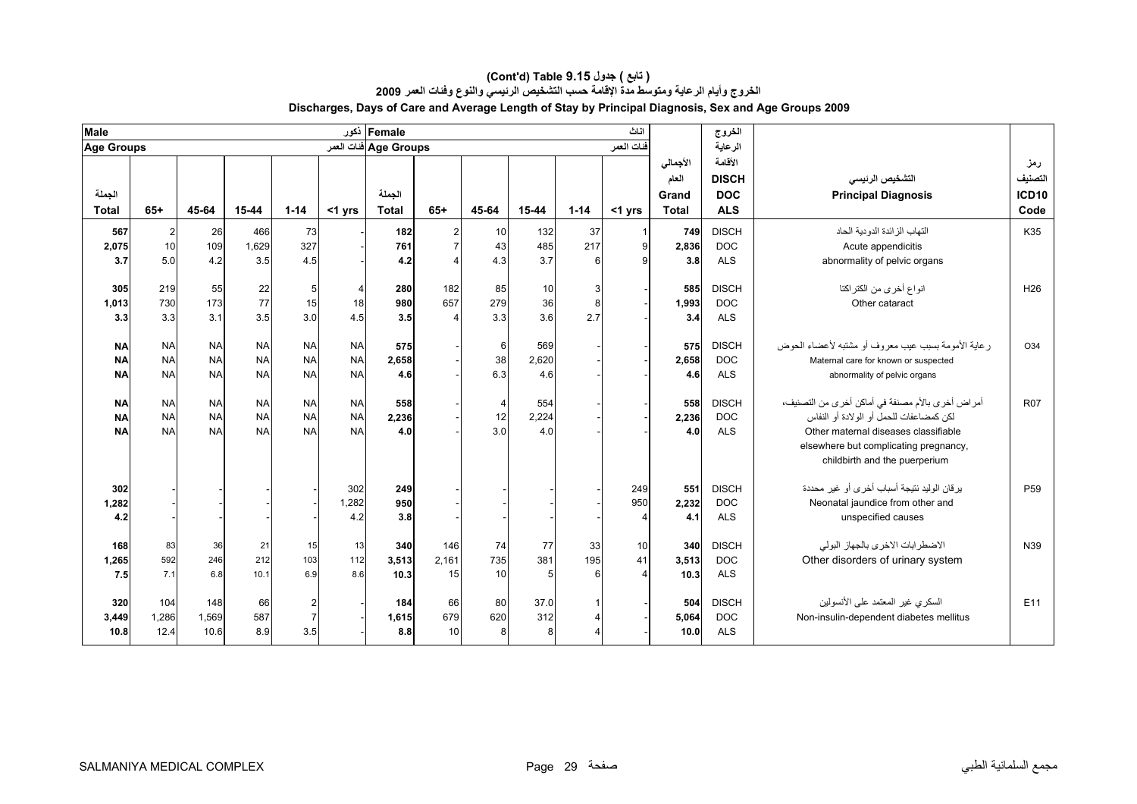| Male                                |                                     |                                     |                                     |                                         |                                     | Female أكور            |                     |                             |                     |                | اناث            |                                            | الخروج                                              |                                                                                                                                                                                                               |                                        |
|-------------------------------------|-------------------------------------|-------------------------------------|-------------------------------------|-----------------------------------------|-------------------------------------|------------------------|---------------------|-----------------------------|---------------------|----------------|-----------------|--------------------------------------------|-----------------------------------------------------|---------------------------------------------------------------------------------------------------------------------------------------------------------------------------------------------------------------|----------------------------------------|
| <b>Age Groups</b>                   |                                     |                                     |                                     |                                         |                                     | Age Groups ففات العمر  |                     |                             |                     |                | فنات العمر      |                                            | الرعاية                                             |                                                                                                                                                                                                               |                                        |
| الجملة<br><b>Total</b>              | $65+$                               | 45-64                               | 15-44                               | $1 - 14$                                | <1 yrs                              | الحملة<br><b>Total</b> | $65+$               | 45-64                       | 15-44               | $1 - 14$       | $<$ 1 yrs       | الأجمالي<br>العام<br>Grand<br><b>Total</b> | الأقامة<br><b>DISCH</b><br><b>DOC</b><br><b>ALS</b> | التشخيص الرئيسي<br><b>Principal Diagnosis</b>                                                                                                                                                                 | رمز<br>التصنيف<br><b>ICD10</b><br>Code |
| 567<br>2,075<br>3.7                 | $\overline{c}$<br>10<br>5.0         | 26<br>109<br>4.2                    | 466<br>1,629<br>3.5                 | 73<br>327<br>4.5                        |                                     | 182<br>761<br>4.2      | 2<br>$\overline{7}$ | 10<br>43<br>4.3             | 132<br>485<br>3.7   | 37<br>217<br>6 | $\mathbf{Q}$    | 749<br>2,836<br>3.8                        | <b>DISCH</b><br><b>DOC</b><br><b>ALS</b>            | التهاب الز ائدة الدو دبة الحاد<br>Acute appendicitis<br>abnormality of pelvic organs                                                                                                                          | K35                                    |
| 305<br>1,013<br>3.3                 | 219<br>730<br>3.3                   | 55<br>173<br>3.1                    | 22<br>77<br>3.5                     | 5<br>15<br>3.0                          | $\overline{4}$<br>18<br>4.5         | 280<br>980<br>3.5      | 182<br>657          | 85<br>279<br>3.3            | 10<br>36<br>3.6     | 3<br>8<br>2.7  |                 | 585<br>1,993<br>3.4                        | <b>DISCH</b><br><b>DOC</b><br><b>ALS</b>            | انواع أخرى من الكتراكتا<br>Other cataract                                                                                                                                                                     | H <sub>26</sub>                        |
| <b>NA</b><br><b>NA</b><br><b>NA</b> | <b>NA</b><br><b>NA</b><br><b>NA</b> | <b>NA</b><br><b>NA</b><br><b>NA</b> | <b>NA</b><br><b>NA</b><br><b>NA</b> | <b>NA</b><br><b>NA</b><br><b>NA</b>     | <b>NA</b><br><b>NA</b><br><b>NA</b> | 575<br>2,658<br>4.6    |                     | 6<br>38<br>6.3              | 569<br>2,620<br>4.6 |                |                 | 575<br>2,658<br>4.6                        | <b>DISCH</b><br><b>DOC</b><br><b>ALS</b>            | ر عاية الأمومة بسبب عيب معروف أو مشتبه لأعضاء الحوض<br>Maternal care for known or suspected<br>abnormality of pelvic organs                                                                                   | O34                                    |
| <b>NA</b><br><b>NA</b><br><b>NA</b> | <b>NA</b><br><b>NA</b><br><b>NA</b> | <b>NA</b><br><b>NA</b><br><b>NA</b> | <b>NA</b><br><b>NA</b><br><b>NA</b> | <b>NA</b><br><b>NA</b><br><b>NA</b>     | <b>NA</b><br><b>NA</b><br><b>NA</b> | 558<br>2,236<br>4.0    |                     | $\overline{4}$<br>12<br>3.0 | 554<br>2.224<br>4.0 |                |                 | 558<br>2.236<br>4.0                        | <b>DISCH</b><br><b>DOC</b><br><b>ALS</b>            | أمراض أخرى بالأم مصنفة في أماكن أخرى من التصنيف،<br>لكن كمضاعفات للحمل أو الولادة أو النفاس<br>Other maternal diseases classifiable<br>elsewhere but complicating pregnancy,<br>childbirth and the puerperium | <b>R07</b>                             |
| 302<br>1,282<br>4.2                 |                                     |                                     |                                     |                                         | 302<br>1.282<br>4.2                 | 249<br>950<br>3.8      |                     |                             |                     |                | 249<br>950<br>4 | 551<br>2.232<br>4.1                        | <b>DISCH</b><br><b>DOC</b><br><b>ALS</b>            | يرقان الوليد نتيجة أسباب أخرى أو غير محددة<br>Neonatal jaundice from other and<br>unspecified causes                                                                                                          | P <sub>59</sub>                        |
| 168<br>1,265<br>7.5                 | 83<br>592<br>7.1                    | 36<br>246<br>6.8                    | 21<br>212<br>10.1                   | 15<br>103<br>6.9                        | 13<br>112<br>8.6                    | 340<br>3,513<br>10.3   | 146<br>2,161<br>15  | 74<br>735<br>10             | 77<br>381<br>5      | 33<br>195<br>6 | 10<br>41        | 340<br>3,513<br>10.3                       | <b>DISCH</b><br><b>DOC</b><br><b>ALS</b>            | الاضطرابات الاخرى بالجهاز البولي<br>Other disorders of urinary system                                                                                                                                         | N39                                    |
| 320<br>3,449<br>10.8                | 104<br>1,286<br>12.4                | 148<br>1,569<br>10.6                | 66<br>587<br>8.9                    | $\overline{2}$<br>$\overline{7}$<br>3.5 |                                     | 184<br>1,615<br>8.8    | 66<br>679<br>10     | 80<br>620<br>8              | 37.0<br>312<br>8    | 1<br>4         |                 | 504<br>5,064<br>10.0                       | <b>DISCH</b><br><b>DOC</b><br><b>ALS</b>            | السكري غير المعتمد على الأنسولين<br>Non-insulin-dependent diabetes mellitus                                                                                                                                   | E11                                    |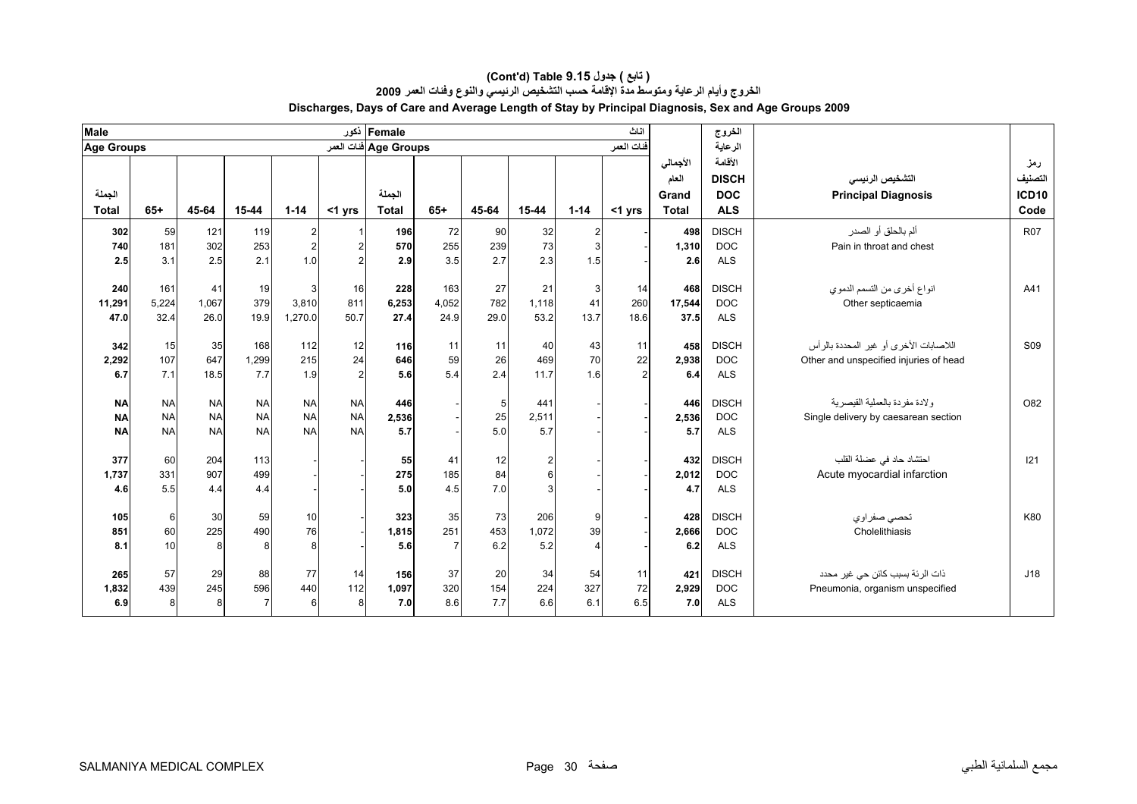| <b>Male</b>       |           |           |                |                |                | Female أكور           |                |            |                |              | اناث           |              | الخروج       |                                        |                 |
|-------------------|-----------|-----------|----------------|----------------|----------------|-----------------------|----------------|------------|----------------|--------------|----------------|--------------|--------------|----------------------------------------|-----------------|
| <b>Age Groups</b> |           |           |                |                |                | Age Groups فنات العمر |                |            |                |              | فنات العمر     |              | الرعاية      |                                        |                 |
|                   |           |           |                |                |                |                       |                |            |                |              |                | الأجمالي     | الأقامة      |                                        | رمز             |
|                   |           |           |                |                |                |                       |                |            |                |              |                | العام        | <b>DISCH</b> | التشخيص الرنيسي                        | التصنيف         |
| الجملة            |           |           |                |                |                | الجملة                |                |            |                |              |                | Grand        | <b>DOC</b>   | <b>Principal Diagnosis</b>             | <b>ICD10</b>    |
| <b>Total</b>      | $65+$     | 45-64     | 15-44          | $1 - 14$       | <1 yrs         | <b>Total</b>          | $65+$          | 45-64      | 15-44          | $1 - 14$     | $<$ 1 yrs      | <b>Total</b> | <b>ALS</b>   |                                        | Code            |
| 302               | 59        | 121       | 119            | $\overline{a}$ |                | 196                   | 72             | 90         | 32             | $\mathbf{2}$ |                | 498          | <b>DISCH</b> | ألم بالحلق أو الصدر                    | <b>R07</b>      |
| 740               | 181       | 302       | 253            | $\overline{a}$ | $\overline{2}$ | 570                   | 255            | 239        | 73             | 3            |                | 1,310        | <b>DOC</b>   | Pain in throat and chest               |                 |
| 2.5               | 3.1       | 2.5       | 2.1            | 1.0            | $\mathfrak{p}$ | 2.9                   | 3.5            | 2.7        | 2.3            | 1.5          |                | 2.6          | <b>ALS</b>   |                                        |                 |
| 240               | 161       | 41        | 19             | 3              | 16             | 228                   | 163            | 27         | 21             | 3            | 14             | 468          | <b>DISCH</b> | انواع أخرى من التسمم الدموي            | A41             |
| 11,291            | 5,224     | 1,067     | 379            | 3,810          | 811            | 6,253                 | 4,052          | 782        | 1.118          | 41           | 260            | 17,544       | <b>DOC</b>   | Other septicaemia                      |                 |
| 47.0              | 32.4      | 26.0      | 19.9           | 1,270.0        | 50.7           | 27.4                  | 24.9           | 29.0       | 53.2           | 13.7         | 18.6           | 37.5         | <b>ALS</b>   |                                        |                 |
|                   |           |           |                |                |                |                       |                |            |                |              |                |              |              |                                        |                 |
| 342               | 15        | 35        | 168            | 112            | 12             | 116                   | 11             | 11         | 40             | 43           | 11             | 458          | <b>DISCH</b> | اللاصابات الأخرى أو غير المحددة بالرأس | S <sub>09</sub> |
| 2,292             | 107       | 647       | 1,299          | 215            | 24             | 646                   | 59             | 26         | 469            | 70           | 22             | 2.938        | <b>DOC</b>   | Other and unspecified injuries of head |                 |
| 6.7               | 7.1       | 18.5      | 7.7            | 1.9            | $\overline{2}$ | 5.6                   | 5.4            | 2.4        | 11.7           | 1.6          | $\overline{2}$ | 6.4          | <b>ALS</b>   |                                        |                 |
| <b>NA</b>         | <b>NA</b> | <b>NA</b> | <b>NA</b>      | <b>NA</b>      | <b>NA</b>      | 446                   |                | $\sqrt{5}$ | 441            |              |                | 446          | <b>DISCH</b> | ولادة مفردة بالعملية القيصرية          | O82             |
| <b>NA</b>         | <b>NA</b> | <b>NA</b> | <b>NA</b>      | <b>NA</b>      | <b>NA</b>      | 2,536                 |                | 25         | 2,511          |              |                | 2,536        | <b>DOC</b>   | Single delivery by caesarean section   |                 |
| <b>NA</b>         | <b>NA</b> | <b>NA</b> | <b>NA</b>      | <b>NA</b>      | <b>NA</b>      | 5.7                   |                | 5.0        | 5.7            |              |                | 5.7          | <b>ALS</b>   |                                        |                 |
|                   |           |           |                |                |                |                       |                |            |                |              |                |              |              |                                        |                 |
| 377               | 60        | 204       | 113            |                |                | 55                    | 41             | 12         | 2              |              |                | 432          | <b>DISCH</b> | احتشاد حاد في عضلة القلب               | 121             |
| 1,737             | 331       | 907       | 499            |                |                | 275                   | 185            | 84         | $6\phantom{a}$ |              |                | 2,012        | <b>DOC</b>   | Acute myocardial infarction            |                 |
| 4.6               | 5.5       | 4.4       | 4.4            |                |                | 5.0                   | 4.5            | 7.0        | 3              |              |                | 4.7          | <b>ALS</b>   |                                        |                 |
| 105               | 6         | 30        | 59             | 10             |                | 323                   | 35             | 73         | 206            | 9            |                | 428          | <b>DISCH</b> | تحصبي صفراوي                           | K80             |
| 851               | 60        | 225       | 490            | 76             |                | 1,815                 | 251            | 453        | 1,072          | 39           |                | 2.666        | <b>DOC</b>   | Cholelithiasis                         |                 |
| 8.1               | 10        | 8         | 8              | 8              |                | 5.6                   | $\overline{7}$ | 6.2        | 5.2            |              |                | 6.2          | <b>ALS</b>   |                                        |                 |
|                   |           |           |                |                |                |                       |                |            |                |              |                |              |              |                                        |                 |
| 265               | 57        | 29        | 88             | 77             | 14             | 156                   | 37             | 20         | 34             | 54           | 11             | 421          | <b>DISCH</b> | ذات الرئة بسبب كائن حي غير محدد        | J18             |
| 1,832             | 439       | 245       | 596            | 440            | 112            | 1,097                 | 320            | 154        | 224            | 327          | 72             | 2,929        | <b>DOC</b>   | Pneumonia, organism unspecified        |                 |
| 6.9               | 8         | 8         | $\overline{7}$ | 6              | 8              | 7.0                   | 8.6            | 7.7        | 6.6            | 6.1          | 6.5            | 7.0          | <b>ALS</b>   |                                        |                 |

#### **Discharges, Days of Care and Average Length of Stay by Principal Diagnosis, Sex and Age Groups 2009 (Cont'd) Table 9.15 جدول ) تابع( الخروج وأيام الرعاية ومتوسط مدة الإقامة حسب التشخيص الرئيسي والنوع وفئات العمر <sup>2009</sup>**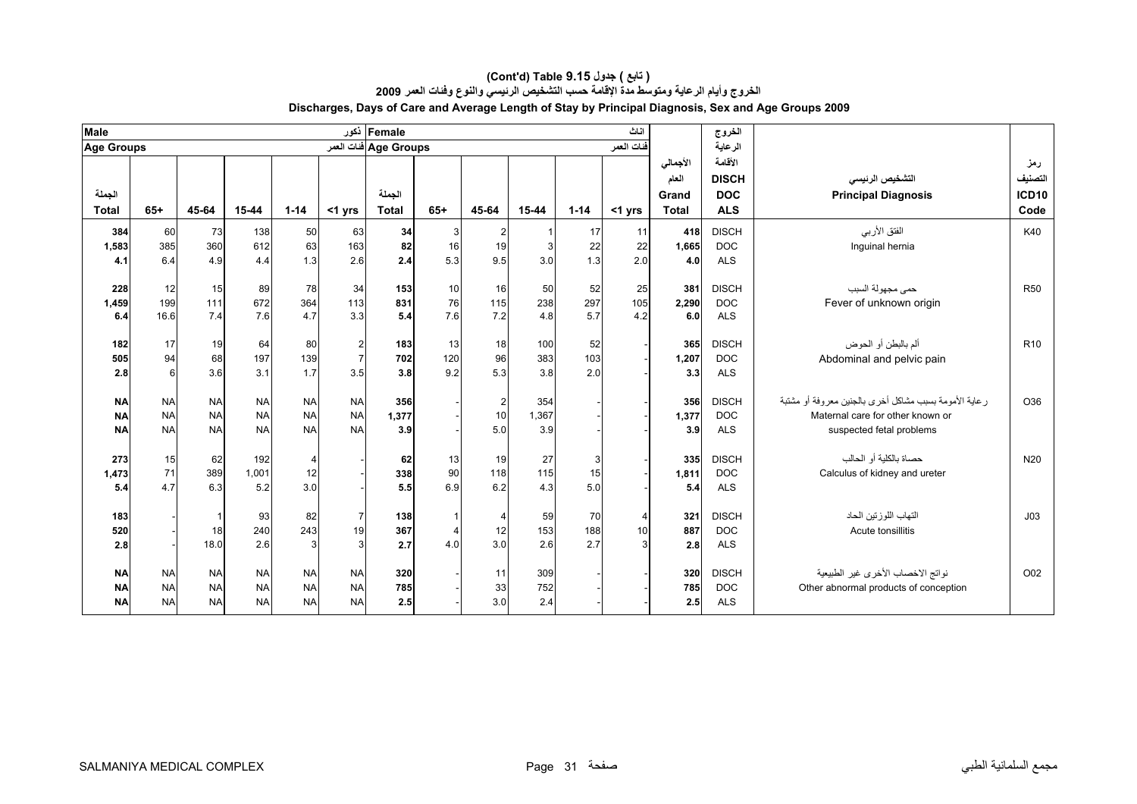| <b>Male</b>       |             |                |           |            |                | Female أكور            |                |                    |            |            | اناث           |              | الخروج                   |                                                          |                 |
|-------------------|-------------|----------------|-----------|------------|----------------|------------------------|----------------|--------------------|------------|------------|----------------|--------------|--------------------------|----------------------------------------------------------|-----------------|
| <b>Age Groups</b> |             |                |           |            |                | Age Groups فَنات العمر |                |                    |            |            | فنات العمر     |              | الرعاية                  |                                                          |                 |
|                   |             |                |           |            |                |                        |                |                    |            |            |                | الأجمالي     | الأقامة                  |                                                          | رمز             |
|                   |             |                |           |            |                |                        |                |                    |            |            |                | العام        | <b>DISCH</b>             | التشخيص الرنيسي                                          | التصنيف         |
| الجملة            |             |                |           |            |                | الجملة                 |                |                    |            |            |                | Grand        | <b>DOC</b>               | <b>Principal Diagnosis</b>                               | <b>ICD10</b>    |
| <b>Total</b>      | $65+$       | 45-64          | 15-44     | $1 - 14$   | <1 yrs         | <b>Total</b>           | $65+$          | 45-64              | 15-44      | $1 - 14$   | <1 yrs         | <b>Total</b> | <b>ALS</b>               |                                                          | Code            |
| 384               | 60          | 73             | 138       | 50         | 63             | 34                     | $\mathbf{3}$   | $\mathbf{2}$       |            | 17         | 11             | 418          | <b>DISCH</b>             | الفتق الأربي                                             | K40             |
| 1,583             | 385         | 360            | 612       | 63         | 163            | 82                     | 16             | 19                 | 3          | 22         | 22             | 1.665        | <b>DOC</b>               | Inguinal hernia                                          |                 |
| 4.1               | 6.4         | 4.9            | 4.4       | 1.3        | 2.6            | 2.4                    | 5.3            | 9.5                | 3.0        | 1.3        | 2.0            | 4.0          | <b>ALS</b>               |                                                          |                 |
|                   |             |                |           | 78         |                |                        |                |                    |            |            |                |              | <b>DISCH</b>             |                                                          | <b>R50</b>      |
| 228               | 12          | 15<br>111      | 89<br>672 |            | 34             | 153                    | 10             | 16                 | 50         | 52         | 25             | 381          |                          | حمى مجهولة السبب                                         |                 |
| 1,459<br>6.4      | 199<br>16.6 | 7.4            | 7.6       | 364<br>4.7 | 113<br>3.3     | 831<br>5.4             | 76<br>7.6      | 115<br>7.2         | 238<br>4.8 | 297<br>5.7 | 105<br>4.2     | 2,290<br>6.0 | <b>DOC</b><br><b>ALS</b> | Fever of unknown origin                                  |                 |
|                   |             |                |           |            |                |                        |                |                    |            |            |                |              |                          |                                                          |                 |
| 182               | 17          | 19             | 64        | 80         | $\overline{2}$ | 183                    | 13             | 18                 | 100        | 52         |                | 365          | <b>DISCH</b>             | ألم بالبطن أو الحوض                                      | R <sub>10</sub> |
| 505               | 94          | 68             | 197       | 139        | $\overline{7}$ | 702                    | 120            | 96                 | 383        | 103        |                | 1,207        | <b>DOC</b>               | Abdominal and pelvic pain                                |                 |
| 2.8               | 6           | 3.6            | 3.1       | 1.7        | 3.5            | 3.8                    | 9.2            | 5.3                | 3.8        | 2.0        |                | 3.3          | <b>ALS</b>               |                                                          |                 |
| <b>NA</b>         | <b>NA</b>   | <b>NA</b>      | <b>NA</b> | <b>NA</b>  | <b>NA</b>      | 356                    |                |                    | 354        |            |                | 356          | <b>DISCH</b>             | ر عاية الأمومة بسبب مشاكل أخر ي بالجنين معر وفة أو مشتبة | O36             |
| <b>NA</b>         | <b>NA</b>   | <b>NA</b>      | <b>NA</b> | <b>NA</b>  | <b>NA</b>      | 1,377                  |                | $\mathbf{2}$<br>10 | 1,367      |            |                | 1,377        | <b>DOC</b>               | Maternal care for other known or                         |                 |
| <b>NA</b>         | <b>NA</b>   | <b>NA</b>      | <b>NA</b> | <b>NA</b>  | <b>NA</b>      | 3.9                    |                | 5.0                | 3.9        |            |                | 3.9          | <b>ALS</b>               | suspected fetal problems                                 |                 |
|                   |             |                |           |            |                |                        |                |                    |            |            |                |              |                          |                                                          |                 |
| 273               | 15          | 62             | 192       | 4          |                | 62                     | 13             | 19                 | 27         | 3          |                | 335          | <b>DISCH</b>             | حصاة بالكلية أو الحالب                                   | N <sub>20</sub> |
| 1,473             | 71          | 389            | 1,001     | 12         |                | 338                    | 90             | 118                | 115        | 15         |                | 1,811        | <b>DOC</b>               | Calculus of kidney and ureter                            |                 |
| 5.4               | 4.7         | 6.3            | 5.2       | 3.0        |                | 5.5                    | 6.9            | 6.2                | 4.3        | 5.0        |                | 5.4          | <b>ALS</b>               |                                                          |                 |
| 183               |             | $\overline{1}$ | 93        | 82         | $\overline{7}$ | 138                    |                | $\overline{4}$     | 59         | 70         | $\overline{4}$ | 321          | <b>DISCH</b>             | التهاب اللوزتين الحاد                                    | J <sub>03</sub> |
| 520               |             | 18             | 240       | 243        | 19             | 367                    | $\overline{4}$ | 12                 | 153        | 188        | 10             | 887          | <b>DOC</b>               | Acute tonsillitis                                        |                 |
| 2.8               |             | 18.0           | 2.6       | 3          | 3              | 2.7                    | 4.0            | 3.0                | 2.6        | 2.7        |                | 2.8          | <b>ALS</b>               |                                                          |                 |
|                   |             |                |           |            |                |                        |                |                    |            |            |                |              |                          |                                                          |                 |
| <b>NA</b>         | <b>NA</b>   | <b>NA</b>      | <b>NA</b> | <b>NA</b>  | <b>NA</b>      | 320                    |                | 11                 | 309        |            |                | 320          | <b>DISCH</b>             | نواتج الاخصاب الأخرى غير الطبيعية                        | O02             |
| <b>NA</b>         | <b>NA</b>   | <b>NA</b>      | <b>NA</b> | <b>NA</b>  | <b>NA</b>      | 785                    |                | 33                 | 752        |            |                | 785          | <b>DOC</b>               | Other abnormal products of conception                    |                 |
| <b>NA</b>         | <b>NA</b>   | <b>NA</b>      | <b>NA</b> | <b>NA</b>  | <b>NA</b>      | 2.5                    |                | 3.0                | 2.4        |            |                | 2.5          | <b>ALS</b>               |                                                          |                 |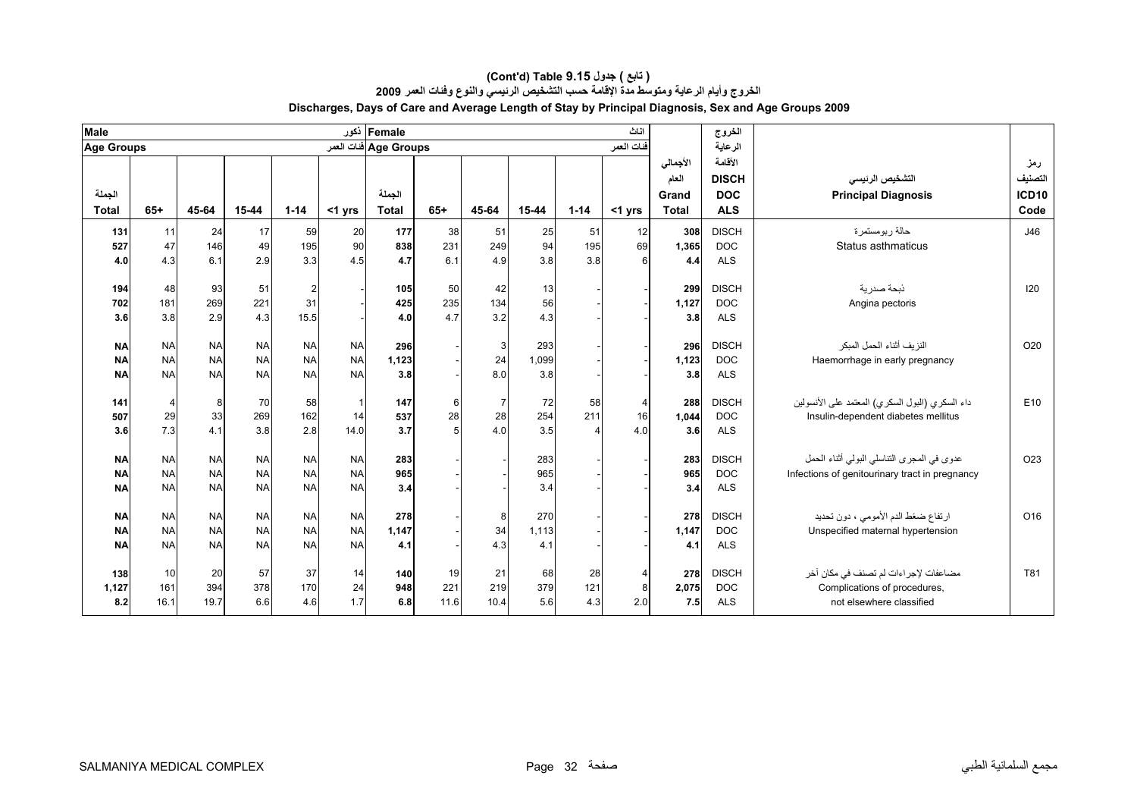| <b>Male</b>       |           |           |           |           |              | Female أكور           |                |                |       |          | اناث             |              | الخروج       |                                                   |                 |
|-------------------|-----------|-----------|-----------|-----------|--------------|-----------------------|----------------|----------------|-------|----------|------------------|--------------|--------------|---------------------------------------------------|-----------------|
| <b>Age Groups</b> |           |           |           |           |              | Age Groups فنات العمر |                |                |       |          | فنات العمر       |              | الرعاية      |                                                   |                 |
|                   |           |           |           |           |              |                       |                |                |       |          |                  | الأجمالي     | الأقامة      |                                                   | رمز             |
|                   |           |           |           |           |              |                       |                |                |       |          |                  | العام        | <b>DISCH</b> | التشخيص الرنيسي                                   | التصنيف         |
| الجملة            |           |           |           |           |              | الجملة                |                |                |       |          |                  | Grand        | <b>DOC</b>   | <b>Principal Diagnosis</b>                        | <b>ICD10</b>    |
| <b>Total</b>      | $65+$     | 45-64     | 15-44     | $1 - 14$  | <1 yrs       | <b>Total</b>          | $65+$          | 45-64          | 15-44 | $1 - 14$ | $<$ 1 yrs        | <b>Total</b> | <b>ALS</b>   |                                                   | Code            |
| 131               | 11        | 24        | 17        | 59        | 20           | 177                   | 38             | 51             | 25    | 51       | 12               | 308          | <b>DISCH</b> | حالة ربومستمرة                                    | J46             |
| 527               | 47        | 146       | 49        | 195       | 90           | 838                   | 231            | 249            | 94    | 195      | 69               | 1,365        | <b>DOC</b>   | Status asthmaticus                                |                 |
| 4.0               | 4.3       | 6.1       | 2.9       | 3.3       | 4.5          | 4.7                   | 6.1            | 4.9            | 3.8   | 3.8      | $6 \overline{6}$ | 4.4          | <b>ALS</b>   |                                                   |                 |
|                   |           |           |           |           |              |                       |                |                |       |          |                  |              |              |                                                   |                 |
| 194               | 48        | 93        | 51        | 2         |              | 105                   | 50             | 42             | 13    |          |                  | 299          | <b>DISCH</b> | ذبحة صدر بة                                       | 120             |
| 702               | 181       | 269       | 221       | 31        |              | 425                   | 235            | 134            | 56    |          |                  | 1,127        | <b>DOC</b>   | Angina pectoris                                   |                 |
| 3.6               | 3.8       | 2.9       | 4.3       | 15.5      |              | 4.0                   | 4.7            | 3.2            | 4.3   |          |                  | 3.8          | <b>ALS</b>   |                                                   |                 |
| <b>NA</b>         | <b>NA</b> | <b>NA</b> | <b>NA</b> | <b>NA</b> | <b>NA</b>    | 296                   |                | $\mathbf{3}$   | 293   |          |                  | 296          | <b>DISCH</b> | النزيف أثناء الحمل المبكر                         | O20             |
| <b>NA</b>         | <b>NA</b> | <b>NA</b> | <b>NA</b> | <b>NA</b> | <b>NA</b>    | 1,123                 |                | 24             | 1,099 |          |                  | 1,123        | <b>DOC</b>   | Haemorrhage in early pregnancy                    |                 |
| <b>NA</b>         | <b>NA</b> | <b>NA</b> | <b>NA</b> | <b>NA</b> | <b>NA</b>    | 3.8                   |                | 8.0            | 3.8   |          |                  | 3.8          | <b>ALS</b>   |                                                   |                 |
|                   |           |           |           |           |              |                       |                |                |       |          |                  |              |              |                                                   |                 |
| 141               | 4         | 8         | 70        | 58        | $\mathbf{1}$ | 147                   | 6              | $\overline{7}$ | 72    | 58       | $\overline{4}$   | 288          | <b>DISCH</b> | داء السكر ي (البول السكر ي) المعتمد على الأنسولين | E10             |
| 507               | 29        | 33        | 269       | 162       | 14           | 537                   | 28             | 28             | 254   | 211      | 16               | 1,044        | <b>DOC</b>   | Insulin-dependent diabetes mellitus               |                 |
| 3.6               | 7.3       | 4.1       | 3.8       | 2.8       | 14.0         | 3.7                   | 5 <sup>1</sup> | 4.0            | 3.5   |          | 4.0              | 3.6          | <b>ALS</b>   |                                                   |                 |
|                   |           |           |           |           |              |                       |                |                |       |          |                  |              |              |                                                   |                 |
| <b>NA</b>         | <b>NA</b> | <b>NA</b> | <b>NA</b> | <b>NA</b> | <b>NA</b>    | 283                   |                |                | 283   |          |                  | 283          | <b>DISCH</b> | عدوى في المجرى التناسلي البولي أثناء الحمل        | O <sub>23</sub> |
| <b>NA</b>         | <b>NA</b> | <b>NA</b> | <b>NA</b> | <b>NA</b> | <b>NA</b>    | 965                   |                |                | 965   |          |                  | 965          | <b>DOC</b>   | Infections of genitourinary tract in pregnancy    |                 |
| <b>NA</b>         | <b>NA</b> | <b>NA</b> | <b>NA</b> | <b>NA</b> | <b>NA</b>    | 3.4                   |                |                | 3.4   |          |                  | 3.4          | <b>ALS</b>   |                                                   |                 |
| <b>NA</b>         | <b>NA</b> | <b>NA</b> | <b>NA</b> | <b>NA</b> | <b>NA</b>    | 278                   |                | 8              | 270   |          |                  | 278          | <b>DISCH</b> | ارتفاع ضغط الدم الأمومي ، دون تحديد               | O16             |
| <b>NA</b>         | <b>NA</b> | <b>NA</b> | <b>NA</b> | <b>NA</b> | <b>NA</b>    | 1,147                 |                | 34             | 1,113 |          |                  | 1,147        | <b>DOC</b>   | Unspecified maternal hypertension                 |                 |
| <b>NA</b>         | <b>NA</b> | <b>NA</b> | <b>NA</b> | <b>NA</b> | <b>NA</b>    | 4.1                   |                | 4.3            | 4.1   |          |                  | 4.1          | <b>ALS</b>   |                                                   |                 |
|                   |           |           |           |           |              |                       |                |                |       |          |                  |              |              |                                                   |                 |
| 138               | 10        | 20        | 57        | 37        | 14           | 140                   | 19             | 21             | 68    | 28       |                  | 278          | <b>DISCH</b> | مضاعفات لإجر اءات لم تصنف في مكان آخر             | T81             |
| 1,127             | 161       | 394       | 378       | 170       | 24           | 948                   | 221            | 219            | 379   | 121      |                  | 2,075        | <b>DOC</b>   | Complications of procedures.                      |                 |
| 8.2               | 16.1      | 19.7      | 6.6       | 4.6       | 1.7          | 6.8                   | 11.6           | 10.4           | 5.6   | 4.3      | 2.0              | 7.5          | <b>ALS</b>   | not elsewhere classified                          |                 |
|                   |           |           |           |           |              |                       |                |                |       |          |                  |              |              |                                                   |                 |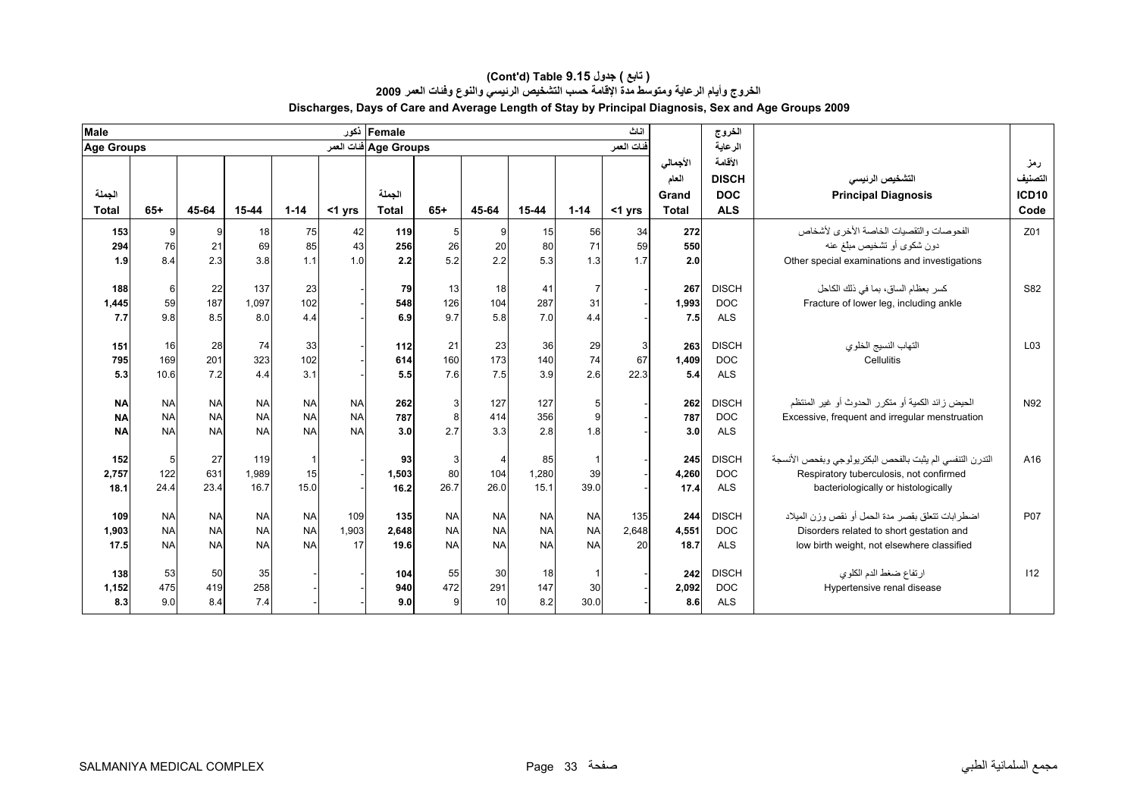| Male              |           |           |           |           | نكور      | Female                |                |                |           |           | اناث       |              | الخروج       |                                                            |                 |
|-------------------|-----------|-----------|-----------|-----------|-----------|-----------------------|----------------|----------------|-----------|-----------|------------|--------------|--------------|------------------------------------------------------------|-----------------|
| <b>Age Groups</b> |           |           |           |           |           | Age Groups فنات العمر |                |                |           |           | فنات العمر |              | الرعاية      |                                                            |                 |
|                   |           |           |           |           |           |                       |                |                |           |           |            | الأجمالي     | الأقامة      |                                                            | رمز             |
|                   |           |           |           |           |           |                       |                |                |           |           |            | العام        | <b>DISCH</b> | التشخيص الرنيسى                                            | التصنيف         |
| الجملة            |           |           |           |           |           | الجملة                |                |                |           |           |            | Grand        | <b>DOC</b>   | <b>Principal Diagnosis</b>                                 | <b>ICD10</b>    |
| <b>Total</b>      | $65+$     | 45-64     | 15-44     | $1 - 14$  | <1 yrs    | <b>Total</b>          | $65+$          | 45-64          | 15-44     | $1 - 14$  | <1 yrs     | <b>Total</b> | <b>ALS</b>   |                                                            | Code            |
| 153               | 9         | 9         | 18        | 75        | 42        | 119                   | 5 <sub>5</sub> | 9              | 15        | 56        | 34         | 272          |              | الفحوصات والتقصيات الخاصة الأخرى لأشخاص                    | Z01             |
| 294               | 76        | 21        | 69        | 85        | 43        | 256                   | 26             | 20             | 80        | 71        | 59         | 550          |              | دون شكوى أو تشخيص مبلغ عنه                                 |                 |
| 1.9               | 8.4       | 2.3       | 3.8       | 1.1       | 1.0       | 2.2                   | 5.2            | 2.2            | 5.3       | 1.3       | 1.7        | 2.0          |              | Other special examinations and investigations              |                 |
| 188               | 6         | 22        | 137       | 23        |           | 79                    | 13             | 18             | 41        |           |            | 267          | <b>DISCH</b> | كسر بعظام الساق، بما في ذلك الكاحل                         | S82             |
| 1,445             | 59        | 187       | 1,097     | 102       |           | 548                   | 126            | 104            | 287       | 31        |            | 1,993        | <b>DOC</b>   | Fracture of lower leg, including ankle                     |                 |
| 7.7               | 9.8       | 8.5       | 8.0       | 4.4       |           | 6.9                   | 9.7            | 5.8            | 7.0       | 4.4       |            | 7.5          | <b>ALS</b>   |                                                            |                 |
|                   |           |           |           |           |           |                       |                |                |           |           |            |              |              |                                                            |                 |
| 151               | 16        | 28        | 74        | 33        |           | 112                   | 21             | 23             | 36        | 29        | 3          | 263          | <b>DISCH</b> | التهاب النسيج الخلوي                                       | L <sub>03</sub> |
| 795               | 169       | 201       | 323       | 102       |           | 614                   | 160            | 173            | 140       | 74        | 67         | 1.409        | <b>DOC</b>   | Cellulitis                                                 |                 |
| 5.3               | 10.6      | 7.2       | 4.4       | 3.1       |           | 5.5                   | 7.6            | 7.5            | 3.9       | 2.6       | 22.3       | 5.4          | <b>ALS</b>   |                                                            |                 |
| <b>NA</b>         | <b>NA</b> | <b>NA</b> | <b>NA</b> | <b>NA</b> | <b>NA</b> | 262                   | $\mathbf{3}$   | 127            | 127       | 5         |            | 262          | <b>DISCH</b> | الحيض ز ائد الكمية أو متكر ر الحدوث أو غير المنتظم         | N92             |
| <b>NA</b>         | <b>NA</b> | <b>NA</b> | <b>NA</b> | <b>NA</b> | <b>NA</b> | 787                   | 8              | 414            | 356       | 9         |            | 787          | <b>DOC</b>   | Excessive, frequent and irregular menstruation             |                 |
| <b>NA</b>         | <b>NA</b> | <b>NA</b> | <b>NA</b> | <b>NA</b> | <b>NA</b> | 3.0                   | 2.7            | 3.3            | 2.8       | 1.8       |            | 3.0          | <b>ALS</b>   |                                                            |                 |
|                   |           |           |           |           |           |                       |                |                |           |           |            |              |              |                                                            |                 |
| 152               | 5         | 27        | 119       |           |           | 93                    | $\mathbf{3}$   | $\overline{4}$ | 85        |           |            | 245          | <b>DISCH</b> | التدرن التنفسي الم يثبت بالفحص البكتر يولوجي وبفحص الأنسجة | A16             |
| 2,757             | 122       | 631       | 1,989     | 15        |           | 1,503                 | 80             | 104            | 1,280     | 39        |            | 4,260        | <b>DOC</b>   | Respiratory tuberculosis, not confirmed                    |                 |
| 18.1              | 24.4      | 23.4      | 16.7      | 15.0      |           | 16.2                  | 26.7           | 26.0           | 15.1      | 39.0      |            | 17.4         | <b>ALS</b>   | bacteriologically or histologically                        |                 |
| 109               | <b>NA</b> | <b>NA</b> | <b>NA</b> | <b>NA</b> | 109       | 135                   | <b>NA</b>      | <b>NA</b>      | <b>NA</b> | <b>NA</b> | 135        | 244          | <b>DISCH</b> | اضطرابات تتعلق بقصر مدة الحمل أو نقص وزن الميلاد           | P <sub>07</sub> |
| 1,903             | <b>NA</b> | <b>NA</b> | <b>NA</b> | <b>NA</b> | 1.903     | 2,648                 | <b>NA</b>      | <b>NA</b>      | <b>NA</b> | <b>NA</b> | 2.648      | 4,551        | <b>DOC</b>   | Disorders related to short gestation and                   |                 |
| 17.5              | <b>NA</b> | <b>NA</b> | <b>NA</b> | <b>NA</b> | 17        | 19.6                  | <b>NA</b>      | <b>NA</b>      | <b>NA</b> | <b>NA</b> | 20         | 18.7         | <b>ALS</b>   | low birth weight, not elsewhere classified                 |                 |
|                   |           |           |           |           |           |                       |                |                |           |           |            |              |              |                                                            |                 |
| 138               | 53        | 50        | 35        |           |           | 104                   | 55             | 30             | 18        |           |            | 242          | <b>DISCH</b> | ارتفاع ضغط الدم الكلوي                                     | 112             |
| 1,152             | 475       | 419       | 258       |           |           | 940                   | 472            | 291            | 147       | 30        |            | 2,092        | <b>DOC</b>   | Hypertensive renal disease                                 |                 |
| 8.3               | 9.0       | 8.4       | 7.4       |           |           | 9.0                   | $\mathbf{Q}$   | 10             | 8.2       | 30.0      |            | 8.6          | <b>ALS</b>   |                                                            |                 |

#### **الخروج وأيام الرعاية ومتوسط مدة الإقامة حسب التشخيص الرئيسي والنوع وفئات العمر <sup>2009</sup> Discharges, Days of Care and Average Length of Stay by Principal Diagnosis, Sex and Age Groups 2009 (Cont'd) Table 9.15 جدول ) تابع(**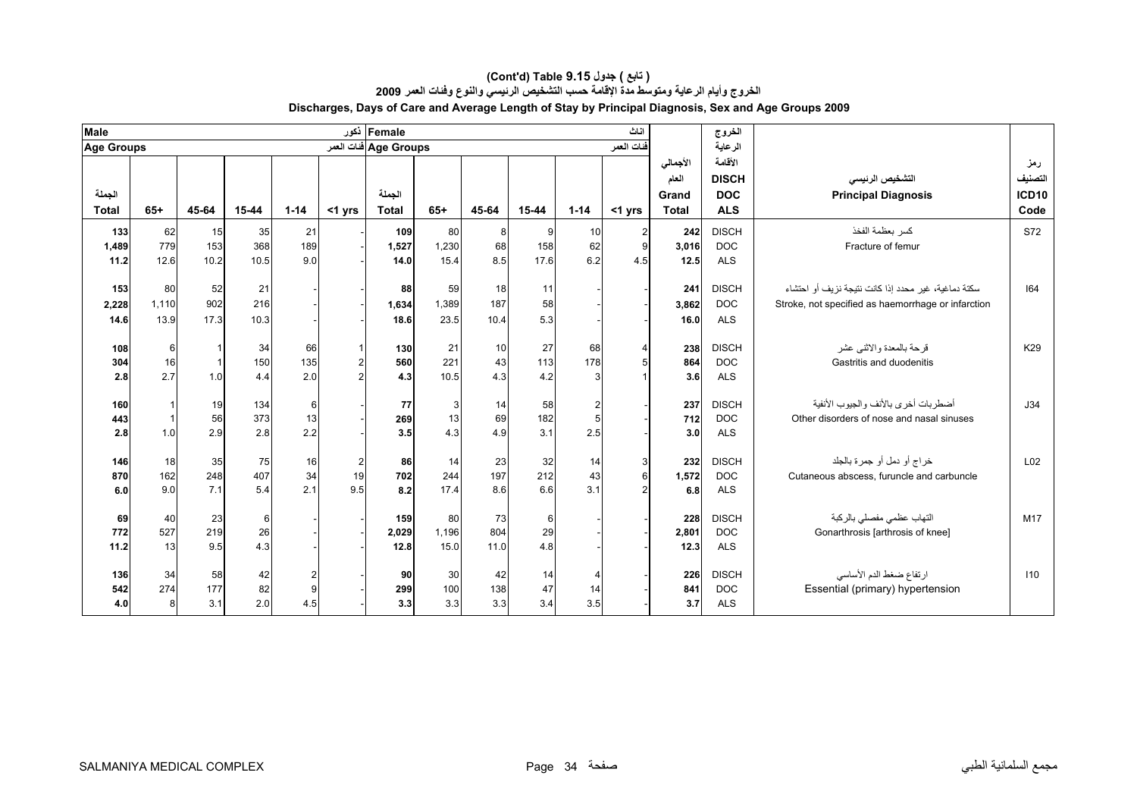| <b>Male</b>  |              |                |           |          |                               | Female ذکور            |              |                |           |                 | اناث       |              | الخروج                     |                                                                         |                 |
|--------------|--------------|----------------|-----------|----------|-------------------------------|------------------------|--------------|----------------|-----------|-----------------|------------|--------------|----------------------------|-------------------------------------------------------------------------|-----------------|
| Age Groups   |              |                |           |          |                               | Age Groups فَنات العمر |              |                |           |                 | فنات العمر |              | الرعاية                    |                                                                         |                 |
|              |              |                |           |          |                               |                        |              |                |           |                 |            | الأجمالي     | الأقامة                    |                                                                         | رمز             |
|              |              |                |           |          |                               |                        |              |                |           |                 |            | العام        | <b>DISCH</b>               | التشخيص الرنيسي                                                         | التصنيف         |
| الجملة       |              |                |           |          |                               | الجملة                 |              |                |           |                 |            | Grand        | <b>DOC</b>                 | <b>Principal Diagnosis</b>                                              | ICD10           |
| <b>Total</b> | $65+$        | 45-64          | 15-44     | $1 - 14$ | <1 yrs                        | <b>Total</b>           | $65+$        | 45-64          | 15-44     | $1 - 14$        | $<$ 1 yrs  | <b>Total</b> | <b>ALS</b>                 |                                                                         | Code            |
| 133          | 62           | 15             | 35        | 21       |                               | 109                    | 80           | 8 <sup>1</sup> | 9         | 10 <sup>1</sup> | 2          | 242          | <b>DISCH</b>               | كسر بعظمة الفخذ                                                         | S72             |
| 1,489        | 779          | 153            | 368       | 189      |                               | 1,527                  | 1,230        | 68             | 158       | 62              | 9          | 3,016        | <b>DOC</b>                 | Fracture of femur                                                       |                 |
| 11.2         | 12.6         | 10.2           | 10.5      | 9.0      |                               | 14.0                   | 15.4         | 8.5            | 17.6      | 6.2             | 4.5        | 12.5         | <b>ALS</b>                 |                                                                         |                 |
| 153          | 80           | 52             | 21        |          |                               | 88                     | 59           | 18             | 11        |                 |            | 241          | <b>DISCH</b>               | سكتة دماغية، غير ۖ محدد إذا كانت نتيجة نزيف أو احتشاء                   | 64              |
|              | 1,110        | 902            | 216       |          |                               |                        |              | 187            | 58        |                 |            |              | <b>DOC</b>                 |                                                                         |                 |
| 2,228        | 13.9         | 17.3           | 10.3      |          |                               | 1,634                  | 1,389        | 10.4           | 5.3       |                 |            | 3,862        | <b>ALS</b>                 | Stroke, not specified as haemorrhage or infarction                      |                 |
| 14.6         |              |                |           |          |                               | 18.6                   | 23.5         |                |           |                 |            | 16.0         |                            |                                                                         |                 |
| 108          | 6            |                | 34        | 66       | $\mathbf 1$                   | 130                    | 21           | 10             | 27        | 68              | 4          | 238          | <b>DISCH</b>               | قرحة بالمعدة والاثني عشر                                                | K29             |
| 304          | 16           | $\overline{1}$ | 150       | 135      | $\overline{2}$                | 560                    | 221          | 43             | 113       | 178             |            | 864          | <b>DOC</b>                 | Gastritis and duodenitis                                                |                 |
| 2.8          | 2.7          | 1.0            | 4.4       | 2.0      |                               | 4.3                    | 10.5         | 4.3            | 4.2       | 3               |            | 3.6          | <b>ALS</b>                 |                                                                         |                 |
| 160          |              | 19             | 134       | $6 \,$   |                               | 77                     | $\mathbf{3}$ | 14             | 58        | $\mathbf{2}$    |            | 237          | <b>DISCH</b>               | أضطر بات أخر ي بالأنف و الجيو ب الأنفية                                 | J34             |
| 443          | $\mathbf{1}$ | 56             | 373       | 13       |                               | 269                    | 13           | 69             | 182       | 5               |            | 712          | <b>DOC</b>                 | Other disorders of nose and nasal sinuses                               |                 |
| 2.8          | 1.0          | 2.9            | 2.8       | 2.2      |                               | 3.5                    | 4.3          | 4.9            | 3.1       | 2.5             |            | 3.0          | <b>ALS</b>                 |                                                                         |                 |
|              |              |                |           |          |                               |                        |              |                |           |                 |            |              |                            |                                                                         |                 |
| 146<br>870   | 18<br>162    | 35<br>248      | 75<br>407 | 16<br>34 | $\overline{\mathbf{c}}$<br>19 | 86<br>702              | 14<br>244    | 23<br>197      | 32<br>212 | 14<br>43        | 3<br>ĥ     | 232          | <b>DISCH</b><br><b>DOC</b> | خراج أو دمل أو جمرة بالجلد<br>Cutaneous abscess, furuncle and carbuncle | L <sub>02</sub> |
| 6.0          | 9.0          | 7.1            | 5.4       | 2.1      | 9.5                           | 8.2                    | 17.4         | 8.6            | 6.6       | 3.1             |            | 1,572<br>6.8 | <b>ALS</b>                 |                                                                         |                 |
|              |              |                |           |          |                               |                        |              |                |           |                 |            |              |                            |                                                                         |                 |
| 69           | 40           | 23             | 6         |          |                               | 159                    | 80           | 73             | 6         |                 |            | 228          | <b>DISCH</b>               | التهاب عظمى مفصلى بالركبة                                               | M17             |
| 772          | 527          | 219            | 26        |          |                               | 2,029                  | 1,196        | 804            | 29        |                 |            | 2,801        | <b>DOC</b>                 | Gonarthrosis [arthrosis of knee]                                        |                 |
| 11.2         | 13           | 9.5            | 4.3       |          |                               | 12.8                   | 15.0         | 11.0           | 4.8       |                 |            | 12.3         | <b>ALS</b>                 |                                                                         |                 |
| 136          | 34           | 58             | 42        | 2        |                               | 90                     | 30           | 42             | 14        | $\frac{4}{ }$   |            | 226          | <b>DISCH</b>               | ارتفاع ضغط الدم الأساسى                                                 | 110             |
| 542          | 274          | 177            | 82        | 9        |                               | 299                    | 100          | 138            | 47        | 14              |            | 841          | <b>DOC</b>                 | Essential (primary) hypertension                                        |                 |
| 4.0          | 8            | 3.1            | 2.0       | 4.5      |                               | 3.3                    | 3.3          | 3.3            | 3.4       | 3.5             |            | 3.7          | <b>ALS</b>                 |                                                                         |                 |
|              |              |                |           |          |                               |                        |              |                |           |                 |            |              |                            |                                                                         |                 |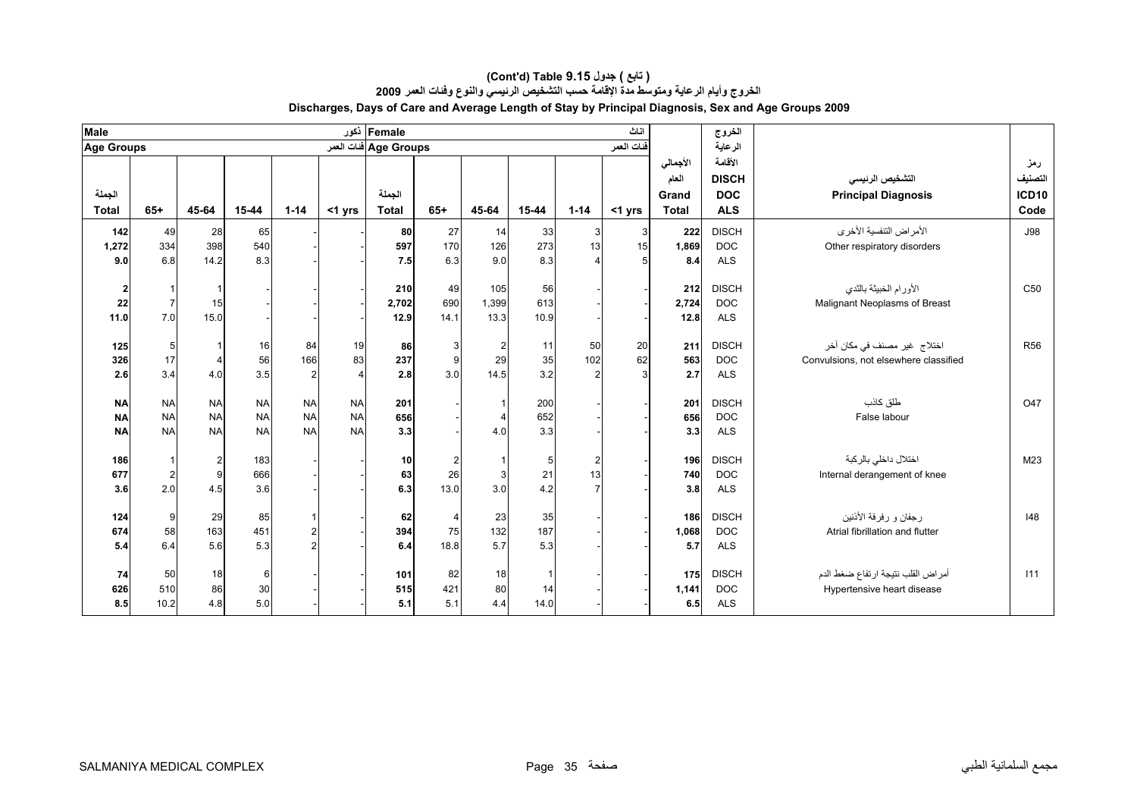| <b>Male</b>       |                |                |           |                |           | Female ذکور                 |       |                         |       |              | اناث       |              | الخروج       |                                       |                 |
|-------------------|----------------|----------------|-----------|----------------|-----------|-----------------------------|-------|-------------------------|-------|--------------|------------|--------------|--------------|---------------------------------------|-----------------|
| <b>Age Groups</b> |                |                |           |                |           | Age Groups فَنَاتَ الْعَمَر |       |                         |       |              | فنات العمر |              | الرعاية      |                                       |                 |
|                   |                |                |           |                |           |                             |       |                         |       |              |            | الأجمالي     | الأقامة      |                                       | رمز             |
|                   |                |                |           |                |           |                             |       |                         |       |              |            | العام        | <b>DISCH</b> | التشخيص الرنيسي                       | التصنيف         |
| الجملة            |                |                |           |                |           | الجملة                      |       |                         |       |              |            | Grand        | <b>DOC</b>   | <b>Principal Diagnosis</b>            | ICD10           |
| <b>Total</b>      | $65+$          | 45-64          | 15-44     | $1 - 14$       | $<$ 1 yrs | <b>Total</b>                | $65+$ | 45-64                   | 15-44 | $1 - 14$     | <1 yrs     | <b>Total</b> | <b>ALS</b>   |                                       | Code            |
| 142               | 49             | 28             | 65        |                |           | 80                          | 27    | 14                      | 33    | 3            | 3          | 222          | <b>DISCH</b> | الأمر اض التنفسية الأخر ي             | <b>J98</b>      |
| 1,272             | 334            | 398            | 540       |                |           | 597                         | 170   | 126                     | 273   | 13           | 15         | 1,869        | <b>DOC</b>   | Other respiratory disorders           |                 |
| 9.0               | 6.8            | 14.2           | 8.3       |                |           | 7.5                         | 6.3   | 9.0                     | 8.3   |              |            | 8.4          | <b>ALS</b>   |                                       |                 |
|                   |                |                |           |                |           | 210                         | 49    | 105                     | 56    |              |            | 212          | <b>DISCH</b> | الأورام الخبيثة بالثدى                | C <sub>50</sub> |
| 2<br>22           | $\overline{7}$ | 15             |           |                |           | 2,702                       | 690   | 1.399                   | 613   |              |            | 2,724        | <b>DOC</b>   | Malignant Neoplasms of Breast         |                 |
| 11.0              | 7.0            | 15.0           |           |                |           | 12.9                        | 14.1  | 13.3                    | 10.9  |              |            | 12.8         | <b>ALS</b>   |                                       |                 |
|                   |                |                |           |                |           |                             |       |                         |       |              |            |              |              |                                       |                 |
| 125               | 5              | -1             | 16        | 84             | 19        | 86                          | 3     | $\overline{\mathbf{c}}$ | 11    | 50           | 20         | 211          | <b>DISCH</b> | اختلاج  غیر  مصنف فی مکان آخر         | <b>R56</b>      |
| 326               | 17             | $\overline{4}$ | 56        | 166            | 83        | 237                         | 9     | 29                      | 35    | 102          | 62         | 563          | <b>DOC</b>   | Convulsions, not elsewhere classified |                 |
| 2.6               | 3.4            | 4.0            | 3.5       | $\overline{2}$ |           | 2.8                         | 3.0   | 14.5                    | 3.2   |              |            | 2.7          | <b>ALS</b>   |                                       |                 |
| <b>NA</b>         | <b>NA</b>      | <b>NA</b>      | <b>NA</b> | <b>NA</b>      | <b>NA</b> | 201                         |       | $\mathbf{1}$            | 200   |              |            | 201          | <b>DISCH</b> | طلق كاذب                              | O47             |
| <b>NA</b>         | <b>NA</b>      | <b>NA</b>      | <b>NA</b> | <b>NA</b>      | <b>NA</b> | 656                         |       | $\overline{\mathbf{4}}$ | 652   |              |            | 656          | <b>DOC</b>   | False labour                          |                 |
| <b>NA</b>         | <b>NA</b>      | <b>NA</b>      | <b>NA</b> | <b>NA</b>      | <b>NA</b> | 3.3                         |       | 4.0                     | 3.3   |              |            | 3.3          | <b>ALS</b>   |                                       |                 |
|                   |                |                |           |                |           |                             |       |                         |       |              |            |              |              |                                       |                 |
| 186               | $\overline{1}$ | $\overline{2}$ | 183       |                |           | 10                          | 2     | $\mathbf{1}$            | 5     | $\mathbf{2}$ |            | 196          | <b>DISCH</b> | اختلال داخلي بالركبة                  | M23             |
| 677               | $\overline{2}$ | 9              | 666       |                |           | 63                          | 26    | $\mathsf 3$             | 21    | 13           |            | 740          | <b>DOC</b>   | Internal derangement of knee          |                 |
| 3.6               | 2.0            | 4.5            | 3.6       |                |           | 6.3                         | 13.0  | 3.0                     | 4.2   |              |            | 3.8          | <b>ALS</b>   |                                       |                 |
| 124               | 9              | 29             | 85        |                |           | 62                          | 4     | 23                      | 35    |              |            | 186          | <b>DISCH</b> | رجفان و رفرفة الأننين                 | 148             |
| 674               | 58             | 163            | 451       | $\overline{c}$ |           | 394                         | 75    | 132                     | 187   |              |            | 1,068        | <b>DOC</b>   | Atrial fibrillation and flutter       |                 |
| 5.4               | 6.4            | 5.6            | 5.3       |                |           | 6.4                         | 18.8  | 5.7                     | 5.3   |              |            | 5.7          | <b>ALS</b>   |                                       |                 |
|                   |                |                |           |                |           |                             |       |                         |       |              |            |              |              |                                       |                 |
| 74                | 50             | 18             | 6         |                |           | 101                         | 82    | 18                      |       |              |            | 175          | <b>DISCH</b> | أمراض القلب نتيجة ارتفاع ضغط الدم     | 111             |
| 626               | 510            | 86             | 30        |                |           | 515                         | 421   | 80                      | 14    |              |            | 1,141        | <b>DOC</b>   | Hypertensive heart disease            |                 |
| 8.5               | 10.2           | 4.8            | 5.0       |                |           | 5.1                         | 5.1   | 4.4                     | 14.0  |              |            | 6.5          | <b>ALS</b>   |                                       |                 |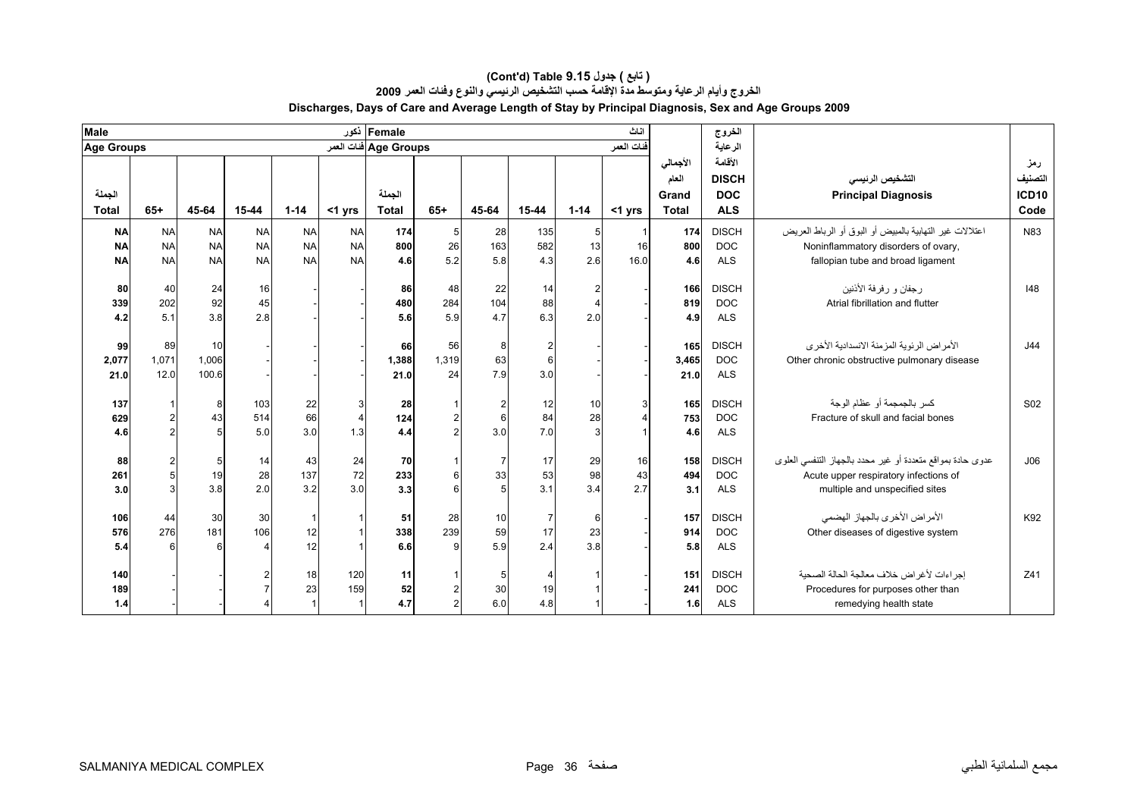| <b>Male</b>                         |                                     |                                     |                                     |                                     |                                       | Female ذکور            |                   |                                                   |                             |                 | اثاث            |                                            | الخروج                                              |                                                                                                                                       |                                        |
|-------------------------------------|-------------------------------------|-------------------------------------|-------------------------------------|-------------------------------------|---------------------------------------|------------------------|-------------------|---------------------------------------------------|-----------------------------|-----------------|-----------------|--------------------------------------------|-----------------------------------------------------|---------------------------------------------------------------------------------------------------------------------------------------|----------------------------------------|
| <b>Age Groups</b>                   |                                     |                                     |                                     |                                     |                                       | Age Groups فنات العمر  |                   |                                                   |                             |                 | فنات العمر      |                                            | الرعاية                                             |                                                                                                                                       |                                        |
| الجملة<br><b>Total</b>              | $65+$                               | 45-64                               | 15-44                               | $1 - 14$                            | $<$ 1 yrs                             | الجملة<br><b>Total</b> | $65+$             | 45-64                                             | 15-44                       | $1 - 14$        | $<$ 1 yrs       | الأجمالي<br>العام<br>Grand<br><b>Total</b> | الأقامة<br><b>DISCH</b><br><b>DOC</b><br><b>ALS</b> | التشخيص الرنيسي<br><b>Principal Diagnosis</b>                                                                                         | رمز<br>التصنيف<br><b>ICD10</b><br>Code |
| <b>NA</b><br><b>NA</b><br><b>NA</b> | <b>NA</b><br><b>NA</b><br><b>NA</b> | <b>NA</b><br><b>NA</b><br><b>NA</b> | <b>NA</b><br><b>NA</b><br><b>NA</b> | <b>NA</b><br><b>NA</b><br><b>NA</b> | <b>NA</b><br><b>NA</b><br><b>NA</b>   | 174<br>800<br>4.6      | 5<br>26<br>5.2    | 28<br>163<br>5.8                                  | 135<br>582<br>4.3           | 5<br>13<br>2.6  | 16<br>16.0      | 174<br>800<br>4.6                          | <b>DISCH</b><br><b>DOC</b><br><b>ALS</b>            | اعتلالات غير التهابية بالمبيض أو البوق أو الرباط العريض<br>Noninflammatory disorders of ovary,<br>fallopian tube and broad ligament   | N83                                    |
| 80<br>339<br>4.2                    | 40<br>202<br>5.1                    | 24<br>92<br>3.8                     | 16<br>45<br>2.8                     |                                     |                                       | 86<br>480<br>5.6       | 48<br>284<br>5.9  | 22<br>104<br>4.7                                  | 14<br>88<br>6.3             | 2<br>2.0        |                 | 166<br>819<br>4.9                          | <b>DISCH</b><br><b>DOC</b><br><b>ALS</b>            | رجفان و رفرفة الأننين<br>Atrial fibrillation and flutter                                                                              | 48                                     |
| 99<br>2,077<br>21.0                 | 89<br>1,071<br>12.0                 | 10<br>1,006<br>100.6                |                                     |                                     |                                       | 66<br>1,388<br>21.0    | 56<br>1,319<br>24 | 8<br>63<br>7.9                                    | 2<br>6<br>3.0               |                 |                 | 165<br>3,465<br>21.0                       | <b>DISCH</b><br><b>DOC</b><br><b>ALS</b>            | الأمر اض الر ئوية المز منة الانسدادية الأخر ي<br>Other chronic obstructive pulmonary disease                                          | J44                                    |
| 137<br>629<br>4.6                   |                                     | 8<br>43                             | 103<br>514<br>5.0                   | 22<br>66<br>3.0                     | $\mathbf{3}$<br>$\overline{4}$<br>1.3 | 28<br>124<br>4.4       |                   | $\overline{\mathbf{c}}$<br>$6\phantom{1}6$<br>3.0 | 12<br>84<br>7.0             | 10<br>28        |                 | 165<br>753<br>4.6                          | <b>DISCH</b><br><b>DOC</b><br><b>ALS</b>            | كسر بالجمجمة أو عظام الوجة<br>Fracture of skull and facial bones                                                                      | S02                                    |
| 88<br>261<br>3.0                    |                                     | 19<br>3.8                           | 14<br>28<br>2.0                     | 43<br>137<br>3.2                    | 24<br>72<br>3.0                       | 70<br>233<br>3.3       | 6<br>6            | $\overline{7}$<br>33<br>5                         | 17<br>53<br>3.1             | 29<br>98<br>3.4 | 16<br>43<br>2.7 | 158<br>494<br>3.1                          | <b>DISCH</b><br><b>DOC</b><br><b>ALS</b>            | عدوى حادة بمواقع متعددة أو غير محدد بالجهاز التنفسي العلوى<br>Acute upper respiratory infections of<br>multiple and unspecified sites | J06                                    |
| 106<br>576<br>5.4                   | 44<br>276<br>6                      | 30<br>181                           | 30<br>106                           | 12<br>12                            |                                       | 51<br>338<br>6.6       | 28<br>239<br>g    | 10<br>59<br>5.9                                   | $\overline{7}$<br>17<br>2.4 | 6<br>23<br>3.8  |                 | 157<br>914<br>5.8                          | <b>DISCH</b><br><b>DOC</b><br><b>ALS</b>            | الأمراض الأخرى بالجهاز الهضمى<br>Other diseases of digestive system                                                                   | K92                                    |
| 140<br>189<br>1.4                   |                                     |                                     |                                     | 18<br>23                            | 120<br>159                            | 11<br>52<br>4.7        |                   | 5<br>30<br>6.0                                    | 4<br>19<br>4.8              |                 |                 | 151<br>241<br>1.6                          | <b>DISCH</b><br><b>DOC</b><br><b>ALS</b>            | إجراءات لأغراض خلاف معالجة الحالة الصحية<br>Procedures for purposes other than<br>remedying health state                              | Z41                                    |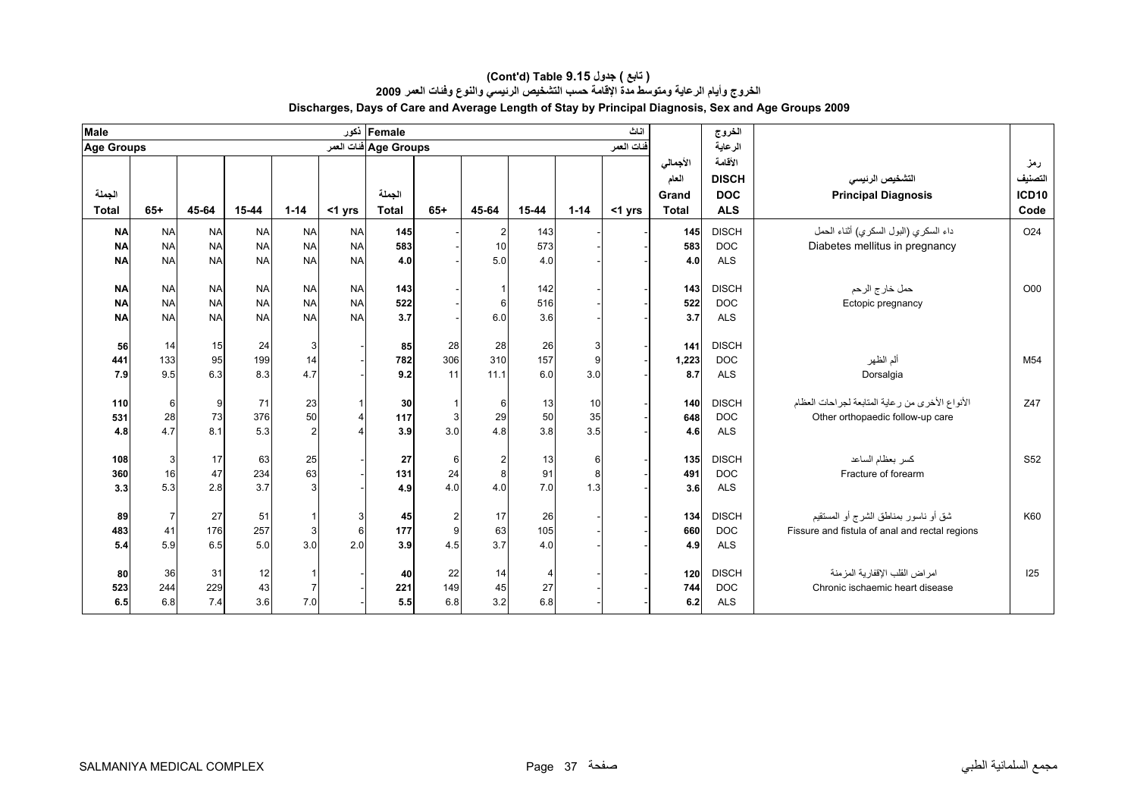| <b>Male</b>       |                |           |           |                |              | Female ذکور           |                |                                       |                |          | اناث       |              | الخروج       |                                                 |                 |
|-------------------|----------------|-----------|-----------|----------------|--------------|-----------------------|----------------|---------------------------------------|----------------|----------|------------|--------------|--------------|-------------------------------------------------|-----------------|
| <b>Age Groups</b> |                |           |           |                |              | Age Groups ففات العمر |                |                                       |                |          | فنات العمر |              | الرعاية      |                                                 |                 |
|                   |                |           |           |                |              |                       |                |                                       |                |          |            | الأجمالي     | الأقامة      |                                                 | رمز             |
|                   |                |           |           |                |              |                       |                |                                       |                |          |            | العام        | <b>DISCH</b> | التشخيص الرنيسي                                 | التصنيف         |
| الجملة            |                |           |           |                |              | الجملة                |                |                                       |                |          |            | Grand        | <b>DOC</b>   | <b>Principal Diagnosis</b>                      | <b>ICD10</b>    |
| <b>Total</b>      | $65+$          | 45-64     | 15-44     | $1 - 14$       | <1 yrs       | <b>Total</b>          | $65+$          | 45-64                                 | 15-44          | $1 - 14$ | $<$ 1 yrs  | <b>Total</b> | <b>ALS</b>   |                                                 | Code            |
| <b>NA</b>         | <b>NA</b>      | <b>NA</b> | <b>NA</b> | <b>NA</b>      | <b>NA</b>    | 145                   |                | $\mathbf{2}$                          | 143            |          |            | 145          | <b>DISCH</b> | داء السكري (البول السكري) أثناء الحمل           | O <sub>24</sub> |
| <b>NA</b>         | <b>NA</b>      | <b>NA</b> | <b>NA</b> | <b>NA</b>      | <b>NA</b>    | 583                   |                | 10                                    | 573            |          |            | 583          | <b>DOC</b>   | Diabetes mellitus in pregnancy                  |                 |
| <b>NA</b>         | <b>NA</b>      | <b>NA</b> | <b>NA</b> | <b>NA</b>      | <b>NA</b>    | 4.0                   |                | 5.0                                   | 4.0            |          |            | 4.0          | <b>ALS</b>   |                                                 |                 |
|                   |                |           |           |                |              |                       |                |                                       |                |          |            |              |              |                                                 |                 |
| <b>NA</b>         | <b>NA</b>      | <b>NA</b> | <b>NA</b> | <b>NA</b>      | <b>NA</b>    | 143                   |                | $\mathbf{1}$                          | 142            |          |            | 143          | <b>DISCH</b> | حمل خار ج الرحم                                 | O00             |
| <b>NA</b>         | <b>NA</b>      | <b>NA</b> | <b>NA</b> | <b>NA</b>      | <b>NA</b>    | 522                   |                | 6                                     | 516            |          |            | 522          | <b>DOC</b>   | Ectopic pregnancy                               |                 |
| <b>NA</b>         | <b>NA</b>      | <b>NA</b> | <b>NA</b> | <b>NA</b>      | <b>NA</b>    | 3.7                   |                | 6.0                                   | 3.6            |          |            | 3.7          | <b>ALS</b>   |                                                 |                 |
| 56                | 14             | 15        | 24        | $\mathbf{3}$   |              | 85                    | 28             | 28                                    | 26             | 3        |            | 141          | <b>DISCH</b> |                                                 |                 |
| 441               | 133            | 95        | 199       | 14             |              | 782                   | 306            | 310                                   | 157            | 9        |            | 1,223        | <b>DOC</b>   | ألم الظهر                                       | M <sub>54</sub> |
| 7.9               | 9.5            | 6.3       | 8.3       | 4.7            |              | 9.2                   | 11             | 11.1                                  | 6.0            | 3.0      |            | 8.7          | <b>ALS</b>   | Dorsalgia                                       |                 |
|                   |                |           |           |                |              |                       |                |                                       |                |          |            |              |              |                                                 |                 |
| 110               | 6              | 9         | 71        | 23             | $\mathbf{1}$ | 30                    |                | $6 \overline{6}$                      | 13             | 10       |            | 140          | <b>DISCH</b> | الأنواع الأخرى من رعاية المتابعة لجراحات العظام | Z47             |
| 531               | 28             | 73        | 376       | 50             | $\Delta$     | 117                   | $\mathbf{3}$   | 29                                    | 50             | 35       |            | 648          | <b>DOC</b>   | Other orthopaedic follow-up care                |                 |
| 4.8               | 4.7            | 8.1       | 5.3       | $\overline{2}$ |              | 3.9                   | 3.0            | 4.8                                   | 3.8            | 3.5      |            | 4.6          | <b>ALS</b>   |                                                 |                 |
| 108               | 3              | 17        | 63        | 25             |              | 27                    | 6              |                                       |                | 6        |            | 135          | <b>DISCH</b> | كسر بعظام الساعد                                | S <sub>52</sub> |
| 360               | 16             | 47        | 234       | 63             |              | 131                   | 24             | $\begin{array}{c} 2 \\ 8 \end{array}$ | 13<br>91       | 8        |            | 491          | <b>DOC</b>   | Fracture of forearm                             |                 |
| 3.3               | 5.3            | 2.8       | 3.7       | 3              |              | 4.9                   | 4.0            | 4.0                                   | 7.0            | 1.3      |            | 3.6          | <b>ALS</b>   |                                                 |                 |
|                   |                |           |           |                |              |                       |                |                                       |                |          |            |              |              |                                                 |                 |
| 89                | $\overline{7}$ | 27        | 51        |                | 3            | 45                    | $\overline{2}$ | 17                                    | 26             |          |            | 134          | <b>DISCH</b> | شق أو ناسور بمناطق الشرج أو المستقيم            | K60             |
| 483               | 41             | 176       | 257       | 3              | 6            | 177                   | 9              | 63                                    | 105            |          |            | 660          | <b>DOC</b>   | Fissure and fistula of anal and rectal regions  |                 |
| 5.4               | 5.9            | 6.5       | 5.0       | 3.0            | 2.0          | 3.9                   | 4.5            | 3.7                                   | 4.0            |          |            | 4.9          | <b>ALS</b>   |                                                 |                 |
|                   |                |           |           |                |              |                       |                |                                       |                |          |            |              |              |                                                 |                 |
| 80                | 36             | 31        | 12        |                |              | 40                    | 22             | 14                                    | $\overline{4}$ |          |            | 120          | <b>DISCH</b> | امر اض القلب الإقفار ية المز منة                | 125             |
| 523               | 244            | 229       | 43        | $\overline{7}$ |              | 221                   | 149            | 45                                    | 27             |          |            | 744          | <b>DOC</b>   | Chronic ischaemic heart disease                 |                 |
| 6.5               | 6.8            | 7.4       | 3.6       | 7.0            |              | 5.5                   | 6.8            | 3.2                                   | 6.8            |          |            | 6.2          | <b>ALS</b>   |                                                 |                 |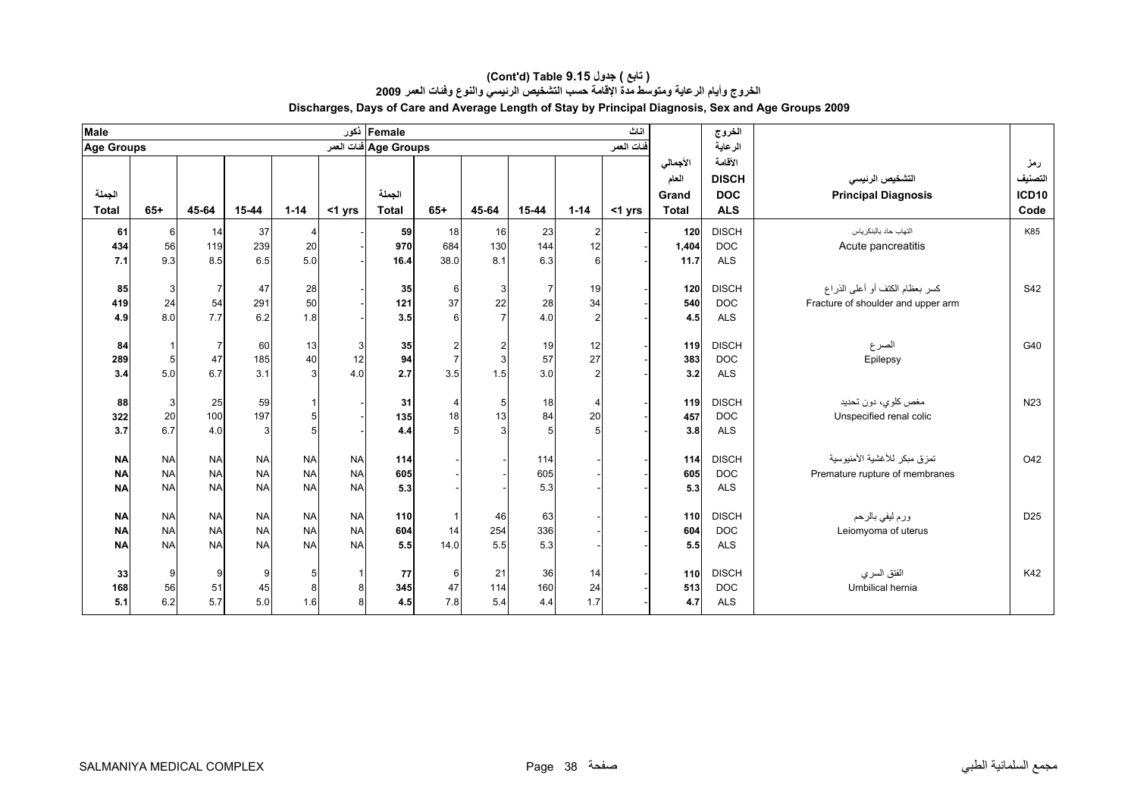| <b>Male</b>       |              |                |           |                |           | Female دَعور          |                  |                |                |                  | اناث       |              | الخروج       |                                    |                 |
|-------------------|--------------|----------------|-----------|----------------|-----------|-----------------------|------------------|----------------|----------------|------------------|------------|--------------|--------------|------------------------------------|-----------------|
| <b>Age Groups</b> |              |                |           |                |           | Age Groups ففات العمر |                  |                |                |                  | فنات العمر |              | الرعاية      |                                    |                 |
|                   |              |                |           |                |           |                       |                  |                |                |                  |            | الأجمالي     | الأقامة      |                                    | رمز             |
|                   |              |                |           |                |           |                       |                  |                |                |                  |            | العام        | <b>DISCH</b> | التشخيص الرنيسي                    | التصنيف         |
| الجملة            |              |                |           |                |           | الجملة                |                  |                |                |                  |            | Grand        | <b>DOC</b>   | <b>Principal Diagnosis</b>         | <b>ICD10</b>    |
| <b>Total</b>      | $65+$        | 45-64          | 15-44     | $1 - 14$       | <1 yrs    | <b>Total</b>          | $65+$            | 45-64          | 15-44          | $1 - 14$         | $<$ 1 yrs  | <b>Total</b> | <b>ALS</b>   |                                    | Code            |
| 61                | 6            | 14             | 37        | 4              |           | 59                    | 18               | 16             | 23             | $\overline{2}$   |            | 120          | <b>DISCH</b> | التهاب حاد بالبنكر ياس             | K85             |
| 434               | 56           | 119            | 239       | 20             |           | 970                   | 684              | 130            | 144            | 12               |            | 1,404        | <b>DOC</b>   | Acute pancreatitis                 |                 |
| 7.1               | 9.3          | 8.5            | 6.5       | 5.0            |           | 16.4                  | 38.0             | 8.1            | 6.3            | $6 \overline{6}$ |            | 11.7         | <b>ALS</b>   |                                    |                 |
|                   |              |                |           |                |           |                       |                  |                |                |                  |            |              |              |                                    |                 |
| 85                | 3            | $\overline{7}$ | 47        | 28             |           | 35                    | $6 \overline{6}$ | 3 <sup>1</sup> | $\overline{7}$ | 19               |            | 120          | <b>DISCH</b> | كسر بعظام الكتف أو أعلى الذراع     | S42             |
| 419               | 24           | 54             | 291       | 50             |           | 121                   | 37               | 22             | 28             | 34               |            | 540          | <b>DOC</b>   | Fracture of shoulder and upper arm |                 |
| 4.9               | 8.0          | 7.7            | 6.2       | 1.8            |           | 3.5                   | $6 \overline{6}$ | $\overline{7}$ | 4.0            | $\overline{2}$   |            | 4.5          | <b>ALS</b>   |                                    |                 |
| 84                | $\mathbf{1}$ | $\overline{7}$ | 60        | 13             | 3         | 35                    | $\overline{a}$   | $\mathbf{2}$   | 19             | 12               |            | 119          | <b>DISCH</b> | الصرع                              | G40             |
| 289               | 5            | 47             | 185       | 40             | 12        | 94                    | $\overline{7}$   | $\overline{3}$ | 57             | 27               |            | 383          | <b>DOC</b>   | Epilepsy                           |                 |
| 3.4               | 5.0          | 6.7            | 3.1       | $\overline{3}$ | 4.0       | 2.7                   | 3.5              | 1.5            | 3.0            | $\mathfrak{p}$   |            | 3.2          | <b>ALS</b>   |                                    |                 |
|                   |              |                |           |                |           |                       |                  |                |                |                  |            |              |              |                                    |                 |
| 88                | 3            | 25             | 59        |                |           | 31                    | $\overline{4}$   | $\sqrt{5}$     | 18             | $\overline{4}$   |            | 119          | <b>DISCH</b> | مغص كلوي، دون تحديد                | N <sub>23</sub> |
| 322               | 20           | 100            | 197       | 5              |           | 135                   | 18               | 13             | 84             | 20               |            | 457          | <b>DOC</b>   | Unspecified renal colic            |                 |
| 3.7               | 6.7          | 4.0            | 3         | 5 <sup>1</sup> |           | 4.4                   | 5 <sup>1</sup>   | $\mathbf{3}$   | 5              | 5 <sup>1</sup>   |            | 3.8          | <b>ALS</b>   |                                    |                 |
| <b>NA</b>         | <b>NA</b>    | <b>NA</b>      | <b>NA</b> | <b>NA</b>      | <b>NA</b> | 114                   |                  |                | 114            |                  |            | 114          | <b>DISCH</b> | تمزق مبكر للأغشية الأمنيوسية       | O42             |
| <b>NA</b>         | <b>NA</b>    | <b>NA</b>      | <b>NA</b> | <b>NA</b>      | <b>NA</b> | 605                   |                  |                | 605            |                  |            | 605          | <b>DOC</b>   | Premature rupture of membranes     |                 |
| <b>NA</b>         | <b>NA</b>    | <b>NA</b>      | <b>NA</b> | <b>NA</b>      | <b>NA</b> | 5.3                   |                  |                | 5.3            |                  |            | 5.3          | <b>ALS</b>   |                                    |                 |
|                   |              |                |           |                |           |                       |                  |                |                |                  |            |              |              |                                    |                 |
| <b>NA</b>         | <b>NA</b>    | <b>NA</b>      | <b>NA</b> | <b>NA</b>      | <b>NA</b> | 110                   |                  | 46             | 63             |                  |            | 110          | <b>DISCH</b> | ورم ليفي بالرحم                    | D <sub>25</sub> |
| <b>NA</b>         | <b>NA</b>    | <b>NA</b>      | <b>NA</b> | <b>NA</b>      | <b>NA</b> | 604                   | 14               | 254            | 336            |                  |            | 604          | <b>DOC</b>   | Leiomyoma of uterus                |                 |
| <b>NA</b>         | <b>NA</b>    | <b>NA</b>      | <b>NA</b> | <b>NA</b>      | <b>NA</b> | 5.5                   | 14.0             | 5.5            | 5.3            |                  |            | 5.5          | <b>ALS</b>   |                                    |                 |
| 33                | 9            | 9              | 9         | 5              | -1        | 77                    | 6                | 21             | 36             | 14               |            | 110          | <b>DISCH</b> | الفتق السرى                        | K42             |
| 168               | 56           | 51             | 45        | 8              | 8         | 345                   | 47               | 114            | 160            | 24               |            | 513          | <b>DOC</b>   | Umbilical hernia                   |                 |
| 5.1               | 6.2          | 5.7            | 5.0       | 1.6            | 8         | 4.5                   | 7.8              | 5.4            | 4.4            | 1.7              |            | 4.7          | <b>ALS</b>   |                                    |                 |
|                   |              |                |           |                |           |                       |                  |                |                |                  |            |              |              |                                    |                 |

#### **Discharges, Days of Care and Average Length of Stay by Principal Diagnosis, Sex and Age Groups 2009 (Cont'd) Table 9.15 جدول ) تابع( الخروج وأيام الرعاية ومتوسط مدة الإقامة حسب التشخيص الرئيسي والنوع وفئات العمر <sup>2009</sup>**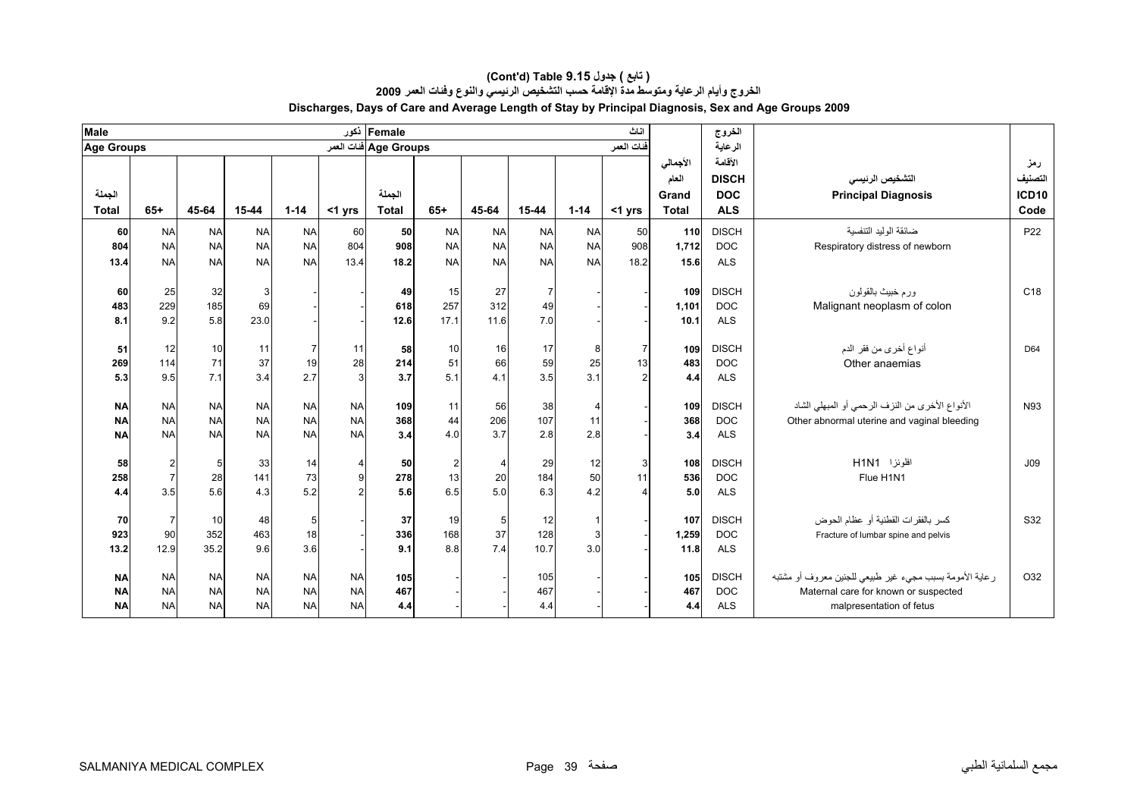| Female ذکور<br><b>Male</b><br>اناث<br>الخروج                                                                                                                             |                                                                 |
|--------------------------------------------------------------------------------------------------------------------------------------------------------------------------|-----------------------------------------------------------------|
| Age Groups ففات العمر<br>الرعاية<br><b>Age Groups</b><br>فنات العمر                                                                                                      |                                                                 |
| الأقامة<br>الأجمالي                                                                                                                                                      | رمز                                                             |
| <b>DISCH</b><br>العام                                                                                                                                                    | التصنيف<br>التشخيص الرنيسي                                      |
| الجملة<br>الجملة<br><b>DOC</b><br>Grand                                                                                                                                  | <b>ICD10</b><br><b>Principal Diagnosis</b>                      |
| $1 - 14$<br><b>Total</b><br>$65+$<br>45-64<br>15-44<br>$1 - 14$<br>$65+$<br>45-64<br>15-44<br><b>ALS</b><br>$<$ 1 yrs<br><b>Total</b><br>$<$ 1 yrs<br><b>Total</b>       | Code                                                            |
| <b>DISCH</b><br><b>NA</b><br><b>NA</b><br><b>NA</b><br><b>NA</b><br>110<br><b>NA</b><br><b>NA</b><br>60<br>50<br><b>NA</b><br><b>NA</b><br>50<br>60                      | ضائقة الوليد التنفسية<br>P <sub>22</sub>                        |
| <b>NA</b><br><b>NA</b><br><b>NA</b><br>804<br><b>NA</b><br><b>NA</b><br><b>NA</b><br><b>NA</b><br>908<br><b>NA</b><br>908<br>1.712<br><b>DOC</b><br>804                  | Respiratory distress of newborn                                 |
| <b>NA</b><br><b>NA</b><br><b>NA</b><br><b>NA</b><br><b>NA</b><br><b>NA</b><br><b>NA</b><br>13.4<br>18.2<br>18.2<br><b>NA</b><br>15.6<br><b>ALS</b><br>13.4               |                                                                 |
|                                                                                                                                                                          |                                                                 |
| <b>DISCH</b><br>25<br>27<br>32<br>3<br>15<br>$\overline{7}$<br>109<br>60<br>49                                                                                           | ورم خبيث بالقولون<br>C18                                        |
| 229<br>185<br>257<br>312<br>49<br>483<br>618<br>1,101<br><b>DOC</b><br>69                                                                                                | Malignant neoplasm of colon                                     |
| 9.2<br>5.8<br>23.0<br>17.1<br>11.6<br>7.0<br>12.6<br>10.1<br><b>ALS</b><br>8.1                                                                                           |                                                                 |
|                                                                                                                                                                          |                                                                 |
| 16<br><b>DISCH</b><br>51<br>12<br>10<br>58<br>10<br>17<br>109<br>11<br>11<br>8<br>7<br>7<br>37                                                                           | أنواع أخرى من فقر الدم<br>D64                                   |
| 71<br>66<br>59<br>28<br>114<br>51<br>25<br>19<br><b>DOC</b><br>269<br>214<br>13<br>483<br>7.1<br>3.4<br>9.5<br>5.1<br>4.1<br>3.5<br>3.1<br>2.7<br>3<br>3.7<br><b>ALS</b> | Other anaemias                                                  |
| 4.4<br>5.3                                                                                                                                                               |                                                                 |
| <b>NA</b><br><b>NA</b><br><b>NA</b><br><b>NA</b><br>56<br><b>NA</b><br>109<br>11<br>38<br>109<br><b>DISCH</b><br><b>NA</b>                                               | الأنواع الأخرى من النزف الرحمي أو المبهلي الشاد<br>N93          |
| 206<br>107<br><b>NA</b><br><b>NA</b><br><b>NA</b><br><b>NA</b><br>368<br><b>NA</b><br>44<br>11<br>368<br><b>NA</b><br><b>DOC</b>                                         | Other abnormal uterine and vaginal bleeding                     |
| 3.7<br>2.8<br><b>NA</b><br><b>NA</b><br><b>NA</b><br><b>NA</b><br>2.8<br><b>NA</b><br>3.4<br>4.0<br><b>ALS</b><br><b>NA</b><br>3.4                                       |                                                                 |
|                                                                                                                                                                          |                                                                 |
| <b>DISCH</b><br>29<br>12<br>2<br>33<br>14<br>2<br>$\overline{4}$<br>108<br>58<br>5<br>50<br>3<br>$\overline{4}$                                                          | افلونزا H1N1<br>J09                                             |
| 20<br>184<br>50<br>141<br>278<br>536<br><b>DOC</b><br>258<br>$\overline{7}$<br>28<br>73<br>9<br>13<br>11                                                                 | Flue H1N1                                                       |
| 5.0<br>6.3<br>5.6<br>4.3<br>5.2<br>5.6<br>6.5<br>3.5<br>4.2<br>5.0<br><b>ALS</b><br>4.4<br>2                                                                             |                                                                 |
| <b>DISCH</b><br>107                                                                                                                                                      | كسر بالفقرات القطنية أو عظام الحوض<br>S32                       |
| 37<br>5<br>12<br>70<br>7<br>10<br>48<br>5<br>19<br>37<br>128<br>90<br>352<br>463<br>18<br>168<br><b>DOC</b><br>3                                                         |                                                                 |
| 923<br>336<br>1,259<br>7.4<br>35.2<br>9.6<br>10.7<br>3.0<br>12.9<br>3.6<br>8.8<br><b>ALS</b><br>11.8<br>13.2<br>9.1                                                      | Fracture of lumbar spine and pelvis                             |
|                                                                                                                                                                          |                                                                 |
| <b>DISCH</b><br><b>NA</b><br><b>NA</b><br><b>NA</b><br><b>NA</b><br>105<br>105<br>105<br><b>NA</b><br><b>NA</b>                                                          | ر عاية الأمومة بسبب مجيء غير طبيعي للجنين معروف أو مشتبه<br>O32 |
| 467<br><b>NA</b><br><b>NA</b><br><b>NA</b><br><b>NA</b><br>467<br>467<br><b>DOC</b><br><b>NA</b><br><b>NA</b>                                                            | Maternal care for known or suspected                            |
| <b>NA</b><br><b>NA</b><br><b>NA</b><br><b>NA</b><br><b>NA</b><br><b>ALS</b><br><b>NA</b><br>4.4<br>4.4<br>4.4                                                            | malpresentation of fetus                                        |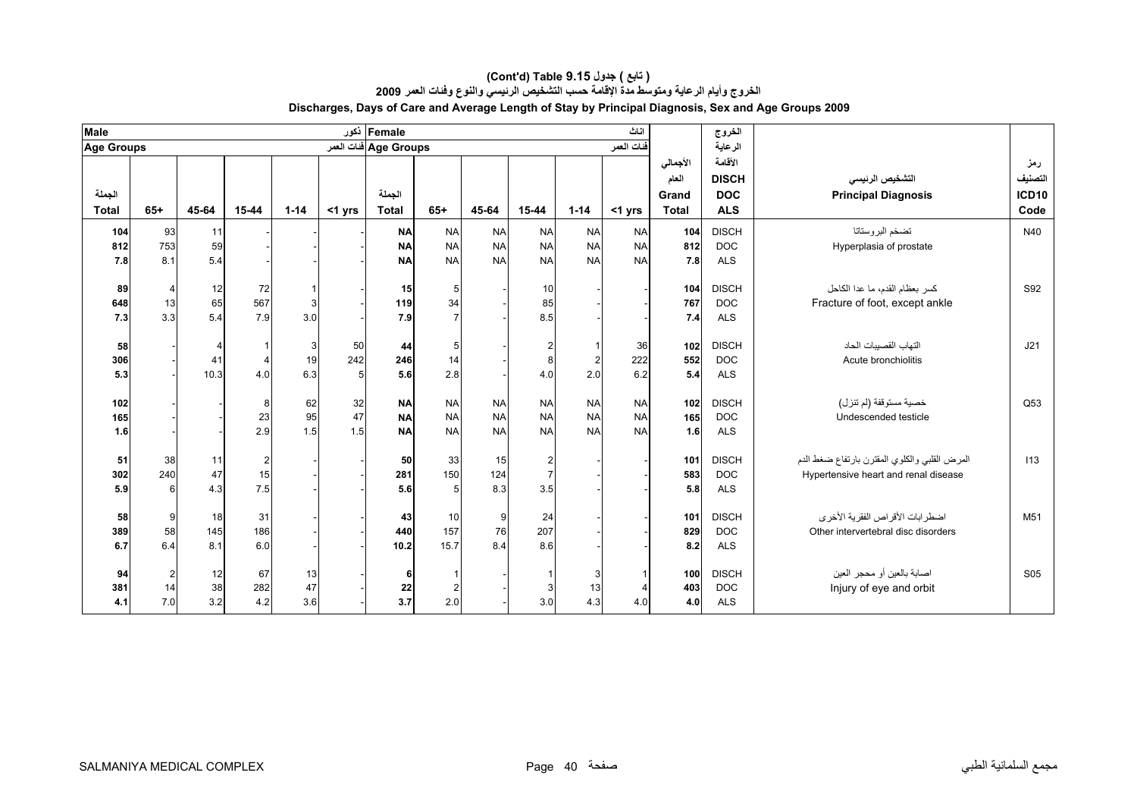| <b>Male</b>       |                |                |           |          |        | Female ذکور           |                |                  |                       |           | اثاث       |              | الخروج                   |                                               |                 |
|-------------------|----------------|----------------|-----------|----------|--------|-----------------------|----------------|------------------|-----------------------|-----------|------------|--------------|--------------------------|-----------------------------------------------|-----------------|
| <b>Age Groups</b> |                |                |           |          |        | Age Groups فنات العمر |                |                  |                       |           | فنات العمر |              | الرعاية                  |                                               |                 |
|                   |                |                |           |          |        |                       |                |                  |                       |           |            | الأجمالي     | الأقامة                  |                                               | رمز             |
|                   |                |                |           |          |        |                       |                |                  |                       |           |            | العام        | <b>DISCH</b>             | التشخيص الرنيسي                               | التصنيف         |
| الجملة            |                |                |           |          |        | الجملة                |                |                  |                       |           |            | Grand        | <b>DOC</b>               | <b>Principal Diagnosis</b>                    | <b>ICD10</b>    |
| <b>Total</b>      | $65+$          | 45-64          | 15-44     | $1 - 14$ | <1 yrs | <b>Total</b>          | $65+$          | 45-64            | 15-44                 | $1 - 14$  | <1 yrs     | <b>Total</b> | <b>ALS</b>               |                                               | Code            |
| 104               | 93             | 11             |           |          |        | <b>NA</b>             | <b>NA</b>      | <b>NA</b>        | <b>NA</b>             | <b>NA</b> | <b>NA</b>  | 104          | <b>DISCH</b>             | تضخم البروستاتا                               | N40             |
| 812               | 753            | 59             |           |          |        | <b>NA</b>             | <b>NA</b>      | <b>NA</b>        | <b>NA</b>             | <b>NA</b> | <b>NA</b>  | 812          | <b>DOC</b>               | Hyperplasia of prostate                       |                 |
| 7.8               | 8.1            | 5.4            |           |          |        | <b>NA</b>             | <b>NA</b>      | <b>NA</b>        | <b>NA</b>             | <b>NA</b> | <b>NA</b>  | 7.8          | <b>ALS</b>               |                                               |                 |
| 89                | $\overline{4}$ | 12             | 72        |          |        | 15                    | 5              |                  | 10                    |           |            | 104          | <b>DISCH</b>             | كسر بعظام القدم، ما عدا الكاحل                | S92             |
| 648               | 13             | 65             | 567       | 3        |        | 119                   | 34             |                  | 85                    |           |            | 767          | <b>DOC</b>               | Fracture of foot, except ankle                |                 |
| 7.3               | 3.3            | 5.4            | 7.9       | 3.0      |        | 7.9                   |                |                  | 8.5                   |           |            | 7.4          | <b>ALS</b>               |                                               |                 |
|                   |                |                |           |          |        |                       |                |                  |                       |           |            |              |                          |                                               |                 |
| 58                |                | $\overline{4}$ |           | 3        | 50     | 44                    | 5              |                  | $\overline{2}$        |           | 36         | 102          | <b>DISCH</b>             | التهاب القصببات الحاد                         | J21             |
| 306               |                | 41             |           | 19       | 242    | 246                   | 14             |                  | 8                     | 2         | 222        | 552          | <b>DOC</b>               | Acute bronchiolitis                           |                 |
| 5.3               |                | 10.3           | 4.0       | 6.3      | 5      | 5.6                   | 2.8            |                  | 4.0                   | 2.0       | 6.2        | 5.4          | <b>ALS</b>               |                                               |                 |
| 102               |                |                |           | 62       | 32     | <b>NA</b>             | <b>NA</b>      | <b>NA</b>        | <b>NA</b>             | <b>NA</b> | <b>NA</b>  | 102          | <b>DISCH</b>             | خصية مستوقفة (لم تنز ل)                       | Q53             |
| 165               |                |                | 23        | 95       | 47     | <b>NA</b>             | <b>NA</b>      | <b>NA</b>        | <b>NA</b>             | <b>NA</b> | <b>NA</b>  | 165          | <b>DOC</b>               | Undescended testicle                          |                 |
| 1.6               |                |                | 2.9       | 1.5      | 1.5    | <b>NA</b>             | <b>NA</b>      | <b>NA</b>        | <b>NA</b>             | <b>NA</b> | <b>NA</b>  | 1.6          | <b>ALS</b>               |                                               |                 |
|                   |                |                |           |          |        |                       |                |                  |                       |           |            |              |                          |                                               |                 |
| 51                | 38             | 11             |           |          |        | 50                    | 33             | 15               | $\overline{2}$        |           |            | 101          | <b>DISCH</b>             | المرض القلبي والكلوي المقترن بارتفاع ضغط الدم | 113             |
| 302<br>5.9        | 240            | 47<br>4.3      | 15<br>7.5 |          |        | 281                   | 150            | 124<br>8.3       | $\overline{7}$<br>3.5 |           |            | 583<br>5.8   | <b>DOC</b><br><b>ALS</b> | Hypertensive heart and renal disease          |                 |
|                   | 6              |                |           |          |        | 5.6                   | 5 <sub>5</sub> |                  |                       |           |            |              |                          |                                               |                 |
| 58                | 9              | 18             | 31        |          |        | 43                    | 10             | $\boldsymbol{9}$ | 24                    |           |            | 101          | <b>DISCH</b>             | اضطرابات الأقراص الفقرية الأخرى               | M <sub>51</sub> |
| 389               | 58             | 145            | 186       |          |        | 440                   | 157            | 76               | 207                   |           |            | 829          | <b>DOC</b>               | Other intervertebral disc disorders           |                 |
| 6.7               | 6.4            | 8.1            | 6.0       |          |        | 10.2                  | 15.7           | 8.4              | 8.6                   |           |            | 8.2          | <b>ALS</b>               |                                               |                 |
| 94                | $\overline{2}$ | 12             | 67        | 13       |        | 6                     |                |                  |                       | 3         |            | 100          | <b>DISCH</b>             | اصابة بالعين أو محجر العين                    | S <sub>05</sub> |
| 381               | 14             | 38             | 282       | 47       |        | 22                    | $\overline{2}$ |                  | 3                     | 13        |            | 403          | <b>DOC</b>               | Injury of eye and orbit                       |                 |
| 4.1               | 7.0            | 3.2            | 4.2       | 3.6      |        | 3.7                   | 2.0            |                  | 3.0                   | 4.3       | 4.0        | 4.0          | <b>ALS</b>               |                                               |                 |
|                   |                |                |           |          |        |                       |                |                  |                       |           |            |              |                          |                                               |                 |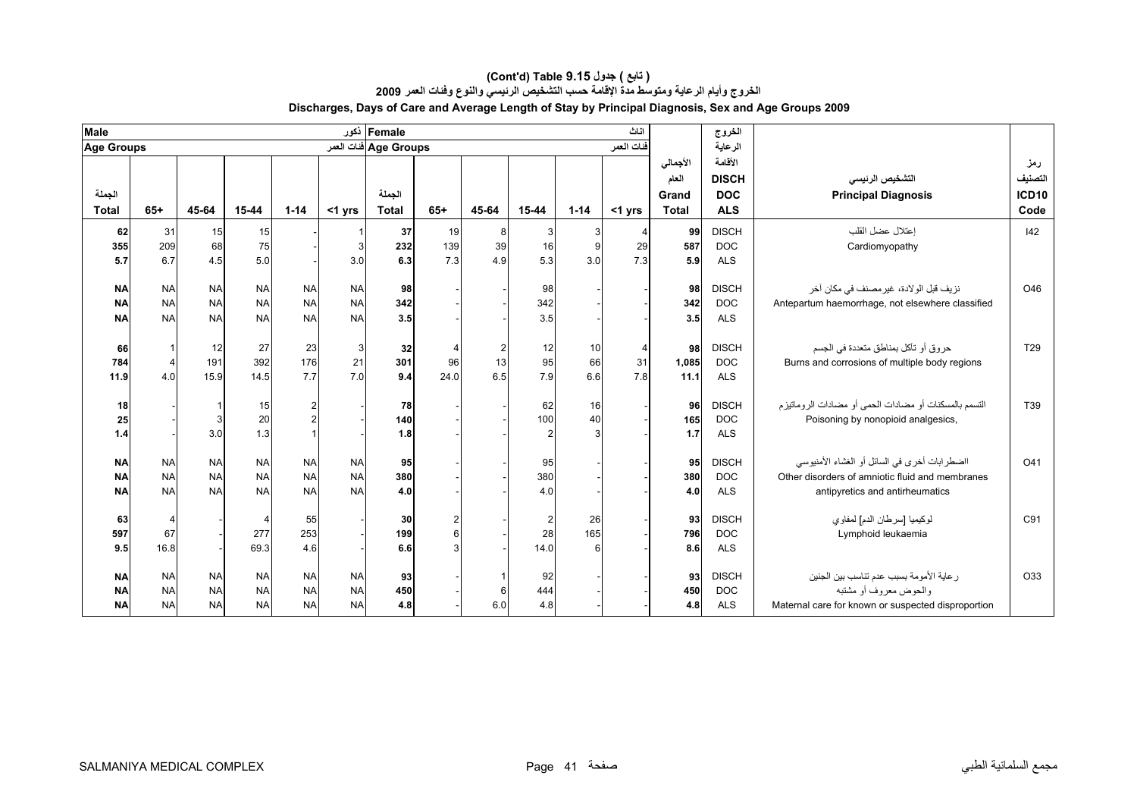| <b>Male</b>       |                       |           |           |           |           | Female ذکور            |       |                                        |                |          | اناث       |              | الخروج       |                                                       |                   |
|-------------------|-----------------------|-----------|-----------|-----------|-----------|------------------------|-------|----------------------------------------|----------------|----------|------------|--------------|--------------|-------------------------------------------------------|-------------------|
| <b>Age Groups</b> |                       |           |           |           |           | Age Groups فَنات العمر |       |                                        |                |          | فنات العمر |              | الرعاية      |                                                       |                   |
|                   |                       |           |           |           |           |                        |       |                                        |                |          |            | الأجمالي     | الأقامة      |                                                       | رمز               |
|                   |                       |           |           |           |           |                        |       |                                        |                |          |            | العام        | <b>DISCH</b> | التشخيص الرنيسي                                       | التصنيف           |
| الجملة            |                       |           |           |           |           | الجملة                 |       |                                        |                |          |            | Grand        | <b>DOC</b>   | <b>Principal Diagnosis</b>                            | ICD <sub>10</sub> |
| <b>Total</b>      | $65+$                 | 45-64     | 15-44     | $1 - 14$  | <1 yrs    | <b>Total</b>           | $65+$ | 45-64                                  | 15-44          | $1 - 14$ | <1 yrs     | <b>Total</b> | <b>ALS</b>   |                                                       | Code              |
| 62                | 31                    | 15        | 15        |           |           | 37                     | 19    | 8                                      | 3              |          |            | 99           | <b>DISCH</b> | إعتلال عضل القلب                                      | 42                |
| 355               | 209                   | 68        | 75        |           | 3         | 232                    | 139   | 39                                     | 16             | 9        | 29         | 587          | <b>DOC</b>   | Cardiomyopathy                                        |                   |
| 5.7               | 6.7                   | 4.5       | 5.0       |           | 3.0       | 6.3                    | 7.3   | 4.9                                    | 5.3            | 3.0      | 7.3        | 5.9          | <b>ALS</b>   |                                                       |                   |
|                   |                       |           |           |           |           |                        |       |                                        |                |          |            |              |              |                                                       |                   |
| <b>NA</b>         | <b>NA</b>             | <b>NA</b> | <b>NA</b> | <b>NA</b> | <b>NA</b> | 98                     |       |                                        | 98             |          |            | 98           | <b>DISCH</b> | نزيف قبل الولادة، غير مصنف في مكان أخر                | O46               |
| <b>NA</b>         | <b>NA</b>             | <b>NA</b> | <b>NA</b> | <b>NA</b> | <b>NA</b> | 342                    |       |                                        | 342            |          |            | 342          | <b>DOC</b>   | Antepartum haemorrhage, not elsewhere classified      |                   |
| <b>NA</b>         | <b>NA</b>             | <b>NA</b> | <b>NA</b> | <b>NA</b> | <b>NA</b> | 3.5                    |       |                                        | 3.5            |          |            | 3.5          | <b>ALS</b>   |                                                       |                   |
| 66                |                       | 12        | 27        | 23        | 3         | 32                     |       |                                        | 12             | 10       |            | 98           | <b>DISCH</b> | حروق أو تآكل بمناطق متعددة في الجسم                   | T29               |
| 784               | $\overline{4}$        | 191       | 392       | 176       | 21        | 301                    | 96    | $\begin{array}{c} 2 \\ 13 \end{array}$ | 95             | 66       | 31         | 1,085        | <b>DOC</b>   | Burns and corrosions of multiple body regions         |                   |
| 11.9              | 4.0                   | 15.9      | 14.5      | 7.7       | 7.0       | 9.4                    | 24.0  | 6.5                                    | 7.9            | 6.6      | 7.8        | 11.1         | <b>ALS</b>   |                                                       |                   |
|                   |                       |           |           |           |           |                        |       |                                        |                |          |            |              |              |                                                       |                   |
| 18                |                       |           | 15        | 2         |           | 78                     |       |                                        | 62             | 16       |            | 96           | <b>DISCH</b> | التسمم بالمسكنات أو مضادات الحمى أو مضادات الروماتيزم | T39               |
| 25                |                       | 3         | 20        |           |           | 140                    |       |                                        | 100            | 40       |            | 165          | <b>DOC</b>   | Poisoning by nonopioid analgesics,                    |                   |
| 1.4               |                       | 3.0       | 1.3       |           |           | 1.8                    |       |                                        | $\overline{2}$ |          |            | 1.7          | <b>ALS</b>   |                                                       |                   |
| <b>NA</b>         | <b>NA</b>             | <b>NA</b> | <b>NA</b> | <b>NA</b> | <b>NA</b> | 95                     |       |                                        | 95             |          |            | 95           | <b>DISCH</b> | ااضطرابات أخرى في السائل أو الغشاء الأمنيوسي          | O41               |
| <b>NA</b>         | <b>NA</b>             | <b>NA</b> | <b>NA</b> | <b>NA</b> | <b>NA</b> | 380                    |       |                                        | 380            |          |            | 380          | <b>DOC</b>   | Other disorders of amniotic fluid and membranes       |                   |
| <b>NA</b>         | <b>NA</b>             | <b>NA</b> | <b>NA</b> | <b>NA</b> | <b>NA</b> | 4.0                    |       |                                        | 4.0            |          |            | 4.0          | <b>ALS</b>   | antipyretics and antirheumatics                       |                   |
|                   |                       |           |           |           |           |                        |       |                                        |                |          |            |              |              |                                                       |                   |
| 63                | $\boldsymbol{\Delta}$ |           |           | 55        |           | 30                     |       |                                        | $\overline{c}$ | 26       |            | 93           | <b>DISCH</b> | لوكيميا [سرطان الدم] لمفاوي                           | C91               |
| 597               | 67                    |           | 277       | 253       |           | 199                    |       |                                        | 28             | 165      |            | 796          | <b>DOC</b>   | Lymphoid leukaemia                                    |                   |
| 9.5               | 16.8                  |           | 69.3      | 4.6       |           | 6.6                    |       |                                        | 14.0           |          |            | 8.6          | <b>ALS</b>   |                                                       |                   |
| <b>NA</b>         | <b>NA</b>             | <b>NA</b> | <b>NA</b> | <b>NA</b> | <b>NA</b> | 93                     |       |                                        | 92             |          |            | 93           | <b>DISCH</b> | ر عاية الأمومة بسبب عدم تناسب بين الجنين              | O33               |
| <b>NA</b>         | <b>NA</b>             | <b>NA</b> | <b>NA</b> | <b>NA</b> | <b>NA</b> | 450                    |       | 6                                      | 444            |          |            | 450          | <b>DOC</b>   | والحوض معروف أو مشتبه                                 |                   |
| <b>NA</b>         | <b>NA</b>             | <b>NA</b> | <b>NA</b> | <b>NA</b> | <b>NA</b> | 4.8                    |       | 6.0                                    | 4.8            |          |            | 4.8          | <b>ALS</b>   | Maternal care for known or suspected disproportion    |                   |
|                   |                       |           |           |           |           |                        |       |                                        |                |          |            |              |              |                                                       |                   |

#### **الخروج وأيام الرعاية ومتوسط مدة الإقامة حسب التشخيص الرئيسي والنوع وفئات العمر <sup>2009</sup> Discharges, Days of Care and Average Length of Stay by Principal Diagnosis, Sex and Age Groups 2009 (Cont'd) Table 9.15 جدول ) تابع(**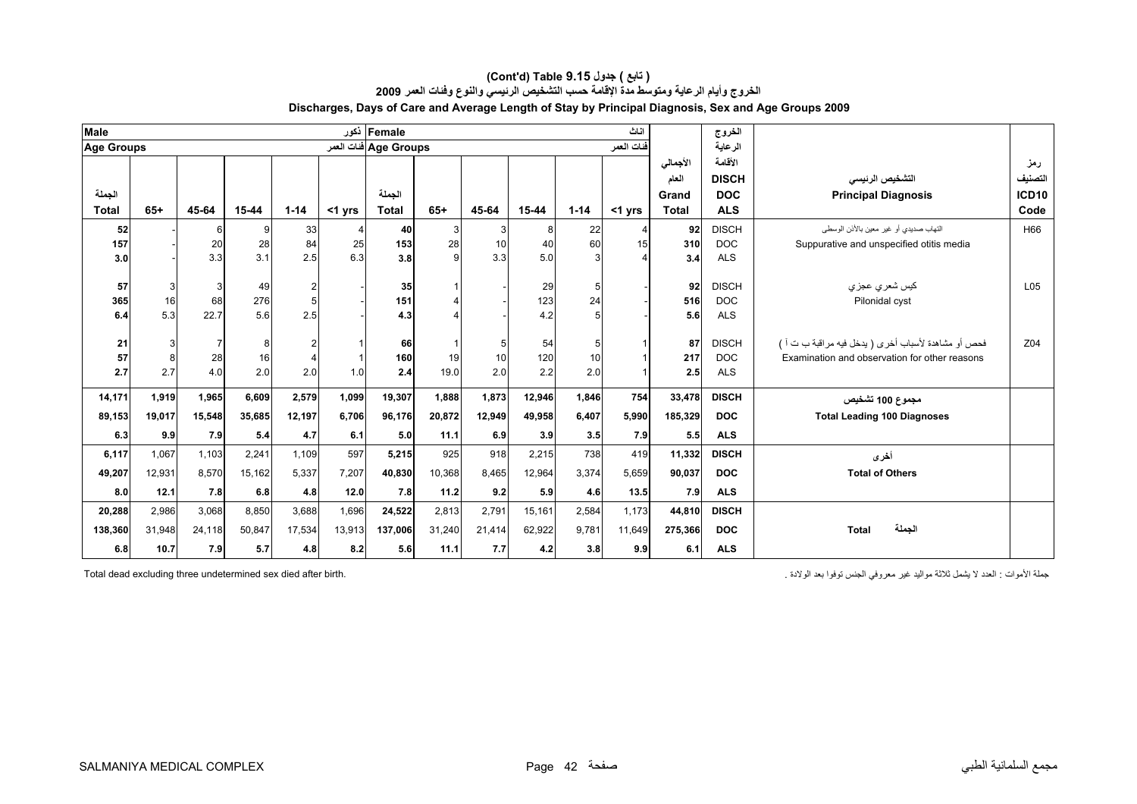| <b>Male</b>       |        |        |        |                |           | Female ذکور           |        |        |        |                | اناث       |              | الخروج       |                                                     |                 |
|-------------------|--------|--------|--------|----------------|-----------|-----------------------|--------|--------|--------|----------------|------------|--------------|--------------|-----------------------------------------------------|-----------------|
| <b>Age Groups</b> |        |        |        |                |           | Age Groups فنات العمر |        |        |        |                | فنات العمر |              | الرعاية      |                                                     |                 |
|                   |        |        |        |                |           |                       |        |        |        |                |            | الأجمالي     | الأقامة      |                                                     | رمز             |
|                   |        |        |        |                |           |                       |        |        |        |                |            | العام        | <b>DISCH</b> | التشخيص الرنيسي                                     | التصنيف         |
| الجملة            |        |        |        |                |           | الجملة                |        |        |        |                |            | Grand        | <b>DOC</b>   | <b>Principal Diagnosis</b>                          | <b>ICD10</b>    |
| <b>Total</b>      | $65+$  | 45-64  | 15-44  | $1 - 14$       | $<$ 1 yrs | <b>Total</b>          | $65+$  | 45-64  | 15-44  | $1 - 14$       | <1 yrs     | <b>Total</b> | <b>ALS</b>   |                                                     | Code            |
| 52                |        | 6      | 9      | 33             |           | 40                    | 3      | 3      | 8      | 22             |            | 92           | <b>DISCH</b> | التهاب صديدي أو غير معين بالأذن الوسطى              | H66             |
| 157               |        | 20     | 28     | 84             | 25        | 153                   | 28     | 10     | 40     | 60             | 15         | 310          | <b>DOC</b>   | Suppurative and unspecified otitis media            |                 |
| 3.0               |        | 3.3    | 3.1    | 2.5            | 6.3       | 3.8                   | O      | 3.3    | 5.0    |                |            | 3.4          | <b>ALS</b>   |                                                     |                 |
|                   |        |        |        |                |           |                       |        |        |        |                |            |              |              |                                                     |                 |
| 57                | 3      |        | 49     | $\overline{2}$ |           | 35                    |        |        | 29     | $\overline{5}$ |            | 92           | <b>DISCH</b> | كيس شعر ي عجز ي                                     | L <sub>05</sub> |
| 365               | 16     | 68     | 276    | 5              |           | 151                   |        |        | 123    | 24             |            | 516          | <b>DOC</b>   | Pilonidal cyst                                      |                 |
| 6.4               | 5.3    | 22.7   | 5.6    | 2.5            |           | 4.3                   |        |        | 4.2    |                |            | 5.6          | <b>ALS</b>   |                                                     |                 |
| 21                | 3      |        | 8      | $\overline{2}$ |           | 66                    |        | 5      | 54     | 5              |            | 87           | <b>DISCH</b> | فحص أو مشاهدة لأسباب أخرى ( يدخل فيه مراقبة ب ت أ ) | Z04             |
| 57                | 8      | 28     | 16     | $\overline{4}$ |           | 160                   | 19     | 10     | 120    | 10             |            | 217          | <b>DOC</b>   | Examination and observation for other reasons       |                 |
| 2.7               | 2.7    | 4.0    | 2.0    | 2.0            | 1.0       | 2.4                   | 19.0   | 2.0    | 2.2    | 2.0            |            | 2.5          | ALS          |                                                     |                 |
|                   |        |        |        |                |           |                       |        |        |        |                |            |              |              |                                                     |                 |
| 14,171            | 1,919  | 1,965  | 6,609  | 2,579          | 1,099     | 19,307                | 1,888  | 1,873  | 12,946 | 1,846          | 754        | 33,478       | <b>DISCH</b> | مجموع 100 تشخيص                                     |                 |
| 89,153            | 19,017 | 15,548 | 35,685 | 12,197         | 6,706     | 96,176                | 20,872 | 12,949 | 49,958 | 6,407          | 5.990      | 185,329      | <b>DOC</b>   | <b>Total Leading 100 Diagnoses</b>                  |                 |
| 6.3               | 9.9    | 7.9    | 5.4    | 4.7            | 6.1       | 5.0                   | 11.1   | 6.9    | 3.9    | 3.5            | 7.9        | 5.5          | <b>ALS</b>   |                                                     |                 |
| 6,117             | 1,067  | 1.103  | 2,241  | 1,109          | 597       | 5,215                 | 925    | 918    | 2,215  | 738            | 419        | 11,332       | <b>DISCH</b> | أخرى                                                |                 |
| 49,207            | 12,931 | 8,570  | 15,162 | 5,337          | 7,207     | 40,830                | 10,368 | 8,465  | 12,964 | 3,374          | 5,659      | 90,037       | <b>DOC</b>   | <b>Total of Others</b>                              |                 |
| 8.0               | 12.1   | 7.8    | 6.8    | 4.8            | 12.0      | 7.8                   | 11.2   | 9.2    | 5.9    | 4.6            | 13.5       | 7.9          | <b>ALS</b>   |                                                     |                 |
|                   | 2,986  |        | 8,850  |                | 1,696     |                       |        | 2,791  | 15,161 | 2,584          |            |              | <b>DISCH</b> |                                                     |                 |
| 20,288            |        | 3,068  |        | 3,688          |           | 24,522                | 2,813  |        |        |                | 1,173      | 44,810       |              |                                                     |                 |
| 138,360           | 31,948 | 24,118 | 50,847 | 17,534         | 13,913    | 137,006               | 31,240 | 21,414 | 62,922 | 9,781          | 11,649     | 275,366      | <b>DOC</b>   | الجملة<br><b>Total</b>                              |                 |
| 6.8               | 10.7   | 7.9    | 5.7    | 4.8            | 8.2       | 5.6                   | 11.1   | 7.7    | 4.2    | 3.8            | 9.9        | 6.1          | <b>ALS</b>   |                                                     |                 |

#### **Discharges, Days of Care and Average Length of Stay by Principal Diagnosis, Sex and Age Groups 2009 (Cont'd) Table 9.15 جدول ) تابع( الخروج وأيام الرعاية ومتوسط مدة الإقامة حسب التشخيص الرئيسي والنوع وفئات العمر <sup>2009</sup>**

جملة الأموات : العدد لا يثمل ثلاثة مواليد غير معروفي الجنس توفوا بعد الولادة . . . . . . . . . . . . . . . . .<br>Total dead excluding three undetermined sex died after birth.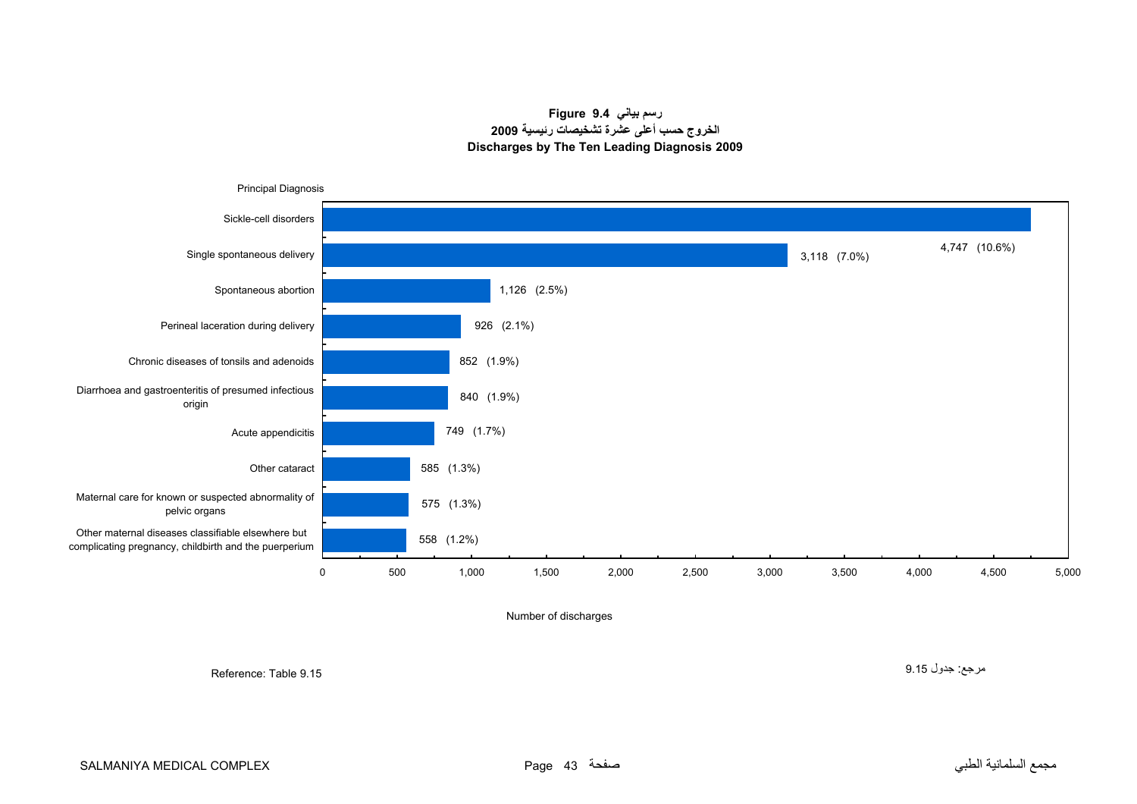**رسم بياني 9.4 Figure الخروج حسب أعلى عشرة تشخيصات رئيسية <sup>2009</sup> Discharges by The Ten Leading Diagnosis 2009**

<span id="page-41-0"></span>

Number of discharges

Reference: Table 9.15

مرجع: جدول 9.15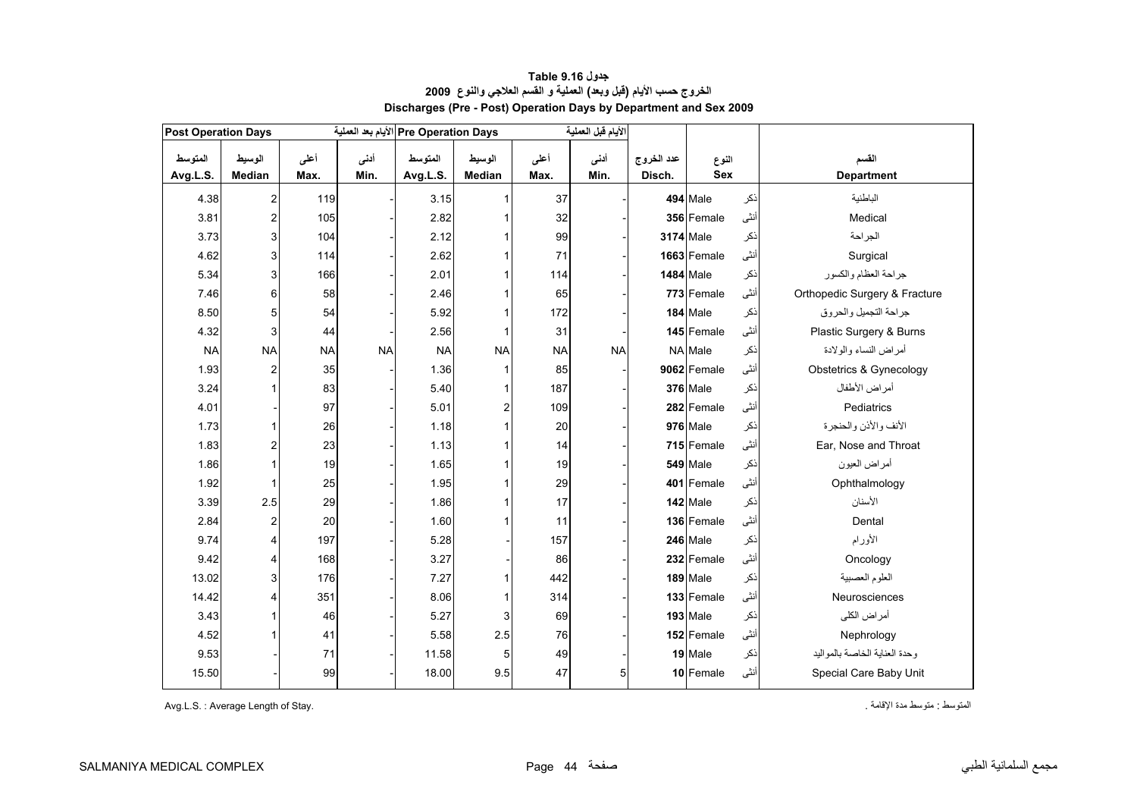<span id="page-42-0"></span>

| <b>Post Operation Days</b> |                |           |           | Pre Operation Days الأيام بعد العملية |                |           | الأيام قبل العملية |            |                  |      |                               |
|----------------------------|----------------|-----------|-----------|---------------------------------------|----------------|-----------|--------------------|------------|------------------|------|-------------------------------|
| المتوسط                    | الوسيط         | أعلمى     | أدنى      | المتوسط                               | الوسيط         | أعلى      | أدنى               | عدد الخروج | النوع            |      | القسم                         |
| Avg.L.S.                   | Median         | Max.      | Min.      | Avg.L.S.                              | Median         | Max.      | Min.               | Disch.     | <b>Sex</b>       |      | <b>Department</b>             |
| 4.38                       | 2              | 119       |           | 3.15                                  |                | 37        |                    |            | <b>494 Male</b>  | ذكر  | الباطنية                      |
| 3.81                       | 2              | 105       |           | 2.82                                  |                | 32        |                    |            | 356 Female       | أنثى | Medical                       |
| 3.73                       | 3              | 104       |           | 2.12                                  |                | 99        |                    |            | <b>3174</b> Male | ذكر  | الجراحة                       |
| 4.62                       | 3              | 114       |           | 2.62                                  |                | 71        |                    |            | 1663 Female      | أنثى | Surgical                      |
| 5.34                       | 3              | 166       |           | 2.01                                  |                | 114       |                    |            | <b>1484</b> Male | ذكر  | جراحة العظام والكسور          |
| 7.46                       | 6              | 58        |           | 2.46                                  |                | 65        |                    |            | 773 Female       | أنثى | Orthopedic Surgery & Fracture |
| 8.50                       | 5              | 54        |           | 5.92                                  |                | 172       |                    |            | 184 Male         | ذكر  | جراحة التجميل والحروق         |
| 4.32                       | 3              | 44        |           | 2.56                                  |                | 31        |                    |            | 145 Female       | أنثى | Plastic Surgery & Burns       |
| <b>NA</b>                  | <b>NA</b>      | <b>NA</b> | <b>NA</b> | <b>NA</b>                             | <b>NA</b>      | <b>NA</b> | <b>NA</b>          |            | NA Male          | ذكر  | أمراض النساء والولادة         |
| 1.93                       | 2              | 35        |           | 1.36                                  |                | 85        |                    |            | 9062 Female      | أنثى | Obstetrics & Gynecology       |
| 3.24                       |                | 83        |           | 5.40                                  |                | 187       |                    |            | 376 Male         | ذكر  | أمراض الأطفال                 |
| 4.01                       |                | 97        |           | 5.01                                  | $\overline{c}$ | 109       |                    |            | 282 Female       | أنثى | Pediatrics                    |
| 1.73                       |                | 26        |           | 1.18                                  |                | 20        |                    |            | <b>976</b> Male  | نكر  | الأنف والأذن والحنجرة         |
| 1.83                       | 2              | 23        |           | 1.13                                  |                | 14        |                    |            | 715 Female       | أننى | Ear, Nose and Throat          |
| 1.86                       |                | 19        |           | 1.65                                  |                | 19        |                    |            | 549 Male         | ذكر  | أمراض العيون                  |
| 1.92                       | 1              | 25        |           | 1.95                                  |                | 29        |                    |            | 401 Female       | أنثى | Ophthalmology                 |
| 3.39                       | 2.5            | 29        |           | 1.86                                  |                | 17        |                    |            | 142 Male         | ذكر  | الأسنان                       |
| 2.84                       | $\overline{2}$ | 20        |           | 1.60                                  |                | 11        |                    |            | 136 Female       | أنثى | Dental                        |
| 9.74                       | 4              | 197       |           | 5.28                                  |                | 157       |                    |            | 246 Male         | ذكر  | الأورام                       |
| 9.42                       | 4              | 168       |           | 3.27                                  |                | 86        |                    |            | 232 Female       | أنثى | Oncology                      |
| 13.02                      | 3              | 176       |           | 7.27                                  |                | 442       |                    |            | 189 Male         | ذكر  | العلوم العصبية                |
| 14.42                      | 4              | 351       |           | 8.06                                  |                | 314       |                    |            | 133 Female       | أنثى | Neurosciences                 |
| 3.43                       |                | 46        |           | 5.27                                  | 3              | 69        |                    |            | <b>193 Male</b>  | ذكر  | أمراض الكلى                   |
| 4.52                       |                | 41        |           | 5.58                                  | 2.5            | 76        |                    |            | 152 Female       | أنثى | Nephrology                    |
| 9.53                       |                | 71        |           | 11.58                                 | 5              | 49        |                    |            | 19 Male          | ذكر  | وحدة العناية الخاصة بالمواليد |
| 15.50                      |                | 99        |           | 18.00                                 | 9.5            | 47        | 5                  |            | 10 Female        | أنثى | Special Care Baby Unit        |

#### **جدول 9.16 Table الخروج حسب الأيام (قبل وبعد) العملية <sup>و</sup> القسم العلاجي والنوع <sup>2009</sup> Discharges (Pre - Post) Operation Days by Department and Sex 2009**

Avg.L.S. : Average Length of Stay. . الإقامة مدة متوسط : المتوسط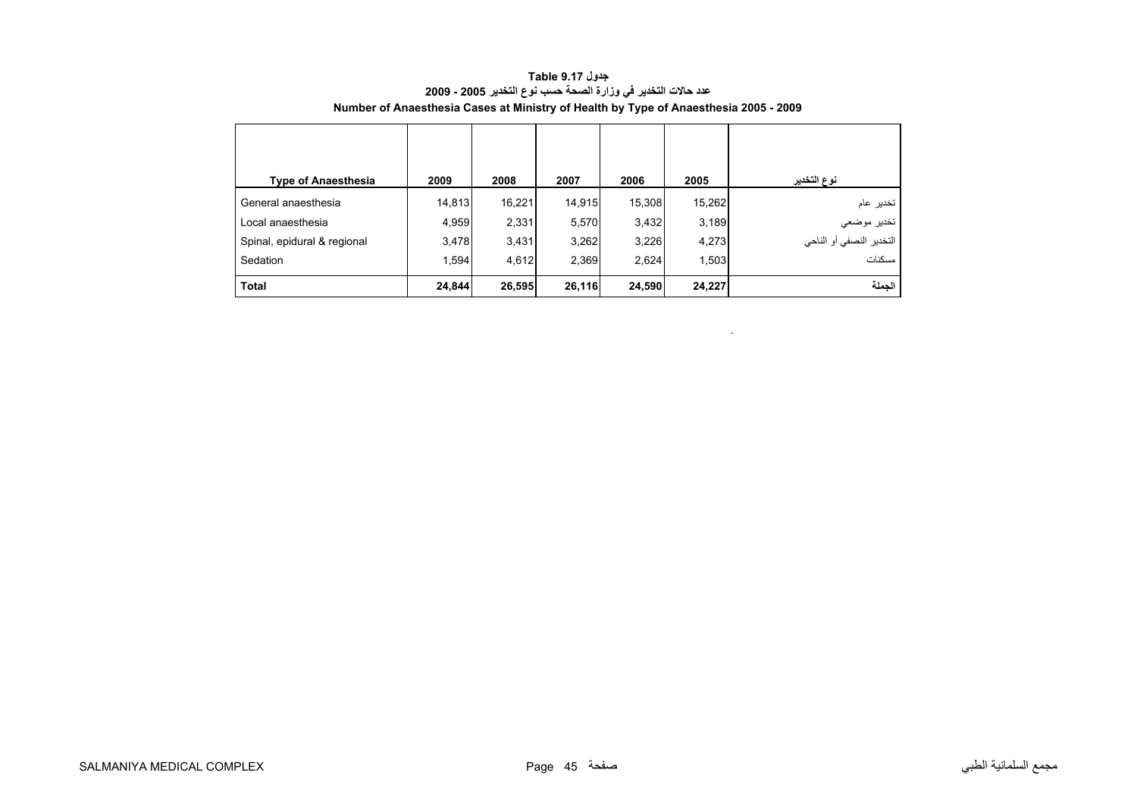<span id="page-43-0"></span>

| <b>Type of Anaesthesia</b>  | 2009   | 2008   | 2007   | 2006   | 2005   | نوع التخدير                   |
|-----------------------------|--------|--------|--------|--------|--------|-------------------------------|
| General anaesthesia         | 14,813 | 16,221 | 14,915 | 15,308 | 15,262 | تخدير عام                     |
| Local anaesthesia           | 4,959  | 2,331  | 5,570  | 3,432  | 3,189  | تخدير موضعي                   |
| Spinal, epidural & regional | 3,478  | 3,431  | 3,262  | 3,226  | 4,273  | .<br>التخدير النصفي أو الناحي |
| Sedation                    | 1,594  | 4,612  | 2,369  | 2,624  | 1,503  | مسكنات                        |
| <b>Total</b>                | 24,844 | 26,595 | 26,116 | 24,590 | 24,227 | الجملة                        |

**جدول 9.17 Table عدد حالات التخدير في وزارة الصحة حسب نوع التخدير 2005 - 2009 Number of Anaesthesia Cases at Ministry of Health by Type of Anaesthesia 2005 - 2009**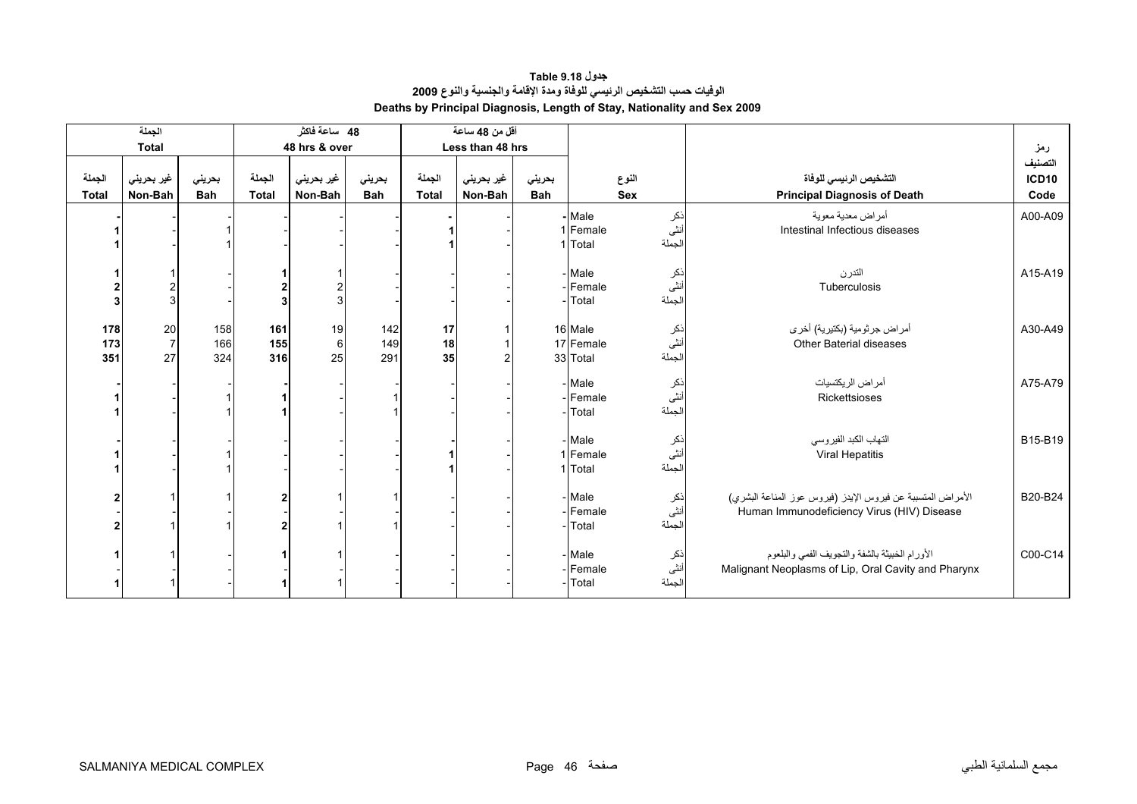**جدول 9.18 Table الوفيات حسب التشخيص الرئيسي للوفاة ومدة الإقامة والجنسية والنوع <sup>2009</sup> Deaths by Principal Diagnosis, Length of Stay, Nationality and Sex 2009** 

<span id="page-44-0"></span>

|                        | الجملة                         |                      |                        | 48 ساعة فاكثر         |                      |                        | أقل من 48 ساعة        |                      |                                  |                        |                                                                                                           |                          |
|------------------------|--------------------------------|----------------------|------------------------|-----------------------|----------------------|------------------------|-----------------------|----------------------|----------------------------------|------------------------|-----------------------------------------------------------------------------------------------------------|--------------------------|
|                        | <b>Total</b>                   |                      |                        | 48 hrs & over         |                      |                        | Less than 48 hrs      |                      |                                  |                        |                                                                                                           | رمز                      |
| الجملة<br><b>Total</b> | غير بحريني<br>Non-Bah          | بحريني<br><b>Bah</b> | الجملة<br><b>Total</b> | غير بحريني<br>Non-Bah | بحرينى<br><b>Bah</b> | الجملة<br><b>Total</b> | غير بحريني<br>Non-Bah | بحريني<br><b>Bah</b> |                                  | النوع<br><b>Sex</b>    | التشخيص الرئيسى للوفاة<br><b>Principal Diagnosis of Death</b>                                             | التصنيف<br>ICD10<br>Code |
|                        |                                |                      |                        |                       |                      |                        |                       |                      | Male<br>1 Female<br>1 Total      | ذکر<br>اُنٹی<br>الجملة | أمراض معدية معوية<br>Intestinal Infectious diseases                                                       | A00-A09                  |
| 3                      |                                |                      |                        | $\overline{c}$<br>3   |                      |                        |                       |                      | - Male<br>Female<br>Total        | ذکر<br>انٹی<br>الجملة  | التدرن<br>Tuberculosis                                                                                    | A15-A19                  |
| 178<br>173<br>351      | $20\,$<br>$\overline{7}$<br>27 | 158<br>166<br>324    | 161<br>155<br>316      | 19<br>$\,6$<br>25     | 142<br>149<br>291    | 17<br>18<br>35         |                       |                      | 16 Male<br>17 Female<br>33 Total | ذکر<br>أنثى<br>الجملة  | أمراض جرثومية (بكتيرية) أخرى<br><b>Other Baterial diseases</b>                                            | A30-A49                  |
|                        |                                |                      |                        |                       |                      |                        |                       |                      | - Male<br>-Female<br>Total       | ذكر<br>أنثى<br>الجملة  | أمراض الريكتسيات<br>Rickettsioses                                                                         | A75-A79                  |
|                        |                                |                      |                        |                       |                      |                        |                       |                      | Male<br>1 Female<br>1 Total      | ذكر<br>أنثى<br>الجملة  | التهاب الكبد الفيروسي<br>Viral Hepatitis                                                                  | B15-B19                  |
|                        |                                |                      |                        |                       |                      |                        |                       |                      | - Male<br>Female<br>Total        | ذکر<br>انٹی<br>الجملة  | الأمراض المتسببة عن فيروس الإيدز (فيروس عوز المناعة البشري)<br>Human Immunodeficiency Virus (HIV) Disease | B20-B24                  |
|                        |                                |                      |                        |                       |                      |                        |                       |                      | Male<br>Female<br>Total          | ذکر<br>أنثى<br>الجملة  | الأورام الخبيثة بالشفة والتجويف الفمى والبلعوم<br>Malignant Neoplasms of Lip, Oral Cavity and Pharynx     | C00-C14                  |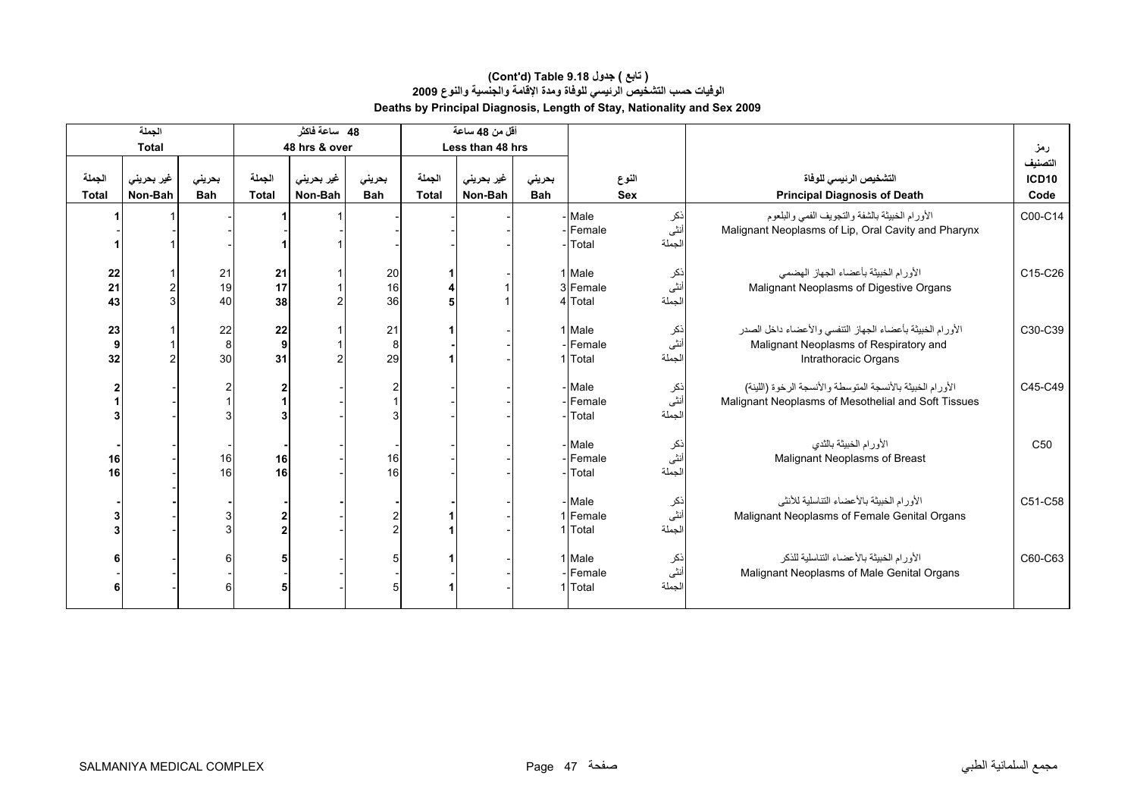#### **الوفيات حسب التشخيص الرئيسي للوفاة ومدة الإقامة والجنسية والنوع <sup>2009</sup> Deaths by Principal Diagnosis, Length of Stay, Nationality and Sex 2009 (Cont'd) Table 9.18 جدول ) تابع(**

|                        | الجملة                |                      |                          | 48 ساعة فاكثر         |                      |                        | أقل من 48 ساعة        |                      |                               |                      |                                                                                                                                    |                                 |
|------------------------|-----------------------|----------------------|--------------------------|-----------------------|----------------------|------------------------|-----------------------|----------------------|-------------------------------|----------------------|------------------------------------------------------------------------------------------------------------------------------------|---------------------------------|
|                        | <b>Total</b>          |                      |                          | 48 hrs & over         |                      |                        | Less than 48 hrs      |                      |                               |                      |                                                                                                                                    | رمز                             |
| الجملة<br><b>Total</b> | غير بحريني<br>Non-Bah | بحريني<br><b>Bah</b> | الجملة<br><b>Total</b>   | غير بحريني<br>Non-Bah | بحريني<br><b>Bah</b> | الجملة<br><b>Total</b> | غير بحريني<br>Non-Bah | بحريني<br><b>Bah</b> |                               | النوع<br><b>Sex</b>  | التشخيص الرئيسي للوفاة<br><b>Principal Diagnosis of Death</b>                                                                      | التصنيف<br><b>ICD10</b><br>Code |
|                        |                       |                      |                          |                       |                      |                        |                       |                      | Male<br>- Female<br>- Total   | نكر<br>أنثى<br>لجملة | الأورام الخبيثة بالشفة والتجويف الفمى والبلعوم<br>Malignant Neoplasms of Lip, Oral Cavity and Pharynx                              | C00-C14                         |
| 22<br>21<br>43         |                       | 21<br>19<br>40       | 21<br>17<br>38           | 2                     | 20<br>16<br>36       |                        |                       |                      | 1 Male<br>3 Female<br>4 Total | نكر<br>نٹی<br>لجملة  | الأورام الخبيثة بأعضاء الجهاز الهضمى<br>Malignant Neoplasms of Digestive Organs                                                    | C15-C26                         |
| 23<br>9<br>32          |                       | 22<br>8<br>30        | 22<br>$\mathbf{9}$<br>31 |                       | 21<br>8<br>29        |                        |                       |                      | 1 Male<br>- Female<br>1 Total | نكر<br>أنثى<br>لجملة | الأورام الخبيثة بأعضاء الجهاز التنفسي والأعضاء داخل الصدر<br>Malignant Neoplasms of Respiratory and<br><b>Intrathoracic Organs</b> | C30-C39                         |
|                        |                       |                      |                          |                       | $\overline{2}$       |                        |                       |                      | - Male<br>-IFemale<br>- Total | نكر<br>أنثى<br>لجملة | الأورام الخبيثة بالأنسجة المتوسطة والأنسجة الرخوة (اللينة)<br>Malignant Neoplasms of Mesothelial and Soft Tissues                  | C45-C49                         |
| 16<br>16               |                       | 16<br>16             | 16<br>16                 |                       | 16<br>16             |                        |                       |                      | Male<br>- Female<br>- Total   | نكر<br>نٹی<br>لجملة  | الأورام الخبيثة بالثدى<br>Malignant Neoplasms of Breast                                                                            | C <sub>50</sub>                 |
|                        |                       |                      | 2<br>$\mathbf{2}$        |                       |                      |                        |                       |                      | - Male<br>1 Female<br>1 Total | نكر<br>نٹی<br>لجملة  | الأورام الخبيثة بالأعضاء التناسلية للأنثى<br>Malignant Neoplasms of Female Genital Organs                                          | C51-C58                         |
|                        |                       |                      |                          |                       |                      |                        |                       |                      | 1 Male<br>Female<br>1 Total   | ذكر<br>أنثى<br>لجملة | الأورام الخبيثة بالأعضاء التناسلية للذكر<br>Malignant Neoplasms of Male Genital Organs                                             | C60-C63                         |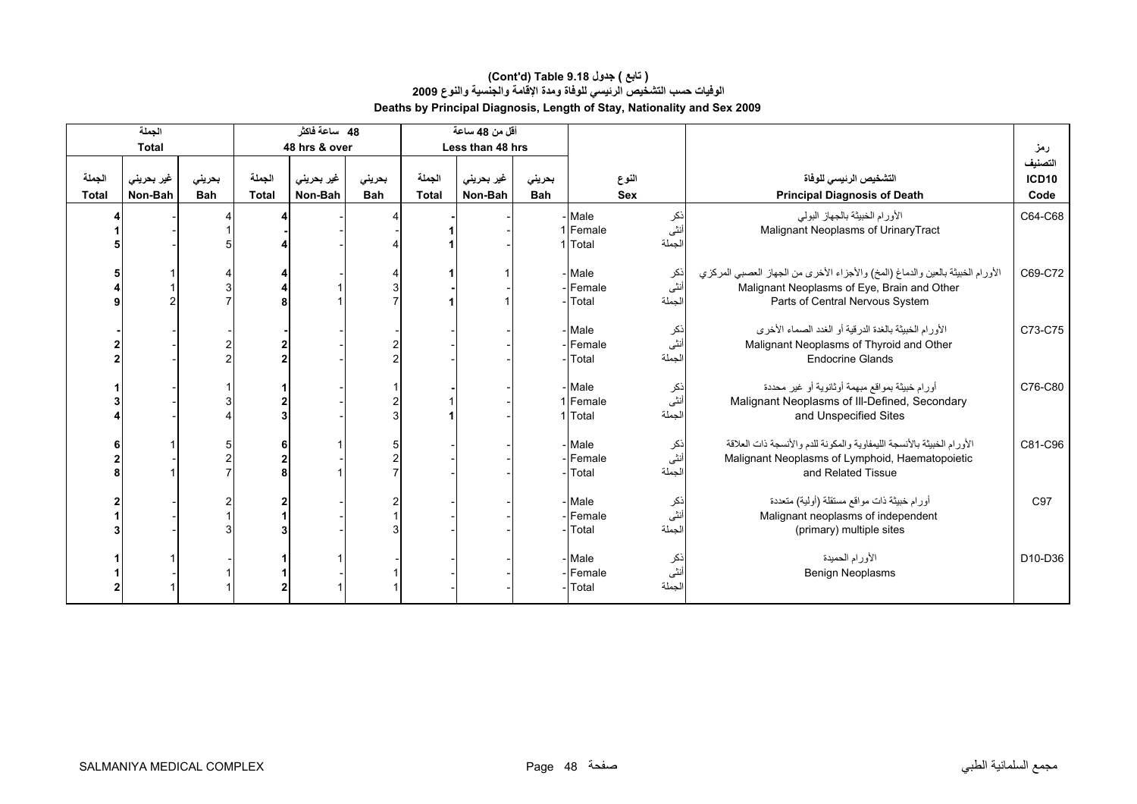|                        | الجملة                |                      |                        | 48 ساعة فاكثر         |                      |                        | أقل من 48 ساعة        |                      |                                  |                       |                                                                                                                                                                  |                                 |
|------------------------|-----------------------|----------------------|------------------------|-----------------------|----------------------|------------------------|-----------------------|----------------------|----------------------------------|-----------------------|------------------------------------------------------------------------------------------------------------------------------------------------------------------|---------------------------------|
|                        | <b>Total</b>          |                      |                        | 48 hrs & over         |                      |                        | Less than 48 hrs      |                      |                                  |                       |                                                                                                                                                                  | رمز                             |
| الجملة<br><b>Total</b> | غیر بحرینی<br>Non-Bah | بحريني<br><b>Bah</b> | الجملة<br><b>Total</b> | غير بحريني<br>Non-Bah | بحرينى<br><b>Bah</b> | الجملة<br><b>Total</b> | غير بحريني<br>Non-Bah | بحريني<br><b>Bah</b> |                                  | النوع<br><b>Sex</b>   | التشخيص الرئيسى للوفاة<br><b>Principal Diagnosis of Death</b>                                                                                                    | التصنيف<br><b>ICD10</b><br>Code |
|                        |                       |                      |                        |                       |                      |                        |                       |                      | Male<br>1 Female<br>1 Total      | ذکر<br>أنثى<br>الجملة | الأورام الخبيثة بالجهاز البولي<br>Malignant Neoplasms of UrinaryTract                                                                                            | C64-C68                         |
|                        |                       |                      |                        |                       |                      |                        |                       |                      | Male<br>-Female<br>Total         | ذکر<br>أنثى<br>الجملة | الأورام الخبيثة بالعين والدماغ (المخ) والأجزاء الأخرى من الجهاز العصبي المركزي<br>Malignant Neoplasms of Eye, Brain and Other<br>Parts of Central Nervous System | C69-C72                         |
|                        |                       |                      |                        |                       |                      |                        |                       |                      | Male<br>Female<br>Total          | ذکر<br>انٹی<br>الجملة | الأورام الخبيثة بالغدة الدرقية أو الغدد الصماء الأخرى<br>Malignant Neoplasms of Thyroid and Other<br><b>Endocrine Glands</b>                                     | C73-C75                         |
|                        |                       |                      |                        |                       |                      |                        |                       |                      | - Male<br>1 Female<br>1 Total    | ذكر<br>أنثى<br>لجملة  | أورام خبيثة بمواقع مبهمة أوثانوية أو غير محددة<br>Malignant Neoplasms of III-Defined, Secondary<br>and Unspecified Sites                                         | C76-C80                         |
|                        |                       |                      | $\overline{2}$         |                       |                      |                        |                       |                      | - Male<br>- Female<br>Total      | ذكر<br>أنثى<br>لجملة  | الأورام الخبيثة بالأنسجة الليمفاوية والمكونة للدم والأنسجة ذات العلاقة<br>Malignant Neoplasms of Lymphoid, Haematopoietic<br>and Related Tissue                  | C81-C96                         |
|                        |                       |                      |                        |                       |                      |                        |                       |                      | - Male<br>Female<br>Total        | نكر<br>أنثى<br>الجملة | أورام خبيثة ذات مواقع مستقلة (أولية) متعددة<br>Malignant neoplasms of independent<br>(primary) multiple sites                                                    | C97                             |
|                        |                       |                      |                        |                       |                      |                        |                       |                      | - Male<br>Female<br><b>Total</b> | نكر<br>أنثى<br>لجملة  | الأورام الحميدة<br>Benign Neoplasms                                                                                                                              | D10-D36                         |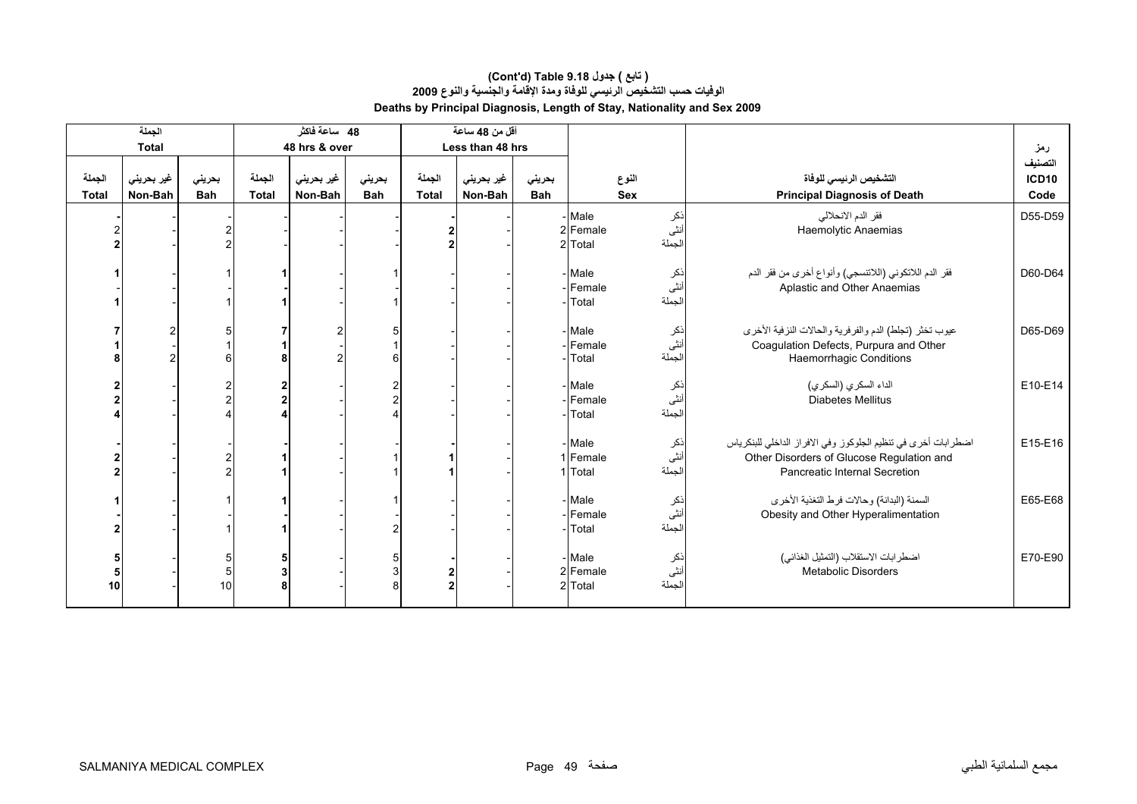|                        | الجملة                |                      |                        | 48 ساعة فاكثر         |                      |                        | أقل من 48 ساعة        |                      |                               |                      |                                                                                                                                              |                                 |
|------------------------|-----------------------|----------------------|------------------------|-----------------------|----------------------|------------------------|-----------------------|----------------------|-------------------------------|----------------------|----------------------------------------------------------------------------------------------------------------------------------------------|---------------------------------|
|                        | <b>Total</b>          |                      |                        | 48 hrs & over         |                      |                        | Less than 48 hrs      |                      |                               |                      |                                                                                                                                              | رمز                             |
| الجملة<br><b>Total</b> | غير بحريني<br>Non-Bah | بحريني<br><b>Bah</b> | الجملة<br><b>Total</b> | غير بحريني<br>Non-Bah | بحريني<br><b>Bah</b> | الجملة<br><b>Total</b> | غير بحريني<br>Non-Bah | بحرينى<br><b>Bah</b> | النوع<br><b>Sex</b>           |                      | التشخيص الرئيسى للوفاة<br><b>Principal Diagnosis of Death</b>                                                                                | التصنيف<br><b>ICD10</b><br>Code |
|                        |                       |                      |                        |                       |                      |                        |                       |                      | - Male<br>2 Female<br>2 Total | نكر<br>نٹی<br>لجملة  | فقر الدم الانحلالي<br>Haemolytic Anaemias                                                                                                    | D55-D59                         |
|                        |                       |                      |                        |                       |                      |                        |                       |                      | - Male<br>Female<br>Total     | نكر<br>نثى<br>لجملة  | فقر الدم اللاتكوني (اللاتنسجي) وأنواع أخرى من فقر الدم<br>Aplastic and Other Anaemias                                                        | D60-D64                         |
|                        |                       |                      |                        |                       | 6                    |                        |                       |                      | - Male<br>Female<br>Total     | نكر<br>أنثى<br>لجملة | عيوب تخثر (تجلط) الدم والفرفرية والحالات النزفية الأخرى<br>Coagulation Defects, Purpura and Other<br><b>Haemorrhagic Conditions</b>          | D65-D69                         |
|                        |                       |                      |                        |                       |                      |                        |                       |                      | - Male<br>Female<br>Total     | نكر<br>أنثى<br>لجملة | الداء السكري (السكري)<br><b>Diabetes Mellitus</b>                                                                                            | E10-E14                         |
|                        |                       |                      |                        |                       |                      |                        |                       |                      | - Male<br>1 Female<br>1 Total | نكر<br>أنثى<br>لجملة | اضطر ابات أخرى في تنظيم الجلوكوز وفي الافراز الداخلي للبنكرياس<br>Other Disorders of Glucose Regulation and<br>Pancreatic Internal Secretion | E15-E16                         |
|                        |                       |                      |                        |                       |                      |                        |                       |                      | - Male<br>Female<br>Total     | نكر<br>أنثى<br>لجملة | السمنة (البدانة) وحالات فرط التغذية الأخرى<br>Obesity and Other Hyperalimentation                                                            | E65-E68                         |
| 5<br>10                |                       | 5<br>10              | 5<br>3<br>8            |                       |                      |                        |                       |                      | - Male<br>2 Female<br>2 Total | نكر<br>أنثى<br>لجملة | اضطرابات الاستقلاب (التمثيل الغذائي)<br><b>Metabolic Disorders</b>                                                                           | E70-E90                         |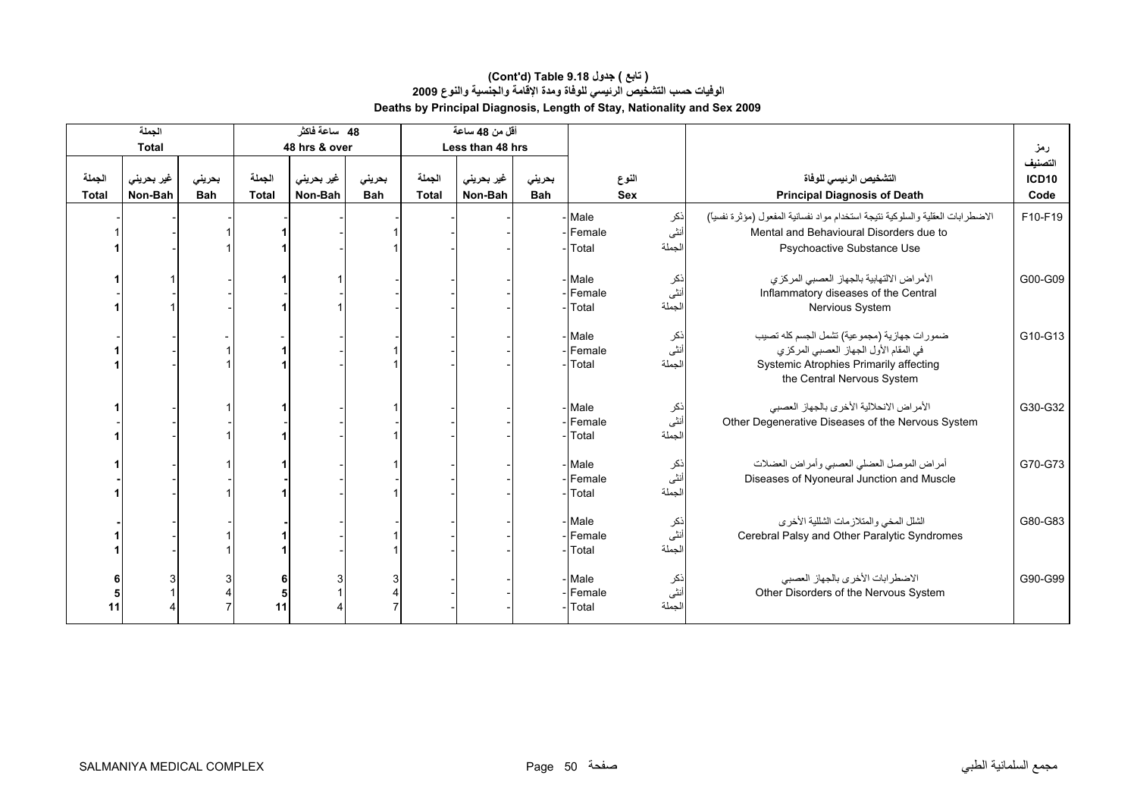|                        | الجملة<br><b>Total</b> |                      |                                    | 48 ساعة فاكثر<br>48 hrs & over |                      |                 | أقل من 48 ساعة<br>Less than 48 hrs |                      |                                                   |              |                       |                                                                                                                                                              | رمز                  |
|------------------------|------------------------|----------------------|------------------------------------|--------------------------------|----------------------|-----------------|------------------------------------|----------------------|---------------------------------------------------|--------------|-----------------------|--------------------------------------------------------------------------------------------------------------------------------------------------------------|----------------------|
|                        |                        |                      |                                    |                                |                      |                 |                                    |                      |                                                   |              |                       |                                                                                                                                                              | التصنيف              |
| الجملة<br><b>Total</b> | غیر بحرینی<br>Non-Bah  | بحريني<br><b>Bah</b> | الجملة<br>Total                    | غیر بحرین <i>ی</i><br>Non-Bah  | بحريني<br><b>Bah</b> | الجملة<br>Total | غیر بحرینی<br>Non-Bah              | بحريني<br><b>Bah</b> |                                                   | النوع<br>Sex |                       | التشخيص الرئيسى للوفاة<br><b>Principal Diagnosis of Death</b>                                                                                                | <b>ICD10</b><br>Code |
|                        |                        |                      |                                    |                                |                      |                 |                                    |                      | Male<br>- Female<br>Total                         |              | نكر<br>أنثى<br>لجملة  | الاضطرابات العقلية والسلوكية نتيجة استخدام مواد نفسانية المفعول (مؤثرة نفسيأ)<br>Mental and Behavioural Disorders due to<br>Psychoactive Substance Use       | F10-F19              |
|                        |                        |                      |                                    |                                |                      |                 |                                    |                      | - Male<br>- Female<br>- Total                     |              | ذكر<br>أنثى<br>الجملة | الأمراض الالتهابية بالجهاز العصبي المركزي<br>Inflammatory diseases of the Central<br>Nervious System                                                         | G00-G09              |
|                        |                        |                      |                                    |                                |                      |                 |                                    |                      | - Male<br>- Female<br>Total                       |              | ذکر<br>أنثى<br>الجملة | ضمورات جهازية (مجموعية) تشمل الجسم كله تصيب<br>في المقام الأول الجهاز العصبي المركزي<br>Systemic Atrophies Primarily affecting<br>the Central Nervous System | G10-G13              |
|                        |                        |                      |                                    |                                |                      |                 |                                    |                      | - Male<br>- Female<br>Total                       |              | ذکر<br>أنثى<br>لجملة  | الأمراض الانحلالية الأخرى بالجهاز العصبي<br>Other Degenerative Diseases of the Nervous System                                                                | G30-G32              |
|                        |                        |                      |                                    |                                |                      |                 |                                    |                      | - Male<br>Female<br>Total                         |              | ذکر<br>أنثى<br>لجملة  | أمراض الموصل العضلى العصبي وأمراض العضلات<br>Diseases of Nyoneural Junction and Muscle                                                                       | G70-G73              |
|                        |                        |                      |                                    |                                |                      |                 |                                    |                      | - Male<br>- Female<br>Total                       |              | ذکر<br>أنثى<br>لجملة  | الشلل المخي والمتلازمات الشللية الأخرى<br>Cerebral Palsy and Other Paralytic Syndromes                                                                       | G80-G83              |
| 11                     |                        |                      | 6<br>$\overline{\mathbf{5}}$<br>11 |                                |                      |                 |                                    |                      | - Male<br>ذکر<br>أنثى<br>Female<br>لجملة<br>Total |              |                       | الاضطرابات الأخرى بالجهاز العصبي<br>Other Disorders of the Nervous System                                                                                    | G90-G99              |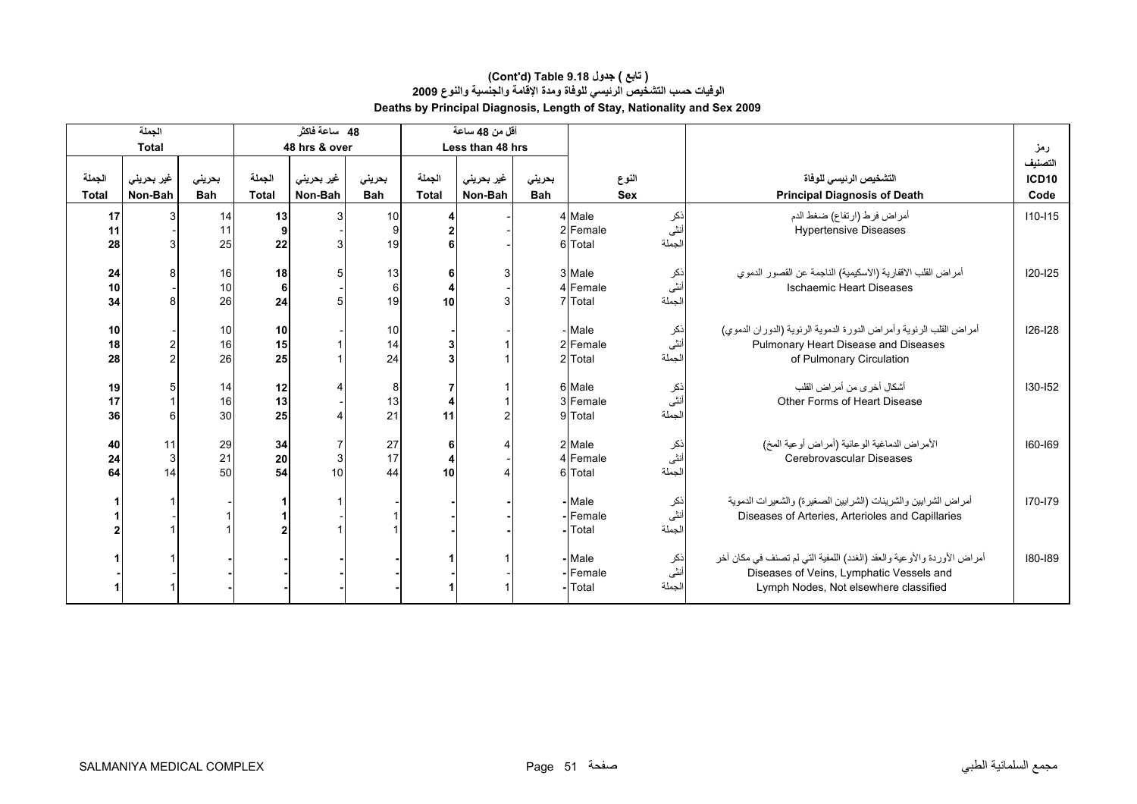|                        | الجملة                |                      |                        | 48 ساعة فاكثر         |                      |                 | أقل من 48 ساعة        |                      |                                                 |                        |                                                                                                                                                             |                                 |
|------------------------|-----------------------|----------------------|------------------------|-----------------------|----------------------|-----------------|-----------------------|----------------------|-------------------------------------------------|------------------------|-------------------------------------------------------------------------------------------------------------------------------------------------------------|---------------------------------|
|                        | <b>Total</b>          |                      |                        | 48 hrs & over         |                      |                 | Less than 48 hrs      |                      |                                                 |                        |                                                                                                                                                             | رمز                             |
| الجملة<br><b>Total</b> | غير بحريني<br>Non-Bah | بحريني<br><b>Bah</b> | الجملة<br><b>Total</b> | غير بحريني<br>Non-Bah | بحرينى<br><b>Bah</b> | الجملة<br>Total | غير بحريني<br>Non-Bah | بحرينى<br><b>Bah</b> |                                                 | النوع<br>Sex           | التشخيص الرئيسى للوفاة<br><b>Principal Diagnosis of Death</b>                                                                                               | التصنيف<br><b>ICD10</b><br>Code |
| 17<br>11<br>28         |                       | 14<br>11<br>25       | 13<br>9<br>22          |                       | 10<br>9<br>19        |                 |                       |                      | 4 Male<br>2 Female<br>6 Total                   | نكر<br>أنثى<br>الجملة  | أمراض فرط (ارتفاع) ضغط الدم<br><b>Hypertensive Diseases</b>                                                                                                 | $110 - 115$                     |
| 24<br>10<br>34         |                       | 16<br>10<br>26       | 18<br>6<br>24          | 5                     | 13<br>6<br>19        | 6<br>10         |                       |                      | 3 Male<br>4 Female<br>7 Total                   | نكر<br>أنثى<br>الجملة  | أمراض القلب الاقفارية (الاسكيمية) الناجمة عن القصور الدموي<br><b>Ischaemic Heart Diseases</b>                                                               | $120 - 125$                     |
| 10<br>18<br>28         |                       | 10<br>16<br>26       | 10<br>15<br>25         |                       | 10<br>14<br>24       |                 |                       |                      | - Male<br>2 Female<br>2 Total                   | ذکر<br>أنثى<br>الجملة  | أمراض القلب الرئوية وأمراض الدورة الدموية الرئوية (الدوران الدموي)<br>Pulmonary Heart Disease and Diseases<br>of Pulmonary Circulation                      | $126 - 128$                     |
| 19<br>17<br>36         |                       | 14<br>16<br>30       | 12<br>13<br>25         |                       | 8<br>13<br>21        | 11              |                       |                      | 6 Male<br>3 Female<br>9 Total                   | اذكر<br>أنثى<br>الجملة | أشكال أخرى من أمراض القلب<br>Other Forms of Heart Disease                                                                                                   | $130 - 152$                     |
| 40<br>24<br>64         | 11<br>3<br>14         | 29<br>21<br>50       | 34<br>20<br>54         | 3<br>10               | 27<br>17<br>44       | 6<br>10         |                       |                      | 2 Male<br>4 Female<br>6 Total                   | نكر<br>أنثى<br>الجملة  | الأمراض الدماغية الوعائية (أمراض أوعية المخ)<br>Cerebrovascular Diseases                                                                                    | 160-169                         |
|                        |                       |                      | $\mathbf{z}$           |                       |                      |                 |                       |                      | Male<br>Female<br>Total                         | ذکر<br>أنثى<br>الجملة  | أمراض الشرابين والشرينات (الشرابين الصغيرة) والشعيرات الدموية<br>Diseases of Arteries, Arterioles and Capillaries                                           | 170-179                         |
|                        |                       |                      |                        |                       |                      |                 |                       |                      | Male<br>ذكر<br>أنثى<br>Female<br>لجملة<br>Total |                        | أمراض الأوردة والأوعية والعقد (الغدد) اللمفية التي لم تصنف في مكان أخر<br>Diseases of Veins, Lymphatic Vessels and<br>Lymph Nodes, Not elsewhere classified | 180-189                         |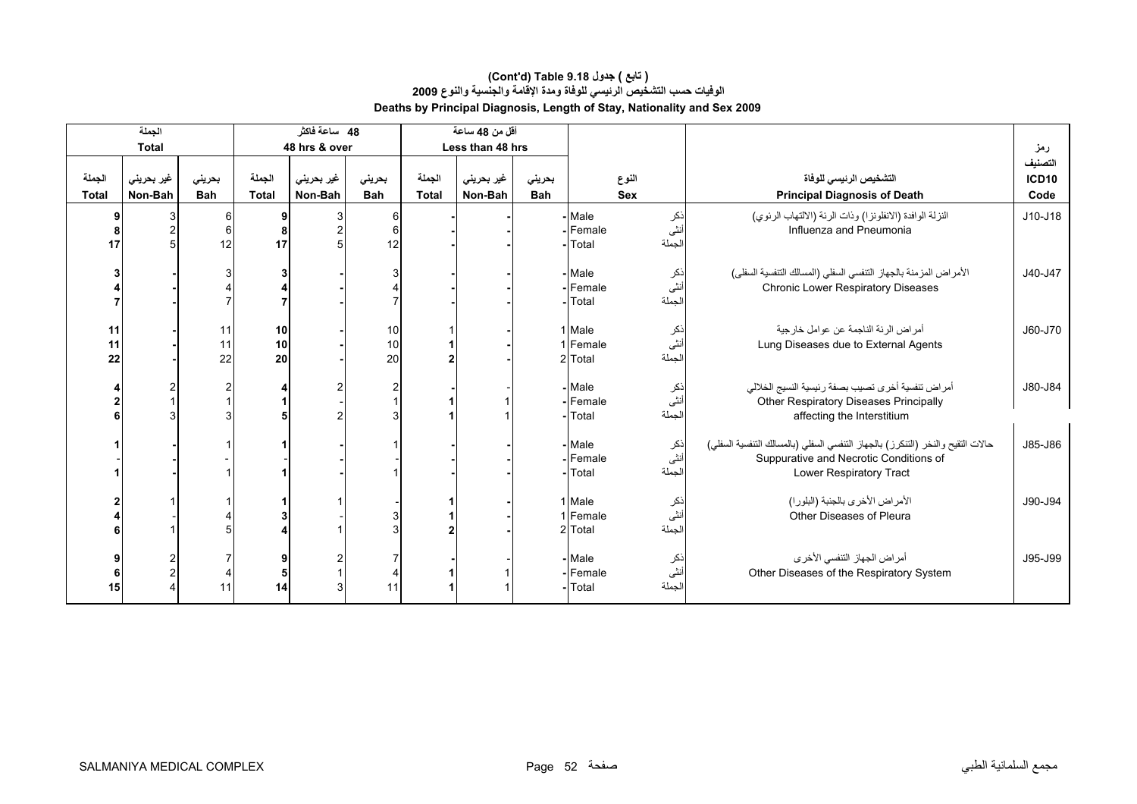#### **Deaths by Principal Diagnosis, Length of Stay, Nationality and Sex 2009 (Cont'd) Table 9.18 جدول ) تابع( الوفيات حسب التشخيص الرئيسي للوفاة ومدة الإقامة والجنسية والنوع <sup>2009</sup>**

| الجملة                 |                               |                      | 48 ساعة فاكثر          |                       |                      | أقل من 48 ساعة         |                       |                      |                               |                       |                                                                                                                                                      |                                 |  |
|------------------------|-------------------------------|----------------------|------------------------|-----------------------|----------------------|------------------------|-----------------------|----------------------|-------------------------------|-----------------------|------------------------------------------------------------------------------------------------------------------------------------------------------|---------------------------------|--|
|                        | <b>Total</b>                  |                      |                        | 48 hrs & over         |                      |                        | Less than 48 hrs      |                      |                               |                       |                                                                                                                                                      | رمز                             |  |
| الجملة<br><b>Total</b> | غیر بحرین <i>ی</i><br>Non-Bah | بحرينى<br><b>Bah</b> | الجملة<br><b>Total</b> | غير بحريني<br>Non-Bah | بحريني<br><b>Bah</b> | الجملة<br><b>Total</b> | غير بحريني<br>Non-Bah | بحريني<br><b>Bah</b> |                               | النوع<br><b>Sex</b>   | التشخيص الرئيسي للوفاة<br><b>Principal Diagnosis of Death</b>                                                                                        | التصنيف<br><b>ICD10</b><br>Code |  |
| 9<br>17                |                               | 6<br>12              | 9<br>17                | 3                     | 6<br>$6 \mid$<br>12  |                        |                       |                      | - Male<br>-Female<br>- Total  | نكر<br>نثى<br>لجملة   | النزلة الوافدة (الانفلونزا) وذات الرئة (الالتهاب الرئوي)<br>Influenza and Pneumonia                                                                  | $J10-J18$                       |  |
|                        |                               |                      |                        |                       |                      |                        |                       |                      | - Male<br>-Female<br>- Total  | ذکر<br>اُنٹی<br>لجملة | الأمراض المزمنة بالجهاز التنفسي السفلي (المسالك التنفسية السفلى)<br>Chronic Lower Respiratory Diseases                                               | J40-J47                         |  |
| 11<br>11<br>22         |                               | 11<br>11<br>22       | 10<br>10<br>20         |                       | 10<br>10<br>20       |                        |                       |                      | 1 Male<br>1 Female<br>2 Total | نكر<br>نٹی<br>لجملة   | أمراض الرئة الناجمة عن عوامل خارجية<br>Lung Diseases due to External Agents                                                                          | J60-J70                         |  |
|                        |                               |                      |                        |                       |                      |                        |                       |                      | - Male<br>- Female<br>- Total | ذکر<br>أنثى<br>لجملة  | أمراض ننفسية أخرى نصيب بصفة رئيسية النسيج الخلالي<br>Other Respiratory Diseases Principally<br>affecting the Interstitium                            | J80-J84                         |  |
|                        |                               |                      |                        |                       |                      |                        |                       |                      | - Male<br>- Female<br>- Total | ذکر<br>أنثى<br>لجملة  | حالات التقيح والنخر (التنكرز) بالجهاز التنفسي السفلي (بالمسالك التنفسية السفلي)<br>Suppurative and Necrotic Conditions of<br>Lower Respiratory Tract | J85-J86                         |  |
|                        |                               |                      |                        |                       |                      |                        |                       |                      | 1 Male<br>1 Female<br>2 Total | نكر<br>أنثى<br>لجملة  | الأمراض الأخرى بالجنبة (البلورا)<br>Other Diseases of Pleura                                                                                         | J90-J94                         |  |
| 15                     |                               |                      | 14                     | 3                     | 11                   |                        |                       |                      | -Male<br>-Female<br>-Total    | ذكر<br>أنثى<br>لجملة  | أمراض الجهاز التنفسي الأخرى<br>Other Diseases of the Respiratory System                                                                              |                                 |  |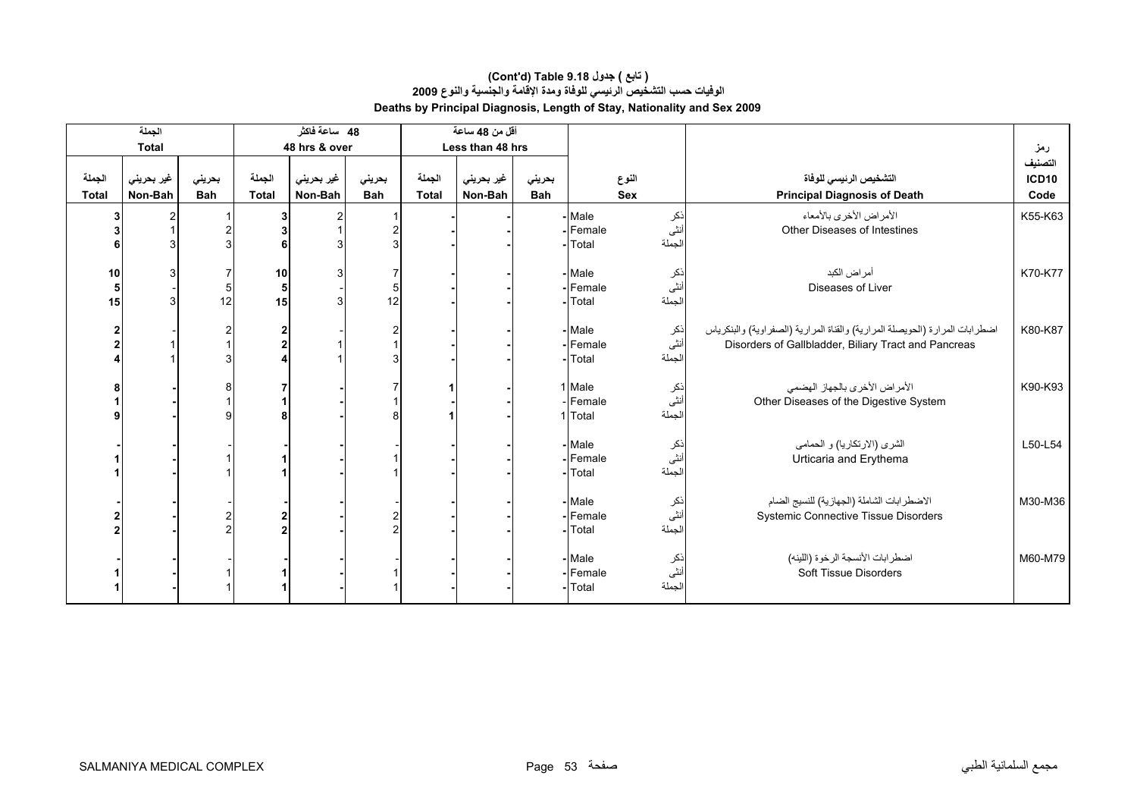| الجملة                 |                       |                      |                                  | 48 ساعة فاكثر         |                      |                        | أقل من 48 ساعة        |                      |                                                  |                         |                                                                                                                                      |                                 |
|------------------------|-----------------------|----------------------|----------------------------------|-----------------------|----------------------|------------------------|-----------------------|----------------------|--------------------------------------------------|-------------------------|--------------------------------------------------------------------------------------------------------------------------------------|---------------------------------|
|                        | <b>Total</b>          |                      |                                  | 48 hrs & over         |                      |                        | Less than 48 hrs      |                      |                                                  |                         |                                                                                                                                      | رمز                             |
| الجملة<br><b>Total</b> | غير بحريني<br>Non-Bah | بحريني<br><b>Bah</b> | الجملة<br><b>Total</b>           | غير بحريني<br>Non-Bah | بحريني<br><b>Bah</b> | الجملة<br><b>Total</b> | غير بحريني<br>Non-Bah | بحريني<br><b>Bah</b> |                                                  | النوع<br><b>Sex</b>     | التشخيص الرئيسي للوفاة<br><b>Principal Diagnosis of Death</b>                                                                        | التصنيف<br><b>ICD10</b><br>Code |
| 3                      |                       |                      | 3<br>6                           |                       |                      |                        |                       |                      | Male<br>Female<br>Total                          | نکر<br>أنثى<br>الجملة   | الأمراض الأخرى بالأمعاء<br>Other Diseases of Intestines                                                                              | K55-K63                         |
| 10<br>5<br>15          |                       | 5<br>12              | 10<br>$\sqrt{5}$<br>15           | 3                     | 12                   |                        |                       |                      | Male<br>-IFemale<br>Total                        | ذكر<br>أنثى<br>الجملة   | أمر اض الكبد<br>Diseases of Liver                                                                                                    | K70-K77                         |
|                        |                       |                      | $\overline{2}$<br>$\overline{2}$ |                       |                      |                        |                       |                      | <b>Male</b><br>-Female<br>Total                  | ذکر<br>أنثى<br>الجملة   | اضطرابات المرارة (الحويصلة المرارية) والقناة المرارية (الصفراوية) والبنكرياس<br>Disorders of Gallbladder, Biliary Tract and Pancreas | K80-K87                         |
|                        |                       |                      | $\mathbf 1$<br>8                 |                       |                      |                        |                       |                      | 1 Male<br>Female<br>1 Total                      | انکر<br>اُنٹی<br>الجملة | الأمراض الأخرى بالجهاز الهضمى<br>Other Diseases of the Digestive System                                                              | K90-K93                         |
|                        |                       |                      |                                  |                       |                      |                        |                       |                      | - Male<br>Female<br>Total                        | ذكر<br>أنثى<br>الجملة   | الشرى (الارتكاريا) و الحمامي<br>Urticaria and Erythema                                                                               | L50-L54                         |
|                        |                       |                      | $\overline{2}$<br>$\overline{2}$ |                       |                      |                        |                       |                      | - Male<br>Female<br>Total                        | نكر<br>أنثى<br>الجملة   | الاضطرابات الشاملة (الجهازية) للنسيج الضام<br><b>Systemic Connective Tissue Disorders</b>                                            | M30-M36                         |
|                        |                       |                      |                                  |                       |                      |                        |                       |                      | Male<br>نكر<br>أنثى<br>Female<br>الجملة<br>Total |                         | اضطرابات الأنسجة الرخوة (اللينه)<br>Soft Tissue Disorders                                                                            | M60-M79                         |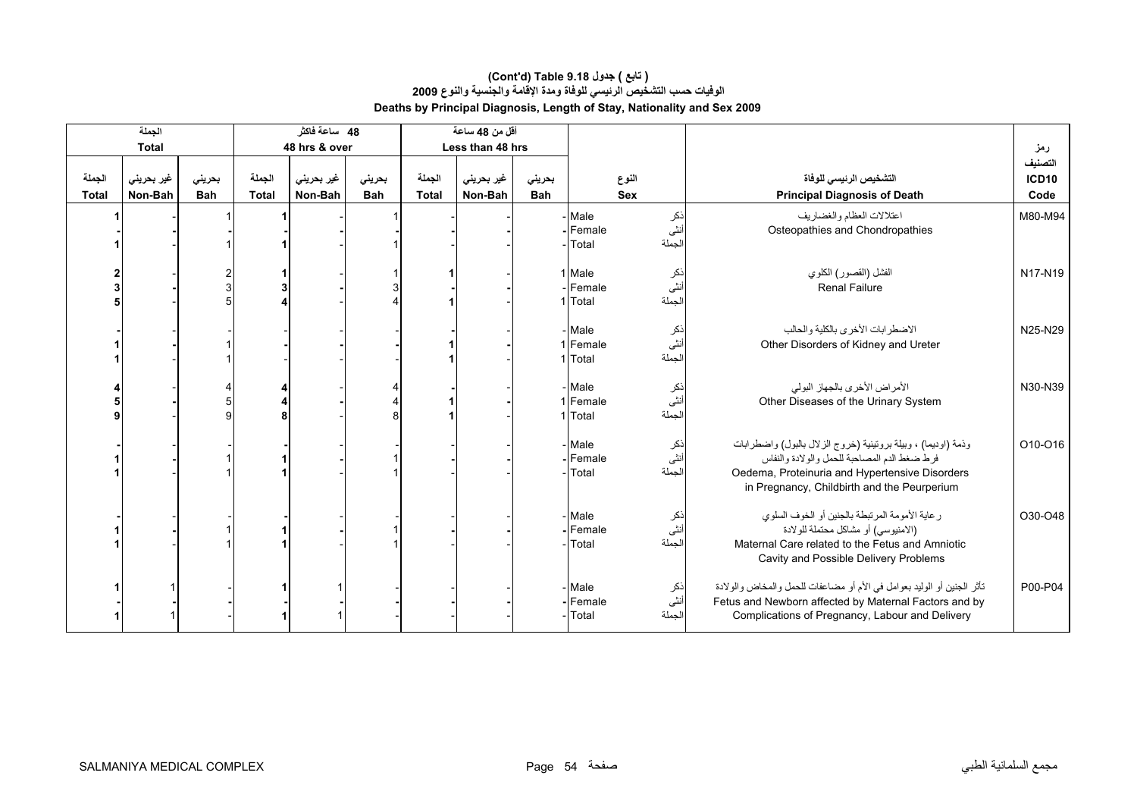| الجملة                 |                       |                      |                        | 48 ساعة فاكثر         |                      |                        | أقل من 48 ساعة        |                      |                                                   |                       |                                                                                                                                                                                                                |                                 |
|------------------------|-----------------------|----------------------|------------------------|-----------------------|----------------------|------------------------|-----------------------|----------------------|---------------------------------------------------|-----------------------|----------------------------------------------------------------------------------------------------------------------------------------------------------------------------------------------------------------|---------------------------------|
|                        | <b>Total</b>          |                      |                        | 48 hrs & over         |                      |                        | Less than 48 hrs      |                      |                                                   |                       |                                                                                                                                                                                                                | رمز                             |
| الجملة<br><b>Total</b> | غير بحريني<br>Non-Bah | بحرينى<br><b>Bah</b> | الجملة<br><b>Total</b> | غیر بحرینی<br>Non-Bah | بحرينى<br><b>Bah</b> | الجملة<br><b>Total</b> | غیر بحرینی<br>Non-Bah | بحريني<br><b>Bah</b> |                                                   | النوع<br><b>Sex</b>   | التشخيص الرئيسى للوفاة<br><b>Principal Diagnosis of Death</b>                                                                                                                                                  | التصنيف<br><b>ICD10</b><br>Code |
|                        |                       |                      |                        |                       |                      |                        |                       |                      | - Male<br>-Female<br>Total                        | نكر<br>أنثى<br>لجملة  | اعتلالات العظام والغضاريف<br>Osteopathies and Chondropathies                                                                                                                                                   | M80-M94                         |
|                        |                       |                      |                        |                       |                      |                        |                       |                      | 1 Male<br>Female<br>1 Total                       | ذکر<br>انٹی<br>لجملة  | الفشل (القصور) الكلوي<br><b>Renal Failure</b>                                                                                                                                                                  | N17-N19                         |
|                        |                       |                      |                        |                       |                      |                        |                       |                      | - Male<br>1 Female<br>1 Total                     | نكر<br>نثى<br>لجملة   | الاضطرابات الأخرى بالكلية والحالب<br>Other Disorders of Kidney and Ureter                                                                                                                                      | N25-N29                         |
|                        |                       |                      |                        |                       |                      |                        |                       |                      | - Male<br>1 Female<br>1 Total                     | نكر<br>أنثى<br>الجملة | الأمراض الأخرى بالجهاز البولي<br>Other Diseases of the Urinary System                                                                                                                                          | N30-N39                         |
|                        |                       |                      |                        |                       |                      |                        |                       |                      | - Male<br>-Female<br>Total                        | ذکر<br>أنثى<br>لجملة  | وذمة (اوديما) ، وبيلة بروتينية (خروج الزلال بالبول) واضطرابات<br>فرط ضغط الدم المصاحبة للحمل والولادة والنفاس<br>Oedema, Proteinuria and Hypertensive Disorders<br>in Pregnancy, Childbirth and the Peurperium | O10-O16                         |
|                        |                       |                      |                        |                       |                      |                        |                       |                      | - Male<br>Female<br>Total                         | نكر<br>أنثى<br>لجملة  | رعاية الأمومة المرتبطة بالجنين أو الخوف السلوى<br>(الامنيوسي) أو مشاكل محتملة للولادة<br>Maternal Care related to the Fetus and Amniotic<br>Cavity and Possible Delivery Problems                              | O30-O48                         |
|                        |                       |                      |                        |                       |                      |                        |                       |                      | - Male<br>ذكر<br>أنثى<br>Female<br>لجملة<br>Total |                       | تأثَّر الجنين أو الوليد بعوامل في الأم أو مضاعفات للحمل والمخاض والولادة<br>Fetus and Newborn affected by Maternal Factors and by<br>Complications of Pregnancy, Labour and Delivery                           | P00-P04                         |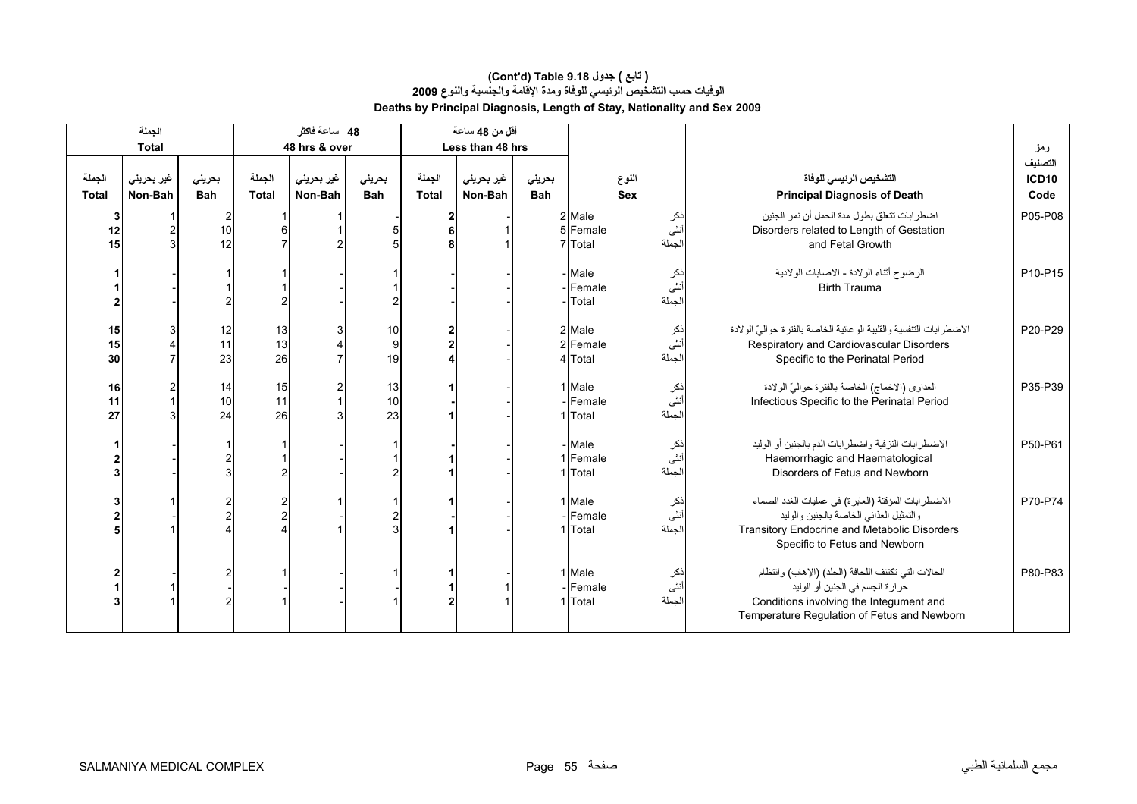#### **الوفيات حسب التشخيص الرئيسي للوفاة ومدة الإقامة والجنسية والنوع <sup>2009</sup> Deaths by Principal Diagnosis, Length of Stay, Nationality and Sex 2009 (Cont'd) Table 9.18 جدول ) تابع(**

|                        | الجملة                |                            |                        | 48 ساعة فاكثر         |                      |                        | أقل من 48 ساعة        |               |                                                        |                      |                                                                                                                                                                                  |                                 |
|------------------------|-----------------------|----------------------------|------------------------|-----------------------|----------------------|------------------------|-----------------------|---------------|--------------------------------------------------------|----------------------|----------------------------------------------------------------------------------------------------------------------------------------------------------------------------------|---------------------------------|
|                        | <b>Total</b>          |                            |                        | 48 hrs & over         |                      |                        | Less than 48 hrs      |               |                                                        |                      |                                                                                                                                                                                  | رمز                             |
| الجملة<br><b>Total</b> | غير بحريني<br>Non-Bah | بحرينى<br><b>Bah</b>       | الجملة<br><b>Total</b> | غیر بحرینی<br>Non-Bah | بحرينى<br><b>Bah</b> | الجملة<br><b>Total</b> | غیر بحرینی<br>Non-Bah | بحرينى<br>Bah |                                                        | النوع<br><b>Sex</b>  | التشخيص الرئيسى للوفاة<br><b>Principal Diagnosis of Death</b>                                                                                                                    | التصنيف<br><b>ICD10</b><br>Code |
| 3<br>12<br>15          |                       | $\overline{2}$<br>10<br>12 |                        |                       |                      |                        |                       |               | 2 Male<br>5 Female<br>7 Total                          | نكر<br>أنثى<br>لجملة | اضطرابات تتعلق بطول مدة الحمل أن نمو الجنين<br>Disorders related to Length of Gestation<br>and Fetal Growth                                                                      | P05-P08                         |
|                        |                       |                            |                        |                       |                      |                        |                       |               | - Male<br>-Female<br>Total                             | نكر<br>أننى<br>لجملة | الرضوح أثناء الولادة - الاصابات الولادية<br><b>Birth Trauma</b>                                                                                                                  | P10-P15                         |
| 15<br>15<br>30         |                       | 12<br>11<br>23             | 13<br>13<br>26         |                       | 10<br>9<br>19        |                        |                       |               | 2 Male<br>2 Female<br>4 Total                          | نكر<br>أنثى<br>لجملة | الاضطرابات التنفسية والقلبية الوعائية الخاصة بالفترة حواليّ الولادة<br>Respiratory and Cardiovascular Disorders<br>Specific to the Perinatal Period                              | P20-P29                         |
| 16<br>11<br>27         |                       | 14<br>10<br>24             | 15<br>11<br>26         | 2                     | 13<br>10<br>23       |                        |                       |               | 1 Male<br>Female<br>1 Total                            | نكر<br>أنثى<br>لجملة | العداوي (الاخماج) الخاصة بالفترة حواليّ الولادة<br>Infectious Specific to the Perinatal Period                                                                                   | P35-P39                         |
|                        |                       |                            |                        |                       |                      |                        |                       |               | - Male<br>1 Female<br>1 Total                          | نكر<br>أنثى<br>لجملة | الاضطرابات النزفية واضطرابات الدم بالجنين أو الوليد<br>Haemorrhagic and Haematological<br>Disorders of Fetus and Newborn                                                         | P50-P61                         |
|                        |                       |                            |                        |                       |                      |                        |                       |               | 1 Male<br>- Female<br>1 Total                          | نكر<br>نثى<br>لجملة  | الاضطرابات المؤقتة (العابرة) في عمليات الغدد الصماء<br>والتمثيل الغذائي الخاصة بالجنين والوليد<br>Transitory Endocrine and Metabolic Disorders<br>Specific to Fetus and Newborn  | P70-P74                         |
|                        |                       |                            |                        |                       |                      |                        |                       |               | 1 Male<br>نكر<br>أنثى<br>- Female<br>الجملة<br>1 Total |                      | الحالات التي تكتنف اللحافة (الجلد) (الإهاب) وانتظام<br>حرارة الجسم في الجنين أو الوليد<br>Conditions involving the Integument and<br>Temperature Regulation of Fetus and Newborn | P80-P83                         |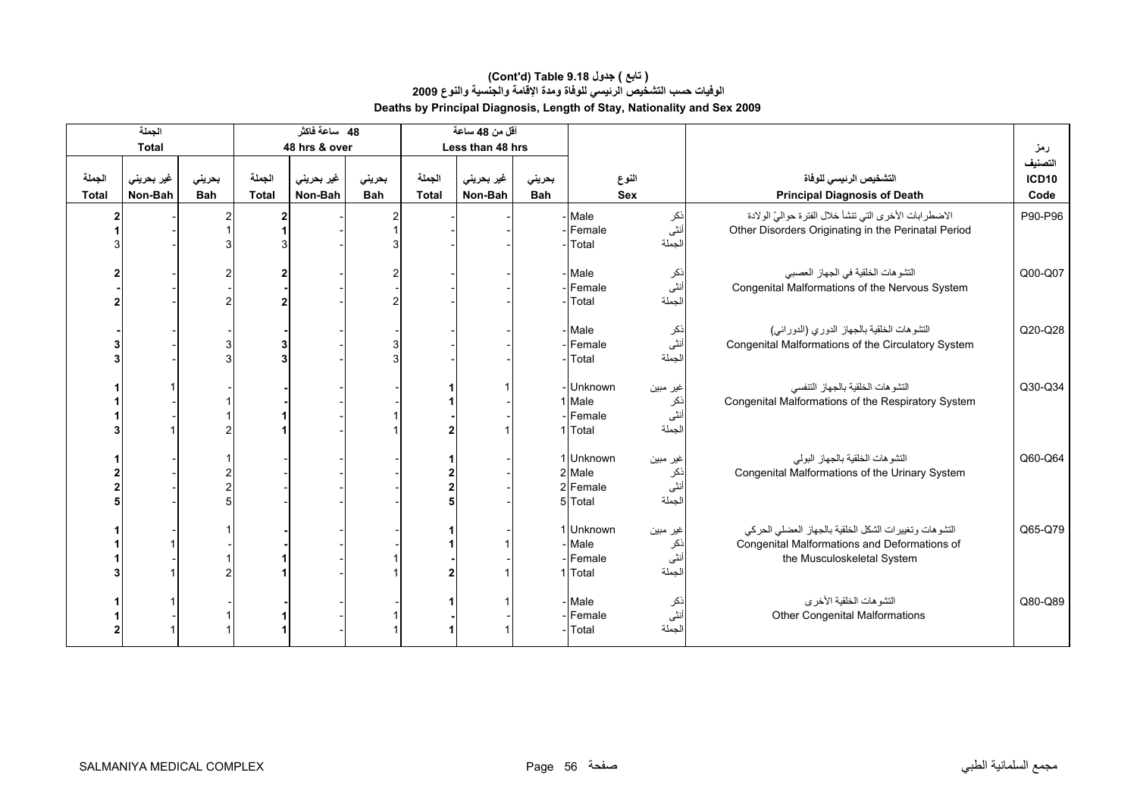|                        | الجملة                |                      |                        | 48 ساعة فاكثر         |                      |                        | أقل من 48 ساعة        |               |                                                                            |                                  |                                                                                                                                     |                          |
|------------------------|-----------------------|----------------------|------------------------|-----------------------|----------------------|------------------------|-----------------------|---------------|----------------------------------------------------------------------------|----------------------------------|-------------------------------------------------------------------------------------------------------------------------------------|--------------------------|
|                        | <b>Total</b>          |                      |                        | 48 hrs & over         |                      |                        | Less than 48 hrs      |               |                                                                            |                                  |                                                                                                                                     | رمز                      |
| الجملة<br><b>Total</b> | غير بحريني<br>Non-Bah | بحريني<br><b>Bah</b> | الجملة<br><b>Total</b> | غير بحريني<br>Non-Bah | بحريني<br><b>Bah</b> | الجملة<br><b>Total</b> | غير بحريني<br>Non-Bah | بحريني<br>Bah | النوع<br><b>Sex</b>                                                        |                                  | التشخيص الرئيسى للوفاة<br><b>Principal Diagnosis of Death</b>                                                                       | التصنيف<br>ICD10<br>Code |
|                        |                       |                      | 2                      |                       |                      |                        |                       |               | Male<br>Female<br>Total                                                    | نكر<br>أنثى<br>لجملة             | الاضطرابات الأخرى التي تنشأ خلال الفترة حواليّ الولادة<br>Other Disorders Originating in the Perinatal Period                       | P90-P96                  |
|                        |                       |                      |                        |                       |                      |                        |                       |               | Male<br>Female<br>Total                                                    | نكر<br>أنثى<br>لجملة             | التشوهات الخلقية في الجهاز العصبي<br>Congenital Malformations of the Nervous System                                                 | Q00-Q07                  |
|                        |                       |                      |                        |                       |                      |                        |                       |               | Male<br>Female<br>Total                                                    | نكر<br>أنثى<br>لجملة             | التشوهات الخلقية بالجهاز الدوري (الدوراني)<br>Congenital Malformations of the Circulatory System                                    | Q20-Q28                  |
|                        |                       |                      |                        |                       |                      |                        |                       |               | - Unknown<br>1 Male<br>-Female<br>1 Total                                  | غير مبين<br>نكر<br>أنثى<br>لجملة | النشو هات الخلقية بالجهاز التنفسي<br>Congenital Malformations of the Respiratory System                                             | Q30-Q34                  |
|                        |                       |                      |                        |                       |                      |                        |                       |               | 1 Unknown<br>2 Male<br>2 Female<br>5 Total                                 | غير مبين<br>نكر<br>أنثى<br>لجملة | التشوهات الخلقية بالجهاز البولى<br>Congenital Malformations of the Urinary System                                                   | Q60-Q64                  |
|                        |                       |                      |                        |                       |                      |                        |                       |               | 1 Unknown<br>غير مبين<br>Male<br>نكر<br>أنثى<br>Female<br>لجملة<br>1 Total |                                  | التشوهات وتغييرات الشكل الخلقية بالجهاز العضلى الحركى<br>Congenital Malformations and Deformations of<br>the Musculoskeletal System | Q65-Q79                  |
|                        |                       |                      |                        |                       |                      |                        |                       |               | - Male<br>نكر<br>أنثى<br>Female<br>لجملة<br>Total                          |                                  | التشوهات الخلقية الأخرى<br><b>Other Congenital Malformations</b>                                                                    | Q80-Q89                  |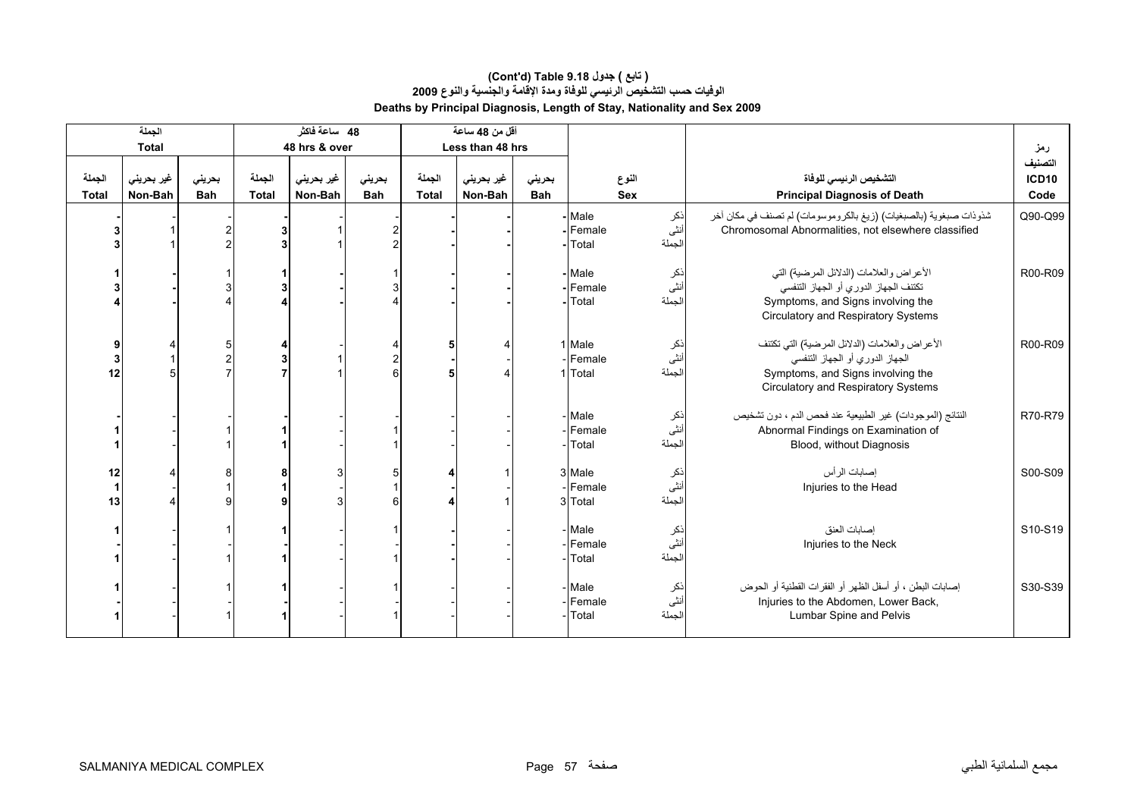|                        | الجملة                |                      |                        | 48 ساعة فاكثر         |                      |                        | أقل من 48 ساعة        |                      |                             |                        |                                                                                                                                                                      |                                 |
|------------------------|-----------------------|----------------------|------------------------|-----------------------|----------------------|------------------------|-----------------------|----------------------|-----------------------------|------------------------|----------------------------------------------------------------------------------------------------------------------------------------------------------------------|---------------------------------|
|                        | <b>Total</b>          |                      |                        | 48 hrs & over         |                      |                        | Less than 48 hrs      |                      |                             |                        |                                                                                                                                                                      | رمز                             |
| الجملة<br><b>Total</b> | غير بحريني<br>Non-Bah | بحريني<br><b>Bah</b> | الجملة<br><b>Total</b> | غير بحريني<br>Non-Bah | بحرينى<br><b>Bah</b> | الجملة<br><b>Total</b> | غير بحريني<br>Non-Bah | بحرينى<br><b>Bah</b> |                             | النوع<br><b>Sex</b>    | التشخيص الرئيسى للوفاة<br><b>Principal Diagnosis of Death</b>                                                                                                        | التصنيف<br><b>ICD10</b><br>Code |
|                        |                       |                      |                        |                       |                      |                        |                       |                      | Male<br>-Female<br>Total    | ذکر<br>أنثى<br>الجملة  | شذوذات صبغوية (بالصبغيات) (زيغ بالكروموسومات) لم تصنف في مكان أخر<br>Chromosomal Abnormalities, not elsewhere classified                                             | Q90-Q99                         |
|                        |                       |                      |                        |                       |                      |                        |                       |                      | - Male<br>Female<br>Total   | ذکر<br>أنثى<br>الجملة  | الأعراض والعلامات (الدلائل المرضية) التي<br>تكتنف الجهاز الدوري أو الجهاز التنفسي<br>Symptoms, and Signs involving the<br><b>Circulatory and Respiratory Systems</b> | R00-R09                         |
| 9<br>3<br>12           |                       |                      |                        |                       |                      |                        |                       |                      | 1 Male<br>Female<br>1 Total | ذكر<br>أنثى<br>الجملة  | الأعراض والعلامات (الدلائل المرضية) التي تكتنف<br>الجهاز الدوري أو الجهاز التنفسي<br>Symptoms, and Signs involving the<br>Circulatory and Respiratory Systems        | R00-R09                         |
|                        |                       |                      |                        |                       |                      |                        |                       |                      | Male<br>Female<br>Total     | ذکر<br>اُنٹی<br>الجملة | النتائج (الموجودات) غير الطبيعية عند فحص الدم ، دون تشخيص<br>Abnormal Findings on Examination of<br>Blood, without Diagnosis                                         | R70-R79                         |
| 12<br>1<br>13          |                       |                      |                        |                       |                      |                        |                       |                      | 3 Male<br>Female<br>3 Total | ذکر<br>أنثى<br>لجملة   | إصبابات الرأس<br>Injuries to the Head                                                                                                                                | S00-S09                         |
|                        |                       |                      |                        |                       |                      |                        |                       |                      | - Male<br>Female<br>Total   | ذکر<br>أنثى<br>الجملة  | إصبابات العنق<br>Injuries to the Neck                                                                                                                                | S10-S19                         |
|                        |                       |                      |                        |                       |                      |                        |                       |                      | Male<br>Female<br>Total     | نكر<br>أنثى<br>الجملة  | إصابات البطن ، أو أسفل الظهر أو الفقرات القطنية أو الحوض<br>Injuries to the Abdomen, Lower Back,<br>Lumbar Spine and Pelvis                                          | S30-S39                         |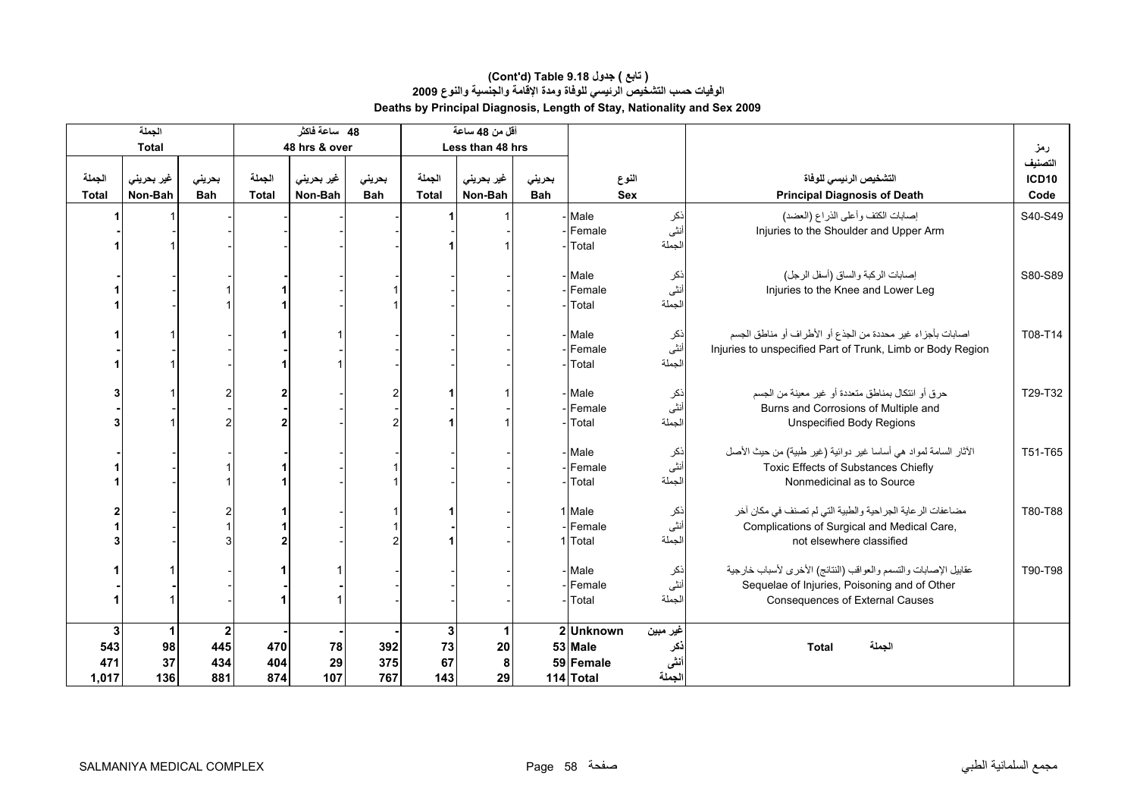|                                    | الجملة                |                                              |                        | 48 ساعة فاكثر         |                      |                                 | أقل من 48 ساعة        |                      |                                               |                                   |                                                                                                                                                    |                                 |
|------------------------------------|-----------------------|----------------------------------------------|------------------------|-----------------------|----------------------|---------------------------------|-----------------------|----------------------|-----------------------------------------------|-----------------------------------|----------------------------------------------------------------------------------------------------------------------------------------------------|---------------------------------|
|                                    | <b>Total</b>          |                                              |                        | 48 hrs & over         |                      |                                 | Less than 48 hrs      |                      |                                               |                                   |                                                                                                                                                    | رمز                             |
| الجملة<br><b>Total</b>             | غير بحريني<br>Non-Bah | بحريني<br><b>Bah</b>                         | الجملة<br><b>Total</b> | غير بحريني<br>Non-Bah | بحريني<br><b>Bah</b> | الجملة<br>Total                 | غير بحريني<br>Non-Bah | بحريني<br><b>Bah</b> | النوع<br>Sex                                  |                                   | التشخيص الرئيسي للوفاة<br><b>Principal Diagnosis of Death</b>                                                                                      | التصنيف<br><b>ICD10</b><br>Code |
|                                    |                       |                                              |                        |                       |                      |                                 |                       |                      | - Male<br>- Female<br>Total                   | نكر<br>أنثى<br>لجملة              | إصابات الكتف وأعلى الذراع (العضد)<br>Injuries to the Shoulder and Upper Arm                                                                        | S40-S49                         |
|                                    |                       |                                              |                        |                       |                      |                                 |                       |                      | - Male<br>-IFemale<br>Total                   | نكر<br>أنثى<br>لجملة              | إصابات الركبة والساق (أسفل الرجل)<br>Injuries to the Knee and Lower Leg                                                                            | S80-S89                         |
|                                    |                       |                                              |                        |                       |                      |                                 |                       |                      | - Male<br>- Female<br>Total                   | نكر<br>أنثى<br>لجملة              | اصابات بأجزاء غير محددة من الجذع أو الأطراف أو مناطق الجسم<br>Injuries to unspecified Part of Trunk, Limb or Body Region                           | T08-T14                         |
|                                    |                       |                                              |                        |                       |                      |                                 |                       |                      | - Male<br>-Female<br>Total                    | ذكر<br>أنثى<br>لجملة              | حرق أو ائتكال بمناطق متعددة أو غير معينة من الجسم<br>Burns and Corrosions of Multiple and<br><b>Unspecified Body Regions</b>                       | T29-T32                         |
|                                    |                       |                                              |                        |                       |                      |                                 |                       |                      | - Male<br>-IFemale<br>Total                   | نكر<br>أنثى<br>لجملة              | الأثار السامة لمواد هي أساسا غير دوائية (غير طبية) من حيث الأصل<br><b>Toxic Effects of Substances Chiefly</b><br>Nonmedicinal as to Source         | T51-T65                         |
|                                    |                       |                                              |                        |                       |                      |                                 |                       |                      | 1 Male<br>- Female<br>1 Total                 | نكر<br>أنثى<br>لجملة              | مضاعفات الرعاية الجراحية والطبية التي لم تصنف في مكان أخر<br>Complications of Surgical and Medical Care,<br>not elsewhere classified               | T80-T88                         |
|                                    |                       |                                              |                        |                       |                      |                                 |                       |                      | - Male<br>- Female<br>Total                   | ذكر<br>أنثى<br>لجملة              | عقابيل الإصابات والتسمم والعواقب (النتائج) الأخرى لأسباب خارجية<br>Sequelae of Injuries, Poisoning and of Other<br>Consequences of External Causes | T90-T98                         |
| $\mathbf 3$<br>543<br>471<br>1,017 | 1<br>98<br>37<br>136  | $\overline{\mathbf{2}}$<br>445<br>434<br>881 | 470<br>404<br>874      | 78<br>29<br>107       | 392<br>375<br>767    | $\mathbf{3}$<br>73<br>67<br>143 | 20<br>8<br>29         |                      | 2Unknown<br>53 Male<br>59 Female<br>114 Total | غير مبين<br>نكر<br>أننى<br>الجملة | الجملة<br><b>Total</b>                                                                                                                             |                                 |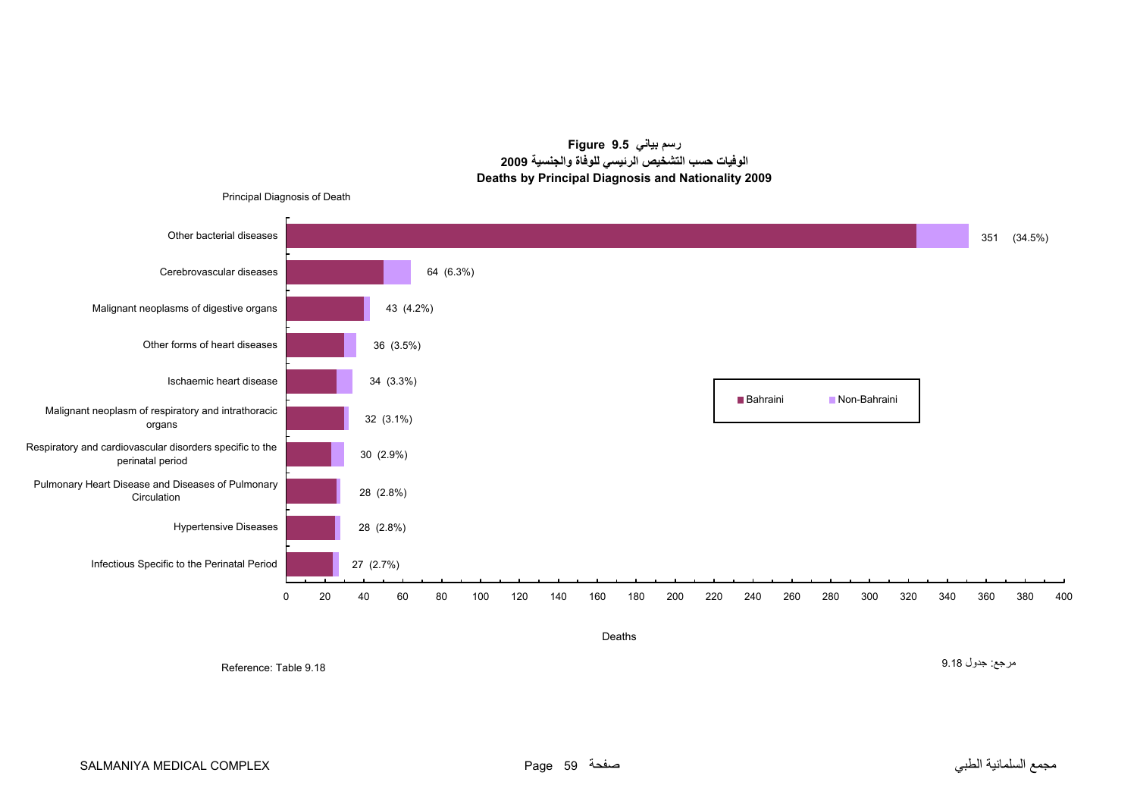**رسم بياني 9.5 Figure الوفيات حسب التشخيص الرئيسي للوفاة والجنسية <sup>2009</sup> Deaths by Principal Diagnosis and Nationality 2009**

<span id="page-57-0"></span>

Deaths

Reference: Table 9.18

مرجع: جدول 9.18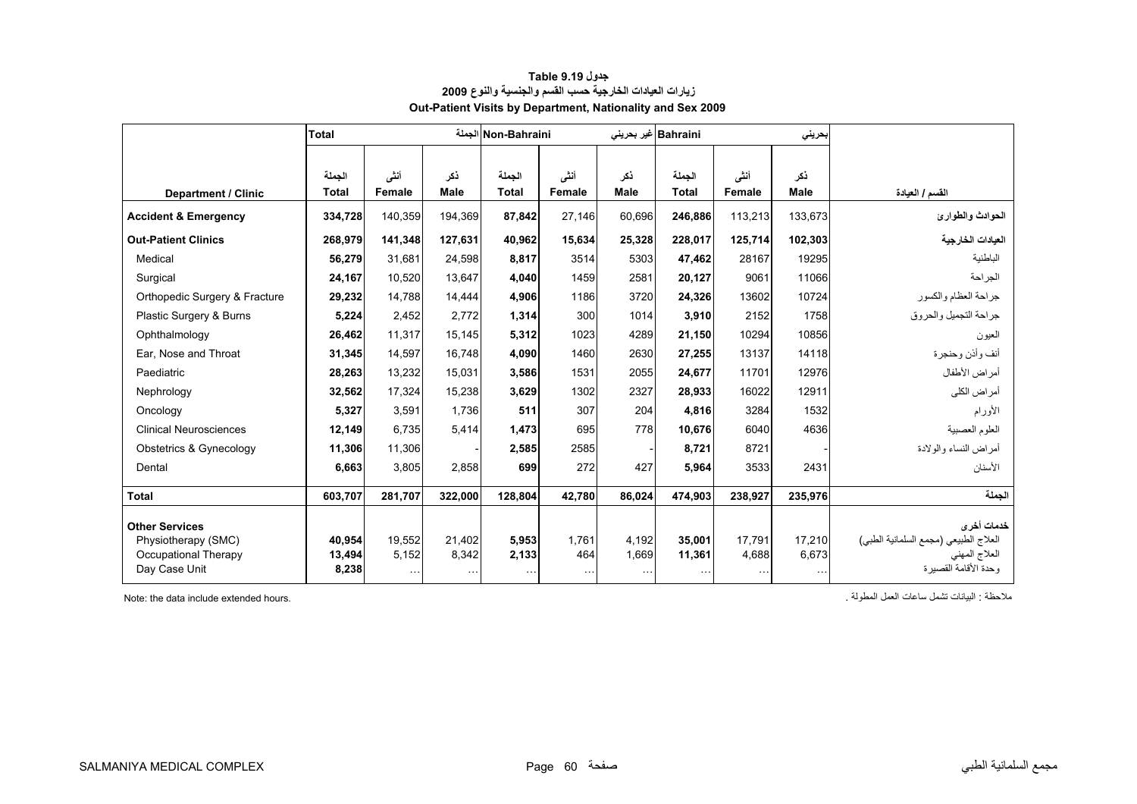<span id="page-58-0"></span>

|                                       | <b>Total</b>    |                   | الحملة             | Non-Bahraini      |                 |                   | Bahraini غیر بحرینی |                   | بحرينى      |                                        |
|---------------------------------------|-----------------|-------------------|--------------------|-------------------|-----------------|-------------------|---------------------|-------------------|-------------|----------------------------------------|
|                                       | الجملة          | أنشى              | ذكر                | الجملة            | أنشى            | ذكر               | الجملة              | أنشى              | ذكر         |                                        |
| Department / Clinic                   | <b>Total</b>    | Female            | Male               | Total             | Female          | <b>Male</b>       | <b>Total</b>        | Female            | <b>Male</b> | القسم / العيادة                        |
| <b>Accident &amp; Emergency</b>       | 334,728         | 140,359           | 194.369            | 87,842            | 27.146          | 60.696            | 246,886             | 113,213           | 133.673     | الحوادث والطوارئ                       |
| <b>Out-Patient Clinics</b>            | 268.979         | 141.348           | 127.631            | 40.962            | 15,634          | 25,328            | 228,017             | 125.714           | 102,303     | العيادات الخارجية                      |
| Medical                               | 56,279          | 31,681            | 24,598             | 8,817             | 3514            | 5303              | 47,462              | 28167             | 19295       | الباطنية                               |
| Surgical                              | 24,167          | 10.520            | 13.647             | 4.040             | 1459            | 2581              | 20.127              | 9061              | 11066       | الجر احة                               |
| Orthopedic Surgery & Fracture         | 29,232          | 14,788            | 14,444             | 4,906             | 1186            | 3720              | 24,326              | 13602             | 10724       | جراحة العظام والكسور                   |
| Plastic Surgery & Burns               | 5,224           | 2.452             | 2.772              | 1,314             | 300             | 1014              | 3,910               | 2152              | 1758        | جر احة التجميل و الحر و ق              |
| Ophthalmology                         | 26,462          | 11,317            | 15,145             | 5,312             | 1023            | 4289              | 21,150              | 10294             | 10856       | العيون                                 |
| Ear, Nose and Throat                  | 31,345          | 14,597            | 16,748             | 4,090             | 1460            | 2630              | 27,255              | 13137             | 14118       | أنف وأذن وحنجرة                        |
| Paediatric                            | 28,263          | 13,232            | 15,031             | 3,586             | 1531            | 2055              | 24,677              | 11701             | 12976       | أمراض الأطفال                          |
| Nephrology                            | 32,562          | 17,324            | 15,238             | 3,629             | 1302            | 2327              | 28,933              | 16022             | 12911       | أمراض الكلى                            |
| Oncology                              | 5,327           | 3,591             | 1,736              | 511               | 307             | 204               | 4,816               | 3284              | 1532        | الأورام                                |
| <b>Clinical Neurosciences</b>         | 12,149          | 6,735             | 5,414              | 1,473             | 695             | 778               | 10,676              | 6040              | 4636        | العلوم العصبية                         |
| Obstetrics & Gynecology               | 11.306          | 11,306            |                    | 2.585             | 2585            |                   | 8.721               | 8721              |             | أمراض النساء والولادة                  |
| Dental                                | 6,663           | 3,805             | 2,858              | 699               | 272             | 427               | 5,964               | 3533              | 2431        | الأسنان                                |
| <b>Total</b>                          | 603,707         | 281,707           | 322,000            | 128,804           | 42,780          | 86,024            | 474,903             | 238,927           | 235,976     | الحملة                                 |
| <b>Other Services</b>                 |                 |                   |                    |                   |                 |                   |                     |                   |             | خدمات أخرى                             |
| Physiotherapy (SMC)                   | 40,954          | 19,552            | 21,402             | 5,953             | 1,761           | 4,192             | 35,001              | 17,791            | 17,210      | العلاج الطبيعي (مجمع السلمانية الطبي)  |
| Occupational Therapy<br>Day Case Unit | 13,494<br>8,238 | 5,152<br>$\cdots$ | 8,342<br>$\ddotsc$ | 2,133<br>$\cdots$ | 464<br>$\cdots$ | 1,669<br>$\cdots$ | 11,361              | 4,688<br>$\cdots$ | 6,673       | العلاج المهنى<br>وحدة الأقامة القصير ة |

#### **جدول 9.19 Table زيارات العيادات الخارجية حسب القسم والجنسية والنوع <sup>2009</sup> Out-Patient Visits by Department, Nationality and Sex 2009**

ملاحظة : البيانات تشمل ساعات العمل المطولة . .hours extended include data the :Note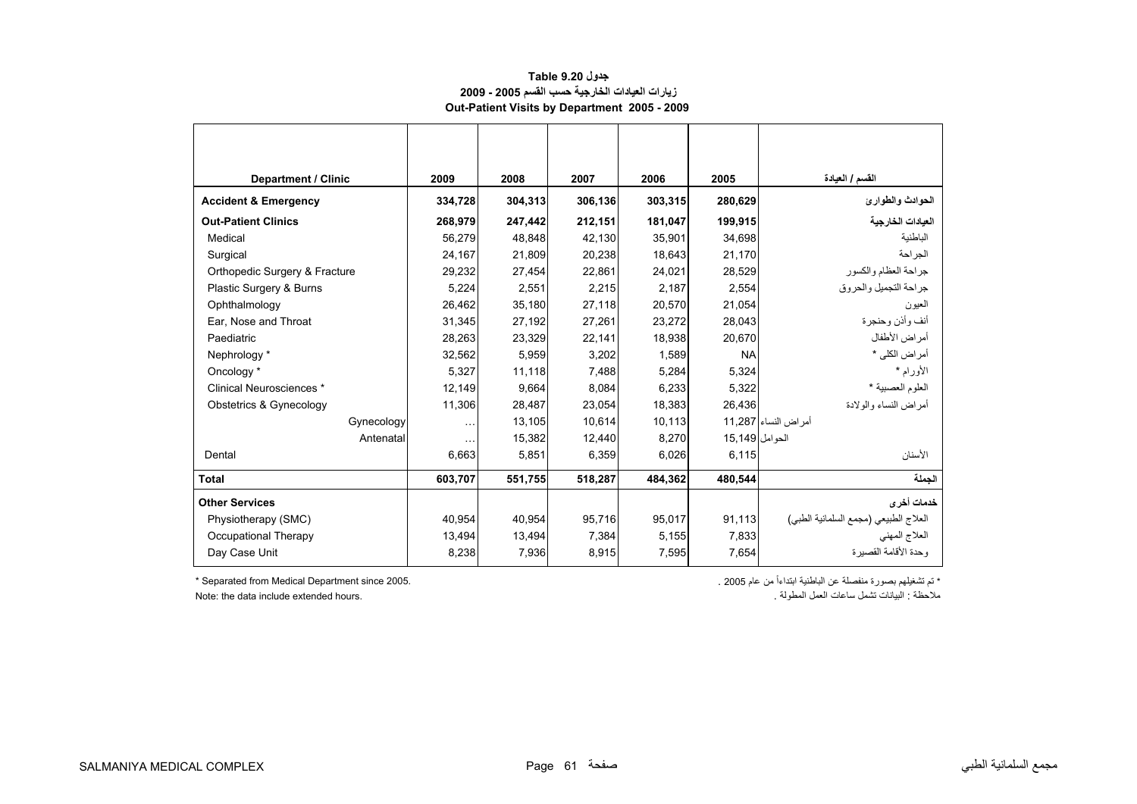#### **جدول 9.20 Table زيارات العيادات الخارجية حسب القسم 2005 - 2009 Out-Patient Visits by Department 2005 - 2009**

<span id="page-59-0"></span>

| <b>Department / Clinic</b>      | 2009     | 2008    | 2007    | 2006    | 2005            | القسم / العيادة                       |
|---------------------------------|----------|---------|---------|---------|-----------------|---------------------------------------|
| <b>Accident &amp; Emergency</b> | 334,728  | 304,313 | 306,136 | 303,315 | 280,629         | الحوادث والطوارئ                      |
| <b>Out-Patient Clinics</b>      | 268,979  | 247,442 | 212,151 | 181,047 | 199.915         | العيادات الخارجية                     |
| Medical                         | 56.279   | 48,848  | 42.130  | 35,901  | 34.698          | الباطنية                              |
| Surgical                        | 24,167   | 21,809  | 20,238  | 18,643  | 21,170          | الجر احة                              |
| Orthopedic Surgery & Fracture   | 29,232   | 27,454  | 22,861  | 24,021  | 28,529          | جراحة العظام والكسور                  |
| Plastic Surgery & Burns         | 5,224    | 2,551   | 2,215   | 2,187   | 2,554           | جر احة التجميل و الحر و ق             |
| Ophthalmology                   | 26,462   | 35,180  | 27,118  | 20,570  | 21,054          | العيون                                |
| Ear, Nose and Throat            | 31,345   | 27,192  | 27.261  | 23,272  | 28,043          | أنف و أذن و حنجر ة                    |
| Paediatric                      | 28,263   | 23,329  | 22,141  | 18,938  | 20,670          | أمراض الأطفال                         |
| Nephrology *                    | 32,562   | 5,959   | 3,202   | 1,589   | <b>NA</b>       | أمر اض الكلي *                        |
| Oncology *                      | 5,327    | 11,118  | 7,488   | 5,284   | 5,324           | الأورام *                             |
| Clinical Neurosciences *        | 12,149   | 9,664   | 8,084   | 6,233   | 5,322           | العلوم العصبية *                      |
| Obstetrics & Gynecology         | 11,306   | 28,487  | 23,054  | 18,383  | 26,436          | أمر اض النساء والو لادة               |
| Gynecology                      | $\cdots$ | 13,105  | 10,614  | 10,113  |                 | أمر اض النساء 11,287                  |
| Antenatal                       | $\cdots$ | 15,382  | 12,440  | 8,270   | الحو امل 15,149 |                                       |
| Dental                          | 6,663    | 5,851   | 6,359   | 6,026   | 6,115           | الأسنان                               |
| <b>Total</b>                    | 603,707  | 551,755 | 518,287 | 484,362 | 480,544         | الحملة                                |
| <b>Other Services</b>           |          |         |         |         |                 | خدمات أخر ي                           |
| Physiotherapy (SMC)             | 40.954   | 40.954  | 95.716  | 95,017  | 91,113          | العلاج الطبيعي (مجمع السلمانية الطبي) |
| Occupational Therapy            | 13,494   | 13,494  | 7,384   | 5,155   | 7,833           | العلاج المهنى                         |
| Day Case Unit                   | 8,238    | 7,936   | 8,915   | 7,595   | 7,654           | ، حدة الأقامة القصير ة                |

Note: the data include extended hours.

\* تم تشغيلھم بصورة منفصلة عن الباطنية ابتداءاً من عام 2005 . 2005. since Department Medical from Separated\*

مال<br>ملاحظة : البيانات تشمل ساعات العمل المطولة .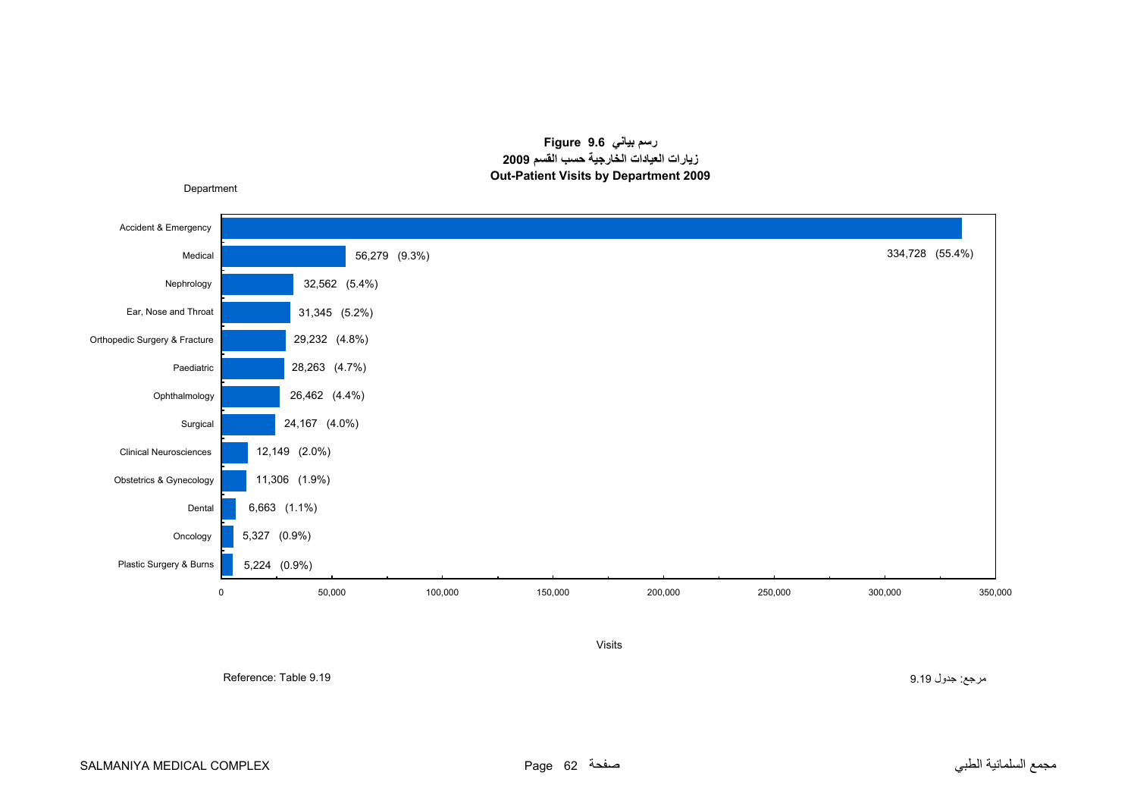#### **رسم بياني 9.6 Figure زيارات العيادات الخارجية حسب القسم <sup>2009</sup> Out-Patient Visits by Department 2009**

<span id="page-60-0"></span>

Visits

مرجع: جدول 9.19 9.19 Table :Reference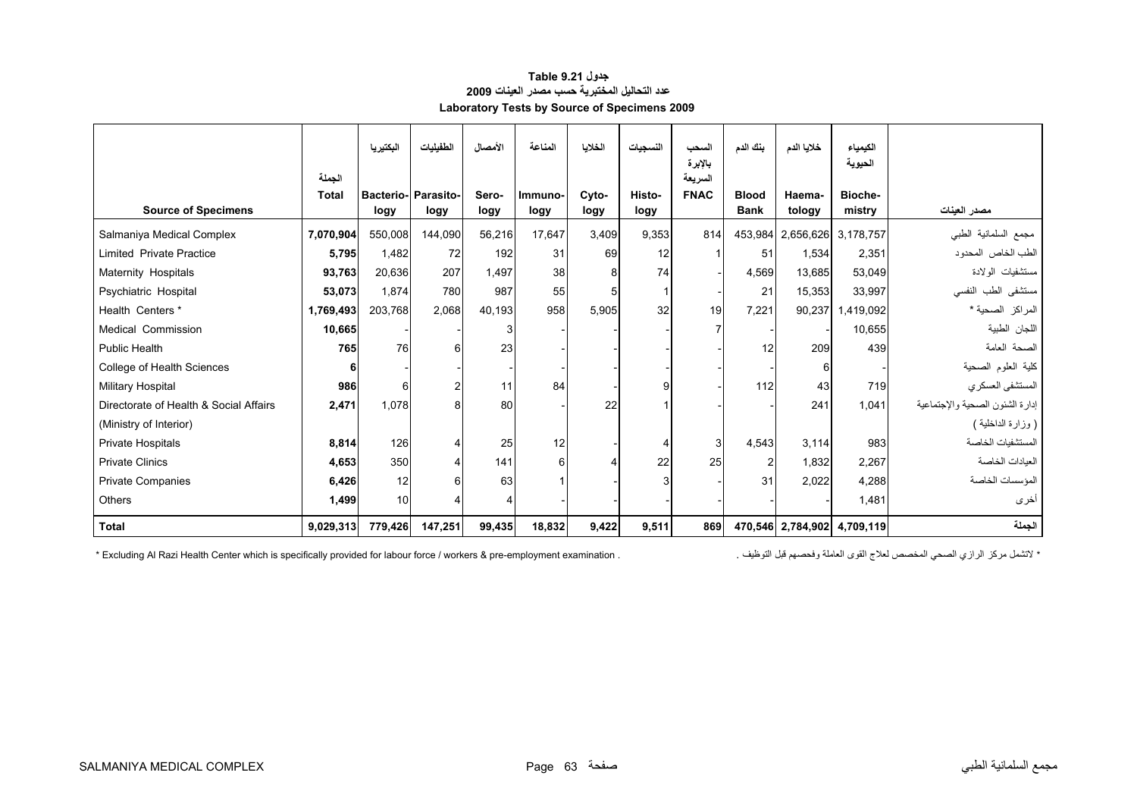<span id="page-61-0"></span>

|                                        |                        | البكتيريا                          | الطفيليات      | الأمصال       | المناعة         | الخلايا       | النسجيات       | السحب<br>بالإبرة       | بنك الدم                    | خلايا الدم                  | الكيمياء<br>الحيوية |                                 |
|----------------------------------------|------------------------|------------------------------------|----------------|---------------|-----------------|---------------|----------------|------------------------|-----------------------------|-----------------------------|---------------------|---------------------------------|
| <b>Source of Specimens</b>             | الحملة<br><b>Total</b> | <b>Bacterio- Parasito-</b><br>logy | logy           | Sero-<br>logy | Immuno-<br>logy | Cyto-<br>logy | Histo-<br>logy | السريعة<br><b>FNAC</b> | <b>Blood</b><br><b>Bank</b> | Haema-<br>tology            | Bioche-<br>mistry   | مصدر العينات                    |
| Salmaniya Medical Complex              | 7,070,904              | 550,008                            | 144,090        | 56,216        | 17.647          | 3.409         | 9,353          | 814                    | 453,984                     |                             | 2,656,626 3,178,757 | مجمع السلمانية الطبى            |
| <b>Limited Private Practice</b>        | 5,795                  | 1.482                              | 72             | 192           | 31              | 69            | 12             |                        | 51                          | 1.534                       | 2,351               | الطب الخاص المحدود              |
| Maternity Hospitals                    | 93,763                 | 20,636                             | 207            | 1,497         | 38              |               | 74             |                        | 4,569                       | 13,685                      | 53,049              | مستشفيات الولادة                |
| Psychiatric Hospital                   | 53,073                 | 1.874                              | 780            | 987           | 55              | 5             |                |                        | 21                          | 15,353                      | 33,997              | مستشفى الطب النفسى              |
| Health Centers *                       | 1,769,493              | 203,768                            | 2,068          | 40,193        | 958             | 5,905         | 32             | 19                     | 7,221                       |                             | 90,237 1,419,092    | المراكز الصحية *                |
| Medical Commission                     | 10,665                 |                                    |                |               |                 |               |                |                        |                             |                             | 10,655              | اللجان الطبية                   |
| <b>Public Health</b>                   | 765                    | 76                                 | 6              | 23            |                 |               |                |                        | 12                          | 209                         | 439                 | الصحة العامة                    |
| College of Health Sciences             | 6                      |                                    |                |               |                 |               |                |                        |                             | 6                           |                     | كلية العلوم الصحية              |
| Military Hospital                      | 986                    | 6                                  | $\overline{2}$ | 11            | 84              |               | 9              |                        | 112                         | 43                          | 719                 | المستشفى العسكري                |
| Directorate of Health & Social Affairs | 2,471                  | 1,078                              | 8              | 80            |                 | 22            |                |                        |                             | 241                         | 1,041               | إدارة الشئون الصحية والإجتماعية |
| (Ministry of Interior)                 |                        |                                    |                |               |                 |               |                |                        |                             |                             |                     | (وزارة الداخلية )               |
| Private Hospitals                      | 8,814                  | 126                                | 4              | 25            | 12              |               | Δ              | 3                      | 4,543                       | 3.114                       | 983                 | المستشفبات الخاصبة              |
| <b>Private Clinics</b>                 | 4,653                  | 350                                |                | 141           |                 |               | 22             | 25                     |                             | 1.832                       | 2,267               | العيادات الخاصة                 |
| <b>Private Companies</b>               | 6,426                  | 12                                 | 6              | 63            |                 |               | Я              |                        | 31                          | 2,022                       | 4,288               | المؤسسات الخاصبة                |
| Others                                 | 1,499                  | 10                                 |                |               |                 |               |                |                        |                             |                             | 1,481               | أخرى                            |
| <b>Total</b>                           | 9,029,313              | 779,426                            | 147,251        | 99,435        | 18,832          | 9,422         | 9,511          | 869                    |                             | 470,546 2,784,902 4,709,119 |                     | الجملة                          |

#### **جدول 9.21 Table عدد التحاليل المختبرية حسب مصدر العينات <sup>2009</sup> Laboratory Tests by Source of Specimens 2009**

\* لاتشمل مركز الرازي الصحي المخصص لعلاج القوى العاملة وفحصهم قبل التوظيف . . . . Excluding Al Razi Health Center which is specifically provided for labour force / workers & pre-employment examination \*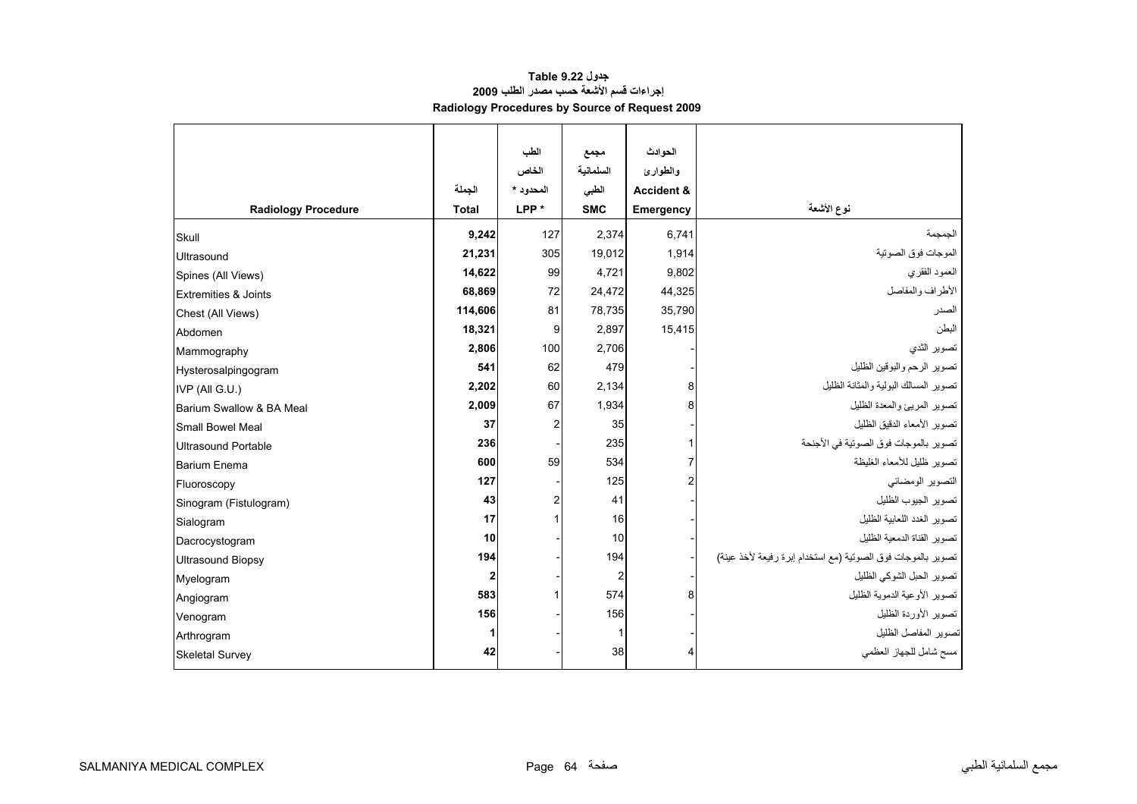#### **جدول 9.22 Table إجراءات قسم الأشعة حسب مصدر الطلب <sup>2009</sup> Radiology Procedures by Source of Request 2009**

<span id="page-62-0"></span>

|                                 |              | الطب           | مجمع           | الحوادث               |                                                              |
|---------------------------------|--------------|----------------|----------------|-----------------------|--------------------------------------------------------------|
|                                 |              | الخاص          | السلمانية      | والطوارئ              |                                                              |
|                                 | الجملة       | المحدود *      | الطبى          | <b>Accident &amp;</b> |                                                              |
| <b>Radiology Procedure</b>      | <b>Total</b> | LPP*           | <b>SMC</b>     | <b>Emergency</b>      | نوع الأشعة                                                   |
| Skull                           | 9,242        | 127            | 2.374          | 6.741                 | الجمجمة                                                      |
| Ultrasound                      | 21,231       | 305            | 19,012         | 1,914                 | الموجات فوق الصوتية                                          |
| Spines (All Views)              | 14,622       | 99             | 4,721          | 9,802                 | العمود الفقري                                                |
| <b>Extremities &amp; Joints</b> | 68,869       | 72             | 24,472         | 44,325                | الأطراف والمفاصل                                             |
| Chest (All Views)               | 114,606      | 81             | 78,735         | 35,790                | الصدر                                                        |
| Abdomen                         | 18,321       | 9              | 2,897          | 15,415                | البطن                                                        |
| Mammography                     | 2,806        | 100            | 2,706          |                       | تصوير الثدي                                                  |
| Hysterosalpingogram             | 541          | 62             | 479            |                       | تصوير الرحم والبوقين الظليل                                  |
| IVP (All G.U.)                  | 2,202        | 60             | 2,134          | 8                     | تصوير المسالك البولية والمثانة الظليل                        |
| Barium Swallow & BA Meal        | 2,009        | 67             | 1,934          | 8                     | تصوير المريئ والمعدة الظليل                                  |
| <b>Small Bowel Meal</b>         | 37           | $\overline{2}$ | 35             |                       | تصوير الأمعاء الدقيق الظليل                                  |
| <b>Ultrasound Portable</b>      | 236          |                | 235            |                       | تصوير بالموجات فوق الصوتية في الأجنحة                        |
| <b>Barium Enema</b>             | 600          | 59             | 534            |                       | تصوير ظليل للأمعاء الغليظة                                   |
| Fluoroscopy                     | 127          |                | 125            |                       | التصوير الومضائي                                             |
| Sinogram (Fistulogram)          | 43           |                | 41             |                       | تصوير الجيوب الظليل                                          |
| Sialogram                       | 17           |                | 16             |                       | تصوير الغدد اللعابية الظليل                                  |
| Dacrocystogram                  | 10           |                | 10             |                       | تصوير القناة الدمعية الظليل                                  |
| <b>Ultrasound Biopsy</b>        | 194          |                | 194            |                       | تصوير بالموجات فوق الصوتية (مع استخدام إبرة رفيعة لأخذ عينة) |
| Myelogram                       | $\mathbf{2}$ |                | $\overline{2}$ |                       | تصوير الحبل الشوكي الظليل                                    |
| Angiogram                       | 583          |                | 574            | 8                     | تصوير الأوعية الدموية الظليل                                 |
| Venogram                        | 156          |                | 156            |                       | تصوير الأوردة الظليل                                         |
| Arthrogram                      | 1            |                |                |                       | تصوير المفاصل الظليل                                         |
| <b>Skeletal Survey</b>          | 42           |                | 38             |                       | مسح شامل للجهاز العظمى                                       |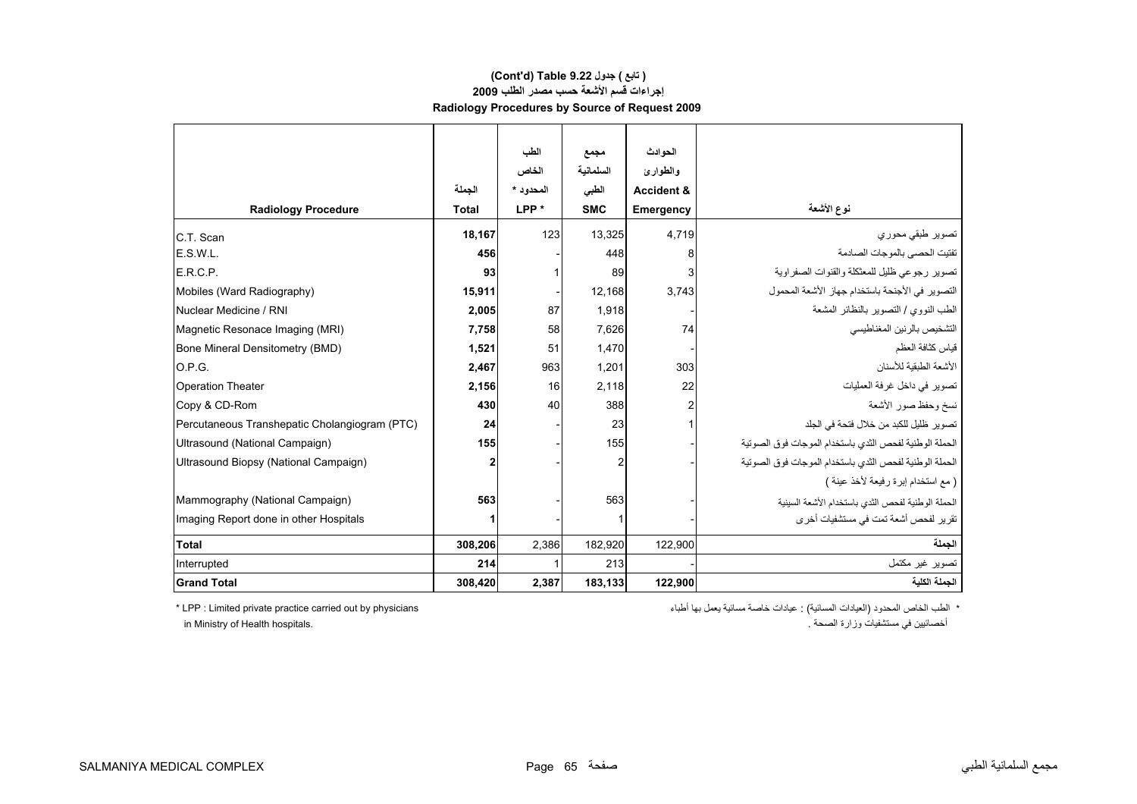#### **إجراءات قسم الأشعة حسب مصدر الطلب <sup>2009</sup> Radiology Procedures by Source of Request 2009 (Cont'd) Table 9.22 جدول ) تابع(**

|                                               |              | الطب             | مجمع           | الحوادث               |                                                        |
|-----------------------------------------------|--------------|------------------|----------------|-----------------------|--------------------------------------------------------|
|                                               |              | الخاص            | السلمانية      | والطوارئ              |                                                        |
|                                               | الجملة       | المحدو بـ *      | الطبى          | <b>Accident &amp;</b> |                                                        |
| <b>Radiology Procedure</b>                    | <b>Total</b> | LPP <sup>*</sup> | <b>SMC</b>     | Emergency             | نوع الأشعة                                             |
| C.T. Scan                                     | 18,167       | 123              | 13,325         | 4,719                 | تصوير طبقي محوري                                       |
| E.S.W.L.                                      | 456          |                  | 448            | 8                     | تفتيت الحصى بالموجات الصادمة                           |
| E.R.C.P.                                      | 93           |                  | 89             | 3                     | تصوير رجوعي ظليل للمعثكلة والقنوات الصفراوية           |
| Mobiles (Ward Radiography)                    | 15,911       |                  | 12,168         | 3,743                 | التصوير في الأجنحة باستخدام جهاز الأشعة المحمول        |
| Nuclear Medicine / RNI                        | 2,005        | 87               | 1,918          |                       | الطب النووي / التصوير بالنظائر المشعة                  |
| Magnetic Resonace Imaging (MRI)               | 7,758        | 58               | 7,626          | 74                    | التشخيص بالرنين المغناطيسي                             |
| Bone Mineral Densitometry (BMD)               | 1,521        | 51               | 1,470          |                       | قياس كثافة العظم                                       |
| O.P.G.                                        | 2,467        | 963              | 1,201          | 303                   | الأشعة الطبقبة للأسنان                                 |
| <b>Operation Theater</b>                      | 2,156        | 16               | 2,118          | 22                    | تصوير في داخل غرفة العمليات                            |
| Copy & CD-Rom                                 | 430          | 40               | 388            |                       | نسخ وحفظ صور الأشعة                                    |
| Percutaneous Transhepatic Cholangiogram (PTC) | 24           |                  | 23             |                       | تصوير ظليل للكبد من خلال فتحة في الجلد                 |
| Ultrasound (National Campaign)                | 155          |                  | 155            |                       | الحملة الوطنية لفحص الثدي باستخدام الموجات فوق الصوتية |
| Ultrasound Biopsy (National Campaign)         | $\mathbf{2}$ |                  | $\overline{2}$ |                       | الحملة الوطنية لفحص الثدى باستخدام الموجات فوق الصوتية |
|                                               |              |                  |                |                       | ( مع استخدام إبرة رفيعة لأخذ عينة )                    |
| Mammography (National Campaign)               | 563          |                  | 563            |                       | الحملة الوطنية لفحص الثدى باستخدام الأشعة السينية      |
| Imaging Report done in other Hospitals        |              |                  |                |                       | تقر پر الفحص أشعة تمت في مستشفيات أخر ي                |
| <b>Total</b>                                  | 308,206      | 2,386            | 182,920        | 122,900               | الحملة                                                 |
| Interrupted                                   | 214          |                  | 213            |                       | تصوير غير مكتمل                                        |
| <b>Grand Total</b>                            | 308,420      | 2,387            | 183,133        | 122,900               | الجملة الكلية                                          |

\* الطب الخاص المحدود (العيادات المسائية) : عيادات خاصة مسائية يعمل بها أطباء physicians by out carried practice private Limited : LPP\* أخصائيين في مستشفيات وزارة الصحة .<br>أخصائيين في مستشفيات وزارة الصحة .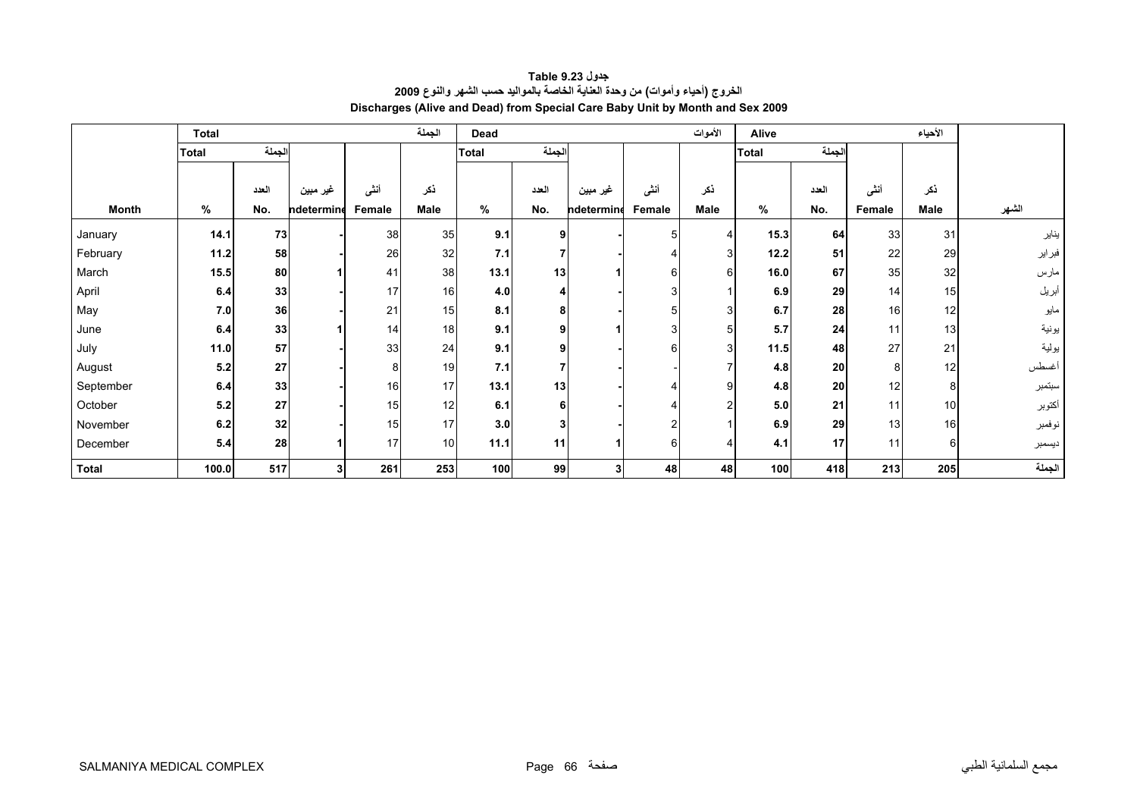<span id="page-64-0"></span>

|              | <b>Total</b> |        |            |        | الجملة          | Dead  |          |                |        | الأموات        | Alive        |       |        | الأحياء |        |
|--------------|--------------|--------|------------|--------|-----------------|-------|----------|----------------|--------|----------------|--------------|-------|--------|---------|--------|
|              | <b>Total</b> | الجملة |            |        |                 | Total | الجملة   |                |        |                | <b>Total</b> | لجملة |        |         |        |
|              |              |        |            |        |                 |       |          |                |        |                |              |       |        |         |        |
|              |              | العدد  | غير مبين   | أننسى  | ذكر             |       | العدد    | غير مبين       | أنشى   | ذكر            |              | العدد | أننى   | ذكر     |        |
| <b>Month</b> | %            | No.    | ndetermine | Female | Male            | %     | No.      | ndetermine     | Female | Male           | %            | No.   | Female | Male    | الشهر  |
| January      | 14.1         | 73     |            | 38     | 35              | 9.1   | $\Omega$ |                | 51     | 4              | 15.3         | 64    | 33     | 31      | يناير  |
| February     | 11.2         | 58     |            | 26     | 32              | 7.1   |          |                |        | $\overline{3}$ | 12.2         | 51    | 22     | 29      | فبراير |
| March        | 15.5         | 80     |            | 41     | 38              | 13.1  | 13       |                | 6      | $6 \,$         | 16.0         | 67    | 35     | 32      | مارس   |
| April        | 6.4          | 33     |            | 17     | 16              | 4.0   |          |                |        |                | 6.9          | 29    | 14     | 15      | أبريل  |
| May          | 7.0          | 36     |            | 21     | 15              | 8.1   |          |                |        | 3              | 6.7          | 28    | 16     | 12      | مايو   |
| June         | 6.4          | 33     |            | 14     | 18              | 9.1   |          |                |        | 5              | 5.7          | 24    | 11     | 13      | يونية  |
| July         | 11.0         | 57     |            | 33     | 24              | 9.1   |          |                |        | 3              | 11.5         | 48    | 27     | 21      | يولية  |
| August       | 5.2          | 27     |            | 8      | 19              | 7.1   |          |                |        | 7              | 4.8          | 20    | 8      | 12      | أغسطس  |
| September    | 6.4          | 33     |            | 16     | 17              | 13.1  | 13       |                |        | 9              | 4.8          | 20    | 12     | 8       | سبتمبر |
| October      | 5.2          | 27     |            | 15     | 12              | 6.1   |          |                |        | $\overline{2}$ | 5.0          | 21    | 11     | 10      | أكتوبر |
| November     | 6.2          | 32     |            | 15     | 17              | 3.0   |          |                |        |                | 6.9          | 29    | 13     | 16      | نوفمبر |
| December     | 5.4          | 28     |            | 17     | 10 <sup>1</sup> | 11.1  | 11       |                | 6      | 4              | 4.1          | 17    | 11     | 6       | ديسمبر |
| <b>Total</b> | 100.0        | 517    | 3          | 261    | 253             | 100   | 99       | 3 <sup>1</sup> | 48     | 48             | 100          | 418   | 213    | 205     | الجملة |

**جدول 9.23 Table الخروج (أحياء وأموات) من وحدة العناية الخاصة بالمواليد حسب الشهر والنوع <sup>2009</sup> Discharges (Alive and Dead) from Special Care Baby Unit by Month and Sex 2009**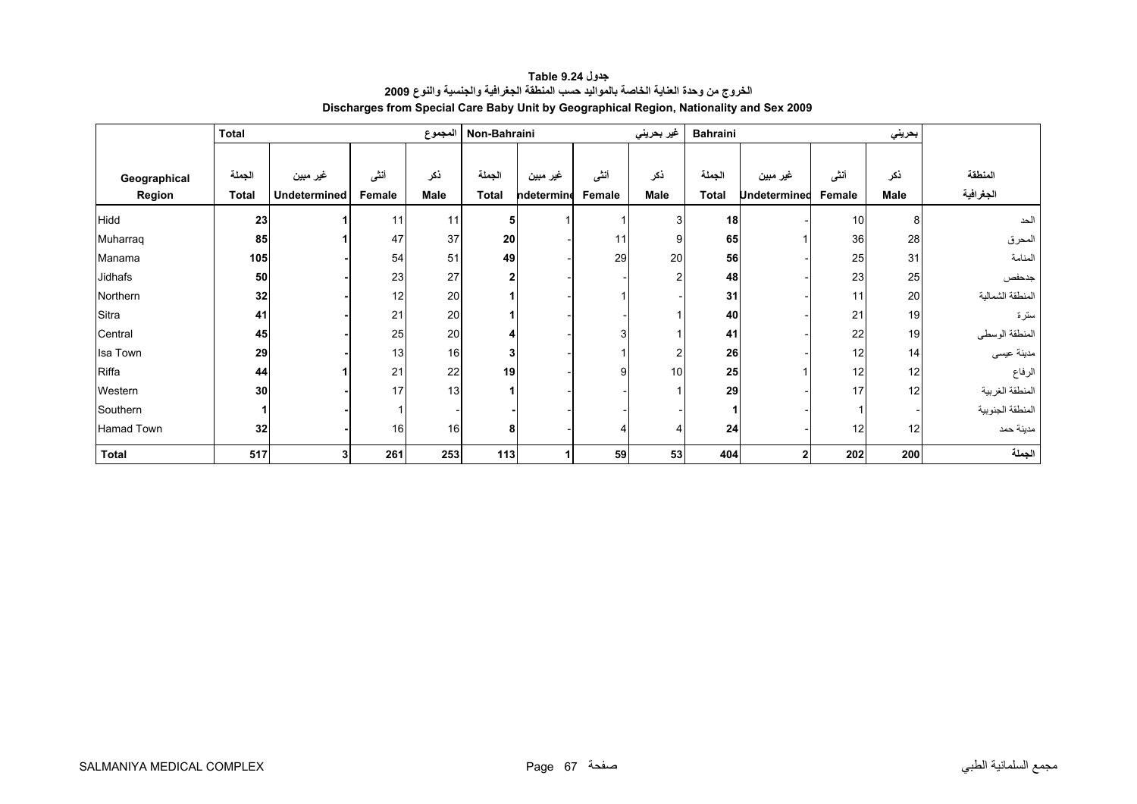<span id="page-65-0"></span>

|              | <b>Total</b> |              |        | المجموع     | Non-Bahraini |            |        | غير بحريني     | <b>Bahraini</b> |                     |        |      |                  |
|--------------|--------------|--------------|--------|-------------|--------------|------------|--------|----------------|-----------------|---------------------|--------|------|------------------|
|              |              |              |        |             |              |            |        |                |                 |                     |        |      |                  |
| Geographical | الجملة       | غير مبين     | أننى   | ذكر         | الجملة       | غير مبين   | أننى   | نكر            | الجملة          | غير مبين            | أننى   | ذكر  | المنطقة          |
| Region       | <b>Total</b> | Undetermined | Female | <b>Male</b> | <b>Total</b> | ndetermine | Female | Male           | <b>Total</b>    | <b>Undetermined</b> | Female | Male | الجغرافية        |
| <b>Hidd</b>  | 23           |              | 11     | 11          | 5            |            |        | 3              | 18              |                     | 10     | 8    | الحد             |
| Muharraq     | 85           |              | 47     | 37          | 20           |            | 11     | 9              | 65              |                     | 36     | 28   | المحرق           |
| Manama       | 105          |              | 54     | 51          | 49           |            | 29     | 20             | 56              |                     | 25     | 31   | المنامة          |
| Jidhafs      | 50           |              | 23     | 27          | $\mathbf{2}$ |            |        | $\mathfrak{p}$ | 48              |                     | 23     | 25   | جدحفص            |
| Northern     | 32           |              | 12     | 20          |              |            |        |                | 31              |                     | 11     | 20   | المنطقة الشمالبة |
| Sitra        | 41           |              | 21     | 20          |              |            |        |                | 40              |                     | 21     | 19   | سترة             |
| Central      | 45           |              | 25     | 20          |              |            |        |                | 41              |                     | 22     | 19   | المنطقة الوسطى   |
| Isa Town     | 29           |              | 13     | 16          | 3            |            |        | 2              | 26              |                     | 12     | 14   | مدينة عيسى       |
| Riffa        | 44           |              | 21     | 22          | 19           |            | 9      | 10             | 25              |                     | 12     | 12   | الرفاع           |
| Western      | 30           |              | 17     | 13          |              |            |        |                | 29              |                     | 17     | 12   | المنطقة الغربية  |
| Southern     |              |              |        |             |              |            |        |                |                 |                     |        |      | المنطقة الجنوبية |
| Hamad Town   | 32           |              | 16     | 16          | 8            |            |        |                | 24              |                     | 12     | 12   | مدينة حمد        |
| <b>Total</b> | 517          |              | 261    | 253         | 113          |            | 59     | 53             | 404             | 2 <sub>1</sub>      | 202    | 200  | الجملة           |

**جدول 9.24 Table الخروج من وحدة العناية الخاصة بالمواليد حسب المنطقة الجغرافية والجنسية والنوع <sup>2009</sup> Discharges from Special Care Baby Unit by Geographical Region, Nationality and Sex 2009**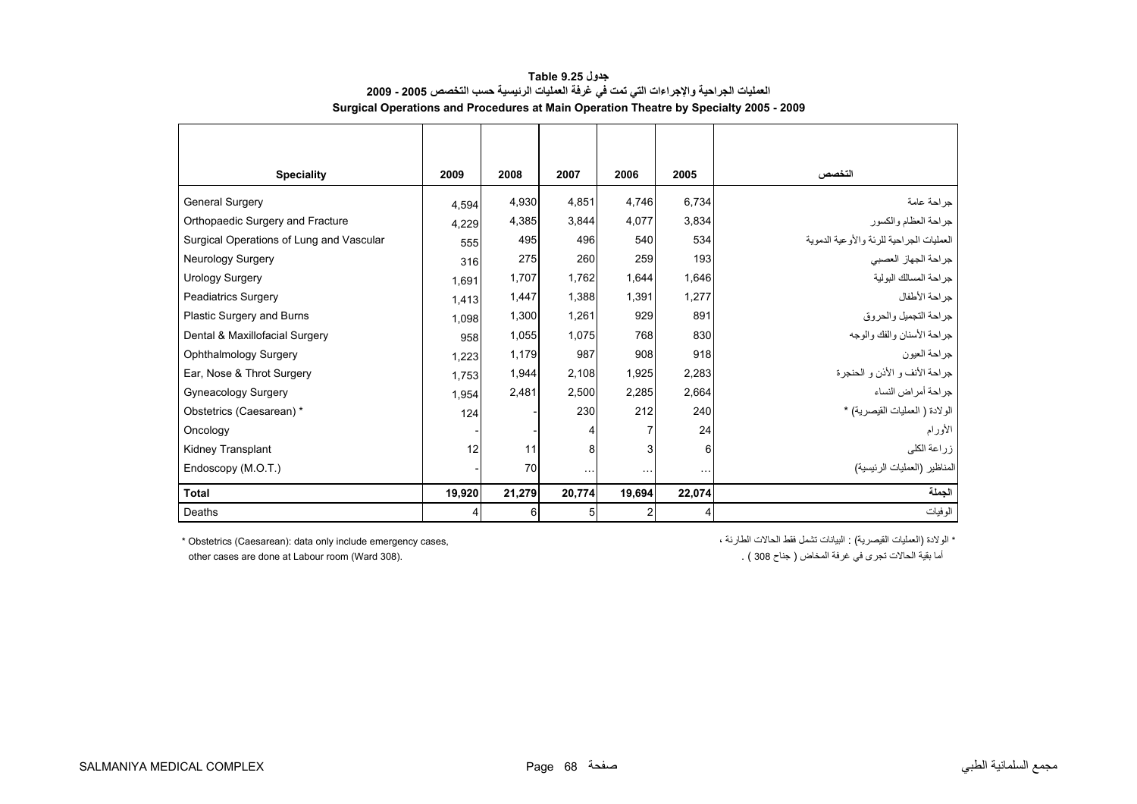<span id="page-66-0"></span>

| <b>Speciality</b>                        | 2009   | 2008   | 2007      | 2006           | 2005     | التخصص                                   |
|------------------------------------------|--------|--------|-----------|----------------|----------|------------------------------------------|
| <b>General Surgery</b>                   | 4.594  | 4,930  | 4.851     | 4.746          | 6,734    | جراحة عامة                               |
| Orthopaedic Surgery and Fracture         | 4,229  | 4,385  | 3,844     | 4.077          | 3,834    | جراحة العظام والكسور                     |
| Surgical Operations of Lung and Vascular | 555    | 495    | 496       | 540            | 534      | العمليات الجراحية للرئة والأوعية الدموية |
| Neurology Surgery                        | 316    | 275    | 260       | 259            | 193      | جراحة الجهاز العصبي                      |
| <b>Urology Surgery</b>                   | 1.691  | 1,707  | 1,762     | 1,644          | 1,646    | جراحة المسالك البولية                    |
| <b>Peadiatrics Surgery</b>               | 1,413  | 1,447  | 1,388     | 1,391          | 1,277    | جراحة الأطفال                            |
| Plastic Surgery and Burns                | 1.098  | 1,300  | 1,261     | 929            | 891      | جراحة التجميل والحروق                    |
| Dental & Maxillofacial Surgery           | 958    | 1,055  | 1,075     | 768            | 830      | جراحة الأسنان والفك والوجه               |
| Ophthalmology Surgery                    | 1.223  | 1,179  | 987       | 908            | 918      | جراحة العيون                             |
| Ear, Nose & Throt Surgery                | 1.753  | 1,944  | 2,108     | 1,925          | 2,283    | جراحة الأنف و الأذن و الحنجرة            |
| Gyneacology Surgery                      | 1.954  | 2,481  | 2,500     | 2,285          | 2,664    | جراحة أمراض النساء                       |
| Obstetrics (Caesarean) *                 | 124    |        | 230       | 212            | 240      | الولادة ( العمليات القيصرية) *           |
| Oncology                                 |        |        | 4         | 7              | 24       | الأورام                                  |
| <b>Kidney Transplant</b>                 | 12     | 11     | 8         | 3              | 6        | زراعة الكلى                              |
| Endoscopy (M.O.T.)                       |        | 70     | $\ddotsc$ | $\cdots$       | $\cdots$ | المناظير (العمليات الرئيسية)             |
| Total                                    | 19,920 | 21,279 | 20,774    | 19,694         | 22,074   | الجملة                                   |
| Deaths                                   | 4      | 6      | 5         | $\mathfrak{p}$ |          | الوفيات                                  |

**جدول 9.25 Table العمليات الجراحية والإجراءات التي تمت في غرفة العمليات الرئيسية حسب التخصص 2005 - 2009 Surgical Operations and Procedures at Main Operation Theatre by Specialty 2005 - 2009**

\* Obstetrics (Caesarean): data only include emergency cases,

\* الولادة (العمليات القيصرية) : البيانات تشمل فقط الحالات الطارئة ،

other cases are done at Labour room (Ward 308).

أما بقية الحالات تجري في غرفة المخاض ( جناح 308 ) .